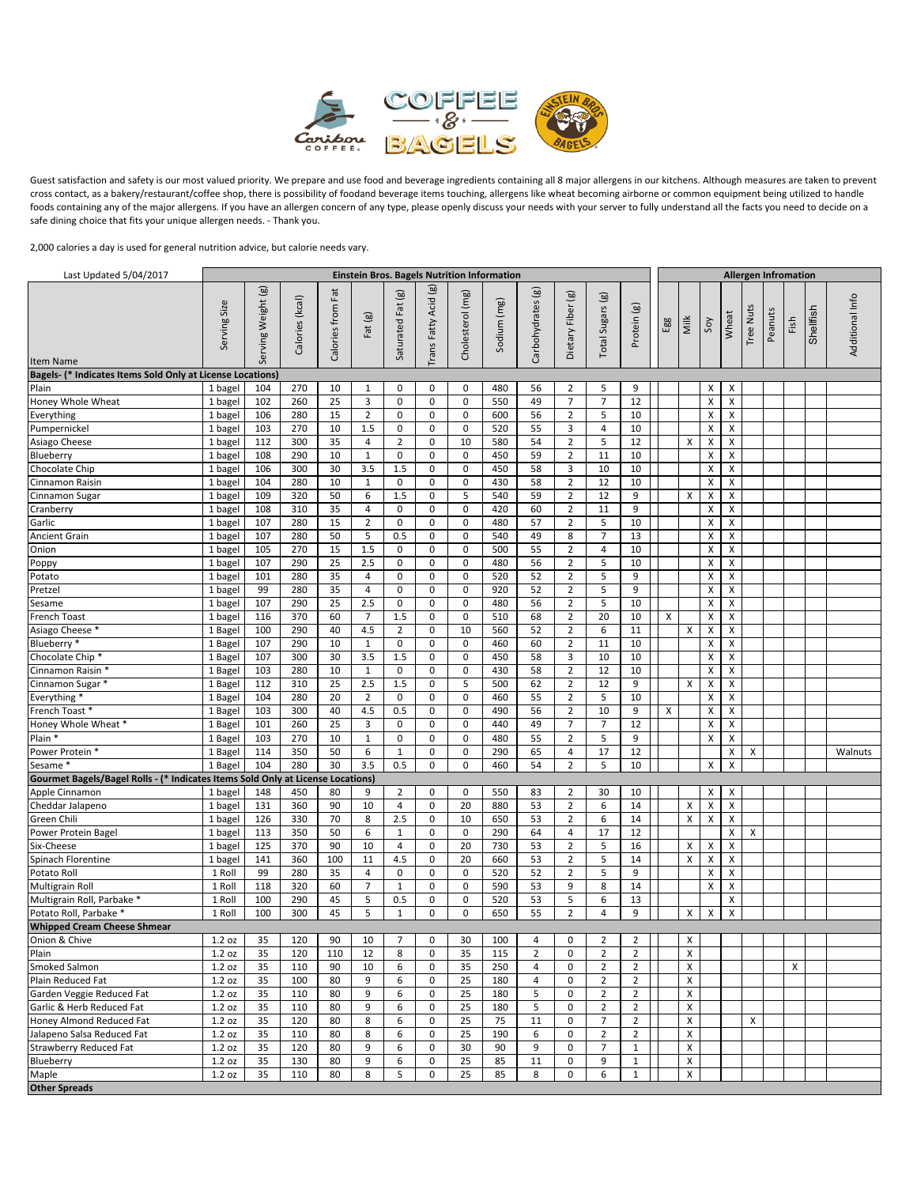

Guest satisfaction and safety is our most valued priority. We prepare and use food and beverage ingredients containing all 8 major allergens in our kitchens. Although measures are taken to prevent cross contact, as a bakery/restaurant/coffee shop, there is possibility of foodand beverage items touching, allergens like wheat becoming airborne or common equipment being utilized to handle foods containing any of the major allergens. If you have an allergen concern of any type, please openly discuss your needs with your server to fully understand all the facts you need to decide on a safe dining choice that fits your unique allergen needs. - Thank you.

2,000 calories a day is used for general nutrition advice, but calorie needs vary.

| Last Updated 5/04/2017                                                          |                    |                    |                 |                   |                     |                   |                      |                  | Einstein Bros. Bagels Nutrition Information |                   |                     |                     |                        |     |      |                           |        | <b>Allergen Infromation</b> |         |      |           |                 |
|---------------------------------------------------------------------------------|--------------------|--------------------|-----------------|-------------------|---------------------|-------------------|----------------------|------------------|---------------------------------------------|-------------------|---------------------|---------------------|------------------------|-----|------|---------------------------|--------|-----------------------------|---------|------|-----------|-----------------|
| Item Name                                                                       | Serving Size       | Serving Weight (g) | Calories (kcal) | Calories from Fat | Fat (g)             | Saturated Fat (g) | Trans Fatty Acid (g) | Cholesterol (mg) | Sodium (mg)                                 | Carbohydrates (g) | Dietary Fiber (g)   | Sugars (g)<br>Total | $\circledB$<br>Protein | Egg | Milk | Soy                       | Wheat  | Tree Nuts                   | Peanuts | Fish | Shellfish | Additional Info |
| Bagels- (* Indicates Items Sold Only at License Locations)                      |                    |                    |                 |                   |                     |                   |                      |                  |                                             |                   |                     |                     |                        |     |      |                           |        |                             |         |      |           |                 |
| Plain                                                                           | 1 bagel            | 104                | 270             | 10                | $\mathbf{1}$        | 0                 | 0                    | 0                | 480                                         | 56                | 2                   | 5                   | 9                      |     |      | х                         | X      |                             |         |      |           |                 |
| Honey Whole Wheat                                                               | 1 bagel            | 102                | 260             | 25                | 3                   | 0                 | $\mathbf 0$          | $\mathbf 0$      | 550                                         | 49                | $\overline{7}$      | $\overline{7}$      | 12                     |     |      | X                         | X      |                             |         |      |           |                 |
| Everything                                                                      | 1 bagel            | 106                | 280             | 15                | $\overline{2}$      | 0                 | $\mathbf 0$          | 0                | 600                                         | 56                | $\overline{2}$      | 5                   | 10                     |     |      | X                         | X      |                             |         |      |           |                 |
| Pumpernickel                                                                    | 1 bagel            | 103                | 270             | 10                | 1.5                 | 0                 | $\mathbf 0$          | 0                | 520                                         | 55                | 3                   | $\overline{4}$      | 10                     |     |      | $\pmb{\times}$            | Χ      |                             |         |      |           |                 |
| Asiago Cheese                                                                   | 1 bagel            | 112                | 300             | 35                | 4                   | $\overline{2}$    | $\mathbf 0$          | 10               | 580                                         | 54                | $\overline{2}$      | 5                   | 12                     |     | X    | X                         | X      |                             |         |      |           |                 |
| Blueberry                                                                       | 1 bagel            | 108<br>106         | 290<br>300      | 10<br>30          | $\mathbf 1$         | $\pmb{0}$<br>1.5  | $\mathbf 0$<br>0     | $\mathbf 0$<br>0 | 450<br>450                                  | 59<br>58          | $\overline{2}$<br>3 | 11<br>10            | 10<br>10               |     |      | X<br>X                    | Χ<br>X |                             |         |      |           |                 |
| Chocolate Chip<br>Cinnamon Raisin                                               | 1 bagel            | 104                | 280             | 10                | 3.5<br>$\mathbf{1}$ | $\pmb{0}$         | 0                    | $\mathbf 0$      | 430                                         | 58                | $\overline{2}$      | 12                  | 10                     |     |      | $\boldsymbol{\mathsf{x}}$ | X      |                             |         |      |           |                 |
| Cinnamon Sugar                                                                  | 1 bagel            | 109                | 320             | 50                | 6                   | 1.5               | 0                    | 5                | 540                                         | 59                | $\overline{2}$      | 12                  | 9                      |     | X    | X                         | X      |                             |         |      |           |                 |
| Cranberry                                                                       | 1 bagel<br>1 bagel | 108                | 310             | 35                | $\overline{4}$      | $\pmb{0}$         | $\mathbf 0$          | $\mathbf 0$      | 420                                         | 60                | $\overline{2}$      | 11                  | 9                      |     |      | X                         | X      |                             |         |      |           |                 |
| Garlic                                                                          | 1 bagel            | 107                | 280             | 15                | $\overline{2}$      | $\pmb{0}$         | 0                    | $\mathbf 0$      | 480                                         | 57                | $\overline{2}$      | 5                   | 10                     |     |      | X                         | X      |                             |         |      |           |                 |
| <b>Ancient Grain</b>                                                            | 1 bagel            | 107                | 280             | 50                | 5                   | 0.5               | 0                    | $\mathbf 0$      | 540                                         | 49                | 8                   | $\overline{7}$      | 13                     |     |      | $\boldsymbol{\mathsf{x}}$ | X      |                             |         |      |           |                 |
| Onion                                                                           | 1 bagel            | 105                | 270             | 15                | 1.5                 | $\pmb{0}$         | 0                    | $\mathbf 0$      | 500                                         | 55                | $\overline{2}$      | $\overline{4}$      | 10                     |     |      | X                         | X      |                             |         |      |           |                 |
| Poppy                                                                           | 1 bagel            | 107                | 290             | 25                | 2.5                 | $\pmb{0}$         | 0                    | $\mathbf 0$      | 480                                         | 56                | $\overline{2}$      | 5                   | 10                     |     |      | $\boldsymbol{\mathsf{x}}$ | X      |                             |         |      |           |                 |
| Potato                                                                          | 1 bagel            | 101                | 280             | 35                | 4                   | $\pmb{0}$         | 0                    | $\mathbf 0$      | 520                                         | 52                | $\overline{2}$      | 5                   | 9                      |     |      | X                         | X      |                             |         |      |           |                 |
| Pretzel                                                                         | 1 bagel            | 99                 | 280             | 35                | $\overline{4}$      | $\mathbf 0$       | $\mathbf 0$          | $\mathbf 0$      | 920                                         | 52                | $\overline{2}$      | 5                   | 9                      |     |      | $\boldsymbol{\mathsf{x}}$ | X      |                             |         |      |           |                 |
| Sesame                                                                          | 1 bagel            | 107                | 290             | 25                | 2.5                 | $\pmb{0}$         | $\mathbf 0$          | $\mathbf 0$      | 480                                         | 56                | $\overline{2}$      | 5                   | 10                     |     |      | X                         | X      |                             |         |      |           |                 |
| French Toast                                                                    | 1 bagel            | 116                | 370             | 60                | $\overline{7}$      | 1.5               | 0                    | $\mathbf 0$      | 510                                         | 68                | $\overline{2}$      | 20                  | 10                     | X   |      | $\boldsymbol{\mathsf{x}}$ | X      |                             |         |      |           |                 |
| Asiago Cheese *                                                                 | 1 Bagel            | 100                | 290             | 40                | 4.5                 | $\overline{2}$    | 0                    | 10               | 560                                         | 52                | $\overline{2}$      | 6                   | 11                     |     | X    | X                         | X      |                             |         |      |           |                 |
| Blueberry *                                                                     | 1 Bagel            | 107                | 290             | 10                | $\mathbf{1}$        | $\mathbf 0$       | 0                    | $\mathbf 0$      | 460                                         | 60                | $\overline{2}$      | 11                  | 10                     |     |      | X                         | X      |                             |         |      |           |                 |
| Chocolate Chip*                                                                 | 1 Bagel            | 107                | 300             | 30                | 3.5                 | 1.5               | 0                    | $\mathbf 0$      | 450                                         | 58                | 3                   | 10                  | 10                     |     |      | X                         | X      |                             |         |      |           |                 |
| Cinnamon Raisin *                                                               | 1 Bagel            | 103                | 280             | 10                | $\mathbf{1}$        | $\mathbf 0$       | 0                    | $\mathbf 0$      | 430                                         | 58                | $\overline{2}$      | 12                  | 10                     |     |      | X                         | X      |                             |         |      |           |                 |
| Cinnamon Sugar *                                                                | 1 Bagel            | 112                | 310             | 25                | 2.5                 | 1.5               | 0                    | 5                | 500                                         | 62                | $\overline{2}$      | 12                  | 9                      |     | X    | X                         | X      |                             |         |      |           |                 |
| Everything *                                                                    | 1 Bagel            | 104                | 280             | 20                | $\overline{2}$      | $\mathbf 0$       | 0                    | $\mathbf 0$      | 460                                         | 55                | $\overline{2}$      | 5                   | 10                     |     |      | X                         | Χ      |                             |         |      |           |                 |
| French Toast *                                                                  | 1 Bagel            | 103                | 300             | 40                | 4.5                 | 0.5               | 0                    | $\mathbf 0$      | 490                                         | 56                | $\overline{2}$      | 10                  | 9                      | X   |      | X                         | X      |                             |         |      |           |                 |
| Honey Whole Wheat *                                                             | 1 Bagel            | 101                | 260             | 25                | 3                   | $\pmb{0}$         | 0                    | $\mathbf 0$      | 440                                         | 49                | $\overline{7}$      | $\overline{7}$      | 12                     |     |      | X                         | Χ      |                             |         |      |           |                 |
| Plain <sup>*</sup>                                                              | 1 Bagel            | 103                | 270             | 10                | $\mathbf{1}$        | $\pmb{0}$         | 0                    | $\mathbf 0$      | 480                                         | 55                | $\overline{2}$      | 5                   | 9                      |     |      | X                         | X      |                             |         |      |           |                 |
| Power Protein *                                                                 | 1 Bagel            | 114                | 350             | 50                | 6                   | $\mathbf{1}$      | 0                    | $\mathbf 0$      | 290                                         | 65                | $\overline{4}$      | 17                  | 12                     |     |      |                           | X      | X                           |         |      |           | Walnuts         |
| Sesame *                                                                        | 1 Bagel            | 104                | 280             | 30                | 3.5                 | 0.5               | 0                    | 0                | 460                                         | 54                | $\overline{2}$      | 5                   | 10                     |     |      | X                         | X      |                             |         |      |           |                 |
| Gourmet Bagels/Bagel Rolls - (* Indicates Items Sold Only at License Locations) |                    |                    | 450             | 80                | 9                   | $\overline{2}$    | 0                    | $\mathbf 0$      | 550                                         | 83                | $\overline{2}$      | 30                  | 10                     |     |      | X                         | X      |                             |         |      |           |                 |
| Apple Cinnamon<br>Cheddar Jalapeno                                              | 1 bagel<br>1 bagel | 148<br>131         | 360             | 90                | 10                  | $\overline{4}$    | 0                    | 20               | 880                                         | 53                | $\overline{2}$      | 6                   | 14                     |     | X    | X                         | Χ      |                             |         |      |           |                 |
| Green Chili                                                                     | 1 bagel            | 126                | 330             | 70                | 8                   | 2.5               | 0                    | 10               | 650                                         | 53                | $\overline{2}$      | 6                   | 14                     |     | X    | X                         | X      |                             |         |      |           |                 |
| Power Protein Bagel                                                             | 1 bagel            | 113                | 350             | 50                | 6                   | $\mathbf{1}$      | 0                    | 0                | 290                                         | 64                | 4                   | 17                  | 12                     |     |      |                           | Χ      | X                           |         |      |           |                 |
| Six-Cheese                                                                      | 1 bagel            | 125                | 370             | 90                | 10                  | 4                 | 0                    | 20               | 730                                         | 53                | $\overline{2}$      | 5                   | 16                     |     | X    | X                         | X      |                             |         |      |           |                 |
| Spinach Florentine                                                              | 1 bagel            | 141                | 360             | 100               | 11                  | 4.5               | 0                    | 20               | 660                                         | 53                | 2                   | 5                   | 14                     |     | X    | X                         | Χ      |                             |         |      |           |                 |
| Potato Roll                                                                     | 1 Roll             | 99                 | 280             | 35                | 4                   | 0                 | 0                    | 0                | 520                                         | 52                | $\overline{2}$      | 5                   | 9                      |     |      | X                         | X      |                             |         |      |           |                 |
| <b>Multigrain Roll</b>                                                          | 1 Roll             | 118                | 320             | 60                | $\overline{7}$      | $\mathbf{1}$      | 0                    | 0                | 590                                         | 53                | 9                   | 8                   | 14                     |     |      | X                         | X      |                             |         |      |           |                 |
| Multigrain Roll, Parbake *                                                      | 1 Roll             | 100                | 290             | 45                | 5                   | 0.5               | 0                    | 0                | 520                                         | 53                | 5                   | 6                   | 13                     |     |      |                           | X      |                             |         |      |           |                 |
| Potato Roll, Parbake *                                                          | 1 Roll             | 100                | 300             | 45                | 5                   | $\mathbf{1}$      | 0                    | 0                | 650                                         | 55                | 2                   | 4                   | 9                      |     | Х    | X                         | Χ      |                             |         |      |           |                 |
| <b>Whipped Cream Cheese Shmear</b>                                              |                    |                    |                 |                   |                     |                   |                      |                  |                                             |                   |                     |                     |                        |     |      |                           |        |                             |         |      |           |                 |
| Onion & Chive                                                                   | 1.2 oz             | 35                 | 120             | 90                | 10                  | $\prime$          | U                    | 30               | 100                                         | 4                 | U                   | $\mathbf{z}$        | $\mathbf{z}$           |     | X    |                           |        |                             |         |      |           |                 |
| Plain                                                                           | 1.2 oz             | 35                 | 120             | 110               | 12                  | 8                 | 0                    | 35               | 115                                         | $\overline{2}$    | 0                   | 2                   | $\overline{2}$         |     | X    |                           |        |                             |         |      |           |                 |
| Smoked Salmon                                                                   | 1.2 oz             | 35                 | 110             | 90                | 10                  | 6                 | 0                    | 35               | 250                                         | 4                 | 0                   | 2                   | $\overline{2}$         |     | X    |                           |        |                             |         | X    |           |                 |
| Plain Reduced Fat                                                               | 1.2 oz             | 35                 | 100             | 80                | 9                   | 6                 | 0                    | 25               | 180                                         | 4                 | 0                   | $\overline{2}$      | $\overline{2}$         |     | X    |                           |        |                             |         |      |           |                 |
| Garden Veggie Reduced Fat                                                       | 1.2 oz             | 35                 | 110             | 80                | 9                   | 6                 | 0                    | 25               | 180                                         | 5                 | 0                   | $\overline{2}$      | $\overline{2}$         |     | X    |                           |        |                             |         |      |           |                 |
| Garlic & Herb Reduced Fat                                                       | 1.2 oz             | 35                 | 110             | 80                | 9                   | 6                 | 0                    | 25               | 180                                         | 5                 | 0                   | $\overline{2}$      | $\overline{2}$         |     | X    |                           |        |                             |         |      |           |                 |
| Honey Almond Reduced Fat                                                        | 1.2 oz             | 35                 | 120             | 80                | 8                   | 6                 | 0                    | 25               | 75                                          | 11                | 0                   | $\overline{7}$      | $\overline{2}$         |     | X    |                           |        | X                           |         |      |           |                 |
| Jalapeno Salsa Reduced Fat                                                      | 1.2 oz             | 35                 | 110             | 80                | 8                   | 6                 | 0                    | 25               | 190                                         | 6                 | $\boldsymbol{0}$    | $\overline{2}$      | $\overline{2}$         |     | X    |                           |        |                             |         |      |           |                 |
| <b>Strawberry Reduced Fat</b>                                                   | 1.2 oz             | 35                 | 120             | 80                | 9                   | 6                 | 0                    | 30               | 90                                          | 9                 | 0                   | 7                   | $\mathbf{1}$           |     | X    |                           |        |                             |         |      |           |                 |
| Blueberry                                                                       | 1.2 oz             | 35                 | 130             | 80                | 9                   | 6                 | 0                    | 25               | 85                                          | 11                | 0                   | 9                   | $\mathbf{1}$           |     | X    |                           |        |                             |         |      |           |                 |
| Maple<br><b>Other Spreads</b>                                                   | 1.2 oz             | 35                 | 110             | 80                | 8                   | 5                 | 0                    | 25               | 85                                          | 8                 | 0                   | 6                   | $\mathbf{1}$           |     | X    |                           |        |                             |         |      |           |                 |
|                                                                                 |                    |                    |                 |                   |                     |                   |                      |                  |                                             |                   |                     |                     |                        |     |      |                           |        |                             |         |      |           |                 |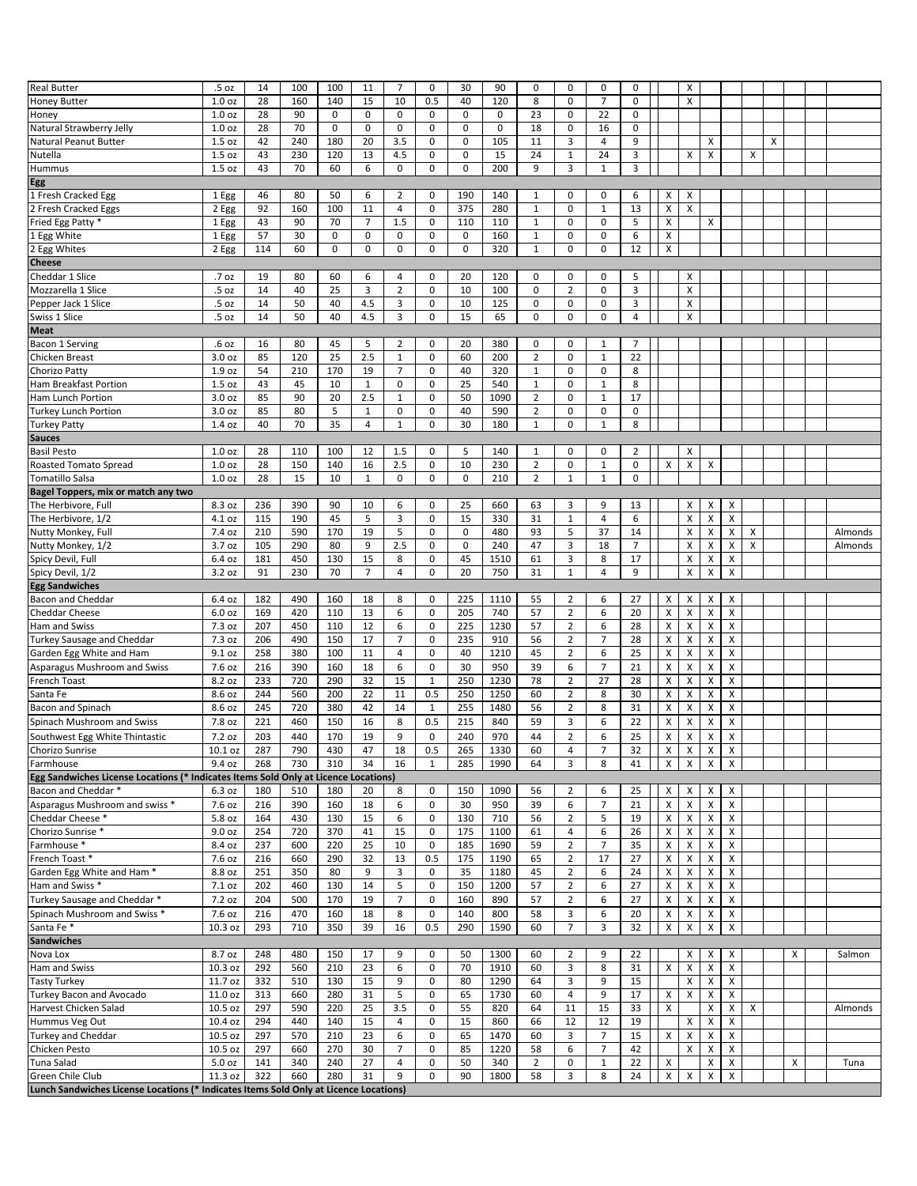| <b>Real Butter</b>                                                                                         | .5 oz             | 14  | 100 | 100         | 11             | $\overline{7}$ | 0            | 30          | 90          | 0              | 0              | 0              | 0              |   | Χ                       |                    |                           |   |   |   |         |
|------------------------------------------------------------------------------------------------------------|-------------------|-----|-----|-------------|----------------|----------------|--------------|-------------|-------------|----------------|----------------|----------------|----------------|---|-------------------------|--------------------|---------------------------|---|---|---|---------|
| <b>Honey Butter</b>                                                                                        | 1.0 <sub>oz</sub> | 28  | 160 | 140         | 15             | 10             | 0.5          | 40          | 120         | 8              | 0              | $\overline{7}$ | $\mathbf 0$    |   | X                       |                    |                           |   |   |   |         |
| Honey                                                                                                      | 1.0 <sub>oz</sub> | 28  | 90  | 0           | 0              | $\mathbf 0$    | 0            | $\mathbf 0$ | $\mathbf 0$ | 23             | 0              | 22             | $\mathbf 0$    |   |                         |                    |                           |   |   |   |         |
| Natural Strawberry Jelly                                                                                   | 1.0 <sub>oz</sub> | 28  | 70  | $\mathbf 0$ | $\pmb{0}$      | $\mathbf 0$    | $\mathbf 0$  | $\mathbf 0$ | $\pmb{0}$   | 18             | 0              | 16             | $\mathbf 0$    |   |                         |                    |                           |   |   |   |         |
| Natural Peanut Butter                                                                                      | 1.5 oz            | 42  | 240 | 180         | 20             | 3.5            | 0            | 0           | 105         | 11             | 3              | 4              | 9              |   |                         | х                  |                           |   | X |   |         |
| Nutella                                                                                                    | 1.5 oz            | 43  | 230 | 120         | 13             | 4.5            | 0            | $\mathbf 0$ | 15          | 24             | $\mathbf{1}$   | 24             | 3              |   | X                       | X                  |                           | x |   |   |         |
| Hummus                                                                                                     | 1.5 oz            | 43  | 70  | 60          | 6              | $\mathbf 0$    | 0            | $\pmb{0}$   | 200         | 9              | 3              | $\mathbf{1}$   | 3              |   |                         |                    |                           |   |   |   |         |
| Egg                                                                                                        |                   |     |     |             |                |                |              |             |             |                |                |                |                |   |                         |                    |                           |   |   |   |         |
| 1 Fresh Cracked Egg                                                                                        | 1 Egg             | 46  | 80  | 50          | 6              | 2              | 0            | 190         | 140         | 1              | $\mathbf 0$    | 0              | 6              | x | х                       |                    |                           |   |   |   |         |
| 2 Fresh Cracked Eggs                                                                                       | 2 Egg             | 92  | 160 | 100         | 11             | $\overline{4}$ | 0            | 375         | 280         | $\mathbf 1$    | 0              | $\mathbf{1}$   | 13             | X | X                       |                    |                           |   |   |   |         |
| Fried Egg Patty *                                                                                          | 1 Egg             | 43  | 90  | 70          | $\overline{7}$ | 1.5            | 0            | 110         | 110         | $\mathbf{1}$   | 0              | 0              | 5              | Χ |                         | х                  |                           |   |   |   |         |
| 1 Egg White                                                                                                | 1 Egg             | 57  | 30  | 0           | 0              | 0              | $\mathbf 0$  | $\mathbf 0$ | 160         | $\mathbf{1}$   | 0              | 0              | 6              | X |                         |                    |                           |   |   |   |         |
| 2 Egg Whites                                                                                               | 2 Egg             | 114 | 60  | 0           | 0              | 0              | 0            | $\pmb{0}$   | 320         | 1              | 0              | 0              | 12             | x |                         |                    |                           |   |   |   |         |
| <b>Cheese</b>                                                                                              |                   |     |     |             |                |                |              |             |             |                |                |                |                |   |                         |                    |                           |   |   |   |         |
| Cheddar 1 Slice                                                                                            | .7 oz             | 19  | 80  | 60          | 6              | 4              | 0            | 20          | 120         | 0              | 0              | 0              | 5              |   | х                       |                    |                           |   |   |   |         |
| Mozzarella 1 Slice                                                                                         | .5 oz             | 14  | 40  | 25          | 3              | $\overline{2}$ | $\mathbf 0$  | 10          | 100         | 0              | $\overline{2}$ | 0              | 3              |   | X                       |                    |                           |   |   |   |         |
| Pepper Jack 1 Slice                                                                                        | .5 oz             | 14  | 50  | 40          | 4.5            | 3              | $\mathbf 0$  | 10          | 125         | 0              | $\mathbf 0$    | 0              | 3              |   | Χ                       |                    |                           |   |   |   |         |
| Swiss 1 Slice                                                                                              | .5 oz             | 14  | 50  | 40          | 4.5            | 3              | 0            | 15          | 65          | 0              | 0              | 0              | 4              |   | x                       |                    |                           |   |   |   |         |
| <b>Meat</b>                                                                                                |                   |     |     |             |                |                |              |             |             |                |                |                |                |   |                         |                    |                           |   |   |   |         |
| Bacon 1 Serving                                                                                            | .6 oz             | 16  | 80  | 45          | 5              | 2              | 0            | 20          | 380         | 0              | 0              | 1              | 7              |   |                         |                    |                           |   |   |   |         |
| Chicken Breast                                                                                             | 3.0 <sub>oz</sub> | 85  | 120 | 25          | 2.5            | $\mathbf{1}$   | $\mathbf 0$  | 60          | 200         | $\overline{2}$ | $\mathbf 0$    | $\mathbf{1}$   | 22             |   |                         |                    |                           |   |   |   |         |
|                                                                                                            | 1.9 oz            | 54  | 210 | 170         | 19             | $\overline{7}$ | $\mathbf 0$  | 40          | 320         | $\mathbf{1}$   | $\mathbf 0$    | 0              | 8              |   |                         |                    |                           |   |   |   |         |
| Chorizo Patty<br><b>Ham Breakfast Portion</b>                                                              | 1.5 oz            | 43  | 45  | 10          | $\mathbf{1}$   | 0              | $\mathbf 0$  | 25          | 540         | $\mathbf{1}$   | $\mathbf 0$    | $\mathbf{1}$   | 8              |   |                         |                    |                           |   |   |   |         |
|                                                                                                            | 3.0 <sub>oz</sub> | 85  | 90  | 20          | 2.5            | $\mathbf{1}$   | $\mathbf 0$  | 50          | 1090        | $\mathbf 2$    | $\mathbf 0$    | $\mathbf{1}$   | 17             |   |                         |                    |                           |   |   |   |         |
| Ham Lunch Portion                                                                                          |                   |     |     |             |                |                | $\mathbf 0$  |             |             |                | $\mathbf 0$    |                |                |   |                         |                    |                           |   |   |   |         |
| <b>Turkey Lunch Portion</b>                                                                                | 3.0 oz            | 85  | 80  | 5           | $\mathbf{1}$   | 0              |              | 40          | 590         | $\overline{2}$ |                | 0              | 0              |   |                         |                    |                           |   |   |   |         |
| <b>Turkey Patty</b>                                                                                        | 1.4 oz            | 40  | 70  | 35          | $\overline{4}$ | $1\,$          | $\mathbf 0$  | 30          | 180         | $\mathbf{1}$   | $\mathbf 0$    | $1\,$          | 8              |   |                         |                    |                           |   |   |   |         |
| <b>Sauces</b>                                                                                              |                   |     |     |             |                |                |              |             |             |                |                |                |                |   |                         |                    |                           |   |   |   |         |
| <b>Basil Pesto</b>                                                                                         | 1.0 <sub>oz</sub> | 28  | 110 | 100         | 12             | 1.5            | 0            | 5           | 140         | 1              | 0              | 0              | 2              |   | х                       |                    |                           |   |   |   |         |
| <b>Roasted Tomato Spread</b>                                                                               | 1.0 <sub>oz</sub> | 28  | 150 | 140         | 16             | 2.5            | 0            | 10          | 230         | $\overline{2}$ | $\mathbf 0$    | $\mathbf{1}$   | $\mathbf 0$    | Χ | X                       | X                  |                           |   |   |   |         |
| <b>Tomatillo Salsa</b>                                                                                     | 1.0 <sub>oz</sub> | 28  | 15  | 10          | $\mathbf{1}$   | $\mathbf 0$    | 0            | $\pmb{0}$   | 210         | $\overline{2}$ | $\mathbf{1}$   | $\mathbf{1}$   | $\mathbf 0$    |   |                         |                    |                           |   |   |   |         |
| Bagel Toppers, mix or match any two                                                                        |                   |     |     |             |                |                |              |             |             |                |                |                |                |   |                         |                    |                           |   |   |   |         |
| The Herbivore, Full                                                                                        | 8.3 oz            | 236 | 390 | 90          | 10             | 6              | 0            | 25          | 660         | 63             | 3              | 9              | 13             |   | Χ                       | х                  | X                         |   |   |   |         |
| The Herbivore, 1/2                                                                                         | 4.1 oz            | 115 | 190 | 45          | 5              | 3              | $\mathbf 0$  | 15          | 330         | 31             | $\mathbf{1}$   | $\overline{4}$ | 6              |   | X                       | X                  | X                         |   |   |   |         |
| Nutty Monkey, Full                                                                                         | 7.4 oz            | 210 | 590 | 170         | 19             | 5              | $\mathbf 0$  | 0           | 480         | 93             | 5              | 37             | 14             |   | X                       | X                  | x                         | Х |   |   | Almonds |
| Nutty Monkey, 1/2                                                                                          | 3.7 oz            | 105 | 290 | 80          | 9              | 2.5            | $\mathbf 0$  | 0           | 240         | 47             | 3              | 18             | $\overline{7}$ |   | X                       | X                  | x                         | Х |   |   | Almonds |
| Spicy Devil, Full                                                                                          | 6.4 oz            | 181 | 450 | 130         | 15             | 8              | $\mathbf 0$  | 45          | 1510        | 61             | 3              | 8              | 17             |   | Χ                       | X                  | X                         |   |   |   |         |
| Spicy Devil, 1/2                                                                                           | 3.2 oz            | 91  | 230 | 70          | $\overline{7}$ | $\overline{4}$ | $\mathbf 0$  | 20          | 750         | 31             | $\mathbf{1}$   | $\overline{4}$ | 9              |   | X                       | X                  | X                         |   |   |   |         |
|                                                                                                            |                   |     |     |             |                |                |              |             |             |                |                |                |                |   |                         |                    |                           |   |   |   |         |
| <b>Egg Sandwiches</b>                                                                                      |                   |     |     |             |                |                |              |             |             |                |                |                |                |   |                         |                    |                           |   |   |   |         |
| <b>Bacon and Cheddar</b>                                                                                   | 6.4 oz            | 182 | 490 | 160         | 18             | 8              | 0            | 225         | 1110        | 55             | $\overline{2}$ | 6              | 27             | X | х                       | х                  | X                         |   |   |   |         |
| <b>Cheddar Cheese</b>                                                                                      | 6.0 oz            | 169 | 420 | 110         | 13             | 6              | 0            | 205         | 740         | 57             | $\overline{2}$ | 6              | 20             | X | x                       | X                  | X                         |   |   |   |         |
| Ham and Swiss                                                                                              | 7.3 oz            | 207 | 450 | 110         | 12             | 6              | 0            | 225         | 1230        | 57             | $\overline{2}$ | 6              | 28             | X | Χ                       | х                  | Χ                         |   |   |   |         |
| Turkey Sausage and Cheddar                                                                                 | 7.3 oz            | 206 | 490 | 150         | 17             | $\overline{7}$ | $\mathbf 0$  | 235         | 910         | 56             | $\overline{2}$ | $\overline{7}$ | 28             | X | Χ                       | X                  | X                         |   |   |   |         |
| Garden Egg White and Ham                                                                                   | 9.1 oz            | 258 | 380 | 100         | 11             | $\overline{4}$ | $\mathbf 0$  | 40          | 1210        | 45             | $\overline{2}$ | 6              | 25             | X | X                       | X                  | X                         |   |   |   |         |
| Asparagus Mushroom and Swiss                                                                               | 7.6 oz            | 216 | 390 | 160         | 18             | 6              | $\mathbf 0$  | 30          | 950         | 39             | 6              | $\overline{7}$ | 21             | X | X                       | х                  | X                         |   |   |   |         |
| French Toast                                                                                               | 8.2 oz            | 233 | 720 | 290         | 32             | 15             | 1            | 250         | 1230        | 78             | $\overline{2}$ | 27             | 28             | X | X                       | х                  | $\boldsymbol{\mathsf{x}}$ |   |   |   |         |
| Santa Fe                                                                                                   | 8.6 oz            | 244 | 560 | 200         | 22             | 11             | 0.5          | 250         | 1250        | 60             | $\overline{2}$ | 8              | 30             | X | X                       | х                  | Χ                         |   |   |   |         |
| Bacon and Spinach                                                                                          | 8.6 oz            | 245 | 720 | 380         | 42             | 14             | 1            | 255         | 1480        | 56             | $\overline{2}$ | 8              | 31             | X | x                       | х                  | X                         |   |   |   |         |
| Spinach Mushroom and Swiss                                                                                 | 7.8 oz            | 221 | 460 | 150         | 16             | 8              | 0.5          | 215         | 840         | 59             | 3              | 6              | 22             | X | x                       | X                  | Χ                         |   |   |   |         |
|                                                                                                            | 7.2 oz            | 203 | 440 | 170         | 19             | 9              | $\mathbf 0$  | 240         | 970         | 44             | $\overline{2}$ | 6              | 25             |   |                         |                    |                           |   |   |   |         |
| Southwest Egg White Thintastic                                                                             |                   |     |     |             |                |                |              |             |             |                |                |                |                | X | X                       | X                  | X                         |   |   |   |         |
| Chorizo Sunrise                                                                                            | 10.1 oz           | 287 | 790 | 430         | 47             | 18             | 0.5          | 265         | 1330        | 60             | 4              | 7              | 32             | x | $\overline{\mathbf{x}}$ | $\pmb{\mathsf{X}}$ | $\pmb{\mathsf{X}}$        |   |   |   |         |
| Farmhouse                                                                                                  | 9.4 oz            | 268 | 730 | 310         | 34             | 16             | $\mathbf{1}$ | 285         | 1990        | 64             | 3              | 8              | 41             | X | $\pmb{\times}$          | X                  | X                         |   |   |   |         |
| Egg Sandwiches License Locations (* Indicates Items Sold Only at Licence Locations)<br>Bacon and Cheddar * |                   | 180 | 510 | 180         |                | 8              | 0            |             |             | 56             | 2              |                | 25             | х | x                       | х                  | X                         |   |   |   |         |
|                                                                                                            | 6.3 oz            |     |     |             | 20             |                |              | 150         | 1090        |                |                | 6              |                |   |                         |                    |                           |   |   |   |         |
| Asparagus Mushroom and swiss *                                                                             | 7.6 oz            | 216 | 390 | 160         | 18             | 6              | 0            | 30          | 950         | 39             | 6              | $\overline{7}$ | 21             | Χ | X                       | X                  | X                         |   |   |   |         |
| Cheddar Cheese*                                                                                            | 5.8 oz            | 164 | 430 | 130         | 15             | 6              | 0<br>0       | 130         | 710         | 56             | $\overline{2}$ | 5              | 19             | X | X                       | X                  | X                         |   |   |   |         |
| Chorizo Sunrise *                                                                                          | 9.0 oz            | 254 | 720 | 370         | 41             | 15             |              | 175         | 1100        | 61             | 4              | 6              | 26             | x | X                       | X                  | Χ                         |   |   |   |         |
| Farmhouse *                                                                                                | 8.4 oz            | 237 | 600 | 220         | 25             | 10             | 0            | 185         | 1690        | 59             | $\overline{2}$ | 7              | 35             | x | X                       | X                  | X                         |   |   |   |         |
| French Toast *                                                                                             | 7.6 oz            | 216 | 660 | 290         | 32             | 13             | 0.5          | 175         | 1190        | 65             | $\overline{2}$ | 17             | 27             | X | X                       | X                  | X                         |   |   |   |         |
| Garden Egg White and Ham *                                                                                 | 8.8 oz            | 251 | 350 | 80          | 9              | 3              | $\mathbf 0$  | 35          | 1180        | 45             | $\overline{2}$ | 6              | 24             | X | X                       | X                  | X                         |   |   |   |         |
| Ham and Swiss *                                                                                            | 7.1 oz            | 202 | 460 | 130         | 14             | 5              | 0            | 150         | 1200        | 57             | $\overline{2}$ | 6              | 27             | X | X                       | X                  | Χ                         |   |   |   |         |
| Turkey Sausage and Cheddar *                                                                               | 7.2 oz            | 204 | 500 | 170         | 19             | $\overline{7}$ | 0            | 160         | 890         | 57             | $\overline{2}$ | 6              | 27             | x | X                       | X                  | X                         |   |   |   |         |
| Spinach Mushroom and Swiss *                                                                               | 7.6 oz            | 216 | 470 | 160         | 18             | 8              | 0            | 140         | 800         | 58             | 3              | 6              | 20             | X | X                       | X                  | X                         |   |   |   |         |
| Santa Fe*                                                                                                  | 10.3 oz           | 293 | 710 | 350         | 39             | 16             | 0.5          | 290         | 1590        | 60             | $\overline{7}$ | 3              | 32             | X | X                       | X                  | X                         |   |   |   |         |
| <b>Sandwiches</b>                                                                                          |                   |     |     |             |                |                |              |             |             |                |                |                |                |   |                         |                    |                           |   |   |   |         |
| Nova Lox                                                                                                   | 8.7 oz            | 248 | 480 | 150         | 17             | 9              | 0            | 50          | 1300        | 60             | $\overline{2}$ | 9              | 22             |   | x                       | х                  | х                         |   |   | X | Salmon  |
| Ham and Swiss                                                                                              | 10.3 oz           | 292 | 560 | 210         | 23             | 6              | $\mathbf 0$  | 70          | 1910        | 60             | 3              | 8              | 31             | x | X                       | X                  | X                         |   |   |   |         |
| <b>Tasty Turkey</b>                                                                                        | 11.7 oz           | 332 | 510 | 130         | 15             | 9              | 0            | 80          | 1290        | 64             | 3              | 9              | 15             |   | X                       | X                  | X                         |   |   |   |         |
| Turkey Bacon and Avocado                                                                                   | 11.0 oz           | 313 | 660 | 280         | 31             | 5              | $\mathbf 0$  | 65          | 1730        | 60             | $\overline{4}$ | 9              | 17             | x | X                       | Х                  | X                         |   |   |   |         |
| Harvest Chicken Salad                                                                                      | 10.5 oz           | 297 | 590 | 220         | 25             | 3.5            | 0            | 55          | 820         | 64             | 11             | 15             | 33             | X |                         | X                  | Х                         | Χ |   |   | Almonds |
| Hummus Veg Out                                                                                             | 10.4 oz           | 294 | 440 | 140         | 15             | 4              | 0            | 15          | 860         | 66             | 12             | 12             | 19             |   | X                       | X                  | Χ                         |   |   |   |         |
| Turkey and Cheddar                                                                                         | 10.5 oz           | 297 | 570 | 210         | 23             | 6              | 0            | 65          | 1470        | 60             | 3              | $\overline{7}$ | 15             | X | X                       | X                  | X                         |   |   |   |         |
| Chicken Pesto                                                                                              | 10.5 oz           | 297 | 660 | 270         | 30             | $\overline{7}$ | 0            | 85          | 1220        | 58             | 6              | $\overline{7}$ | 42             |   | X                       | Х                  | X                         |   |   |   |         |
| Tuna Salad                                                                                                 | 5.0 oz            | 141 | 340 | 240         | 27             | 4              | $\mathbf 0$  | 50          | 340         | $\overline{2}$ | 0              | $\mathbf{1}$   | 22             | X |                         | X                  | X                         |   |   | х | Tuna    |
| Green Chile Club<br>Lunch Sandwiches License Locations (* Indicates Items Sold Only at Licence Locations)  | 11.3 oz           | 322 | 660 | 280         | 31             | 9              | $\mathbf 0$  | 90          | 1800        | 58             | 3              | 8              | 24             | X | X                       | X                  | X                         |   |   |   |         |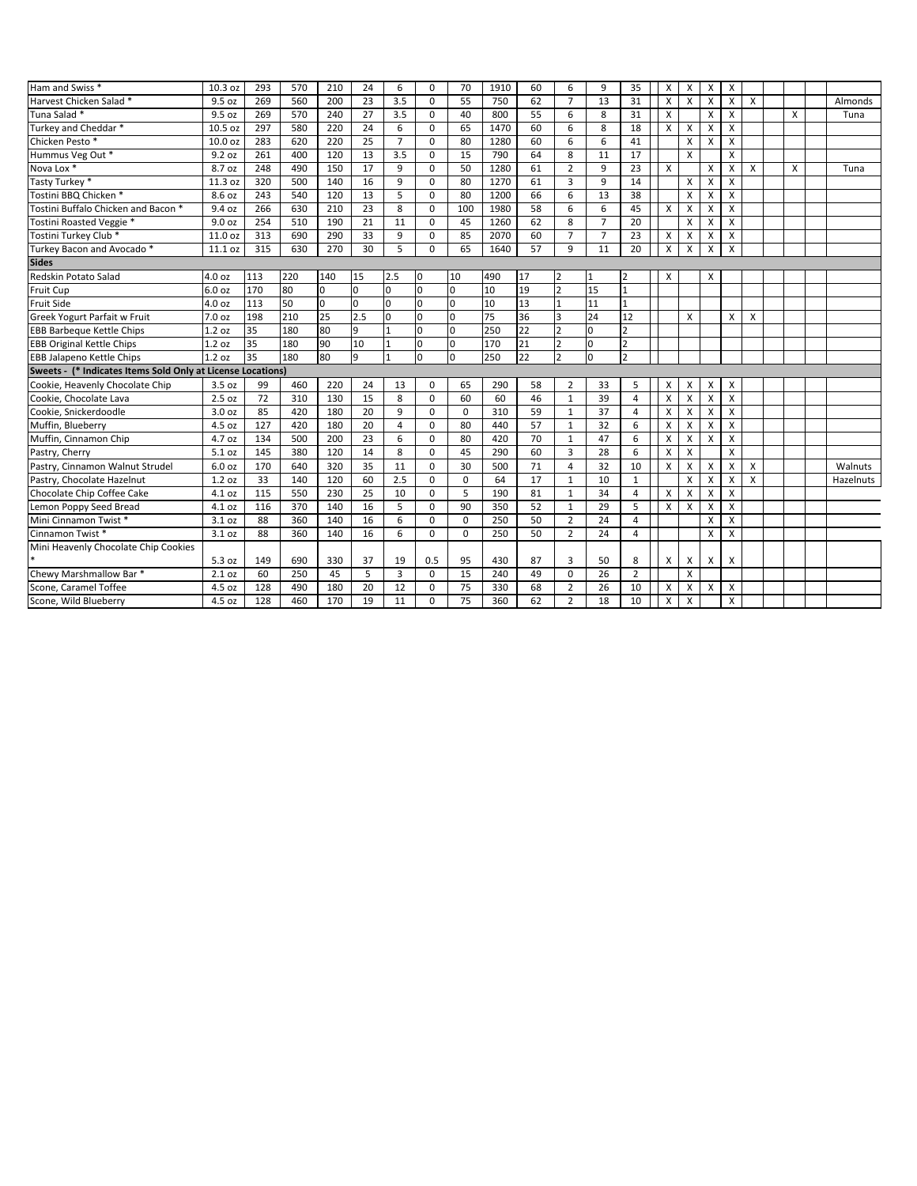| Ham and Swiss <sup>*</sup>                                  | 10.3 oz | 293 | 570 | 210 | 24  | 6                       | 0           | 70          | 1910 | 60 | 6              | 9              | 35             | X | X            | X                         | X            |                           |   |           |
|-------------------------------------------------------------|---------|-----|-----|-----|-----|-------------------------|-------------|-------------|------|----|----------------|----------------|----------------|---|--------------|---------------------------|--------------|---------------------------|---|-----------|
| Harvest Chicken Salad *                                     | 9.5 oz  | 269 | 560 | 200 | 23  | 3.5                     | $\mathbf 0$ | 55          | 750  | 62 | $\overline{7}$ | 13             | 31             | x | X            | $\times$                  | X            | X                         |   | Almonds   |
| Tuna Salad *                                                | 9.5 oz  | 269 | 570 | 240 | 27  | 3.5                     | $\mathbf 0$ | 40          | 800  | 55 | 6              | 8              | 31             | X |              | $\times$                  | X            |                           | X | Tuna      |
| Turkey and Cheddar *                                        | 10.5 oz | 297 | 580 | 220 | 24  | 6                       | $\Omega$    | 65          | 1470 | 60 | 6              | 8              | 18             | X | X            | $\boldsymbol{\mathsf{x}}$ | X            |                           |   |           |
| Chicken Pesto *                                             | 10.0 oz | 283 | 620 | 220 | 25  | $\overline{7}$          | $\Omega$    | 80          | 1280 | 60 | 6              | 6              | 41             |   | X            | $\boldsymbol{\mathsf{X}}$ | X            |                           |   |           |
| Hummus Veg Out *                                            | 9.2 oz  | 261 | 400 | 120 | 13  | 3.5                     | $\Omega$    | 15          | 790  | 64 | 8              | 11             | 17             |   | X            |                           | $\mathsf{x}$ |                           |   |           |
| Nova Lox <sup>*</sup>                                       | 8.7 oz  | 248 | 490 | 150 | 17  | 9                       | $\Omega$    | 50          | 1280 | 61 | $\overline{2}$ | 9              | 23             | X |              | $\times$                  | X            | X                         | X | Tuna      |
| Tasty Turkey *                                              | 11.3 oz | 320 | 500 | 140 | 16  | 9                       | $\Omega$    | 80          | 1270 | 61 | $\overline{3}$ | 9              | 14             |   | X            | $\boldsymbol{\mathsf{x}}$ | X            |                           |   |           |
| Tostini BBQ Chicken *                                       | 8.6 oz  | 243 | 540 | 120 | 13  | 5                       | $\mathbf 0$ | 80          | 1200 | 66 | 6              | 13             | 38             |   | X            | $\boldsymbol{\mathsf{x}}$ | X            |                           |   |           |
| Tostini Buffalo Chicken and Bacon *                         | 9.4 oz  | 266 | 630 | 210 | 23  | 8                       | $\mathbf 0$ | 100         | 1980 | 58 | 6              | 6              | 45             | X | X            | $\boldsymbol{\mathsf{x}}$ | X            |                           |   |           |
| Tostini Roasted Veggie *                                    | 9.0 oz  | 254 | 510 | 190 | 21  | 11                      | $\Omega$    | 45          | 1260 | 62 | 8              | $\overline{7}$ | 20             |   | X            | $\times$                  | X            |                           |   |           |
| Tostini Turkey Club *                                       | 11.0 oz | 313 | 690 | 290 | 33  | 9                       | $\mathbf 0$ | 85          | 2070 | 60 | $\overline{7}$ | $\overline{7}$ | 23             | X | X            | X                         | X            |                           |   |           |
| Turkey Bacon and Avocado*                                   | 11.1 oz | 315 | 630 | 270 | 30  | 5                       | $\Omega$    | 65          | 1640 | 57 | 9              | 11             | 20             | X | X            | $\boldsymbol{\mathsf{x}}$ | X            |                           |   |           |
| <b>Sides</b>                                                |         |     |     |     |     |                         |             |             |      |    |                |                |                |   |              |                           |              |                           |   |           |
| Redskin Potato Salad                                        | 4.0 oz  | 113 | 220 | 140 | 15  | 2.5                     | I٥          | 10          | 490  | 17 | 2              | 1              | $\overline{2}$ | X |              | X                         |              |                           |   |           |
| Fruit Cup                                                   | 6.0 oz  | 170 | 80  | lo. | I٥  | 0                       | I٥          | l0.         | 10   | 19 | $\overline{2}$ | 15             | $\mathbf{1}$   |   |              |                           |              |                           |   |           |
| Fruit Side                                                  | 4.0 oz  | 113 | 50  | Iо  | Iо  | 0                       | I٥          | l0          | 10   | 13 | $\mathbf{1}$   | 11             | $\mathbf{1}$   |   |              |                           |              |                           |   |           |
| Greek Yogurt Parfait w Fruit                                | 7.0 oz  | 198 | 210 | 25  | 2.5 | 0                       | lo          | ١o          | 75   | 36 | 3              | 24             | 12             |   | X            |                           | X            | X                         |   |           |
| <b>EBB Barbeque Kettle Chips</b>                            | 1.2 oz  | 35  | 180 | 80  | 9   | 1                       | lo          | ln.         | 250  | 22 | $\overline{2}$ | 0              | $\overline{2}$ |   |              |                           |              |                           |   |           |
| <b>EBB Original Kettle Chips</b>                            | 1.2 oz  | 35  | 180 | 90  | 10  | $\mathbf{1}$            | lo          | l0          | 170  | 21 | $\overline{2}$ | $\Omega$       | $\overline{2}$ |   |              |                           |              |                           |   |           |
| <b>EBB Jalapeno Kettle Chips</b>                            | 1.2 oz  | 35  | 180 | 80  | 9   | 1                       | I٥          | l0.         | 250  | 22 | $\overline{2}$ | $\Omega$       | $\overline{2}$ |   |              |                           |              |                           |   |           |
| Sweets - (* Indicates Items Sold Only at License Locations) |         |     |     |     |     |                         |             |             |      |    |                |                |                |   |              |                           |              |                           |   |           |
| Cookie, Heavenly Chocolate Chip                             | 3.5 oz  | 99  | 460 | 220 | 24  | 13                      | $\Omega$    | 65          | 290  | 58 | $\overline{2}$ | 33             | 5              | X | X            | X                         | X            |                           |   |           |
| Cookie, Chocolate Lava                                      | 2.5 oz  | 72  | 310 | 130 | 15  | 8                       | $\mathbf 0$ | 60          | 60   | 46 | $\mathbf{1}$   | 39             | 4              | x | X            | $\boldsymbol{\mathsf{X}}$ | X            |                           |   |           |
| Cookie. Snickerdoodle                                       | 3.0 oz  | 85  | 420 | 180 | 20  | 9                       | $\mathbf 0$ | $\mathbf 0$ | 310  | 59 | $\mathbf{1}$   | 37             | $\overline{4}$ | X | X            | $\boldsymbol{\mathsf{x}}$ | X            |                           |   |           |
| Muffin, Blueberry                                           | 4.5 oz  | 127 | 420 | 180 | 20  | $\overline{\mathbf{A}}$ | $\Omega$    | 80          | 440  | 57 | $\mathbf{1}$   | 32             | 6              | X | X            | $\boldsymbol{\mathsf{X}}$ | X            |                           |   |           |
| Muffin, Cinnamon Chip                                       | 4.7 oz  | 134 | 500 | 200 | 23  | 6                       | $\Omega$    | 80          | 420  | 70 | $\mathbf{1}$   | 47             | 6              | X | X            | $\boldsymbol{\mathsf{x}}$ | X            |                           |   |           |
| Pastry, Cherry                                              | 5.1 oz  | 145 | 380 | 120 | 14  | 8                       | $\Omega$    | 45          | 290  | 60 | $\overline{3}$ | 28             | 6              | X | $\mathsf{x}$ |                           | $\mathsf{x}$ |                           |   |           |
| Pastry, Cinnamon Walnut Strudel                             | 6.0 oz  | 170 | 640 | 320 | 35  | 11                      | $\mathbf 0$ | 30          | 500  | 71 | $\overline{4}$ | 32             | 10             | X | X            | $\boldsymbol{\mathsf{x}}$ | X            | X                         |   | Walnuts   |
| Pastry, Chocolate Hazelnut                                  | 1.2 oz  | 33  | 140 | 120 | 60  | 2.5                     | $\Omega$    | $\mathbf 0$ | 64   | 17 | $\mathbf{1}$   | 10             | 1              |   | X            | $\boldsymbol{\mathsf{x}}$ | X            | $\boldsymbol{\mathsf{x}}$ |   | Hazelnuts |
| Chocolate Chip Coffee Cake                                  | 4.1 oz  | 115 | 550 | 230 | 25  | 10                      | $\mathbf 0$ | 5           | 190  | 81 | $\mathbf{1}$   | 34             | 4              | X | X            | X                         | X            |                           |   |           |
| Lemon Poppy Seed Bread                                      | 4.1 oz  | 116 | 370 | 140 | 16  | 5                       | $\Omega$    | 90          | 350  | 52 | $\mathbf{1}$   | 29             | 5              | X | X            | $\boldsymbol{\mathsf{X}}$ | X            |                           |   |           |
| Mini Cinnamon Twist *                                       | 3.1 oz  | 88  | 360 | 140 | 16  | 6                       | $\mathbf 0$ | $\mathbf 0$ | 250  | 50 | $\overline{2}$ | 24             | $\overline{4}$ |   |              | $\times$                  | X            |                           |   |           |
| Cinnamon Twist*                                             | 3.1 oz  | 88  | 360 | 140 | 16  | 6                       | $\Omega$    | $\Omega$    | 250  | 50 | $\overline{2}$ | 24             | 4              |   |              | X                         | X            |                           |   |           |
| Mini Heavenly Chocolate Chip Cookies                        |         |     |     |     |     |                         |             |             |      |    |                |                |                |   |              |                           |              |                           |   |           |
|                                                             | 5.3 oz  | 149 | 690 | 330 | 37  | 19                      | 0.5         | 95          | 430  | 87 | 3              | 50             | 8              | X | Х            | $\boldsymbol{\mathsf{X}}$ | X            |                           |   |           |
| Chewy Marshmallow Bar *                                     | 2.1 oz  | 60  | 250 | 45  | 5   | $\overline{3}$          | $\mathbf 0$ | 15          | 240  | 49 | $\Omega$       | 26             | $\overline{2}$ |   | X            |                           |              |                           |   |           |
| Scone, Caramel Toffee                                       | 4.5 oz  | 128 | 490 | 180 | 20  | 12                      | $\mathbf 0$ | 75          | 330  | 68 | $\overline{2}$ | 26             | 10             | x | Χ            | X                         | X            |                           |   |           |
| Scone, Wild Blueberry                                       | 4.5 oz  | 128 | 460 | 170 | 19  | 11                      | $\Omega$    | 75          | 360  | 62 | $\overline{2}$ | 18             | 10             | X | X            |                           | X            |                           |   |           |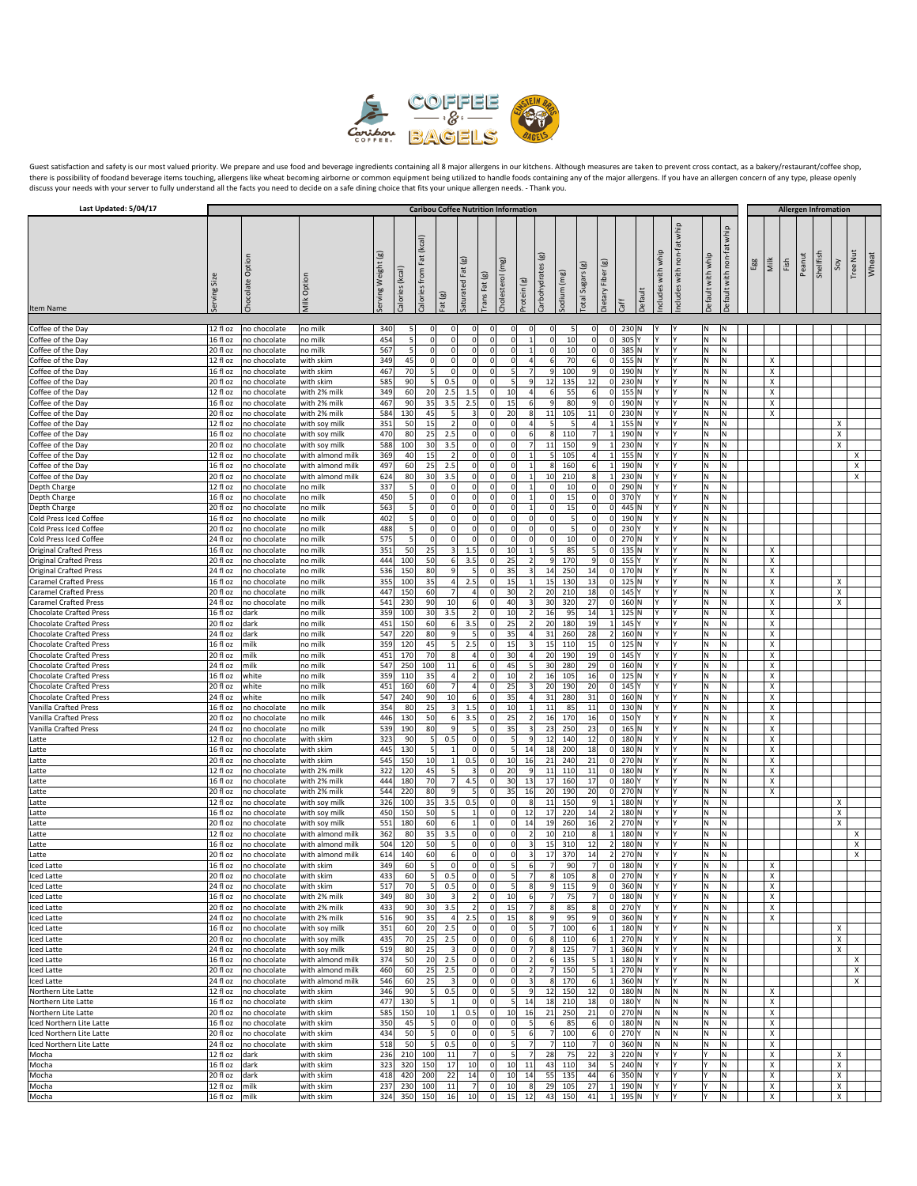

Guest satisfaction and safety is our most valued priority. We prepare and use food and beverage ingredients containing all 8 major allergens in our kitchens. Although measures are taken to prevent cross contact, as a baker

| Last Updated: 5/04/17                                            |                        |                              |                                      |                       |                 |                                   |                                                  |                                  |                            |                                         |                                  |                    |                            |                              |                            |                |         |                   |                              |                   |                              |     |                           |      |                                       |           |        |                 |       |
|------------------------------------------------------------------|------------------------|------------------------------|--------------------------------------|-----------------------|-----------------|-----------------------------------|--------------------------------------------------|----------------------------------|----------------------------|-----------------------------------------|----------------------------------|--------------------|----------------------------|------------------------------|----------------------------|----------------|---------|-------------------|------------------------------|-------------------|------------------------------|-----|---------------------------|------|---------------------------------------|-----------|--------|-----------------|-------|
|                                                                  | Serving                | Chocolate Opt                | Milk Option                          | Weight (g)<br>Serving | Calories (kcal) | (kcal)<br>Fat<br>from<br>Calories | <b>Caribou Coffee Nutrition Information</b><br>ම | Saturated Fat (g)                | ම<br>Trans Fat             | (mg)<br>Cholesterol                     | Protein (g)                      | ම<br>Carbohydrates | (mg)<br>Sodium             | $\Xi$<br><b>Total Sugars</b> | ම<br>Dietary Fiber         |                | Default | ncludes with whip | whip<br>ncludes with non-fat | Default with whip | whip<br>Default with non-fat | Egg | Milk                      | Fish | <b>Allergen Infromation</b><br>Peanut | Shellfish | Soy    | <b>Tree Nut</b> | Wheat |
| Item Name                                                        |                        |                              |                                      |                       |                 |                                   | $\ddot{\vec{e}}$                                 |                                  |                            |                                         |                                  |                    |                            |                              |                            | ĞĦ             |         |                   |                              |                   |                              |     |                           |      |                                       |           |        |                 |       |
| Coffee of the Day                                                | 12 fl oz               | no chocolate                 | no milk                              | 340                   | 5               | $\overline{0}$                    | $\mathbf 0$                                      | $\Omega$                         | $^{\circ}$                 | $\Omega$                                | $\overline{0}$                   |                    | 5                          | 0                            | 0                          | 230 N          |         | l۷                |                              | N.                | N                            |     |                           |      |                                       |           |        |                 |       |
| Coffee of the Day                                                | 16 fl oz               | no chocolate                 | no milk                              | 454                   | 5               | $\mathbf{0}$                      | $\mathbf 0$                                      | $\overline{0}$                   | O                          | $\Omega$                                | $\mathbf{1}$                     |                    | 10<br>$\Omega$             | $\mathbf 0$                  | $\Omega$                   | 305 Y          | l۷      |                   |                              | M)                | N                            |     |                           |      |                                       |           |        |                 |       |
| Coffee of the Day                                                | 20 fl oz               | no chocolate                 | no milk                              | 567                   | 5               | $\overline{0}$                    | $\mathbf 0$                                      | $\overline{0}$                   | $\mathbf 0$                | $\overline{0}$                          | $\mathbf{1}$                     |                    | 10<br>$\Omega$             | 0                            | $\Omega$                   | 385 N          |         | l۷                |                              | N.                | N                            |     |                           |      |                                       |           |        |                 |       |
| Coffee of the Day<br>Coffee of the Day                           | 12 fl oz<br>16 fl oz   | no chocolate<br>no chocolate | with skim<br>with skim               | 349<br>467            | 45<br>70        | $\mathbf{0}$<br>$5 \frac{1}{2}$   | $\mathbf 0$<br>$\mathbf 0$                       | $\overline{0}$<br>$\Omega$       | 0<br>0                     | $\Omega$<br>5 <sub>5</sub>              | $\overline{4}$<br>$\overline{7}$ |                    | 70<br>6<br>100<br>q        | $6 \mid$<br>9                | 0 <br>$\Omega$             | 155 N<br>190 N |         | I٢<br>IY          |                              | İΝ.<br>M          | N<br>Ν                       |     | X<br>х                    |      |                                       |           |        |                 |       |
| Coffee of the Day                                                | 20 fl oz               | no chocolate                 | with skim                            | 585                   | 90              | 5                                 | 0.5                                              | $\mathbf 0$                      |                            | 5 <sup>1</sup>                          | $\overline{9}$                   |                    | 135<br>12                  | 12                           | $\mathbf 0$                | 230 N          |         | l٢                |                              | M)                | N                            |     | Х                         |      |                                       |           |        |                 |       |
| Coffee of the Day                                                | 12 fl oz               | no chocolate                 | with 2% milk                         | 349                   | 60              | 20                                | 2.5                                              | $1.5$                            | $\mathbf 0$                | 10                                      | $\overline{a}$                   |                    | 55<br>6                    | $6 \mid$                     | 0                          | 155 N          |         | l٢                |                              | M.                | N                            |     | Х                         |      |                                       |           |        |                 |       |
| Coffee of the Day                                                | 16 fl oz               | no chocolate                 | with 2% milk                         | 467                   | 90              | 35                                | 3.5                                              | 2.5                              | 0                          | 15                                      | $6 \overline{6}$                 |                    | 80<br>9                    | 9                            | 0                          | 190 N          |         | I٢                |                              | M                 | N                            |     | Х                         |      |                                       |           |        |                 |       |
| Coffee of the Day                                                | 20 fl oz               | no chocolate                 | with 2% milk                         | 584                   | 130             | 45                                | 5                                                | 3                                | 0                          | 20                                      | 8                                |                    | 11<br>105                  | 11                           | $\Omega$                   | 230 N          | l۷      |                   |                              | N.                | N                            |     | Х                         |      |                                       |           |        |                 |       |
| Coffee of the Day<br>Coffee of the Day                           | $12$ fl oz<br>16 fl oz | no chocolate<br>no chocolate | with soy milk<br>with soy milk       | 351<br>470            | 50<br>80        | 15<br>25                          | $\overline{2}$<br>2.5                            | $\Omega$<br>$\Omega$             | $\mathbf 0$<br>0           | $\Omega$<br>$\Omega$                    | $\overline{a}$<br>6              |                    | 5<br>-5<br>8<br>110        | 4<br>$\overline{7}$          | $\vert$ 1<br>$1\vert$      | 155 N<br>190 N |         | l۷<br>IY          | l٢                           | M.<br>M           | N<br>N                       |     |                           |      |                                       |           | x<br>х |                 |       |
| Coffee of the Day                                                | 20 fl oz               | no chocolate                 | with soy milk                        | 588                   | 100             | 30                                | 3.5                                              | $\overline{0}$                   | O                          | $\mathbf 0$                             |                                  |                    | 11<br>150                  | 9                            | $\mathbf{1}$               | 230 N          | l۷      |                   |                              | N.                | N                            |     |                           |      |                                       |           | X      |                 |       |
| Coffee of the Day                                                | 12 fl oz               | no chocolate                 | with almond milk                     | 369                   | 40              | 15                                | $\overline{2}$                                   | $\overline{0}$                   | $\mathbf 0$                | $\overline{0}$                          | $\mathbf{1}$                     |                    | 105                        | 4                            | $\vert$ 1                  | 155 N          |         | l۷                |                              | M.                | N                            |     |                           |      |                                       |           |        | X               |       |
| Coffee of the Day                                                | 16 fl oz               | no chocolate                 | with almond milk                     | 497                   | 60              | 25                                | 2.5                                              | $\Omega$                         | 0                          | $\Omega$                                | $\mathbf{1}$                     |                    | 160<br>8                   | 6                            | 1                          | 190 N          |         | l۷                |                              | M.                | N                            |     |                           |      |                                       |           |        | x               |       |
| Coffee of the Day                                                | 20 fl oz               | no chocolate                 | with almond milk                     | 624                   | 80              | 30                                | 3.5                                              | $\overline{0}$                   | 0                          | $\mathbf 0$                             | $\mathbf{1}$                     |                    | 10<br>210                  | 8                            | 1                          | 230 N          |         | l٢                |                              | N.                | N                            |     |                           |      |                                       |           |        | X               |       |
| Depth Charge                                                     | 12 fl oz               | no chocolate                 | no milk                              | 337                   | 5               | $\overline{0}$                    | $\mathbf 0$                                      | $\Omega$                         | $\mathbf 0$                | $\overline{0}$                          | $\mathbf{1}$                     |                    | 10<br>$\Omega$<br>$\Omega$ | 0 <br>$\mathbf 0$            | 0                          | 290 N          |         | l۷                | l٧                           | N.                | N                            |     |                           |      |                                       |           |        |                 |       |
| Depth Charge<br>Depth Charge                                     | 16 fl oz<br>20 fl oz   | no chocolate<br>no chocolate | no milk<br>no milk                   | 450<br>563            | 5<br>5          | $\overline{0}$<br>$\circ$         | 0 <br>$\mathbf 0$                                | $\Omega$<br>$\overline{0}$       | 0<br>O                     | $\Omega$<br>$\overline{0}$              | $\mathbf{1}$<br>$\mathbf{1}$     |                    | 15<br>15                   | 0                            | 0 <br>$\mathbf 0$          | 370 Y<br>445 N |         | I٢<br>I۷          |                              | İΝ.<br>M.         | N<br>N                       |     |                           |      |                                       |           |        |                 |       |
| Cold Press Iced Coffee                                           | 16 fl oz               | no chocolate                 | no milk                              | 402                   | 5               | $\circ$                           | $\mathbf 0$                                      | $\overline{0}$                   | $\mathbf 0$                | $\overline{0}$                          | $\overline{0}$                   |                    | $\Omega$<br>5              | 0                            | 0                          | 190 N          |         | I٢                |                              | M)                | N                            |     |                           |      |                                       |           |        |                 |       |
| Cold Press Iced Coffee                                           | 20 fl oz               | no chocolate                 | no milk                              | 488                   | 5               | $\overline{0}$                    | 0                                                | $\Omega$                         | 0                          | $\Omega$                                | $\overline{0}$                   |                    | $\Omega$<br>-5             | $\mathbf 0$                  | 0                          | 230 Y          |         | I٢                | l٧                           | M.                | N                            |     |                           |      |                                       |           |        |                 |       |
| Cold Press Iced Coffee                                           | 24 fl oz               | no chocolate                 | no milk                              | 575                   |                 | $\overline{0}$                    | $\mathbf 0$                                      | $\overline{0}$                   | $\mathbf 0$                | $\overline{0}$                          | $\mathbf 0$                      |                    | 10<br>$\Omega$             | 0                            | 0                          | 270 N          |         | I۷                |                              | N.                | N                            |     |                           |      |                                       |           |        |                 |       |
| <b>Original Crafted Press</b>                                    | 16 fl oz               | no chocolate                 | no milk                              | 351                   | 50              | 25                                | 3                                                | $1.5$                            | $\mathbf 0$                | 10                                      | $\mathbf{1}$                     |                    | 85<br>5                    | 5                            | 0                          | 135 N          | l٢      |                   |                              | N.                | N                            |     | X                         |      |                                       |           |        |                 |       |
| <b>Original Crafted Press</b><br><b>Original Crafted Press</b>   | 20 fl oz<br>24 fl oz   | no chocolate<br>no chocolate | no milk<br>no milk                   | 444<br>536            | 100<br>150      | 50<br>80                          | $6 \mid$<br>9                                    | 3.5<br>5                         | $\Omega$<br>O              | 25<br>35                                | $\overline{2}$<br>$\overline{3}$ |                    | 170<br>9<br>250<br>14      | 9<br>14                      | 0 <br> 0                   | 155 Y<br>170 N |         | I٢<br>l٢          | l٧                           | M.<br>İΝ.         | N<br>N                       |     | X<br>Х                    |      |                                       |           |        |                 |       |
| <b>Caramel Crafted Press</b>                                     | 16 fl oz               | no chocolate                 | no milk                              | 355                   | 100             | 35                                | 4                                                | 2.5                              | 0                          | 15                                      | $\mathbf{1}$                     |                    | 15<br>130                  | 13                           | 0                          | 125 N          | l٢      |                   |                              | M)                | Ν                            |     | Х                         |      |                                       |           | х      |                 |       |
| <b>Caramel Crafted Press</b>                                     | 20 fl oz               | no chocolate                 | no milk                              | 447                   | 150             | 60                                | 7                                                | $\overline{4}$                   | 0                          | 30                                      | 2                                |                    | 20<br>210                  | 18                           | 0                          | 145 Y          |         | Y.                | l٧                           | M.                | N                            |     | Х                         |      |                                       |           | х      |                 |       |
| <b>Caramel Crafted Press</b>                                     | 24 fl oz               | no chocolate                 | no milk                              | 541                   | 230             | 90                                | 10                                               | 6                                | 0                          | 40                                      | $\overline{\mathbf{3}}$          |                    | 30<br>320                  | 27                           | 0                          | 160 N          | l۷      |                   |                              | M                 | N                            |     | X                         |      |                                       |           | X      |                 |       |
| <b>Chocolate Crafted Press</b>                                   | 16 fl oz               | dark                         | no milk                              | 359                   | 100             | 30                                | 3.5                                              | $\overline{2}$                   | $^{\circ}$                 | 10                                      | 2                                |                    | 95<br>16                   | 14                           | 1                          | 125 N          | I٢      |                   |                              | M                 | Ν                            |     | X                         |      |                                       |           |        |                 |       |
| <b>Chocolate Crafted Press</b>                                   | 20 fl oz               | dark                         | no milk                              | 451                   | 150             | 60                                | $6 \mid$<br>9                                    | 3.5<br>5                         | 0<br>O                     | 25                                      | 2<br>$\overline{4}$              |                    | 20<br>180                  | 19                           | 1                          | 145 Y          |         | I٢<br>I۷          | l٧                           | İΝ.               | N<br>N                       |     | X                         |      |                                       |           |        |                 |       |
| <b>Chocolate Crafted Press</b><br><b>Chocolate Crafted Press</b> | 24 fl oz<br>16 fl oz   | dark<br>milk                 | no milk<br>no milk                   | 547<br>359            | 220<br>120      | 80<br>45                          | 5                                                | 2.5                              | O                          | 35<br>15                                | 3                                |                    | 31<br>260<br>110<br>15     | 28<br>15                     | $\overline{2}$<br> 0       | 160 N<br>125 N |         | I٢                |                              | M <br>M)          | N                            |     | X<br>Х                    |      |                                       |           |        |                 |       |
| <b>Chocolate Crafted Press</b>                                   | 20 fl oz               | milk                         | no milk                              | 451                   | 170             | 70                                | 8 <sup>1</sup>                                   | $\overline{4}$                   | $\mathbf 0$                | 30                                      | $\overline{4}$                   |                    | 20<br>190                  | 19                           | 0                          | 145 Y          |         | l٢                |                              | M.                | N                            |     | X                         |      |                                       |           |        |                 |       |
| <b>Chocolate Crafted Press</b>                                   | 24 fl oz               | milk                         | no milk                              | 547                   | 250             | 100                               | 11                                               | 6                                | 0                          | 45                                      | 5                                |                    | 30<br>280                  | 29                           | 0                          | 160 N          |         | I٢                |                              | M                 | N                            |     | х                         |      |                                       |           |        |                 |       |
| <b>Chocolate Crafted Press</b>                                   | 16 fl oz               | white                        | no milk                              | 359                   | 110             | 35                                | 4                                                | $\overline{2}$                   | 0                          | 10                                      | $\overline{2}$                   |                    | 16<br>105                  | 16                           | 0                          | $125$ N        |         | IY                |                              | M)                | Ν                            |     | X                         |      |                                       |           |        |                 |       |
| <b>Chocolate Crafted Press</b>                                   | 20 fl oz               | white                        | no milk                              | 451                   | 160             | 60                                | 7<br>10                                          | $\overline{4}$<br>6              | $\Omega$<br>O              | 25<br>35                                | $\overline{3}$<br>$\overline{4}$ |                    | 20<br>190                  | 20<br>31                     | 0                          | 145 Y          |         | l٢<br>I٢          |                              | M.                | N<br>Ν                       |     | X                         |      |                                       |           |        |                 |       |
| <b>Chocolate Crafted Press</b><br>Vanilla Crafted Press          | 24 fl oz<br>16 fl oz   | white<br>no chocolate        | no milk<br>no milk                   | 547<br>354            | 240<br>80       | 90<br>25                          | 3                                                | 1.5                              | O                          | 10                                      | 1                                |                    | 31<br>280<br>11<br>85      | 11                           | 0 <br> 0                   | 160 N<br>130 N |         | I٢                |                              | M <br>M)          | Ν                            |     | х<br>Х                    |      |                                       |           |        |                 |       |
| <b>Vanilla Crafted Press</b>                                     | 20 fl oz               | no chocolate                 | no milk                              | 446                   | 130             | 50                                | 6                                                | 3.5                              | $\Omega$                   | 25                                      | $\overline{2}$                   |                    | 16<br>170                  | 16                           | 0                          | 150 Y          |         | l٢                |                              | M.                | N                            |     | X                         |      |                                       |           |        |                 |       |
| <b>Vanilla Crafted Press</b>                                     | 24 fl oz               | no chocolate                 | no milk                              | 539                   | 190             | 80                                | 9                                                | 5                                | $^{\circ}$                 | 35                                      | $\overline{\mathbf{3}}$          |                    | 23<br>250                  | 23                           | 0                          | $165$ N        |         | I٢                |                              | M.                | N                            |     | X                         |      |                                       |           |        |                 |       |
| Latte                                                            | 12 fl oz               | no chocolate                 | with skim                            | 323                   | 90              | $5 \frac{1}{2}$                   | 0.5                                              | $\Omega$                         | $^{\circ}$                 | 5 <sub>5</sub>                          | $\overline{9}$                   |                    | 12<br>140                  | 12                           | 0                          | 180 N          |         | IY                |                              | M)                | Ν                            |     | х                         |      |                                       |           |        |                 |       |
| Latte                                                            | 16 fl oz               | no chocolate                 | with skim                            | 445                   | 130             | 5                                 | $1\vert$                                         | $\mathbf 0$                      | $\Omega$                   | 5 <sub>l</sub>                          | 14                               |                    | 18<br>200                  | 18                           | 0                          | 180 N          |         | l۷                |                              | M.                | N                            |     | X                         |      |                                       |           |        |                 |       |
| Latte<br>atte                                                    | 20 fl oz<br>12 fl oz   | no chocolate<br>no chocolate | with skim<br>with 2% milk            | 545<br>322            | 150<br>120      | 10<br>45                          | 1<br>5                                           | 0.5                              | 0<br>O                     | 10<br>20                                | 16<br>9                          |                    | 240<br>21<br>11<br>110     | 21<br>11                     | 0 <br> 0                   | 270 N<br>180 N |         | I۷<br>I٢          |                              | İΝ.<br>١N         | N<br>Ν                       |     | Х<br>Х                    |      |                                       |           |        |                 |       |
| Latte                                                            | 16 fl oz               | no chocolate                 | with 2% milk                         | 444                   | 180             | 70                                | 7                                                | 4.5                              | $\Omega$                   | 30                                      | 13                               |                    | 17<br>160                  | 17                           | 0                          | 180 Y          |         | l٢                |                              | N.                | N                            |     | X                         |      |                                       |           |        |                 |       |
| Latte                                                            | 20 fl oz               | no chocolate                 | with 2% milk                         | 544                   | 220             | 80                                | 9                                                | 5                                | $^{\circ}$                 | 35                                      | 16                               |                    | 20<br>190                  | 20                           | 0                          | 270 N          |         | I٢                |                              | İN.               | N                            |     | X                         |      |                                       |           |        |                 |       |
| .atte                                                            | 12 fl oz               | no chocolate                 | with soy milk                        | 326                   | 100             | 35                                | 3.5                                              | 0.5                              | 0                          | $\Omega$                                | 8                                |                    | 150<br>11                  | 9                            | 1                          | 180 N          |         | I٢                |                              | M.                | Ν                            |     |                           |      |                                       |           | х      |                 |       |
| Latte                                                            | $16f$ loz              | no chocolate                 | with soy milk                        | 450                   | 150             | 50                                | 5                                                |                                  | $\mathbf 0$                | $\Omega$                                | 12                               |                    | 17<br>220                  | 14                           | $\overline{2}$             | 180 N          |         | l۷                |                              | M.                | N                            |     |                           |      |                                       |           | х      |                 |       |
| Latte                                                            | 20 fl oz               | no chocolate                 | with soy milk                        | 551                   | 180             | 60                                | 6                                                | $\mathbf{1}$                     | O                          | $\overline{0}$                          | 14                               |                    | 260<br>19                  | 16                           | $\overline{2}$             | 270 N          |         | I٢                |                              | M.                | N<br>N                       |     |                           |      |                                       |           | X      |                 |       |
| .atte<br>Latte                                                   | 12 fl oz<br>16 fl oz   | no chocolate<br>no chocolate | with almond milk<br>with almond milk | 362<br>504            | 80<br>120       | 35<br>50                          | 3.5<br>5                                         | $\Omega$<br>$\overline{0}$       | O<br>$\mathbf 0$           | $\Omega$<br>$\overline{0}$              | $\overline{2}$<br>3              |                    | 210<br>10<br>15<br>310     | 8<br>12                      | $1\vert$<br>$\overline{2}$ | 180 N<br>180 N |         | I٢<br>I۷          |                              | ١N<br>M,          | N                            |     |                           |      |                                       |           |        | X<br>X          |       |
| Latte                                                            | 20 fl oz               | no chocolate                 | with almond milk                     | 614                   | 140             | 60                                | 6                                                | $\overline{0}$                   | 0                          | $\overline{0}$                          | $\overline{\mathbf{3}}$          |                    | 17<br>370                  | 14                           | 2                          | 270 N          |         | I٢                | l۷                           | İN.               | N.                           |     |                           |      |                                       |           |        | x               |       |
| <b>Iced Latte</b>                                                | 16 fl oz               | no chocolate                 | with skim                            | 349                   | 60              | 5 <sup>1</sup>                    | 0                                                | $\overline{0}$                   | $\Omega$                   | 5 <sup>1</sup>                          | 6                                |                    | 90                         | 7                            | 0                          | 180 N          |         | IY.               | ١Y                           | M.                | N.                           |     | Х                         |      |                                       |           |        |                 |       |
| Iced Latte                                                       | 20 fl oz               | no chocolate                 | with skim                            | 433                   | 60              | 5 <sup>1</sup>                    | 0.5                                              | 0                                | 0                          | 5 <sup>1</sup>                          |                                  |                    | 105                        | 8                            | $\Omega$                   | 270 N          | l۷      |                   |                              | N.                | N                            |     | X                         |      |                                       |           |        |                 |       |
| Iced Latte                                                       | 24 fl oz               | no chocolate                 | with skim                            | 517                   | 70              | 5 <sub>l</sub>                    | 0.5                                              | $\overline{0}$                   | 0                          | 5 <sub>5</sub>                          | 8                                |                    | 115                        | 9                            | 0                          | 360 N          |         | I٢                |                              | İN.               | N                            |     | X                         |      |                                       |           |        |                 |       |
| Iced Latte<br>Iced Latte                                         | 16 fl oz<br>20 fl oz   | no chocolate<br>no chocolate | with 2% milk<br>with 2% milk         | 349<br>433            | 80<br>90        | 30<br>30                          | $\overline{\mathbf{3}}$<br>3.5                   | $\overline{2}$<br>$\overline{2}$ | 0<br>$\mathbf 0$           | 10<br>15                                | 6<br>$\overline{7}$              |                    | 75<br>85<br>8              | $\overline{7}$<br>8          | 0 <br> 0                   | 180 N<br>270 Y |         | Y.<br>I۷          | l٧                           | M)<br>N.          | N<br>N                       |     | X<br>$\pmb{\chi}$         |      |                                       |           |        |                 |       |
| Iced Latte                                                       | 24 fl oz               | no chocolate                 | with 2% milk                         | 516                   | 90              | 35                                | 4                                                | 2.5                              | $\Omega$                   | 15                                      | 8                                |                    | 95<br>9                    | 9                            | 0                          | 360 N          |         | I٢                |                              | M.                | N                            |     | $\pmb{\times}$            |      |                                       |           |        |                 |       |
| Iced Latte                                                       | 16 fl oz               | no chocolate                 | with soy milk                        | 351                   | 60              | 20                                | 2.5                                              | $\Omega$                         | 0                          | $\Omega$                                | 5                                |                    | 100                        | 6                            | $1\vert$                   | 180 N          |         | Y.                |                              | M)                | N                            |     |                           |      |                                       |           | х      |                 |       |
| Iced Latte                                                       | 20 fl oz               | no chocolate                 | with soy milk                        | 435                   | 70              | 25                                | 2.5                                              | $\overline{0}$                   | $\mathbf 0$                | $\mathbf 0$                             | 6                                |                    | 110                        | 6                            | $\vert$ 1                  | 270 N          |         | I۷                |                              | N.                | N                            |     |                           |      |                                       |           | X      |                 |       |
| Iced Latte                                                       | 24 fl oz               | no chocolate                 | with soy milk                        | 519                   | 80              | 25                                | $\overline{\mathbf{3}}$                          | 0                                | $\mathbf 0$                | $\overline{0}$                          | $\overline{7}$                   |                    | 125                        | 7                            | 1                          | 360 N          |         | I٢                |                              | İN.               | N                            |     |                           |      |                                       |           | X      |                 |       |
| Iced Latte<br>Iced Latte                                         | 16 fl oz<br>20 fl oz   | no chocolate<br>no chocolate | with almond milk<br>with almond milk | 374<br>460            | 50<br>60        | 20<br>25                          | 2.5<br>2.5                                       | $\Omega$<br>$\overline{0}$       | 0<br>$\pmb{0}$             | $\overline{0}$<br>$\overline{0}$        | 2<br>$\overline{2}$              |                    | 135<br>6<br>150            | $\vert$<br>5                 | $1\vert$<br>1              | 180 N<br>270 N |         | Y.<br>I٢          | l٢<br>l٧                     | N<br>N.           | N<br>N                       |     |                           |      |                                       |           |        | х<br>Χ          |       |
| Iced Latte                                                       | 24 fl oz               | no chocolate                 | with almond milk                     | 546                   | 60              | 25                                | 3                                                | $\overline{0}$                   | $\mathbf 0$                | $\overline{0}$                          | $\overline{\mathbf{3}}$          |                    | 170<br>8                   | 6                            | 1                          | 360 N          |         | I٢                |                              | N.                | N                            |     |                           |      |                                       |           |        | X               |       |
| Northern Lite Latte                                              | 12 fl oz               | no chocolate                 | with skim                            | 346                   | 90              | 5                                 | 0.5                                              | $\Omega$                         | $\mathbf 0$                | 5 <sub>l</sub>                          | 9                                |                    | 12<br>150                  | 12                           | 0                          | 180 N          |         | N.                | İΝ.                          | İΝ.               | N                            |     | X                         |      |                                       |           |        |                 |       |
| Northern Lite Latte                                              | 16 fl oz               | no chocolate                 | with skim                            | 477                   | 130             | 5                                 | $1\vert$                                         | $\overline{0}$                   | $\mathbf 0$                | 5                                       | 14                               |                    | 18<br>210                  | 18                           | 0                          | 180 Y          |         | M.                | ļм                           | N.                | N                            |     | Х                         |      |                                       |           |        |                 |       |
| Northern Lite Latte                                              | 20 fl oz               | no chocolate                 | with skim                            | 585                   | 150             | 10                                | 1                                                | 0.5                              | $\pmb{0}$                  | 10                                      | 16                               |                    | 21<br>250                  | 21                           | 0                          | 270 N          |         | N.                | ļм                           | N.                | N                            |     | X                         |      |                                       |           |        |                 |       |
| Iced Northern Lite Latte                                         | 16 fl oz               | no chocolate                 | with skim                            | 350                   | 45              | 5<br>$5\overline{a}$              | $\mathbf 0$<br>$\mathbf 0$                       | $\Omega$                         | $\mathbf 0$<br>$\mathbf 0$ | $\mathbf{0}$<br>$\overline{\mathbf{5}}$ | 5                                |                    | 85<br>6                    | 6                            | 0                          | 180 N          |         | N.                | IN.                          | M,                | N<br>N                       |     | X                         |      |                                       |           |        |                 |       |
| Iced Northern Lite Latte<br>Iced Northern Lite Latte             | $20$ fl oz<br>24 fl oz | no chocolate<br>no chocolate | with skim<br>with skim               | 434<br>518            | 50<br>50        | 5 <sub>l</sub>                    | 0.5                                              | $\overline{0}$<br> 0             | $\pmb{0}$                  | $\mathbf{5}$                            | $\sqrt{6}$<br>$\overline{7}$     |                    | 100<br>110<br>7            | 6<br>$\overline{7}$          | 0 <br> 0                   | 270Y<br>360 N  |         | M.<br>M.          | ļм<br>ļм                     | M)<br>N.          | N                            |     | $\pmb{\times}$<br>X       |      |                                       |           |        |                 |       |
| Mocha                                                            | 12 fl oz               | dark                         | with skim                            | 236                   | 210             | 100                               | 11                                               | $\overline{7}$                   | $\mathbf 0$                | 5 <sub>l</sub>                          | 7                                |                    | 28<br>75                   | 22                           | 3                          | 220 N          |         | İ٢.               | I٢                           | I٢                | N                            |     | $\boldsymbol{\mathsf{x}}$ |      |                                       |           | Χ      |                 |       |
| Mocha                                                            | $16f$ l oz             | dark                         | with skim                            | 323                   | 320             | 150                               | 17                                               | 10                               | $\mathbf 0$                | 10                                      | 11                               |                    | 43<br>110                  | 34                           | 5                          | 240 N          |         | I۷                | l٧                           | l۷                | Ν                            |     | Х                         |      |                                       |           | X      |                 |       |
| Mocha                                                            | 20 fl oz               | dark                         | with skim                            | 418                   | 420             | 200                               | 22                                               | 14                               | $\mathbf 0$                | 10                                      | 14                               |                    | 55<br>135                  | 44                           | 6                          | 350 N          |         | I٢                |                              | l٢                | N                            |     | х                         |      |                                       |           | X      |                 |       |
| Mocha                                                            | 12 fl oz               | milk                         | with skim                            | 237                   | 230             | 100                               | 11                                               | 7                                | $\Omega$                   | 10                                      | 8                                |                    | 29<br>105                  | 27                           |                            | 1 190 N        |         | IY.               | ١Y                           | I٢                | N.                           |     | $\boldsymbol{\mathsf{x}}$ |      |                                       |           | x      |                 |       |
| Mocha                                                            | 16 fl oz               | milk                         | with skim                            | 324                   | 350             | 150                               | 16                                               | 10                               | 0                          | 15                                      | 12                               |                    | 43<br>150                  | 41                           | 1                          | 195 N          |         | I٢                | İ٢                           | l۷                | N                            |     | X                         |      |                                       |           | X      |                 |       |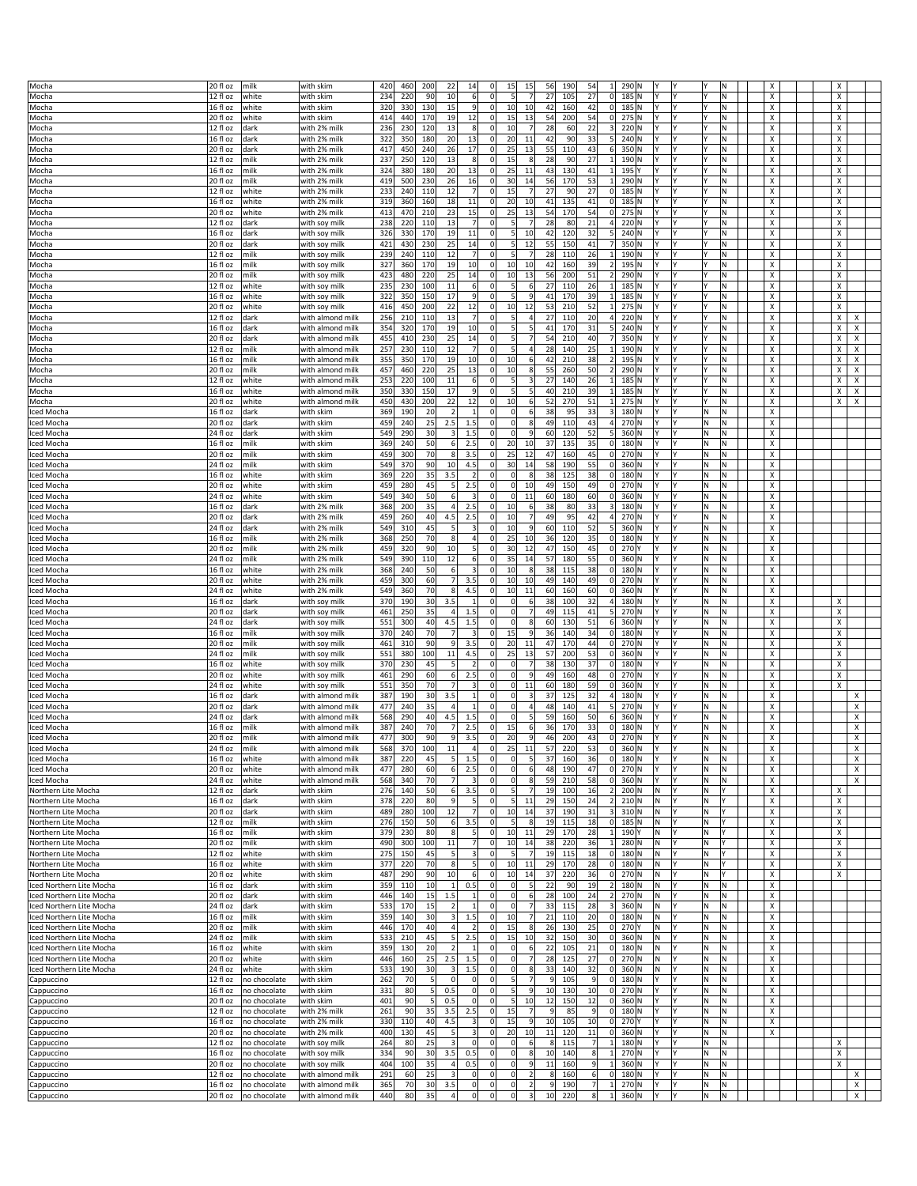|                          | 20 fl oz              | milk         |                  | 420 | 460 | 200        | 22             |                         | $\mathbf 0$    | 15             | 15                      | 56             | 190 | 54             | 1              | 290 N       |           |    | Ν |                           | X |                |
|--------------------------|-----------------------|--------------|------------------|-----|-----|------------|----------------|-------------------------|----------------|----------------|-------------------------|----------------|-----|----------------|----------------|-------------|-----------|----|---|---------------------------|---|----------------|
| Mocha                    |                       |              | with skim        |     |     |            |                | 14                      |                |                |                         |                |     |                |                |             |           |    |   | х                         |   |                |
| Mocha                    | 12 fl oz              | white        | with skim        | 234 | 220 | 90         | 10             | 6                       | $\Omega$       | 5 <sub>l</sub> |                         | 27             | 105 | 27             | 0              | 185 N       |           |    | Ν | X                         | х |                |
| Mocha                    | 16 fl oz              | white        | with skim        | 320 | 330 | 130        | 15             | $\overline{9}$          | $\overline{0}$ | 10             | 10                      | 42             | 160 | 42             | 0              | 185 N       |           |    | N | X                         | х |                |
| Mocha                    | 20 fl oz              | white        | with skim        | 414 | 440 | 170        | 19             | 12                      | $\Omega$       | 15             | 13                      | 54             | 200 | 54             | 0              | 275 N       |           |    | N | х                         | X |                |
| Mocha                    | 12 fl oz              | dark         | with 2% milk     | 236 | 230 | 120        | 13             | 8                       | $\Omega$       | 10             |                         | 28             | 60  | 22             | $\vert$ 3      | 220 N       |           |    | N | X                         | х |                |
| Mocha                    | 16 fl oz              | dark         | with 2% milk     | 322 | 350 | 180        | 20             | 13                      | 0              | 20             | 11                      | 42             | 90  | 33             | 5 <sup>1</sup> | 240 N       |           |    | Ν | х                         | х |                |
| Mocha                    | 20 fl oz              | dark         | with 2% milk     | 417 | 450 | 240        | 26             | 17                      | $\Omega$       | 25             | 13                      | 55             | 110 | 43             | 6              | 350 N       |           |    | И | х                         | X |                |
|                          |                       |              |                  |     |     |            |                |                         |                |                |                         |                |     |                |                |             |           |    |   |                           |   |                |
| Mocha                    | 12 fl oz              | milk         | with 2% milk     | 237 | 250 | 120        | 13             | $\boldsymbol{8}$        | $\Omega$       | 15             | 8                       | 28             | 90  | 27             | 1              | 190 N       |           |    | N | X                         | X |                |
| Mocha                    | 16 fl oz              | milk         | with 2% milk     | 324 | 380 | 180        | 20             | 13                      | $\overline{0}$ | 25             | 11                      | 43             | 130 | 41             | $1\vert$       | 195 Y       |           |    | Ν | х                         | х |                |
| Mocha                    | 20 fl oz              | milk         | with 2% milk     | 419 | 500 | 230        | 26             | 16                      | $\Omega$       | 30             | 14                      | 56             | 170 | 53             | $1\vert$       | 290 N       |           |    | И | х                         | X |                |
| Mocha                    | 12 fl oz              | white        | with 2% milk     | 233 | 240 | 110        | 12             | $\overline{7}$          | $\Omega$       | 15             |                         | 27             | 90  | 27             | 0              | 185 N       |           |    | N | X                         | х |                |
| Mocha                    | 16 fl oz              | white        | with 2% milk     | 319 | 360 | 160        | 18             | 11                      | $^{\circ}$     | 20             | 10                      | 41             | 135 | 41             | 0              | 185 N       |           |    | N | X                         | x |                |
| Mocha                    | 20 fl oz              | white        | with 2% milk     | 413 | 470 | 210        | 23             | 15                      | $^{\circ}$     | 25             | 13                      | 54             | 170 | 54             |                | $0$ 275 N   |           |    | N | х                         | x |                |
|                          |                       |              |                  |     |     |            |                |                         |                |                |                         |                |     |                |                |             |           |    |   |                           |   |                |
| Mocha                    | $\overline{12}$ fl oz | dark         | with soy mill    | 238 | 220 | 110        | 13             | 7                       | $\Omega$       | $5 \times$     |                         | 28             | 80  | 21             | 4              | 220 N       |           |    | N | X                         | X |                |
| Mocha                    | 16 fl oz              | dark         | with soy milk    | 326 | 330 | 170        | 19             | 11                      | $\Omega$       | 5              | 10                      | 42             | 120 | 32             | 5 <sup>1</sup> | 240 N       |           |    | N | X                         | x |                |
| Mocha                    | 20 fl oz              | dark         | with soy milk    | 421 | 430 | 230        | 25             | 14                      | $\Omega$       | 5 <sub>l</sub> | 12                      | 55             | 150 | 41             | 7              | 350 N       |           |    | Ν | х                         | х |                |
| Mocha                    | $\overline{12}$ fl oz | milk         | with soy milk    | 239 | 240 | 110        | 12             | $\overline{7}$          | $\Omega$       | 5 <sub>l</sub> |                         | 28             | 110 | 26             | $\mathbf{1}$   | 190 N       |           |    | N | X                         | X |                |
| Mocha                    | 16 fl oz              | milk         | with soy milk    | 327 | 360 | 170        | 19             | 10                      | $^{\circ}$     | 10             | 10                      | 42             | 160 | 39             | 2              | 195 N       |           |    | N | X                         | x |                |
|                          |                       |              |                  |     |     |            |                |                         |                |                |                         |                |     |                |                |             |           |    |   |                           |   |                |
| Mocha                    | 20 fl oz              | milk         | with soy mill    | 423 | 480 | 220        | 25             | 14                      | 0              | 10             | 13                      | 56             | 200 | 51             | 2              | 290 N       |           |    | Ν | x                         | х |                |
| Mocha                    | 12 fl oz              | white        | with soy milk    | 235 | 230 | 100        | 11             | 6                       | $\mathbf 0$    | 5 <sub>l</sub> | 6                       | 27             | 110 | 26             | 1              | 185 N       |           |    | N | X                         | x |                |
| Mocha                    | 16 fl oz              | white        | with soy milk    | 322 | 350 | 150        | 17             | $\overline{9}$          | $\Omega$       | 5 <sup>1</sup> | 9                       | 41             | 170 | 39             | $1\vert$       | 185 N       |           |    | N | X                         | x |                |
| Mocha                    | 20 fl oz              | white        | with soy milk    | 416 | 450 | 200        | 22             | 12                      | $\Omega$       | 10             | 12                      | 53             | 210 | 52             | $1\vert$       | 275 N       |           |    | И | х                         | х |                |
|                          | 12 fl oz              |              |                  | 256 | 210 | 110        | 13             | 7                       | $\Omega$       | 5 <sub>5</sub> |                         | 27             | 110 | 20             | 4              | 220 N       |           |    | N | X                         | x | х              |
| Mocha                    |                       | dark         | with almond milk |     |     |            |                |                         |                |                |                         |                |     |                |                |             |           |    |   |                           |   |                |
| Mocha                    | 16 fl oz              | dark         | with almond milk | 354 | 320 | 170        | 19             | 10 <sup>1</sup>         | $^{\circ}$     | $\mathsf{S}$   |                         | 4 <sup>1</sup> | 170 | 31             | $\mathsf{5}$   | 240 N       |           |    | N | X                         | X | X              |
| Mocha                    | 20 fl oz              | dark         | with almond milk | 455 | 410 | 230        | 25             | 14                      | $\Omega$       | 5 <sub>l</sub> |                         | 54             | 210 | 40             | 7              | 350 N       |           |    | И | x                         | х | х              |
| Mocha                    | 12 fl oz              | milk         | with almond mill | 257 | 230 | 110        | 12             | 7                       | $^{\circ}$     | 5 <sup>1</sup> | 4                       | 28             | 140 | 25             | 1              | 190 N       |           |    | N | X                         | Χ | $\pmb{\times}$ |
| Mocha                    | 16 fl oz              | milk         | with almond milk | 355 | 350 | 170        | 19             | 10                      | $\Omega$       | 10             | 6                       | 42             | 210 | 38             | 2              | 195 N       |           |    | N | X                         | X | х              |
|                          |                       |              |                  |     |     |            |                |                         |                |                |                         |                |     |                |                |             |           |    |   |                           |   |                |
| Mocha                    | 20 fl oz              | milk         | with almond milk | 457 | 460 | 220        | 25             | 13                      | $^{\circ}$     | 10             | 8                       | 55             | 260 | 50             | 2              | 290 N       |           |    | Ν | х                         | х | х              |
| Mocha                    | 12 fl oz              | white        | with almond milk | 253 | 220 | 100        | $11\,$         | $6 \mid$                |                | 5              |                         | 27             | 140 | 26             | $\mathbf{1}$   | 185 N       |           |    | N | х                         | X | X              |
| Mocha                    | 16 fl oz              | white        | with almond milk | 350 | 330 | 150        | 17             | $\overline{9}$          | $\Omega$       | 5 <sup>1</sup> |                         | 40             | 210 | 39             | $\vert$ 1      | 185 N       |           |    | N | X                         | X | X              |
| Mocha                    | 20 fl oz              | white        | with almond milk | 450 | 430 | 200        | 22             | 12                      | 0              | 10             | 6                       | 52             | 270 | 51             |                | $1$ 275 N   |           |    | Ν | х                         | х | х              |
|                          |                       |              |                  |     |     |            | $\overline{2}$ | $\mathbf{1}$            |                |                |                         |                |     |                |                |             |           | N  |   |                           |   |                |
| ced Mocha                | 16 fl oz              | dark         | with skim        | 369 | 190 | 20         |                |                         | $^{\circ}$     | $\Omega$       | 6                       | 38             | 95  | 33             | $\vert$ 3      | 180 N       |           |    | N | X                         |   |                |
| ced Mocha                | 20 fl oz              | dark         | with skim        | 459 | 240 | 25         | 2.5            | 1.5                     | $\Omega$       | $\Omega$       | 8                       | 49             | 110 | 43             | 4              | 270 N       |           | N  | N | X                         |   |                |
| ced Mocha                | 24 fl oz              | dark         | with skim        | 549 | 290 | 30         | $\vert$ 3      | 1.5                     | $^{\circ}$     | $\Omega$       | 9                       | 60             | 120 | 52             | 5 <sup>1</sup> | 360 N       |           | ΙN | Ν | х                         |   |                |
| ced Mocha                | 16 fl oz              | milk         | with skim        | 369 | 240 | 50         | 6              | 2.5                     |                | 20             | 10                      | 37             | 135 | 35             | 0              | 180 N       |           | N  | N | X                         |   |                |
|                          |                       | milk         |                  |     |     | 70         | 8 <sup>1</sup> |                         | $\Omega$       |                | 12                      |                |     |                | 0              |             |           | N  | N |                           |   |                |
| ced Mocha                | 20 fl oz              |              | with skim        | 459 | 300 |            |                | 3.5                     |                | 25             |                         | 47             | 160 | 45             |                | 270 N       |           |    |   | X                         |   |                |
| ced Mocha                | 24 fl oz              | milk         | with skim        | 549 | 370 | 90         | 10             | 4.5                     | $\mathbf 0$    | 30             | 14                      | 58             | 190 | 55             | 0              | 360 N       |           | M  | Ν | X                         |   |                |
| ced Mocha                | 16 fl oz              | white        | with skim        | 369 | 220 | 35         | 3.5            | $\overline{2}$          | $^{\circ}$     | $\overline{0}$ | 8                       | 38             | 125 | 38             | 0              | 180 N       |           | N  | N | X                         |   |                |
| ced Mocha                | 20 fl oz              | white        | with skim        | 459 | 280 | 45         | 5              | 2.5                     | $\mathbf 0$    | $\overline{0}$ | 10                      | 49             | 150 | 49             | 0              | 270 N       |           | N  | N | X                         |   |                |
|                          |                       |              |                  |     |     |            |                |                         |                |                |                         |                |     |                |                |             |           |    |   |                           |   |                |
| ced Mocha                | 24 fl oz              | white        | with skim        | 549 | 340 | 50         | $6 \mid$       | $\overline{\mathbf{3}}$ | $\Omega$       | $\Omega$       | 11                      | 60             | 180 | 60             | 0              | 360 N       |           | M  | Ν | X                         |   |                |
| ced Mocha                | 16 fl oz              | dark         | with 2% milk     | 368 | 200 | 35         | 4              | 2.5                     | $^{\circ}$     | 10             | 6                       | 38             | 80  | 33             | $\vert$ 3      | 180 N       |           | ΙN | N | х                         |   |                |
| ced Mocha                | 20 fl oz              | dark         | with 2% milk     | 459 | 260 | 40         | 4.5            | 2.5                     | $\Omega$       | 10             |                         | 49             | 95  | 42             | 4              | 270 N       |           | N  | N | X                         |   |                |
| ced Mocha                | 24 fl oz              | dark         | with 2% milk     | 549 | 310 | 45         | 5              | $\vert$ 3               | $^{\circ}$     | 10             | 9                       | 60             | 110 | 52             | 5 <sup>1</sup> | 360 N       |           | M  | N | X                         |   |                |
|                          |                       |              |                  |     |     |            |                |                         |                |                |                         |                |     |                |                |             |           |    |   |                           |   |                |
| ced Mocha                | 16 fl oz              | milk         | with 2% milk     | 368 | 250 | 70         | 8              | $\vert$                 | $^{\circ}$     | 25             | 10                      | 36             | 120 | 35             | 0              | 180 N       |           | ΙN | N | X                         |   |                |
| ced Mocha                | 20 fl oz              | milk         | with 2% milk     | 459 | 320 | 90         | 10             | 5                       | $^{\circ}$     | 30             | 12                      | 47             | 150 | 45             | 0              | 270 Y       |           | N  | N | X                         |   |                |
| ced Mocha                | 24 fl oz              | milk         | with 2% milk     | 549 | 390 | 110        | 12             | 6                       | $\Omega$       | 35             | 14                      | 57             | 180 | 55             | 0              | 360 N       | l۷        | M  | Ν | X                         |   |                |
| ced Mocha                | 16 fl oz              | white        | with 2% milk     | 368 | 240 | 50         | 6              | $\overline{3}$          | 0              | 10             | 8                       | 38             | 115 | 38             | 0              | 180 N       |           | ΙN | N | X                         |   |                |
|                          |                       |              |                  |     |     |            |                |                         |                |                |                         |                |     |                |                |             |           |    |   |                           |   |                |
| ced Mocha                | 20 fl oz              | white        | with 2% milk     | 459 | 300 | 60         | $\overline{7}$ | 3.5                     | $\Omega$       | 10             | 10                      | 49             | 140 | 49             | 0              | 270 N       |           | ΙN | N | X                         |   |                |
| ced Mocha                | 24 fl oz              | white        | with 2% milk     | 549 | 360 | 70         | 8 <sup>1</sup> | 4.5                     | $\Omega$       | 10             | 11                      | 60             | 160 | 60             | 0              | 360 N       |           | M  | Ν | X                         |   |                |
| ced Mocha                | 16 fl oz              | dark         | with soy milk    | 370 | 190 | 30         | 3.5            | $\mathbf{1}$            | $^{\circ}$     | $\Omega$       | $6 \overline{6}$        | 38             | 100 | 32             | 4              | 180 N       |           | ΙN | N | X                         | х |                |
| ced Mocha                | 20 fl oz              | dark         | with soy milk    | 461 | 250 | 35         | 4              | $1.5$                   | $^{\circ}$     | $\overline{0}$ | 7                       | 49             | 115 | 41             | 5 <sup>1</sup> | 270 N       |           | N  | N | х                         | х |                |
| ced Mocha                | 24 fl oz              | dark         | with soy milk    | 551 | 300 | 40         | 4.5            | 1.5                     | $\Omega$       | $\Omega$       | 8                       | 60             | 130 | 51             | $6 \mid$       | 360 N       |           | M  | Ν | х                         | Х |                |
|                          |                       |              |                  |     |     |            |                |                         |                |                |                         |                |     |                |                |             |           |    |   |                           |   |                |
| ced Mocha                | 16 fl oz              | milk         | with soy milk    | 370 | 240 | 70         | $\overline{7}$ | 3                       | $^{\circ}$     | 15             | 9                       | 36             | 140 | 34             | 0              | 180 N       |           | ΙN | N | x                         | х |                |
| ced Mocha                | 20 fl oz              | milk         | with soy milk    | 461 | 310 | 90         | 9              | 3.5                     | $\Omega$       | 20             | 11                      | 47             | 170 | 44             |                | $0$ 270 N   |           | ΙN | И | х                         | х |                |
| ced Mocha                | 24 fl oz              | milk         | with soy mill    | 551 | 380 | 100        | 11             | 4.5                     | $\mathbf 0$    | 25             | 13                      | 57             | 200 | 53             | 0              | 360 N       |           | N  | N | X                         | х |                |
| ced Mocha                | 16 fl oz              | white        | with soy milk    | 370 | 230 | 45         | 5              | $\overline{2}$          | 0              | $\Omega$       | $\overline{7}$          | 38             | 130 | 37             | 0              | 180 N       |           | ΙN | Ν | х                         | х |                |
|                          |                       |              |                  |     |     |            |                |                         |                |                |                         |                |     |                |                |             |           |    |   |                           |   |                |
| ced Mocha                | 20 fl oz              | white        | with soy milk    | 461 | 290 | 60         | $6 \mid$       | 2.5                     | $\Omega$       | $\overline{0}$ | 9                       | 49             | 160 | 48             |                | $0$ 270 N   |           | N  | И | х                         | X |                |
| ced Mocha                | 24 fl oz              | white        | with soy milk    | 551 | 350 | 70         | 7              | $\overline{\mathbf{3}}$ | $\Omega$       | $\Omega$       | 11                      | 60             | 180 | 59             | 0              | 360 N       |           | l٧ | N | X                         | X |                |
| ced Mocha                | 16 fl oz              | dark         | with almond milk | 387 | 190 | 30         | 3.5            | $\mathbf{1}$            | 0              | $\Omega$       |                         | 37             | 125 | 32             | $\vert$        | 180 N       |           | ΙN | Ν | х                         |   | х              |
| ced Mocha                | 20 fl oz              | dark         | with almond milk | 477 | 240 | 35         | 4              | $\mathbf{1}$            | $\Omega$       | $\overline{0}$ | 4                       | 48             | 140 | 41             | 5 <sup>1</sup> | 270 N       |           | N  | И | х                         |   | х              |
|                          |                       |              |                  |     |     | 40         |                |                         | $\Omega$       | $\Omega$       |                         | 59             |     | 50             |                |             |           | N  | N |                           |   |                |
| ced Mocha                | 24 fl oz              | dark         | with almond milk | 568 | 290 |            | 4.5            | $1.5$                   |                |                |                         |                | 160 |                | 6              | 360 N       |           |    |   | X                         |   | X              |
| ced Mocha                | 16 fl oz              | milk         | with almond milk | 387 | 240 | 70         | 7              | 2.5                     | $\Omega$       | 15             | $6 \overline{6}$        | 36             | 170 | 33             | 0              | 180 N       |           | ΙN | N | X                         |   | x              |
| Iced Mocha               | 20 fl oz              | milk         | with almond milk | 477 | 300 | 90         | 9              | 3.5                     | $\Omega$       | 20             | $\overline{9}$          | 46             | 200 | 43             | 0              | 270 N       | IY        | N  | Ν | x                         |   | х              |
| Iced Mocha               | 24 fl oz              | nilk         | with almond milk | 568 | 370 |            | 11             |                         |                | 25             | 11                      | 57             | 221 | 53             | nl             | $360$ N     | l٧        |    | N | $\boldsymbol{\mathsf{x}}$ |   |                |
| ced Mocha                | 16 fl oz              | white        | with almond milk | 387 | 220 | 45         | 5              | 1.5                     | $^{\circ}$     | $\Omega$       |                         | 37             | 160 | 36             | 0              | 180 N       |           | N. | Ν | X                         |   | X              |
|                          |                       |              |                  |     |     |            |                |                         | $^{\circ}$     |                |                         |                |     |                |                |             |           |    |   |                           |   |                |
| ced Mocha                | 20 fl oz              | white        | with almond milk | 477 | 280 | 60         | 6              | 2.5                     |                | $\circ$        | 6                       | 48             | 190 | 47             |                | $0$ 270 N   |           | N. | Ν | х                         |   | X              |
| lced Mocha               | $\overline{24}$ fl oz | white        | with almond milk | 568 | 340 | 70         | 7 <sup>1</sup> | $\vert$ 3               | $\mathbf 0$    | $\Omega$       | 8                       | 59             | 210 | 58             | 0              | 360 N       |           | M  | N | x                         |   | х              |
| Northern Lite Mocha      | 12 fl oz              | dark         | with skim        | 276 | 140 | 50         | $6 \mid$       | 3.5                     | $\Omega$       | 5 <sub>l</sub> | $\overline{7}$          | 19             | 100 | 16             |                | 2 200 N     | M.        | N. |   | X                         | х |                |
| Northern Lite Mocha      | 16 fl oz              | dark         | with skim        | 378 | 220 | 80         | 9              | $\vert$                 | $^{\circ}$     | 5 <sub>l</sub> | 11                      | 29             | 150 | 24             |                | 2 210 N     | M.        | N  |   | х                         | х |                |
| Northern Lite Mocha      | $20$ fl oz            | dark         | with skim        | 489 | 280 | 100        | 12             | 7                       | $^{\circ}$     | 10             | 14                      | 37             | 190 | 31             | 3              | 310 N       | M.        | M  |   | X                         | Х |                |
| Northern Lite Mocha      | 12 fl oz              | milk         | with skim        | 276 | 150 | 50         | $6 \mid$       | 3.5                     | 0              | 5 <sub>l</sub> | 8                       | 19             | 115 | 18             |                | $0$ 185 N   | M.        | M. |   | X                         | X |                |
|                          |                       |              |                  |     |     |            |                |                         |                |                |                         |                |     |                |                |             |           |    |   |                           |   |                |
| Northern Lite Mocha      | 16 fl oz              | milk         | with skim        | 379 | 230 | 80         | 8 <sup>1</sup> | $\vert$                 | $^{\circ}$     | 10             | 11                      | 29             | 170 | 28             |                | 1 190 Y     | IN.       | M  |   | X                         | х |                |
| Northern Lite Mocha      | $\overline{20}$ fl oz | milk         | with skim        | 490 | 300 | 100        | 11             | 7                       | $\mathbf 0$    | 10             | 14                      | 38             | 220 | 36             |                | 1 280 N     | İN.       | M  |   | x                         | x |                |
| Northern Lite Mocha      | 12 fl oz              | white        | with skim        | 275 | 150 | 45         | 5 <sup>1</sup> | $\overline{3}$          | $^{\circ}$     | 5 <sub>l</sub> | $\overline{7}$          | 19             | 115 | 18             |                | $0$ 180 N   | M.        | M. |   | X                         | х |                |
| Northern Lite Mocha      | 16 fl oz              | white        | with skim        | 377 | 220 | 70         | 8 <sup>2</sup> | $\vert$                 | $^{\circ}$     | 10             | 11                      | 29             | 170 | 28             |                | $0$ 180 N   | IN.       | N  |   | х                         | х |                |
|                          |                       |              |                  |     |     |            |                |                         |                | 10             |                         | 37             |     |                |                |             | İN.       |    |   |                           | X |                |
| Northern Lite Mocha      | 20 fl oz              | white        | with skim        | 487 | 290 | 90         | 10             | $6 \mid$                | O              |                | 14                      |                | 220 | 36             | 0              | 270 N       |           | ١N |   | X                         |   |                |
| ced Northern Lite Mocha  | 16 fl oz              | dark         | with skim        | 359 | 110 | 10         | 1              | 0.5                     | $^{\circ}$     | $\Omega$       | 5                       | 22             | 90  | 19             | 2              | 180 N       | IN.       | M. | Ν | X                         |   |                |
| ced Northern Lite Mocha  | 20 fl oz              | dark         | with skim        | 446 | 140 | 15         | 1.5            | $\vert$ 1               | 0              | $\overline{0}$ | 6                       | 28             | 100 | 24             |                | 2 270 N     | IN.       | M. | Ν | х                         |   |                |
| ced Northern Lite Mocha  | 24 fl oz              | dark         | with skim        | 533 | 170 | 15         | $\overline{2}$ | $\mathbf{1}$            | $^{\circ}$     | $\Omega$       |                         | 33             | 115 | 28             | 3              | 360 N       | İN.       | M  | N | X                         |   |                |
| ced Northern Lite Mocha  | 16 fl oz              | milk         | with skim        | 359 | 140 | 30         | 3              | 1.5                     | $\Omega$       | 10             | $\overline{7}$          | 21             | 110 | 20             |                | $0$ 180 N   | M.        | ΙN | N | x                         |   |                |
|                          |                       |              |                  |     |     |            |                |                         |                |                |                         |                |     |                |                |             |           |    |   |                           |   |                |
| ced Northern Lite Mocha  | 20 fl oz              | milk         | with skim        | 446 | 170 | 40         | 4              | $\overline{2}$          | $\Omega$       | 15             | 8                       | 26             | 130 | 25             |                | 0 270 Y     | M,        | N. | Ν | x                         |   |                |
| ced Northern Lite Mocha  | 24 fl oz              | milk         | with skim        | 533 | 210 | 45         | 5 <sup>1</sup> | 2.5                     |                | 15             | 10                      | 32             | 150 | 30             | 0              | 360 N       | M.        | M  | N | x                         |   |                |
| ced Northern Lite Mocha  | 16 fl oz              | white        | with skim        | 359 | 130 | 20         | $\overline{2}$ | $\overline{1}$          | $\Omega$       | $\overline{0}$ | 6                       | 22             | 105 | 21             | 0              | 180 N       | M.        | N  | N | x                         |   |                |
| ced Northern Lite Mocha  | 20 fl oz              | white        | with skim        | 446 | 160 | 25         | 2.5            | 1.5                     | 0              | $\overline{0}$ | $\overline{7}$          | 28             | 125 | 27             |                | $0$ 270 N   | M,        | N. | Ν | x                         |   |                |
|                          |                       |              |                  |     |     |            |                |                         |                |                |                         |                |     |                |                |             |           |    |   |                           |   |                |
| iced Northern Lite Mocha | 24 fl oz              | white        | with skim        | 533 | 190 | 30         | $\vert$ 3      | 1.5                     | $^{\circ}$     | $\mathbf 0$    | 8                       | 33             | 140 | 32             |                | $0$ 360 N   | İN.       | M  | N | X                         |   |                |
| Cappuccino               | 12 fl oz              | no chocolate | with skim        | 262 | 70  | 5          | $\circ$        | $\Omega$                | $\Omega$       | $\mathsf{S}$   |                         |                | 105 | 9              |                | $0$ 180 N   | Y         | N  | N | x                         |   |                |
| Cappuccino               | 16 fl oz              | no chocolate | with skim        | 331 | 80  | 5          | 0.5            | $\Omega$                | $\Omega$       | 5 <sup>1</sup> | 9                       | 10             | 130 | 10             |                | $0$ 270 $N$ | l۷<br>l٧  | M. | Ν | X                         |   |                |
| Cappuccino               | 20 fl oz              | no chocolate | with skim        | 401 | 90  | $\sqrt{5}$ | 0.5            | $\overline{0}$          | $^{\circ}$     | 5              | 10                      | 12             | 150 | 12             | 0              | 360 N       |           | N  | N | x                         |   |                |
|                          |                       |              |                  |     |     |            |                |                         |                |                |                         |                |     |                |                |             |           |    | N |                           |   |                |
| Cappuccino               | 12 fl oz              | no chocolate | with 2% milk     | 261 | 90  | 35         | 3.5            | 2.5                     | $\Omega$       | 15             |                         |                | 85  | 9              |                | $0$ 180 N   |           | N  |   | x                         |   |                |
| Cappuccino               | 16 fl oz              | no chocolate | with 2% milk     | 330 | 110 | 40         | 4.5            | $\vert$ 3               | $\overline{0}$ | 15             | 9                       | 10             | 105 | 10             |                | 0 270 Y     | Y<br>l٧   | M. | Ν | X                         |   |                |
| Cappuccino               | 20 fl oz              | no chocolate | with 2% milk     | 400 | 130 | 45         | 5              | $\vert$                 | $\overline{0}$ | 20             | 10                      | 11             | 120 | 11             | 0              | 360 N       |           | N  | Ν | X                         |   |                |
|                          | 12 fl oz              | no chocolate | with soy milk    | 264 | 80  | 25         | 3              | $\Omega$                | $^{\circ}$     | $\overline{0}$ | $6 \overline{6}$        | 8              | 115 | 7              | $1\vert$       | 180 N       |           | N  | N |                           | х |                |
| Cappuccino               |                       |              |                  |     |     |            |                |                         |                |                |                         |                |     |                |                |             |           |    |   |                           |   |                |
| Cappuccino               | 16 fl oz              | no chocolate | with soy milk    | 334 | 90  | 30         | 3.5            | 0.5                     | $\Omega$       | $\circ$        | 8                       | 10             | 140 | 8 <sup>2</sup> |                | 1 270 N     | l۷<br>l۷  | M. | Ν |                           | х |                |
| Cappuccino               | 20 fl oz              | no chocolate | with soy milk    | 404 | 100 | 35         | 4              | 0.5                     | $^{\circ}$     | $\overline{0}$ | 9                       | 11             | 160 | 9              | 1              | 360 N       |           | ΙN | N |                           | X |                |
| Cappuccino               | $\overline{12}$ fl oz | no chocolate | with almond milk | 291 | 60  | 25         | 3              | 0                       | $^{\circ}$     | $\overline{0}$ | $\overline{\mathbf{2}}$ |                | 160 | 6              |                | $0$ 180 N   | Υ         | N  | Ν |                           |   | х              |
| Cappuccino               | 16 fl oz              | no chocolate | with almond milk | 365 | 70  | 30         | 3.5            | 0                       | 0              | $\circ$        | 2                       | 9              | 190 | 7              |                | 1 270 N     | Y.<br>I٢  | N. | N |                           |   | $\pmb{\times}$ |
|                          |                       |              |                  |     |     |            |                |                         |                |                |                         |                |     |                |                |             |           |    |   |                           |   |                |
| Cappuccino               | 20 fl oz              | no chocolate | with almond milk | 440 | 80  | 35         | $\overline{a}$ | 0                       | $\Omega$       | $\overline{0}$ | $\overline{\mathbf{3}}$ | 10             | 220 | 8              | 1              | 360 N       | İΥ.<br> Y | M  | N |                           |   | $\pmb{\times}$ |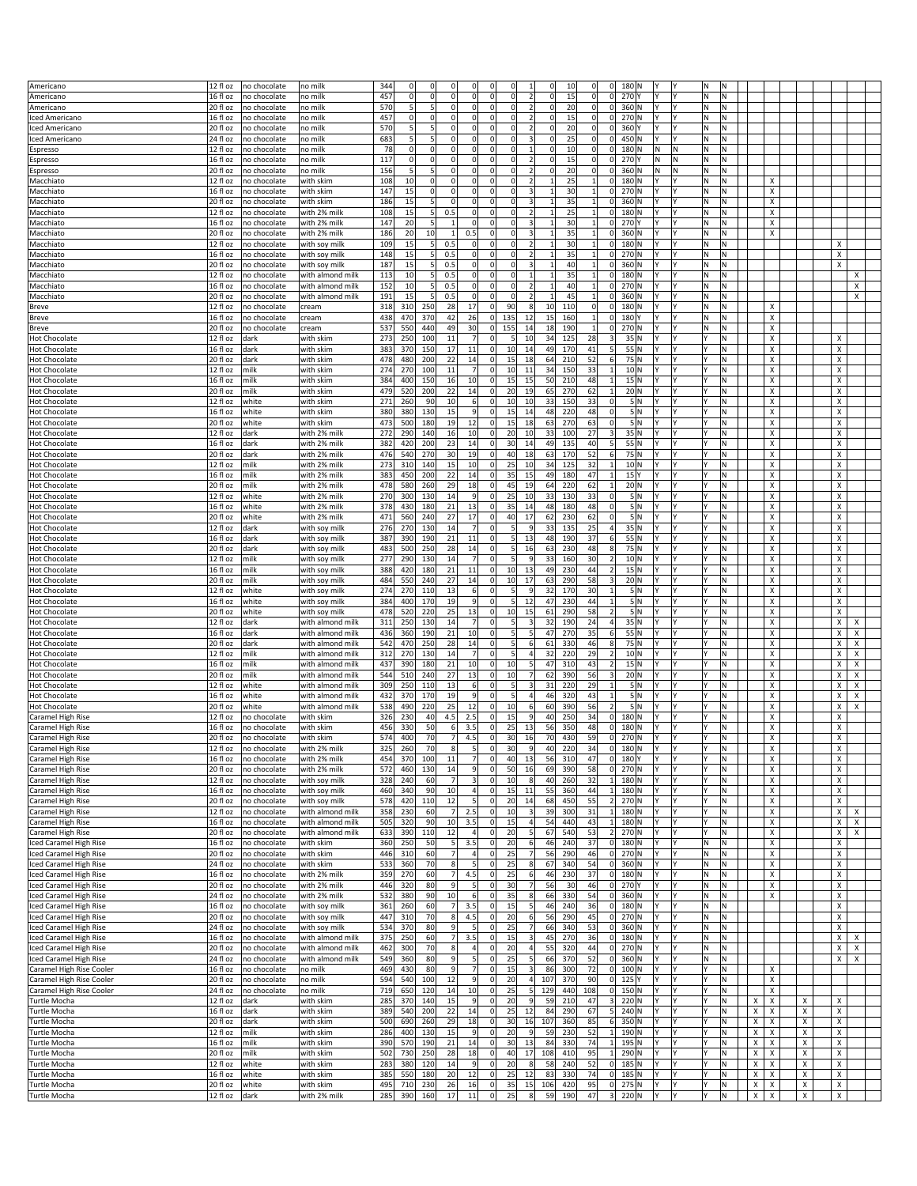|                                     | 12 fl oz              |              |                  | 344 | $\mathbf 0$ | 0<br>$\Omega$            | $\Omega$        | $\mathbf 0$<br>0              |                          | 10<br>$\overline{0}$ | $\Omega$        | 0 <br>180 N              |            |    | M.       |          |   |        |   |                                |
|-------------------------------------|-----------------------|--------------|------------------|-----|-------------|--------------------------|-----------------|-------------------------------|--------------------------|----------------------|-----------------|--------------------------|------------|----|----------|----------|---|--------|---|--------------------------------|
| Americano                           | $16f$ loz             | no chocolate | no mill          |     | $\mathbf 0$ | $\mathbf{0}$<br>$\Omega$ |                 | $\mathbf 0$<br><sub>0</sub>   |                          | <sub>0</sub>         | $\Omega$        |                          |            | l۷ |          |          |   |        |   |                                |
| Americano                           |                       | no chocolate | no milk          | 457 |             |                          | 0               |                               | $\overline{\mathbf{2}}$  | 15                   |                 | 0 <br>270Y               |            |    | M.       | İN.      |   |        |   |                                |
| Americano                           | 20 fl oz              | no chocolate | no milk          | 570 | 5           | 5<br>0                   | 0               | $\mathbf 0$<br>0              | $\overline{\mathbf{2}}$  | 20<br>$\Omega$       | 0               | 0 <br>360 N              | l۷         | l۷ | M.       | M.       |   |        |   |                                |
| Iced Americano                      | 16 fl oz              | no chocolate | no mill          | 457 | $\mathbf 0$ | $\mathbf 0$<br>0         | $\Omega$        | 0<br>0                        | $\overline{2}$           | 15<br>$\mathbf 0$    | $\Omega$        | 270 N<br> 0              |            |    | N        | Ν        |   |        |   |                                |
| Iced Americano                      | 20 fl oz              | no chocolate | no mill          | 570 |             | 5<br>$\Omega$            | 0               | $\Omega$<br>$\mathbf 0$       | $\overline{2}$           | 20                   | 0               | 360 Y<br>$\Omega$        |            |    | Ν        | M        |   |        |   |                                |
| Iced Americano                      | 24 fl oz              | no chocolate | no milk          | 683 | 5           | 5<br>0                   | 0               | 0<br>0                        | 3                        | 25                   | 0               | $\Omega$<br>450 N        | l۷         | l۷ | M.       | M.       |   |        |   |                                |
| Espresso                            | 12 fl oz              | no chocolate | no mill          | 78  | $\mathbf 0$ | $\mathbf 0$<br>0         | $\Omega$        | 0<br>0                        | $\mathbf{1}$             | 10<br>$\Omega$       | $\Omega$        | 180 N<br>$\Omega$        | N          | ١N | N        | N        |   |        |   |                                |
| spresso                             | 16 fl oz              | no chocolate | no milk          | 117 | $\mathbf 0$ | $\Omega$<br>$\Omega$     | 0               | $\mathbf 0$<br>$\Omega$       | $\overline{\mathbf{2}}$  | 15<br>$\Omega$       | $\mathbf 0$     | $\Omega$<br>270Y         | N          | M  | N)       | ١N       |   |        |   |                                |
| Espresso                            | 20 fl oz              | no chocolate | no milk          | 156 | 5           | 5<br>0                   | 0               | $\mathbf 0$<br>0              | $\mathbf 2$              | 20<br>$\Omega$       | $\Omega$        | 0 <br>360 N              | N          | M  | M.       | M.       |   |        |   |                                |
| Macchiato                           | 12 fl oz              | no chocolate | with skim        | 108 | 10          | $\mathbf 0$<br>0         | 0               | 0<br>0                        | $\overline{2}$           | 25<br>1              | $\mathbf{1}$    | 180 N<br>$\Omega$        |            |    | Ν        | N        |   | х      |   |                                |
|                                     |                       |              |                  |     |             | $\Omega$<br>$\Omega$     |                 | $\mathbf 0$<br>$\Omega$       | $\overline{3}$           |                      | $\mathbf{1}$    | 270 N<br>$\Omega$        |            | l٧ | N        | M        |   |        |   |                                |
| Macchiato                           | 16 fl oz              | no chocolate | with skim        | 147 | 15          |                          | 0               |                               |                          | 30                   |                 |                          |            |    |          |          |   | х      |   |                                |
| Macchiato                           | 20 fl oz              | no chocolate | with skim        | 186 | 15          | 5<br>$\Omega$            | 0               | $\mathbf 0$<br>$\Omega$       | 3                        | 35                   | $1\overline{ }$ | $\Omega$<br>360 N        |            |    | N        | N        |   | X      |   |                                |
| Macchiato                           | 12 fl oz              | no chocolate | with 2% milk     | 108 | 15          | 0.5<br>$5 \frac{1}{2}$   | 0               | 0<br>$\Omega$                 | $\overline{2}$           | 25                   | $\mathbf{1}$    | 0 <br>180 N              |            | l٢ | N.       | M        |   | х      |   |                                |
| Macchiato                           | 16 fl oz              | no chocolate | with 2% milk     | 147 | 20          | 5<br>$\overline{1}$      | 0               | $\mathbf 0$<br>$\Omega$       | 3                        | 30                   | $\mathbf{1}$    | 270Y<br>$\Omega$         |            | l۷ | N)       | M        |   | х      |   |                                |
| Macchiato                           | $20$ fl oz            | no chocolate | with 2% milk     | 186 | 20          | 10<br>$\mathbf{1}$       | 0.5             | $\mathbf 0$<br><sub>0</sub>   | 3                        | 35<br>$\mathbf{1}$   | $\mathbf{1}$    | $\Omega$<br>360 N        |            |    | N        | N        |   | х      |   |                                |
| Macchiato                           | 12 fl oz              | no chocolate | with soy milk    | 109 | 15          | $\mathbf{5}$<br>0.5      | 0               | 0<br>$\Omega$                 | $\overline{2}$           | 30<br>1              | $\mathbf{1}$    | $\Omega$<br>180 N        |            | l٢ | N.       | M        |   |        |   | х                              |
| Macchiato                           | 16 fl oz              | no chocolate | with soy milk    | 148 | 15          | 5 <sup>1</sup><br>0.5    | 0               | $\mathbf 0$<br>$\Omega$       | $\overline{2}$           | 35                   | $\mathbf{1}$    | 270 N<br>$\Omega$        |            | l٧ | N        | N.       |   |        |   | X                              |
| Macchiato                           | 20 fl oz              | no chocolate | with soy milk    | 187 | 15          | $5 \mid$<br>0.5          | 0               | $\mathbf 0$<br>$\Omega$       | $\overline{\mathbf{3}}$  | 40                   | $1\overline{ }$ | $\Omega$<br>360 N        |            |    | N        | N        |   |        |   | X                              |
| Macchiato                           | 12 fl oz              | no chocolate | with almond milk | 113 | 10          | 5<br>0.5                 | $\mathsf{O}$    | $\mathbf 0$<br><sub>0</sub>   | $\mathbf{1}$             | 35<br>$\mathbf{1}$   | $1\overline{ }$ | $\Omega$<br>180 N        | l۷         | l۷ | M.       | M.       |   |        |   | х                              |
| Macchiato                           | 16 fl oz              | no chocolate | with almond milk | 152 | 10          | $5 \mid$<br>0.5          | $\circ$         | $\pmb{0}$<br>$\Omega$         | $\overline{\mathbf{2}}$  | 40                   | $1\overline{ }$ | $\overline{0}$<br>270 N  |            | l۷ | N        | N.       |   |        |   | Χ                              |
| Macchiato                           | 20 fl oz              | no chocolate | with almond milk | 191 | 15          | 0.5<br>5 <sup>1</sup>    | 0               | $\mathbf 0$<br>$\Omega$       | $\overline{\mathbf{2}}$  | 45<br>$\mathbf{1}$   | $\mathbf 1$     | $\Omega$<br>360 N        |            |    | Ν        | N        |   |        |   | x                              |
| <b>Breve</b>                        | 12 fl oz              | no chocolate | cream            | 318 | 310         | 250<br>28                | 17              | 0 <br>90                      | 8                        | 10<br>110            | $\Omega$        | $\Omega$<br>180 N        | l۷         | l۷ | M.       | M.       |   | х      |   |                                |
| Breve                               | 16 fl oz              | no chocolate | cream            | 438 | 470         | 42<br>370                | 26              | $\pmb{0}$<br>135              | 12                       | 15<br>160            | $\mathbf{1}$    | $\Omega$<br>180Y         |            | l٧ | Ν        | N        |   | х      |   |                                |
|                                     | 20 fl oz              |              |                  |     |             | 440<br>49                | 30              | $\mathbf 0$                   | 14                       | 190                  |                 | $\Omega$<br>270 N        |            |    |          | N        |   |        |   |                                |
| Breve                               |                       | no chocolate | cream            | 537 | 550         |                          |                 | 155                           |                          | 18                   | $1\overline{ }$ |                          |            |    | Ν        |          |   | х      |   |                                |
| <b>Hot Chocolate</b>                | 12 fl oz              | dark         | with skim        | 273 | 250         | 100<br>11                | 7               | $\mathbf 0$<br>5              | 10                       | 34<br>125            | 28              | 3                        | 35 N<br>l۷ | l۷ | l۷       | İN.      |   | Χ      |   | Х                              |
| <b>Hot Chocolate</b>                | 16 fl oz              | dark         | with skim        | 383 | 370         | 150<br>17                | 11              | $\mathbf 0$<br>10             | 14                       | 49<br>170            | 41              | 5                        | 55 N       | l۷ |          | M        |   | Х      |   | X                              |
| <b>Hot Chocolate</b>                | 20 fl oz              | dark         | with skim        | 478 | 480         | 200<br>22                | 14              | $\mathbf 0$<br>15             | 18                       | 64<br>210            | 52              | $6 \mid$                 | 75 N       |    |          | N        |   | х      |   | X                              |
| <b>Hot Chocolate</b>                | 12 fl oz              | milk         | with skim        | 274 | 270         | 100<br>11                | 7               | $\mathbf 0$<br>10             | 11                       | 34<br>150            | 33              |                          | 10 N<br>I۷ | l۷ |          | M.       |   | Χ      |   | Х                              |
| <b>Hot Chocolate</b>                | 16 fl oz              | milk         | with skim        | 384 | 400         | 16<br>150                | 10              | 15<br>$\mathbf 0$             | 15                       | 50<br>210            | 48              |                          | 15N        | l۷ |          | M        |   | X      |   | X                              |
| <b>Hot Chocolate</b>                | 20 fl oz              | milk         | with skim        | 479 | 520         | 200<br>22                | 14              | 20<br>0                       | 19                       | 65<br>270            | 62              | $\mathbf{1}$             | 20 N       | l٢ |          | M        |   | х      |   | х                              |
| <b>Hot Chocolate</b>                | 12 fl oz              | white        | with skim        | 271 | 260         | 90<br>10                 | 6               | $\mathbf 0$<br>10             | 10                       | 33<br>150            | 33              | $\Omega$                 | 5 N<br>I۷  | İ٢ |          | İN.      |   | Χ      |   | Х                              |
| <b>Hot Chocolate</b>                | 16 fl oz              | white        | with skim        | 380 | 380         | 130<br>15                | $\overline{9}$  | $\mathbf 0$<br>15             | 14                       | 48<br>220            | 48              | $\overline{0}$           | 5 N        | l۷ |          | M        |   | Х      |   | х                              |
| <b>Hot Chocolate</b>                | 20 fl oz              | white        | with skim        | 473 | 500         | 180<br>19                | 12              | 15<br>0                       | 18                       | 270<br>63            | 63              | $\Omega$                 | 5   N      | I٢ |          | M        |   | х      |   | х                              |
| <b>Hot Chocolate</b>                | 12 fl oz              | dark         |                  | 272 | 290         | 140<br>16                | 10 <sup>1</sup> | 20<br> 0                      | 10                       | 33<br>100            | 27              | 3                        | 35 N<br>I۷ | l۷ | l۷       | M.       |   | Χ      |   | Х                              |
|                                     |                       |              | with 2% milk     |     |             |                          | 14              |                               |                          |                      |                 |                          |            |    |          |          |   |        |   |                                |
| <b>Hot Chocolate</b>                | 16 fl oz              | dark         | with 2% milk     | 382 | 420         | 23<br>200                |                 | $\mathbf 0$<br>30             | 14                       | 49<br>135            | 40              |                          | 55 N       |    |          | M        |   | X      |   | х                              |
| <b>Hot Chocolate</b>                | 20 fl oz              | dark         | with 2% milk     | 476 | 540         | 30<br>270                | 19              | 40<br>0                       | 18                       | 63<br>170            | 52              |                          | 75 N       | l٢ |          | N.       |   | х      |   | х                              |
| <b>Hot Chocolate</b>                | 12 fl oz              | milk         | with 2% milk     | 273 | 310         | 15<br>140                | 10 <sup>1</sup> | $\mathbf 0$<br>25             | 10                       | 34<br>125            | 32              |                          | 10 N<br>l۷ | l٢ |          | İN.      |   | X      |   | х                              |
| <b>Hot Chocolate</b>                | 16 fl oz              | milk         | with 2% milk     | 383 | 450         | 200<br>22                | 14              | $\pmb{0}$<br>35               | 15                       | 49<br>180            | 47              | 15 Y<br>$\mathbf{1}$     |            | l۷ |          | M        |   | х      |   | х                              |
| <b>Hot Chocolate</b>                | 20 fl oz              | milk         | with 2% milk     | 478 | 580         | 29<br>260                | 18              | 45<br>0                       | 19                       | 64<br>220            | 62              | 1                        | 20 N       | I٢ |          | M.       |   | X      |   | х                              |
| <b>Hot Chocolate</b>                | 12 fl oz              | white        | with 2% milk     | 270 | 300         | 14<br>130                | $\overline{9}$  | $\mathbf 0$<br>25             | 10                       | 33<br>130            | 33              | $\mathbf 0$              | 5 N<br>Y   | l٧ |          | M        |   | X      |   | Х                              |
| <b>Hot Chocolate</b>                | 16 fl oz              | white        | with 2% milk     | 378 | 430         | 180<br>21                | 13              | 35<br>0                       | 14                       | 48<br>180            | 48              | $\mathbf 0$              | 5 N        |    |          | M.       |   | х      |   | х                              |
| <b>Hot Chocolate</b>                | 20 fl oz              | white        | with 2% milk     | 471 | 560         | 27<br>240                | 17              | $\mathbf 0$<br>40             | 17                       | 62<br>230            | 62              | $\Omega$                 | 5 N        | l٢ |          | M.       |   | X      |   | х                              |
| <b>Hot Chocolate</b>                | 12 fl oz              | dark         | with soy milk    | 276 | 270         | 130<br>14                | 7               | $\mathbf 0$<br>5              | 9                        | 33<br>135            | 25              | $\overline{4}$           | 35 N       | l٧ |          | M        |   | Х      |   | x                              |
|                                     |                       |              |                  |     |             |                          |                 |                               |                          |                      |                 |                          |            |    |          |          |   |        |   |                                |
| <b>Hot Chocolate</b>                | 16 fl oz              | dark         | with soy milk    | 387 | 390         | 190<br>21                | 11              | $\mathbf 0$<br>5              | 13                       | 48<br>190            | 37              | 6                        | 55 N<br>l۷ | İ٢ |          | İN.      |   | X      |   | Х                              |
| <b>Hot Chocolate</b>                | 20 fl oz              | dark         | with soy milk    | 483 | 500         | 250<br>28                | 14              | $\mathbf 0$<br>5              | 16                       | 63<br>230            | 48              | 8                        | 75 N       | l٢ |          | N.       |   | х      |   | х                              |
| <b>Hot Chocolate</b>                | 12 fl oz              | milk         | with soy milk    | 277 | 290         | 130<br>14                | $\overline{7}$  | $\mathbf 0$<br>5 <sup>1</sup> | 9                        | 33<br>160            | 30              |                          | 10 N       |    |          | M        |   | X      |   | Х                              |
| <b>Hot Chocolate</b>                | 16 fl oz              | milk         | with soy milk    | 388 | 420         | 180<br>21                | 11              | 10<br>0                       | 13                       | 49<br>230            | 44              |                          | 15 N       | l۷ |          | İN.      |   | X      |   | Х                              |
| <b>Hot Chocolate</b>                | 20 fl oz              | milk         | with soy milk    | 484 | 550         | 27<br>240                | 14              | $\mathbf 0$<br>10             | 17                       | 63<br>290            | 58              | 3                        | 20 N       | l٢ |          | N.       |   | х      |   | х                              |
| <b>Hot Chocolate</b>                | 12 fl oz              | white        | with soy milk    | 274 | 270         | 110<br>13                | 6               | $\mathbf 0$<br>5              | 9                        | 32<br>170            | 30              |                          | 5 N        | l۷ |          | M        |   | х      |   | X                              |
| <b>Hot Chocolate</b>                | 16 fl oz              | white        | with soy milk    | 384 | 400         | 170<br>19                | 9               | $\mathbf 0$<br>5              | 12                       | 47<br>230            | 44              | $\mathbf{1}$             | 5 N        | l۷ |          | M.       |   | Х      |   | X                              |
| <b>Hot Chocolate</b>                | 20 fl oz              | white        | with soy milk    | 478 | 520         | 25<br>220                | 13              | 0 <br>10                      | 15                       | 61<br>290            | 58              | $\overline{2}$           | 5 N        | l۷ |          | M        |   | X      |   | х                              |
| <b>Hot Chocolate</b>                | 12 fl oz              | dark         | with almond milk | 311 | 250         | 130<br>14                | $\overline{7}$  | $\mathbf 0$<br>5 <sup>1</sup> | 3                        | 32<br>190            | 24              | $\overline{4}$           | 35 N       | l٧ |          | İN.      |   | X      |   | X<br>X                         |
| <b>Hot Chocolate</b>                | 16 fl oz              | dark         | with almond milk | 436 | 360         | 190<br>21                | 10 <sup>1</sup> | 5<br>0                        | 5                        | 47<br>270            | 35              |                          | 55 N       | l۷ |          | İN.      |   | X      |   | X<br>х                         |
|                                     | 20 fl oz              |              |                  | 542 | 470         | 28<br>250                | 14              | $\mathbf 0$<br>5              | 6                        | 61<br>330            | 46              |                          | 75 N       |    |          | N        |   | х      |   |                                |
| <b>Hot Chocolate</b>                |                       | dark         | with almond milk |     |             |                          | 7 <sup>1</sup>  | 5                             |                          |                      |                 |                          |            | l۷ |          |          |   |        |   | х<br>х                         |
| <b>Hot Chocolate</b>                | 12 fl oz              | milk         | with almond milk | 312 | 270         | 14<br>130                |                 | $\mathbf 0$                   | 4                        | 32<br>220            | 29              |                          | 10 N       |    |          | ١N       |   | х      |   | Χ<br>X                         |
| <b>Hot Chocolate</b>                | 16 fl oz              | milk         | with almond milk | 437 | 390         | 180<br>21                | 10              | 0 <br>10                      | 5                        | 47<br>310            | 43              | $\overline{2}$           | 15 N       | l۷ |          | M.       |   | Х      |   | X<br>х                         |
| <b>Hot Chocolate</b>                | 20 fl oz              | milk         | with almond milk | 544 | 510         | 240<br>27                | 13              | 0<br>10                       | $\overline{7}$           | 62<br>390            | 56              | 3                        | 20 N       | l۷ |          | N        |   | х      |   | х<br>х                         |
| <b>Hot Chocolate</b>                | 12 fl oz              | white        | with almond milk | 309 | 250         | 13<br>110                | 6               | 5<br>$\mathbf 0$              | $\overline{3}$           | 31<br>220            | 29              |                          | 5 N        | l٧ |          | İN.      |   | х      |   | X<br>X                         |
| <b>Hot Chocolate</b>                | 16 fl oz              | white        | with almond milk | 432 | 370         | 170<br>19                | 9               | 5<br>0                        | 4                        | 46<br>320            | 43              | $\mathbf{1}$             | 5 N        | l۷ |          | M.       |   | X      |   | X<br>х                         |
| <b>Hot Chocolate</b>                | 20 fl oz              | white        | with almond milk | 538 | 490         | 25<br>220                | 12              | 0<br>10                       |                          |                      | 56              | 2                        | 5 N        |    |          | N        |   | х      |   | х<br>х                         |
| Caramel High Rise                   | 12 fl oz              | no chocolate | with skim        | 326 | 230         | 4.5<br>40                |                 |                               | 6                        | 60<br>390            |                 |                          |            | l٧ |          | N.       |   | х      |   |                                |
| Caramel High Rise                   | $16f$ l oz            | no chocolate | with skim        |     |             |                          | 2.5             | 15<br>$\mathbf 0$             | q                        | 40<br>250            | 34              | $\Omega$<br>180 N        |            |    |          | N        |   |        |   | X                              |
| Caramel High Rise                   |                       |              |                  |     | 330         | 50<br>6                  | 3.5             | $\Omega$<br>25                | 13                       | 56<br>350            | 48              | $\mathbf{0}$<br>180 N    | l۷         | l۷ |          |          |   | X      |   |                                |
|                                     |                       |              |                  | 456 |             |                          |                 |                               |                          |                      |                 |                          |            |    |          |          |   |        |   | X                              |
|                                     | 20 fl oz              | no chocolate | with skim        | 574 | 400         | 70<br>$\overline{7}$     | 4.5             | 0 <br>30                      | 16                       | 70<br>430            | 59              | 0 <br>270 N              | ΙY<br>lv   | l٢ |          | M        |   | х      |   | х                              |
| aramel High Rise                    | 12 fl oz              | io chocolate | with 2% milk     | 325 | 260         | 70                       |                 |                               |                          | 220                  |                 | 180 N                    |            |    |          |          |   |        |   |                                |
| Caramel High Rise                   | $16f$ loz             | no chocolate | with 2% milk     | 454 | 370         | 100<br>11                | 7               | $\mathbf 0$<br>40             | 13                       | 56<br>310            | 47              | 0 <br>180Y               | l۷         |    |          | N.       |   | X      |   | X                              |
| Caramel High Rise                   | 20 fl oz              | no chocolate | with 2% milk     | 572 | 460         | 130<br>14                | 9               | 50<br>0                       | 16                       | 69<br>390            | 58              | 270 N<br> 0              | Y          | l٢ |          | M)       |   | х      |   | X                              |
| Caramel High Rise                   | 12 fl oz              | no chocolate | with soy milk    | 328 | 240         | 7<br>60                  | $\frac{3}{2}$   | $\pmb{0}$<br>10               | $\boldsymbol{8}$         | 40<br>260            | 32              | 180 N<br>$\mathbf{1}$    | l۷         | İ٢ |          | N.       |   | X      |   | X                              |
| Caramel High Rise                   | 16 fl oz              | no chocolate | with soy milk    | 460 | 340         | 90<br>10                 | 4               | $\mathbf 0$<br>15             | 11                       | 55<br>360            | 44              | $1\overline{ }$<br>180 N | Y          | l٢ |          | N.       |   | X      |   | x                              |
| Caramel High Rise                   | 20 fl oz              | no chocolate | with soy milk    | 578 | 420         | 110<br>12                | 5 <sup>1</sup>  | $\mathbf 0$<br>20             | 14                       | 68<br>450            | 55              | 270 N<br>$\overline{2}$  | Y          | İΥ | l۷       | N.       |   | X      |   | х                              |
| Caramel High Rise                   | 12 fl oz              | no chocolate | with almond milk | 358 | 230         | 7<br>60                  | 2.5             | $\pmb{0}$<br>10               | 3                        | 39<br>300            | 31              | 180 N                    |            | l۷ |          | N.       |   | х      |   | х<br>X                         |
| Caramel High Rise                   | $\overline{16}$ fl oz | no chocolate | with almond milk | 505 | 320         | 90<br>10                 | 3.5             | $\mathbf 0$<br>15             | 4                        | 54<br>440            | 43              | 180 N<br>$\mathbf{1}$    | l۷         | l٢ |          | N.       |   | X      |   | x<br>$\boldsymbol{\mathsf{x}}$ |
| Caramel High Rise                   | 20 fl oz              | no chocolate | with almond milk | 633 | 390         | 12<br>110                | $\vert$         | 0 <br>20                      | 5                        | 67<br>540            | 53              | 270 N<br>$\overline{2}$  | I۷         | İ٢ | l۷       | İN.      |   | Х      |   | X<br>$\boldsymbol{\mathsf{x}}$ |
| Iced Caramel High Rise              | 16 fl oz              | no chocolate | with skim        | 360 | 250         | 5<br>50                  | 3.5             | $\pmb{0}$<br>20               | $\sqrt{6}$               | 46<br>240            | 37              | 0 <br>180 N              | l۷         | İ٢ | N.       | N.       |   | х      |   | $\pmb{\times}$                 |
| Iced Caramel High Rise              | 20 fl oz              | no chocolate | with skim        | 446 | 310         | 60<br>$\overline{7}$     | 4               | $\mathbf 0$<br>25             | $\overline{7}$           | 56<br>290            | 46              | 0 <br>270 N              | l۷         | l٢ | N.       | N.       |   | X      |   | х                              |
| Iced Caramel High Rise              | 24 fl oz              | no chocolate | with skim        | 533 | 360         | 70<br>8 <sup>1</sup>     | 5 <sup>1</sup>  | 0 <br>25                      | 8 <sup>1</sup>           | 67<br>340            | 54              | 0 <br>360 N              | Y          | I٢ | M.       | M.       |   | х      |   | X                              |
|                                     |                       |              |                  |     |             | 7                        |                 | $\mathbf 0$<br>25             | 6                        |                      |                 |                          | Y          | l۷ | M.       | M        |   | X      |   |                                |
| Iced Caramel High Rise              | 16 fl oz              | no chocolate | with 2% milk     | 359 | 270         | 60                       | 4.5             |                               |                          | 46<br>230            | 37              | 0 <br>180 N              |            |    |          |          |   |        |   | х                              |
| Iced Caramel High Rise              | 20 fl oz              | no chocolate | with 2% milk     | 446 | 320         | 80<br>9                  | $\mathbf{5}$    | $\mathbf 0$<br>30<br> 0       | $\overline{7}$           | 56<br>30             | 46              | 0 <br>270 Y<br> 0        | I۷         | İ٢ | N.<br>M. | N<br>İN. |   | X<br>х |   | x                              |
| Iced Caramel High Rise              | 24 fl oz              | no chocolate | with 2% milk     | 532 | 380         | 90<br>10                 | 6               | 35                            | 8 <sup>1</sup>           | 66<br>330            | 54              | 360 N                    | l۷         |    |          |          |   |        |   | Х                              |
| Iced Caramel High Rise              | 16 fl oz              | no chocolate | with soy milk    | 361 | 260         | 7<br>60                  | 3.5             | $\pmb{0}$<br>15               | $\overline{\phantom{a}}$ | 46<br>240            | 36              | 0 <br>180 N              |            | l۷ | M.       | İN.      |   |        |   | х                              |
| Iced Caramel High Rise              | 20 fl oz              | no chocolate | with soy milk    | 447 | 310         | 70<br>8 <sup>1</sup>     | 4.5             | $\pmb{0}$<br>20               | 6 <sup>1</sup>           | 56<br>290            | 45              | 270 N<br> 0              | ΙY         | İ٢ | M        | N.       |   |        |   | х                              |
| Iced Caramel High Rise              | 24 fl oz              | no chocolate | with soy milk    | 534 | 370         | 80<br>9                  | 5 <sup>1</sup>  | 0 <br>25                      | 7                        | 66<br>340            | 53              | 0 <br>360 N              | Y          | İ٢ | M.       | M.       |   |        |   | Х                              |
| Iced Caramel High Rise              | 16 fl oz              | no chocolate | with almond milk | 375 | 250         | 7<br>60                  | 3.5             | 15<br>$\pmb{0}$               | $\overline{\mathbf{3}}$  | 45<br>270            | 36              | 0 <br>180 N              | v          | İ٢ | N.       | İN.      |   |        |   | х<br>Х                         |
| Iced Caramel High Rise              | 20 fl oz              | no chocolate | with almond milk | 462 | 300         | 70<br>8                  | 4               | 20<br>0                       | 4                        | 55<br>320            | 44              | 270 N<br> 0              | Υ          | l٢ | M        | N.       |   |        |   | x<br>х                         |
| Iced Caramel High Rise              | 24 fl oz              | no chocolate | with almond milk | 549 | 360         | 80<br>9                  | 5               | 0 <br>25                      | 5                        | 66<br>370            | 52              | 0 <br>360 N              | Y          | I٢ | M.       | M,       |   |        |   | X<br>$\pmb{\times}$            |
| Caramel High Rise Cooler            | 16 fl oz              | no chocolate | no milk          | 469 | 430         | 80<br>9                  | 7               | 15<br>$\pmb{0}$               | $\overline{3}$           | 86<br>300            | 72              | 0 <br>100 N              | l۷         | İ٢ |          | N.       |   | X      |   |                                |
| Caramel High Rise Cooler            | 20 fl oz              | no chocolate | no milk          | 594 | 540         | 100<br>12                | 9               | 0 <br>20                      | $\overline{a}$           | 107<br>370           | 90              | 125 Y<br> 0              | ΙY         | İΥ |          | N.       |   | X      |   |                                |
| Caramel High Rise Cooler            | 24 fl oz              | no chocolate | no milk          | 719 | 650         | 120<br>14                | 10              | $\mathbf 0$<br>25             | 5                        | 129<br>440           | 108             | 0 <br>150 N              | Y          | l٢ | l۷       | İN.      |   | х      |   |                                |
| <b>Turtle Mocha</b>                 | 12 fl oz              | dark         | with skim        | 285 | 370         | 15<br>140                | 9               | 0 <br>20                      | $\overline{9}$           | 59<br>210            | 47              | $\vert$ 3<br>220 N       | I۷         | I٢ |          | M,       | X | Х      | Х | х                              |
|                                     |                       |              |                  |     |             |                          |                 |                               |                          |                      |                 | 5                        | Υ          |    |          |          |   |        |   |                                |
| <b>Turtle Mocha</b>                 | 16 fl oz              | dark         | with skim        | 389 | 540         | 22<br>200                | 14              | 25<br> 0                      | 12                       | 84<br>290            | 67              | 240 N                    |            | I٢ |          | N.       | Х | Х      | х | х                              |
| <b>Turtle Mocha</b>                 | 20 fl oz              | dark         | with skim        | 500 | 690         | 29<br>260                | 18              | $\pmb{0}$<br>30               | 16                       | 107<br>360           | 85              | 6<br>350 N               | Y          | l٢ |          | N.       | Х | Х      | х | x                              |
| <b>Turtle Mocha</b>                 | 12 fl oz              | milk         | with skim        | 286 | 400         | 15<br>130                | 9               | 0 <br>20                      | 9                        | 59<br>230            | 52              | $1\vert$<br>190 N        | ΙY         | I٢ |          | M,       | x | х      | х | х                              |
| Turtle Mocha                        | 16 fl oz              | milk         | with skim        | 390 | 570         | 190<br>21                | 14              | 0 <br>30                      | 13                       | 84<br>330            | 74              | 195 N<br>$1\vert$        | ΙY         | I٢ |          | N.       | х | Х      | х | x                              |
| <b>Turtle Mocha</b>                 | 20 fl oz              | milk         | with skim        | 502 | 730         | 28<br>250                | 18              | $\mathbf 0$<br>40             | 17                       | 108<br>410           | 95              | 290 N<br>$\mathbf{1}$    | Y          | l٢ |          | İN.      | Х | Х      | х | x                              |
| <b>Turtle Mocha</b>                 | 12 fl oz              | white        | with skim        | 283 | 380         | 120<br>14                | 9               | 0 <br>20                      | 8 <sup>1</sup>           | 58<br>240            | 52              | 0 <br>185 N              | I٢         | İ٢ | l۷       | M.       | X | х      | x | х                              |
| Turtle Mocha                        | 16 fl oz              | white        | with skim        | 385 | 550         | 180<br>20                | 12              | 0 <br>25                      | 12                       | 83<br>330            | 74              | 0 <br>185 N              | Y          | I٢ | Y        | N.       | X | Х      | х | Х                              |
| Turtle Mocha<br><b>Turtle Mocha</b> | 20 fl oz              | white        | with skim        | 495 | 710         | 26<br>230                | 16              | 0 <br>35                      | 15                       | 106<br>420           | 95              | 0 <br>275 N              | Y          | İ٢ |          | N.       | Х | x      | х | x                              |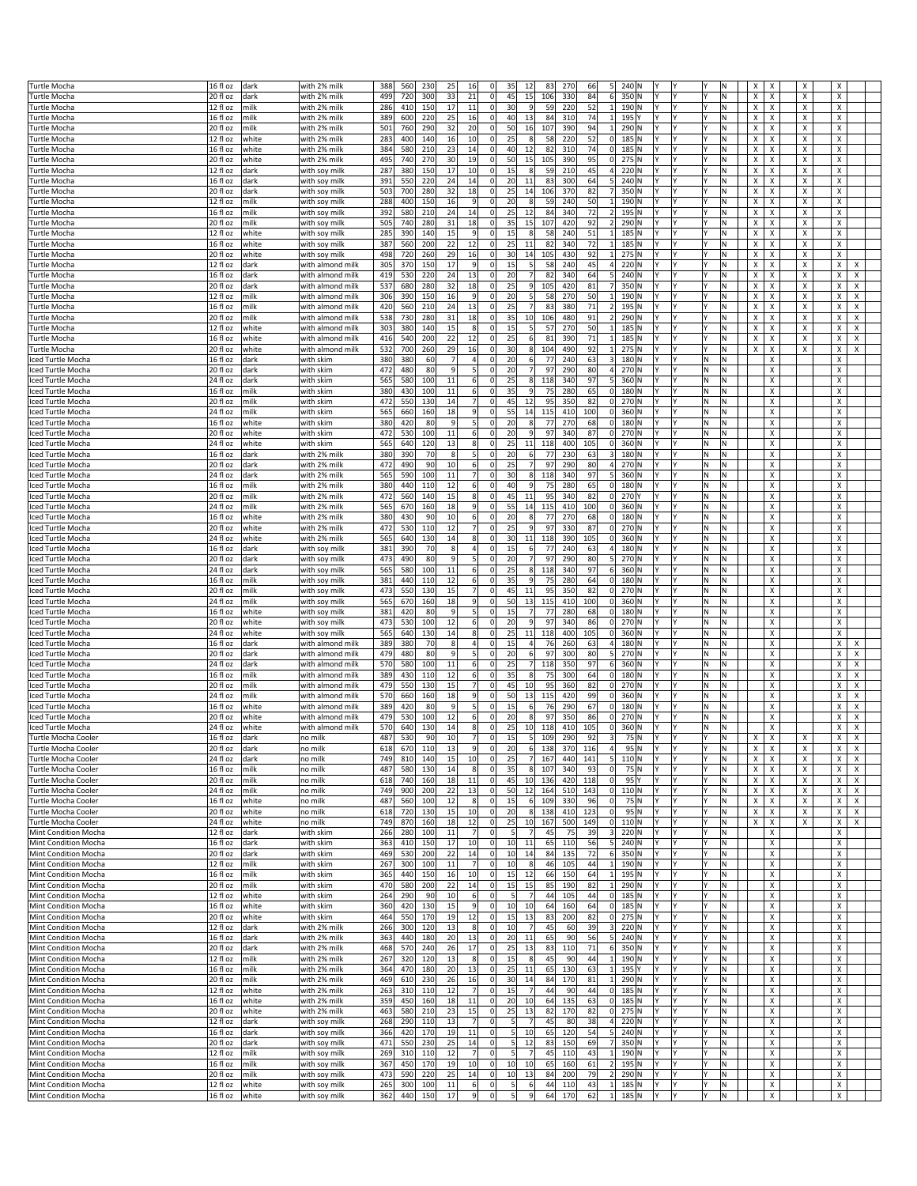| <b>Turtle Mocha</b>                          |                       |       |                  | 388 | 560 | 230<br>25            | 16              | $\mathbf 0$    | 35<br>12                         | 83     | 270 | 66<br>5               | 240 N           |    |     |     | x<br>х |                           | х | X                   |  |
|----------------------------------------------|-----------------------|-------|------------------|-----|-----|----------------------|-----------------|----------------|----------------------------------|--------|-----|-----------------------|-----------------|----|-----|-----|--------|---------------------------|---|---------------------|--|
|                                              | 16 fl oz              | dark  | with 2% milk     | 499 |     | 33                   |                 | $\mathbf 0$    | 45<br>15                         |        |     | 84                    |                 |    |     | N   |        |                           |   | Х                   |  |
| <b>Turtle Mocha</b>                          | 20 fl oz              | dark  | with 2% milk     |     | 720 | 300                  | 21              |                |                                  | 106    | 330 | 6                     | 350 N           |    |     |     | X<br>X |                           | Х |                     |  |
| <b>Turtle Mocha</b>                          | 12 fl oz              | milk  | with 2% milk     | 286 | 410 | 150<br>17            | 11              | $\mathbf 0$    | 30<br>9                          | 59     | 220 | 52<br>$1\vert$        | 190 N<br>Υ      | l۷ |     | N   | х      | X                         | X | х                   |  |
| <b>Turtle Mocha</b>                          | 16 fl oz              | milk  | with 2% milk     | 389 | 600 | 25<br>220            | 16              | $\mathbf 0$    | 13<br>40                         | 84     | 310 | 74<br>$\mathbf{1}$    | 195 Y           |    |     | N   | х      | Χ                         | Х | Х                   |  |
| Turtle Mocha                                 | 20 fl oz              | milk  | with 2% milk     | 501 | 760 | 32<br>290            | 20              | $\mathbf 0$    | 50<br>16                         | 107    | 390 | 94                    | 290 N           |    |     | ΙN  | X<br>X |                           | Х | X                   |  |
| <b>Turtle Mocha</b>                          | 12 fl oz              | white | with 2% milk     | 283 | 400 | 140<br>16            | 10 <sup>1</sup> | $\mathbf 0$    | 25<br>8                          | 58     | 220 | 52<br> 0              | 185 N<br>Υ      |    |     | N   | х      | X                         | X | х                   |  |
| <b>Turtle Mocha</b>                          | 16 fl oz              | white | with 2% milk     | 384 | 580 | 210<br>23            | 14              | $\mathbf 0$    | 40<br>12                         | 82     | 310 | 74<br>$\overline{0}$  | 185 N           |    |     | N   | х      | X                         | Х | Х                   |  |
| Turtle Mocha                                 | 20 fl oz              | white | with 2% milk     | 495 | 740 | 270<br>30            | 19              | $\mathbf 0$    | 15<br>50                         | 105    | 390 | 95<br> 0              | $275$ N         |    |     | N   | Χ<br>X |                           | X | $\pmb{\times}$      |  |
| <b>Turtle Mocha</b>                          | 12 fl oz              | dark  | with soy milk    | 287 | 380 | 150<br>17            | 10 <sup>1</sup> | $\Omega$       | 15<br>8                          | 59     | 210 | 45<br>4               | 220 N<br>Υ      | l۷ |     | N   | х      | X                         | X | х                   |  |
| Turtle Mocha                                 | 16 fl oz              | dark  | with soy milk    | 391 | 550 | 220<br>24            | 14              | $\mathbf 0$    | 20<br>11                         | 83     | 300 | 64<br>5 <sup>1</sup>  | 240 N           |    |     | N   | х      | х                         | Х | х                   |  |
| Turtle Mocha                                 | 20 fl oz              | dark  | with soy milk    | 503 | 700 | 280<br>32            | 18              | $\mathbf 0$    | 25<br>14                         | 106    | 370 | 82                    | 350 N           |    |     | N   | X<br>X |                           | Х | Х                   |  |
| Turtle Mocha                                 | 12 fl oz              | milk  | with soy milk    | 288 | 400 | 150<br>16            | 9 <sup>1</sup>  | $\mathbf 0$    | 20<br>8                          | 59     | 240 | 50<br>$\mathbf{1}$    | 190 N           |    |     | N   | X      | X                         | x | X                   |  |
| <b>Turtle Mocha</b>                          | 16 fl oz              | milk  | with soy milk    | 392 | 580 | 210<br>24            | 14              | $\mathbf 0$    | 25<br>12                         | 84     | 340 | 72<br>2               | 195 N           |    |     | N   | х      | х                         | Х | х                   |  |
|                                              |                       |       |                  |     |     |                      |                 |                |                                  |        |     |                       |                 |    |     |     |        |                           |   |                     |  |
| Turtle Mocha                                 | 20 fl oz              | milk  | with soy milk    | 505 | 740 | 280<br>31            | 18              | $\mathbf 0$    | 15<br>35                         | 107    | 420 | 92<br>$\overline{2}$  | 290 N           |    |     | N   | Χ<br>X |                           | X | $\pmb{\times}$      |  |
| Turtle Mocha                                 | $12$ fl $oz$          | white | with soy milk    | 285 | 390 | 15<br>140            | 9               | $\Omega$       | 15<br>8                          | 58     | 240 | 51<br>$\mathbf{1}$    | $185$ N         |    |     | N   | X<br>X |                           | х | X                   |  |
| <b>Turtle Mocha</b>                          | 16 fl oz              | white | with soy milk    | 387 | 560 | 200<br>22            | 12              | $\mathbf 0$    | 25<br>11                         | 82     | 340 | 72<br>1               | 185 N           |    |     | N   | х      | х                         | х | х                   |  |
| Turtle Mocha                                 | 20 fl oz              | white | with soy milk    | 498 | 720 | 29<br>260            | 16              | $\mathbf 0$    | 30<br>14                         | 105    | 430 | 92                    | 275 N           |    |     | N   | X<br>X |                           | Х | Х                   |  |
| <b>Turtle Mocha</b>                          | 12 fl oz              | dark  | with almond milk | 305 | 370 | 150<br>17            | 9               | $\mathbf 0$    | 15<br>5                          | 58     | 240 | 45<br>$\overline{4}$  | 220 N           |    |     | N   | X      | X                         | Х | х<br>X              |  |
| <b>Turtle Mocha</b>                          | 16 fl oz              | dark  | with almond milk | 419 | 530 | 220<br>24            | 13              | $\mathbf 0$    | 20<br>7                          | 82     | 340 | 64<br>5 <sup>1</sup>  | 240 N<br>Υ      | l۷ | ١Y  | N   | Х      | Χ                         | X | Χ<br>X              |  |
| Turtle Mocha                                 | 20 fl oz              | dark  | with almond milk | 537 | 680 | 280<br>32            | 18              | $\mathbf 0$    | 25<br>9                          | 105    | 420 | 81<br>$\overline{7}$  | 350 N           |    |     | N   | Χ<br>X |                           | Х | X<br>X              |  |
| <b>Turtle Mocha</b>                          | $\overline{12}$ fl oz | milk  | with almond milk | 306 | 390 | 150<br>16            | 9               | $\Omega$       | 20<br>5 <sub>l</sub>             | 58     | 270 | 50<br>$\mathbf{1}$    | 190 N           |    |     | N   | X<br>X |                           | х | х<br>x              |  |
| <b>Turtle Mocha</b>                          | 16 fl oz              | milk  | with almond milk | 420 | 560 | 210<br>24            | 13              | $\mathbf 0$    | 25<br>7                          | 83     | 380 | 71<br>$\overline{2}$  | 195 N<br>Y      | l۷ | ١Y  | N   | Х      | Χ                         | X | Χ<br>X              |  |
| Turtle Mocha                                 | 20 fl oz              | milk  | with almond milk | 538 | 730 | 31<br>280            | 18              | $\mathbf 0$    | 35<br>10                         | 106    | 480 | 91<br>$\overline{2}$  | 290 N           |    |     | N   | X<br>X |                           | Х | X<br>х              |  |
| <b>Turtle Mocha</b>                          | 12 fl oz              | white | with almond milk | 303 | 380 | 140<br>15            | 8               | $\mathbf 0$    | 15<br>5 <sub>l</sub>             | 57     | 270 | 50<br>$\mathbf{1}$    | 185 N           |    |     | N   | X      | X                         | Х | X<br>X              |  |
| <b>Turtle Mocha</b>                          | 16 fl oz              | white | with almond milk | 416 | 540 | 200<br>22            | 12              | $\mathbf 0$    | 25<br>6                          | 81     | 390 | 71<br>$\mathbf{1}$    | 185 N<br>Υ      | l۷ | ١Y  | N   | х      | Χ                         | X | Χ<br>X              |  |
|                                              |                       |       |                  |     |     |                      |                 |                |                                  |        |     | 92<br>$\mathbf{1}$    |                 |    |     |     | X      |                           |   | X                   |  |
| <b>Turtle Mocha</b>                          | 20 fl oz              | white | with almond milk | 532 | 700 | 29<br>260            | 16              | $\mathbf 0$    | 8<br>30                          | 104    | 490 |                       | $275$ N         |    |     | N   | X      |                           | X | X                   |  |
| Iced Turtle Mocha                            | $16f$ l oz            | dark  | with skim        | 380 | 380 | 60<br>$\overline{7}$ | 4               | $\Omega$       | 20<br>6                          | 77     | 240 | 63<br>3               | 180 N           |    | ΙN  | N   |        | X                         |   | X                   |  |
| Iced Turtle Mocha                            | 20 fl oz              | dark  | with skim        | 472 | 480 | 80<br>9              | 5 <sup>1</sup>  | $\mathbf 0$    | 20<br>7                          | 97     | 290 | 80<br>4               | 270 N<br>Y      | l۷ | M   | N   |        | Χ                         |   | Х                   |  |
| ced Turtle Mocha                             | 24 fl oz              | dark  | with skim        | 565 | 580 | $11\,$<br>100        | $6 \mid$        | $\mathbf 0$    | 25<br>8                          | 118    | 340 | 97<br>5 <sup>1</sup>  | 360 N           |    | ١N  | N   |        | X                         |   | Х                   |  |
| ced Turtle Mocha                             | 16 fl oz              | milk  | with skim        | 380 | 430 | 100<br>11            | $6 \mid$        | $\mathbf 0$    | 35<br>9                          | 75     | 280 | 65<br> 0              | 180 N<br>Υ      |    | ١N  | Ν   |        | X                         |   | Х                   |  |
| Iced Turtle Mocha                            | 20 fl oz              | milk  | with skim        | 472 | 550 | 130<br>14            | 7               | $\mathbf 0$    | 45<br>12                         | 95     | 350 | 82<br> 0              | 270 N<br>Y      | l۷ | ١N  | N   |        | X                         |   | Х                   |  |
| Iced Turtle Mocha                            | 24 fl oz              | milk  | with skim        | 565 | 660 | 18<br>160            | 9               | $\mathbf 0$    | 55<br>14                         | 115    | 410 | 0 <br>100             | $360$ N         |    | M   | ΙN  |        | X                         |   | Х                   |  |
| ced Turtle Mocha                             | 16 fl oz              | white | with skim        | 380 | 420 | 80<br>9              | 5               | $\mathbf 0$    | 8<br>20                          | 77     | 270 | 0 <br>68              | 180 N<br>Υ      | I۷ | ΙN  | Ν   |        | X                         |   | Х                   |  |
| Iced Turtle Mocha                            | 20 fl oz              | white | with skim        | 472 | 530 | 100<br>11            | $6 \mid$        | $\mathbf 0$    | 20<br>9                          | 97     | 340 | 87<br> 0              | 270 N<br>Y      | l۷ | M   | N   |        | Χ                         |   | Х                   |  |
| Iced Turtle Mocha                            | 24 fl oz              | white | with skim        | 565 | 640 | 13<br>120            | 8               | $\mathbf 0$    | 25<br>11                         | 118    | 400 | 105<br> 0             | 360 N           |    | M   | N   |        | X                         |   | Х                   |  |
| ced Turtle Mocha                             | 16 fl oz              | dark  | with 2% milk     | 380 | 390 | 70<br>8              | 5               | $\mathbf 0$    | 20<br>6                          | 77     | 230 | 63<br>3               | 180 N           |    | M   | Ν   |        | X                         |   | Х                   |  |
|                                              |                       |       |                  | 472 |     | 90<br>10             | 6 <sup>1</sup>  | $\mathbf 0$    | 7<br>25                          | 97     | 290 | 80<br>4               | 270 N<br>Y      | l۷ | l٧  | N   |        | X                         |   | Х                   |  |
| ced Turtle Mocha                             | 20 fl oz              | dark  | with 2% milk     |     | 490 |                      |                 |                |                                  |        |     |                       |                 |    |     |     |        |                           |   |                     |  |
| Iced Turtle Mocha                            | 24 fl oz              | dark  | with 2% milk     | 565 | 590 | 100<br>11            | 7               | $\mathbf 0$    | 30<br>8 <sup>1</sup>             | 118    | 340 | 5<br>97               | 360 N           |    | M   | Ν   |        | х                         |   | Х                   |  |
| Iced Turtle Mocha                            | 16 fl oz              | milk  | with 2% milk     | 380 | 440 | 110<br>12            | $6 \mid$        | $\mathbf 0$    | 40<br>9                          | 75     | 280 | 65<br> 0              | 180 N<br>Υ      |    | ΙN  | Ν   |        | X                         |   | Х                   |  |
| ced Turtle Mocha                             | 20 fl oz              | milk  | with 2% milk     | 472 | 560 | 140<br>15            | 8               | $\mathbf 0$    | 45<br>11                         | 95     | 340 | 82<br> 0              | 270Y            |    | l٧  | N   |        | X                         |   | X                   |  |
| Iced Turtle Mocha                            | 24 fl oz              | milk  | with 2% milk     | 565 | 670 | 18<br>160            | 9               | $\mathbf 0$    | 55<br>14                         | 115    | 410 | 100<br> 0             | $360$ N         |    | ١N  | N   |        | Χ                         |   | Х                   |  |
| Iced Turtle Mocha                            | 16 fl oz              | white | with 2% milk     | 380 | 430 | 10<br>90             | $6 \mid$        | $\mathbf 0$    | 20<br>8                          | 77     | 270 | 68<br> 0              | 180 N           |    | M   | Ν   |        | X                         |   | Х                   |  |
| Iced Turtle Mocha                            | 20 fl oz              | white | with 2% milk     | 472 | 530 | 12<br>110            | $\overline{7}$  | $\mathbf 0$    | 25<br>9                          | 97     | 330 | 87<br> 0              | 270 N           |    | l٧  | N   |        | X                         |   | X                   |  |
| Iced Turtle Mocha                            | 24 fl oz              | white | with 2% milk     | 565 | 640 | 130<br>14            | 8               | $\mathbf 0$    | 30<br>11                         | 118    | 390 | 105<br> 0             | 360 N<br>Υ      | l۷ | M   | N   |        | X                         |   | Х                   |  |
| iced Turtle Mocha                            | 16 fl oz              | dark  | with soy milk    | 381 | 390 | 70<br>8              | 4               | $\mathbf 0$    | 15<br>6                          | 77     | 240 | 63<br>4               | 180 N<br>Υ      |    | N   | Ν   |        | X                         |   | х                   |  |
| Iced Turtle Mocha                            | 20 fl oz              | dark  | with soy milk    | 473 | 490 | 80<br>q              | 5               | $\mathbf 0$    | 20<br>7                          | 97     | 290 | 80<br>5 <sup>1</sup>  | 270 N           |    | l٧  | N   |        | X                         |   | Х                   |  |
|                                              |                       |       |                  | 565 | 580 | 100<br>11            | 6               | $\mathbf 0$    | 25<br>8                          | 118    | 340 | 97                    | $360$ N<br>Υ    |    |     |     |        | X                         |   | Х                   |  |
| Iced Turtle Mocha                            | 24 fl oz              | dark  | with soy milk    |     |     |                      |                 |                |                                  |        |     | 6                     |                 |    | ١N  | N   |        |                           |   |                     |  |
| Iced Turtle Mocha                            | 16 fl oz              | milk  | with soy milk    | 381 | 440 | 12<br>110            | $6 \mid$        | $\mathbf 0$    | 35<br>$\overline{9}$             | 75     | 280 | 64<br> 0              | 180 N           |    | M   | Ν   |        | X                         |   | X                   |  |
| Iced Turtle Mocha                            | 20 fl oz              | milk  | with soy milk    | 473 | 550 | 130<br>15            | $\overline{7}$  | $\mathbf 0$    | 45<br>11                         | 95     | 350 | 82<br> 0              | 270 N           |    | l٧  | N   |        | X                         |   | Х                   |  |
| ced Turtle Mocha                             | 24 fl oz              | milk  | with soy milk    | 565 | 670 | 160<br>18            | 9               | $\mathbf 0$    | 50<br>13                         | 115    | 410 | 0 <br>100             | 360 N<br>Υ      | l۷ | M   | N   |        | X                         |   | X                   |  |
| iced Turtle Mocha                            | 16 fl oz              | white | with soy milk    | 381 | 420 | 80<br>9              | 5               | $\mathbf 0$    | 15<br>7                          | 77     | 280 | 68<br> 0              | 180 N           |    | N   | Ν   |        | х                         |   | Х                   |  |
| Iced Turtle Mocha                            | 20 fl oz              | white | with soy milk    | 473 | 530 | 100<br>12            | $6 \mid$        | $\mathbf 0$    | 20<br>$\overline{9}$             | 97     | 340 | 86<br> 0              | 270 N           |    | l٧  | N   |        | X                         |   | Х                   |  |
| Iced Turtle Mocha                            | 24 fl oz              | white | with soy milk    | 565 | 640 | 130<br>14            | 8               | $\mathbf 0$    | 25<br>11                         | 118    | 400 | 105<br> 0             | $360$ N<br>Υ    |    | ١N  | N   |        | X                         |   | X                   |  |
| Iced Turtle Mocha                            | 16 fl oz              | dark  | with almond milk | 389 | 380 | 70<br>8              | 4               | $\mathbf 0$    | 15<br>$\overline{4}$             | 76     | 260 | 63<br>4               | 180 N           |    | ΙN  | Ν   |        | X                         |   | Х<br>X              |  |
| Iced Turtle Mocha                            | 20 fl oz              | dark  | with almond milk | 479 | 480 | $\overline{9}$<br>80 | $\mathsf{S}$    | $\mathbf 0$    | $\sqrt{6}$<br>20                 | 97     | 300 | $\mathbf{5}$<br>80    | 270 N           |    | N)  | N   | X      |                           |   | X<br>$\pmb{\times}$ |  |
| Iced Turtle Mocha                            | 24 fl oz              | dark  | with almond milk | 570 | 580 | 100<br>11            | $6 \mid$        | $\mathbf 0$    | 25<br>7                          | 118    | 350 | 97<br>6               | 360 N<br>Υ      | l۷ | M   | N   |        | X                         |   | X<br>X              |  |
| Iced Turtle Mocha                            | 16 fl oz              | milk  | with almond mill | 389 | 430 | 110<br>12            | 6               | $\mathbf 0$    | 35<br>8                          | 75     | 300 | 64<br> 0              | 180 N           |    | ΙN  | Ν   |        | х                         |   | Х<br>x              |  |
|                                              | 20 fl oz              |       | with almond milk | 479 | 550 | 15<br>130            | 7               | $\mathbf 0$    | 45<br>10                         | 95     | 360 | 82<br> 0              | 270 N           |    | l٧  | N   | X      |                           |   | X<br>X              |  |
| ced Turtle Mocha                             |                       | milk  |                  |     |     |                      | 9               |                |                                  |        |     |                       | Υ               |    |     |     |        |                           |   |                     |  |
| ced Turtle Mocha                             | 24 fl oz              | milk  | with almond milk | 570 | 660 | 160<br>18            |                 | $\mathbf 0$    | 13<br>50                         | 115    | 420 | 99<br> 0              | 360 N           |    | ١N  | N   |        | X                         |   | X<br>X              |  |
| Iced Turtle Mocha                            | 16 fl oz              | white | with almond mill | 389 | 420 | 80<br>9              | 5               | $\mathbf 0$    | 15<br>6                          | 76     | 290 | 67<br> 0              | 180 N           |    | ΙN  | Ν   |        | Χ                         |   | X<br>x              |  |
| Iced Turtle Mocha                            | 20 fl oz              | white | with almond mill | 479 | 530 | 100<br>12            | 6               | $\mathbf 0$    | 8<br>20                          | 97     | 350 | 86<br>$\overline{0}$  | 270 N           | l٧ | N   | N   |        | X                         |   | X<br>$\pmb{\times}$ |  |
| Iced Turtle Mocha                            | 24 fl oz              | white | with almond milk | 570 | 640 | 130<br>14            | 8               | $\Omega$       | 25<br>10 <sup>1</sup>            | 118    | 410 | 105<br>$\overline{0}$ | $360$ N<br>Υ    | l۷ | N   | N   |        | X                         |   | X<br>x              |  |
| Turtle Mocha Cooler                          | 16 fl oz              | dark  | no milk          | 487 | 530 | 90<br>10             | 7               | $\Omega$       | 15<br>$5 \frac{1}{2}$            | 109    | 290 | 92<br>$\vert$ 3       | 75 N<br>Y       | IY |     | Ν   | х      | х                         | х | х<br>х              |  |
| Turtle Mocha Coole                           | 20 fl oz              | dark  | ບ …              | 618 | 670 | 13<br>110            | $\alpha$        |                | $\epsilon$                       | 138    | 370 | 116                   | 95 N            |    |     |     |        |                           |   |                     |  |
| Turtle Mocha Cooler                          | $24$ fl oz            | dark  | no milk          | 749 | 810 | 140<br>15            | 10 <sup>1</sup> | $\Omega$       | 25<br>7                          | 167    | 440 | 141<br>5 <sup>1</sup> | 110 N           |    |     | N   | X      | Χ                         | Х | Х<br>X              |  |
| Turtle Mocha Cooler                          | 16 fl oz              | milk  | no milk          | 487 | 580 | 130<br>14            | 8 <sup>1</sup>  | $\mathbf 0$    | 35<br>8                          | 107    | 340 | 93<br> 0              | 75 N            |    |     | M.  | X<br>х |                           | Х | Х<br>Х              |  |
| Turtle Mocha Cooler                          | 20 fl oz              | milk  | no milk          | 618 | 740 | 160<br>18            | 11              | $\mathbf 0$    | 45<br>10                         | 136    | 420 | 118<br> 0             | 95<br>Y         |    |     | M.  | X<br>X |                           | X | X<br>$\pmb{\times}$ |  |
| Turtle Mocha Cooler                          | 24 fl oz              | milk  | no milk          | 749 | 900 | 22<br>200            | 13              | $\overline{0}$ | 50                               | 12 164 | 510 | 143                   | $0$ 110 N<br>Υ  |    |     | N   | X      | Χ                         | x | X<br>X              |  |
| Turtle Mocha Cooler                          | 16 fl oz              | white | no milk          | 487 | 560 | 100<br>12            | 8 <sup>2</sup>  | $\mathbf 0$    | 15<br>6                          | 109    | 330 | 96<br> 0              | 75 N<br>l۷      | l۷ | l۷  | M.  | X<br>X |                           | X | Χ<br>X              |  |
| Turtle Mocha Cooler                          | 20 fl oz              | white | no milk          | 618 | 720 | 15<br>130            | 10              | $\mathbf 0$    | 20<br>8                          | 138    | 410 | 123<br> 0             | 95 N            |    |     | N   | Χ      | X                         | Х | Х<br>Х              |  |
| Turtle Mocha Cooler                          | 24 fl oz              | white | no milk          | 749 | 870 | 18<br>160            | 12              | $\Omega$       | 25<br>10                         | 167    | 500 | 149                   | $0$ 110 N       |    |     | N   | x      | Χ                         | Х | Х<br>X              |  |
|                                              | 12 fl oz              | dark  |                  | 266 | 280 | 100<br>11            | 7               | $\mathbf 0$    | 7<br>$5 \vert$                   | 45     | 75  | 39                    | $3$ 220 N<br>Y  | l۷ | l۷  | M.  |        | X                         |   | Х                   |  |
| Mint Condition Mocha<br>Mint Condition Mocha |                       |       | with skim        |     | 410 | 150<br>17            | 10              | $\mathbf 0$    | 11<br>10                         |        | 110 | 56                    | 240 N           |    |     | N   |        | X                         |   | Х                   |  |
|                                              | 16 fl oz              | dark  | with skim        | 363 |     |                      |                 |                |                                  | 65     |     | 5                     | Υ               |    |     |     |        |                           |   |                     |  |
| Mint Condition Mocha                         | 20 fl oz              | dark  | with skim        | 469 | 530 | 22<br>200            | 14              | $\Omega$       | 10<br>14                         | 84     | 135 | 72<br>6               | 350 N           |    |     | N   |        | X                         |   | Х                   |  |
| Mint Condition Mocha                         | 12 fl oz              | milk  | with skim        | 267 | 300 | 100<br>11            | 7               | $\mathbf 0$    | 10<br>8                          | 46     | 105 | 44<br>$1\vert$        | 190 N<br>I٢     | l۷ | l۷  | M.  | X      |                           |   | Χ                   |  |
| Mint Condition Mocha                         | 16 fl oz              | milk  | with skim        | 365 | 440 | 150<br>16            | 10 <sup>1</sup> | $\mathbf 0$    | 15<br>12                         | 66     | 150 | 64<br>1               | 195 N           |    |     | N   |        | Χ                         |   | Х                   |  |
| Mint Condition Mocha                         | 20 fl oz              | milk  | with skim        | 470 | 580 | 22<br>200            | 14              | $\Omega$       | 15<br>15                         | 85     | 190 | 82<br>$1\vert$        | 290 N           |    |     | N   |        | Χ                         |   | Х                   |  |
| Mint Condition Mocha                         | 12 fl oz              | white | with skim        | 264 | 290 | 90<br>10             | 6               | $\mathbf 0$    | $\overline{7}$<br>-51            | 44     | 105 | 44                    | $0$ 185 N<br>l۷ | l۷ | l۷  | M.  | X      |                           |   | Χ                   |  |
| Mint Condition Mocha                         | 16 fl oz              | white | with skim        | 360 | 420 | 15<br>130            | 9               | $\circ$        | 10<br>10                         | 64     | 160 | 0 <br>64              | 185 N           |    |     | N   |        | X                         |   | X                   |  |
| Mint Condition Mocha                         | 20 fl oz              | white | with skim        | 464 | 550 | 170<br>19            | 12              | $\overline{0}$ | 15<br>13                         | 83     | 200 | 82<br> 0              | 275 N<br>Y      | I٢ |     | N   |        | X                         |   | X                   |  |
| Mint Condition Mocha                         | 12 fl oz              | dark  | with 2% milk     | 266 | 300 | 120<br>13            | 8 <sup>2</sup>  | $\Omega$       | 10<br>7                          | 45     | 60  | 39                    | 3 220 N<br>I٢   | l۷ | l۷  | M.  |        | $\boldsymbol{\mathsf{x}}$ |   | Χ                   |  |
| Mint Condition Mocha                         | 16 fl oz              | dark  | with 2% milk     | 363 | 440 | 20<br>180            | 13              | $\pmb{0}$      | 20<br>11                         | 65     | 90  | 56<br>5 <sup>1</sup>  | 240 N           |    |     | N   |        | Х                         |   | Х                   |  |
|                                              | 20 fl oz              | dark  | with 2% milk     | 468 | 570 | 26<br>240            | 17              | $\mathbf 0$    | 25<br>13                         | 83     | 110 | 71<br>6               | 350 N           |    |     | N   |        | X                         |   | Х                   |  |
| Mint Condition Mocha                         |                       |       |                  | 267 | 320 | 120<br>13            | 8               | $\Omega$       | 15<br>8                          | 45     | 90  | 44                    | 1 190 N<br>I٢   | l۷ | l۷  | M.  | X      |                           |   | Χ                   |  |
| Mint Condition Mocha                         | 12 fl oz              | milk  | with 2% milk     |     |     |                      |                 | $\Omega$       | 25<br>11                         | 65     |     |                       |                 |    |     |     |        |                           |   |                     |  |
|                                              |                       |       |                  |     |     |                      |                 |                |                                  |        |     |                       | Υ               |    |     |     |        |                           |   |                     |  |
| Mint Condition Mocha                         | 16 fl oz              | milk  | with 2% milk     | 364 | 470 | 20<br>180            | 13              |                |                                  |        | 130 | 63<br>$1\vert$        | 195 Y           |    |     | N   |        | X                         |   | Х                   |  |
| Mint Condition Mocha                         | 20 fl oz              | milk  | with 2% milk     | 469 | 610 | 230<br>26            | 16              | $\Omega$       | 30<br>14                         | 84     | 170 | 81<br>$1\vert$        | 290 N<br>Y      |    |     | N   |        | X                         |   | х                   |  |
| Mint Condition Mocha                         | $12f$ l oz            | white | with 2% milk     | 263 | 310 | 12<br>110            | 7               | $\mathbf 0$    | 15<br>7                          | 44     | 90  | 44<br> 0              | 185 N<br>Υ      | l۷ |     | M.  |        | Х                         |   | Х                   |  |
| Mint Condition Mocha                         | 16 fl oz              | white | with 2% milk     | 359 | 450 | 18<br>160            | 11              | 0              | 20<br>10                         | 64     | 135 | 63<br> 0              | 185 N<br>Υ      |    |     | M.  |        | х                         |   | х                   |  |
| Mint Condition Mocha                         | 20 fl oz              | white | with 2% milk     | 463 | 580 | 23<br>210            | 15              | $\mathbf 0$    | 25<br>13                         | 82     | 170 | 82<br> 0              | 275 N           |    |     | N   |        | X                         |   | Х                   |  |
| Mint Condition Mocha                         | $12f$ l oz            | dark  | with soy milk    | 268 | 290 | 13<br>110            | 7               | $\mathbf 0$    | 5 <sub>l</sub><br>7              | 45     | 80  | 38<br>4               | 220 N<br>Υ      | l٢ |     | N   |        | X                         |   | X                   |  |
| Mint Condition Mocha                         | 16 fl oz              | dark  | with soy milk    | 366 | 420 | 170<br>19            | 11              | $\Omega$       | 5 <sub>l</sub><br>10             | 65     | 120 | 5 <sup>1</sup><br>54  | 240 N<br>IY     | I۷ |     | M.  |        | х                         |   | х                   |  |
| Mint Condition Mocha                         | 20 fl oz              | dark  | with soy milk    | 471 | 550 | 25<br>230            | 14              | $\Omega$       | 12<br>5 <sub>l</sub>             | 83     | 150 | 69<br>7               | 350 N<br>Y      | I۷ |     | N   |        | Х                         |   | X                   |  |
| Mint Condition Mocha                         | 12 fl oz              | milk  | with soy milk    | 269 | 310 | 12<br>110            | 7               | $\mathbf 0$    | 5 <sub>l</sub><br>$\overline{7}$ | 45     | 110 | 43<br>$1\vert$        | 190 N<br>Y      |    |     | N   |        | Х                         |   | Х                   |  |
| Mint Condition Mocha                         | 16 fl oz              | milk  | with soy milk    | 367 | 450 | 170<br>19            | 10 <sup>1</sup> | $\Omega$       | 10<br>10                         | 65     | 160 | 61<br>2               | 195 N<br>I٢     | l۷ | l۷  | M.  |        | Χ                         |   | Χ                   |  |
| Mint Condition Mocha                         | 20 fl oz              | milk  | with soy milk    | 473 | 590 | 220<br>25            | 14              | $\Omega$       | 10<br>13                         | 84     | 200 | 79<br>2               | 290 N<br>Y      | I٢ | lY. | IN. |        | X                         |   | Х                   |  |
| Mint Condition Mocha                         | 12 fl oz              | white | with soy milk    | 265 | 300 | 100<br>11            | 6               | $\mathbf 0$    | $\overline{5}$<br>6              | 44     | 110 | 43<br>1               | 185 N<br>l٢     | l٢ |     | N   |        | X                         |   | X                   |  |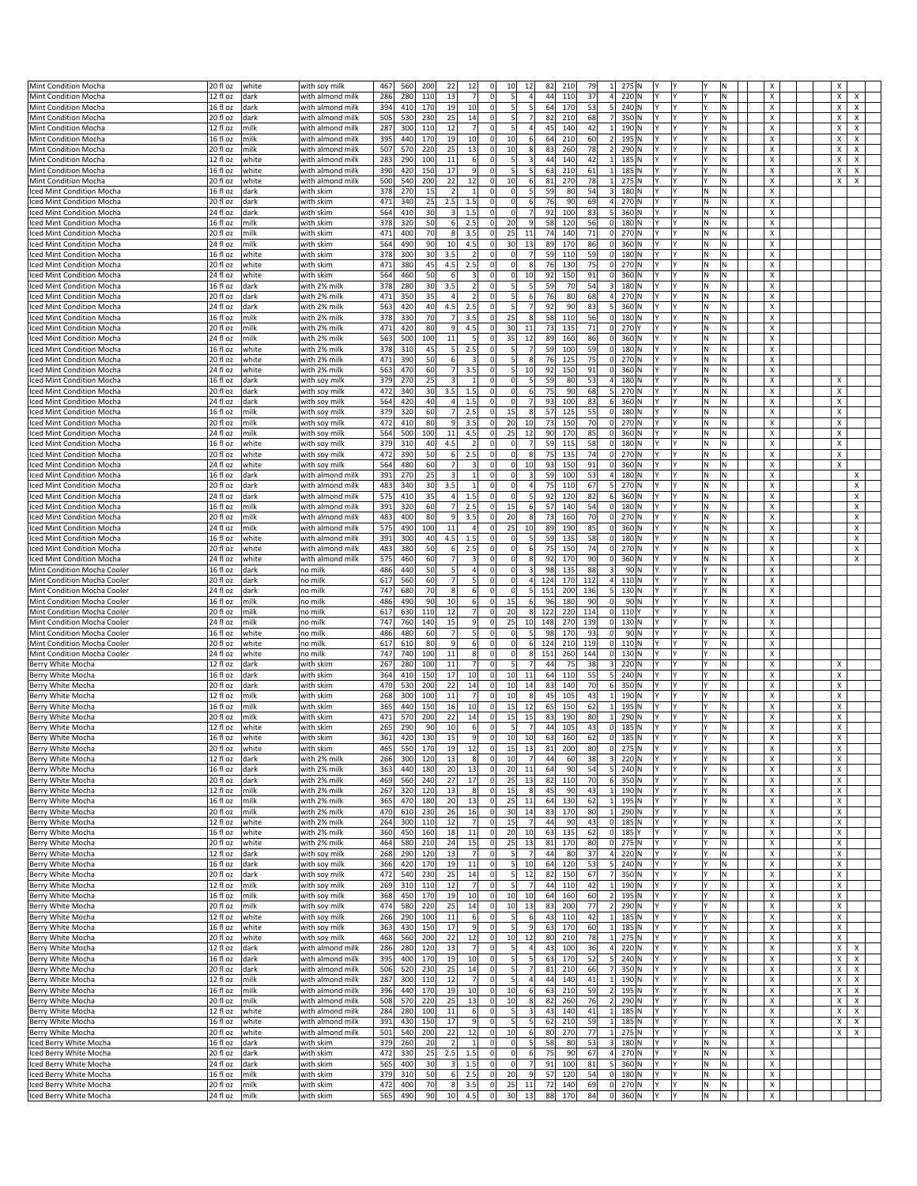| Mint Condition Mocha                             |                             |       |                        |            | 560        | 200<br>22                          | 12             | 10                                     | 12                                     | 82<br>210              | 79       | $\mathbf{1}$            | 275 N |          |                 |          |         | х      |                     |
|--------------------------------------------------|-----------------------------|-------|------------------------|------------|------------|------------------------------------|----------------|----------------------------------------|----------------------------------------|------------------------|----------|-------------------------|-------|----------|-----------------|----------|---------|--------|---------------------|
|                                                  | 20 fl oz<br>12 fl oz        | white | with soy milk          | 467<br>286 |            | 110<br>13                          | $\overline{7}$ | $\Omega$                               | 5<br>4                                 | 110                    | 37       | 4                       | 220 N |          |                 |          | N       |        | х                   |
| Mint Condition Mocha                             |                             | dark  | with almond milk       |            | 280        |                                    |                |                                        |                                        | 44                     |          |                         |       |          |                 |          |         | X      | x                   |
| Mint Condition Mocha                             | 16 fl oz                    | dark  | with almond milk       | 394        | 410        | 170<br>19                          | 10             | $\Omega$                               | 5<br>5                                 | 64<br>170              | 53       | $\vert$                 | 240 N |          | l٧              |          | N       | X      | X<br>x              |
| Mint Condition Mocha                             | 20 fl oz                    | dark  | with almond milk       | 505        | 530        | 230<br>25                          | 14             | 0                                      | 5 <sub>l</sub><br>$\overline{7}$       | 82<br>210              | 68       | $\overline{7}$          | 350 N |          |                 |          | Ν       | х      | х<br>х              |
| Mint Condition Mocha                             | 12 fl oz                    | milk  | with almond milk       | 287        | 300        | 12<br>110                          |                |                                        | 5                                      | 45<br>140              | 42       |                         | 190 N |          |                 |          | N       | X      | X<br>X              |
| Mint Condition Mocha                             | 16 fl oz                    | milk  | with almond milk       | 395        | 440        | 19<br>170                          | 10             | $\Omega$<br>10                         | 6                                      | 210<br>64              | 60       | $\overline{2}$          | 195 N |          |                 |          | N       | X      | X<br>х              |
| Mint Condition Mocha                             | 20 fl oz                    | milk  | with almond milk       | 507        | 570        | 220<br>25                          | 13             | O<br>10                                | 8                                      | 83<br>260              | 78       | $\overline{2}$          | 290 N |          |                 |          | Ν       | X      | х<br>х              |
|                                                  |                             |       |                        |            |            |                                    |                |                                        | 5                                      |                        |          |                         |       |          |                 |          |         |        |                     |
| Mint Condition Mocha                             | 12 fl oz                    | white | with almond milk       | 283        | 290        | 100<br>$11\,$                      | 6              | $\Omega$                               |                                        | 44<br>140              | 42       | $1\overline{ }$         | 185 N |          | l۷              |          | N       | X      | Χ<br>X              |
| Mint Condition Mocha                             | 16 fl oz                    | white | with almond milk       | 390        | 420        | 150<br>17                          | $\overline{9}$ | O                                      | 5<br>5 <sub>l</sub>                    | 63<br>210              | 61       | $1\vert$                | 185 N |          | l۷              |          | N       | X      | X<br>х              |
| Mint Condition Mocha                             | 20 fl oz                    | white | with almond milk       | 500        | 540        | 200<br>22                          | 12             | O<br>10                                | $6 \overline{6}$                       | 81<br>270              | 78       | $\mathbf{1}$            | 275 N |          |                 |          | Ν       | х      | х<br>х              |
| Iced Mint Condition Mocha                        | 16 fl oz                    | dark  | with skim              | 378        | 270        | 15<br>$\overline{2}$               |                |                                        | 5<br>$\Omega$                          | 59<br>80               | 54       | $\overline{3}$          | 180 N |          |                 | N        | Ν       | X      |                     |
| ced Mint Condition Mocha                         | 20 fl oz                    | dark  | with skim              | 471        | 340        | 25<br>2.5                          | 1.5            | $\mathbf 0$                            | $\Omega$<br>$6 \overline{6}$           | 76<br>90               | 69       | 4                       | 270 N |          |                 | ΙN       | N       | X      |                     |
|                                                  |                             |       |                        |            |            |                                    |                |                                        |                                        |                        |          |                         |       |          |                 |          |         |        |                     |
| Iced Mint Condition Mocha                        | 24 fl oz                    | dark  | with skim              | 564        | 410        | 30<br>$\left  \frac{3}{2} \right $ | 1.5            | O                                      | $\Omega$<br>$\overline{7}$             | 92<br>100              | 83       | 5 <sup>1</sup>          | 360 N |          |                 | N        | Ν       | х      |                     |
| ced Mint Condition Mocha                         | 16 fl oz                    | milk  | with skim              | 378        | 320        | 50<br>6                            | 2.5            | 20                                     | 9                                      | 58<br>120              | 56       | 0                       | 180 N |          | l٧              | N        | Ν       | X      |                     |
| ced Mint Condition Mocha                         | 20 fl oz                    | milk  | with skim              | 471        | 400        | 70<br>8 <sup>1</sup>               | 3.5            | $\Omega$<br>25                         | 11                                     | 74<br>140              | 71       | 0                       | 270 N |          |                 | N        | N       | X      |                     |
| Iced Mint Condition Mocha                        | 24 fl oz                    | milk  | with skim              | 564        | 490        | 10<br>90                           | 4.5            | 30<br>0                                | 13                                     | 89<br>170              | 86       | 0                       | 360 N |          | l٢              | ΙN       | Ν       | х      |                     |
|                                                  |                             |       |                        | 378        | 300        | 3.5<br>30                          |                |                                        | $\Omega$                               | 59<br>110              | 59       | 0                       | 180 N |          |                 | N        | Ν       | X      |                     |
| ced Mint Condition Mocha                         | 16 fl oz                    | white | with skim              |            |            |                                    |                |                                        |                                        |                        |          |                         |       |          |                 |          |         |        |                     |
| ced Mint Condition Mocha                         | 20 fl oz                    | white | with skim              | 471        | 380        | 45<br>4.5                          | 2.5            | $\Omega$                               | $\Omega$<br>8                          | 76<br>130              | 75       | 0                       | 270 N |          |                 | N        | N       | X      |                     |
| Iced Mint Condition Mocha                        | 24 fl oz                    | white | with skim              | 564        | 460        | 50<br>6                            | 3              | $\Omega$                               | $\Omega$<br>10                         | 92<br>150              | 91       | 0                       | 360 N | Υ        | l۷              | M        | N       | Χ      |                     |
| ced Mint Condition Mocha                         | 16 fl oz                    | dark  | with 2% milk           | 378        | 280        | 3.5<br>30                          | $\overline{2}$ | 0                                      | 5<br>5 <sup>1</sup>                    | 59<br>70               | 54       | $\vert$ 3               | 180 N |          | l٧              | N        | Ν       | X      |                     |
| ced Mint Condition Mocha                         | 20 fl oz                    | dark  | with 2% milk           | 471        | 350        | 35<br>$\overline{a}$               | $\overline{2}$ | $\Omega$                               | $6 \overline{6}$<br>5 <sub>l</sub>     | 76<br>80               | 68       | 4                       | 270 N |          |                 | N        | N       | X      |                     |
|                                                  | 24 fl oz                    |       |                        | 563        | 420        | 40<br>4.5                          |                | $\Omega$                               | 5<br>$\overline{7}$                    | 92<br>90               | 83       | 5 <sup>1</sup>          | 360 N | l۷       | l۷              |          |         | х      |                     |
| Iced Mint Condition Mocha                        |                             | dark  | with 2% milk           |            |            |                                    | 2.5            |                                        |                                        |                        |          |                         |       |          |                 | M        | Ν       |        |                     |
| ced Mint Condition Mocha                         | 16 fl oz                    | milk  | with 2% milk           | 378        | 330        | 70<br>7                            | 3.5            | 25                                     | 8                                      | 58<br>110              | 56       | 0                       | 180 N |          |                 | ΙN       | Ν       | X      |                     |
| ced Mint Condition Mocha                         | 20 fl oz                    | milk  | with 2% milk           | 471        | 420        | 80<br>9                            | 4.5            | 30                                     | 11                                     | 73<br>135              | 71       | 0                       | 270 Y |          |                 | ΙN       | N       | X      |                     |
| Iced Mint Condition Mocha                        | 24 fl oz                    | milk  | with 2% milk           | 563        | 500        | 100<br>11                          | 5              | 35<br>$\Omega$                         | 12                                     | 89<br>160              | 86       | 0                       | 360 N | l۷       | l۷              | M        | N       | Χ      |                     |
| ced Mint Condition Mocha                         | 16 fl oz                    | white | with 2% milk           | 378        | 310        | 5 <sup>1</sup><br>45               | 2.5            | $\mathbf 0$                            | 5<br>$\overline{7}$                    | 59<br>100              | 59       | 0                       | 180 N |          | l۷              | N        | N       | X      |                     |
|                                                  |                             |       |                        | 471        | 390        | 50<br>6                            | $\overline{3}$ | $\Omega$                               | 8                                      | 76<br>125              | 75       | 0                       | 270 N |          |                 | N        | N       | X      |                     |
| Iced Mint Condition Mocha                        | 20 fl oz                    | white | with 2% milk           |            |            |                                    |                |                                        | 5 <sub>l</sub>                         |                        |          |                         |       |          |                 |          |         |        |                     |
| Iced Mint Condition Mocha                        | 24 fl oz                    | white | with 2% milk           | 563        | 470        | 60<br>7 <sup>1</sup>               | 3.5            | $\Omega$                               | 5<br>10                                | 92<br>150              | 91       | 0                       | 360 N | l۷       | l۷              | M        | N       | х      |                     |
| ced Mint Condition Mocha                         | 16 fl oz                    | dark  | with soy milk          | 379        | 270        | $\overline{\mathbf{3}}$<br>25      |                | O                                      | $\mathbf 0$<br>5                       | 59<br>80               | 53       | $\overline{4}$          | 180 N |          |                 | ΙN       | Ν       | X      | х                   |
| Iced Mint Condition Mocha                        | 20 fl oz                    | dark  | with soy milk          | 472        | 340        | 30<br>3.5                          | 1.5            | O                                      | $\Omega$<br>6                          | 75<br>90               | 68       | $\vert$                 | 270 N | ٧        |                 | ΙN       | Ν       | X      | х                   |
| Iced Mint Condition Mocha                        | 24 fl oz                    | dark  | with soy milk          | 564        | 420        | 40<br>4                            | 1.5            | $\Omega$                               | $\Omega$<br>$\overline{7}$             | 93<br>100              | 83       | $6 \mid$                | 360 N | l۷       | l۷              | M        | M.      | X      | Х                   |
|                                                  |                             |       |                        |            |            | 7<br>60                            | 2.5            | 15<br>O                                | $\boldsymbol{8}$                       | 57                     | 55       |                         |       |          | l۷              | ΙN       | Ν       | X      |                     |
| ced Mint Condition Mocha                         | 16 fl oz                    | milk  | with soy milk          | 379        | 320        |                                    |                |                                        |                                        | 125                    |          | 0                       | 180 N |          |                 |          |         |        | х                   |
| Iced Mint Condition Mocha                        | 20 fl oz                    | milk  | with soy milk          | 472        | 410        | 80<br>9                            | 3.5            | 20<br>$\Omega$                         | 10                                     | 73<br>150              | 70       | 0                       | 270 N | I٧       | l۷              | ΙN       | Ν       | х      | X                   |
| <b>Iced Mint Condition Mocha</b>                 | 24 fl oz                    | milk  | with soy milk          | 564        | 500        | 100<br>11                          | 4.5            | 25<br>$\Omega$                         | 12                                     | 90<br>170              | 85       | 0                       | 360 N | l۷       | l۷              | M        | N       | X      | х                   |
| ced Mint Condition Mocha                         | 16 fl oz                    | white | with soy milk          | 379        | 310        | 4.5<br>40                          | $\overline{2}$ | O                                      | $\mathbf 0$<br>$\overline{7}$          | 59<br>115              | 58       | 0                       | 180 N |          |                 | ΙN       | Ν       | X      | х                   |
| Iced Mint Condition Mocha                        | 20 fl oz                    | white | with soy milk          | 472        | 390        | 50<br>6                            | 2.5            | -0                                     | $\Omega$<br>8                          | 75<br>135              | 74       | 0                       | 270 N |          |                 | N        | Ν       | х      | X                   |
|                                                  |                             |       |                        |            |            | 7 <sup>1</sup>                     | $\overline{3}$ | $\Omega$                               | $\Omega$                               |                        |          |                         |       | l۷       | l٧              |          | N       |        | X                   |
| Iced Mint Condition Mocha                        | 24 fl oz                    | white | with soy milk          | 564        | 480        | 60                                 |                |                                        | 10                                     | 93<br>150              | 91       | 0                       | 360 N |          |                 | l٧       |         | X      |                     |
| ced Mint Condition Mocha                         | 16 fl oz                    | dark  | with almond milk       | 391        | 270        | 3<br>25                            | $\mathbf{1}$   | O                                      | $\mathbf 0$<br>$\overline{\mathbf{3}}$ | 59<br>100              | 53       | 4                       | 180 N |          |                 | N        | Ν       | х      | X                   |
| Iced Mint Condition Mocha                        | 20 fl oz                    | dark  | with almond milk       | 483        | 340        | 30<br>3.5                          | $\mathbf{1}$   | O                                      | $\overline{4}$<br>$\Omega$             | 75<br>110              | 67       | $\mathbf{5}$            | 270 N |          | I۷              | N        | Ν       | X      | х                   |
| Iced Mint Condition Mocha                        | 24 fl oz                    | dark  | with almond milk       | 575        | 410        | 35<br>4 <sup>1</sup>               | 1.5            |                                        | $\Omega$<br>5                          | 92<br>120              | 82       | 6                       | 360 N | l٧       |                 | l٧       | N       | X      | х                   |
| ced Mint Condition Mocha                         | 16 fl oz                    | milk  | with almond milk       | 391        | 320        | 7<br>60                            | 2.5            | 15<br>O                                | 6                                      | 57<br>140              | 54       | 0                       | 180 N |          |                 | ΙN       | Ν       | х      | х                   |
|                                                  |                             |       |                        |            |            |                                    |                |                                        |                                        |                        |          |                         |       |          |                 |          |         |        |                     |
| Iced Mint Condition Mocha                        | 20 fl oz                    | milk  | with almond milk       | 483        | 400        | 80<br>9                            | 3.5            | 20                                     | 8                                      | 73<br>160              | 70       | 0                       | 270 N |          |                 | N        | Ν       | X      | х                   |
| Iced Mint Condition Mocha                        | 24 fl oz                    | milk  | with almond milk       | 575        | 490        | 100<br>11                          | $\overline{a}$ | $\Omega$<br>25                         | 10                                     | 89<br>190              | 85       | 0                       | 360 N |          |                 | N        | N       | X      | x                   |
| Iced Mint Condition Mocha                        | 16 fl oz                    | white | with almond milk       | 391        | 300        | 40<br>4.5                          | 1.5            | O                                      | $\mathbf 0$<br>5 <sub>5</sub>          | 59<br>135              | 58       | 0                       | 180 N |          | l۷              | N        | N       | X      | х                   |
| Iced Mint Condition Mocha                        | 20 fl oz                    | white | with almond milk       | 483        | 380        | 50<br>6                            | 2.5            | O                                      | $6 \overline{6}$<br>$\Omega$           | 75<br>150              | 74       | 0                       | 270 N |          | l٢              | N        | Ν       | х      | х                   |
|                                                  |                             |       |                        |            |            | 60<br>7 <sup>1</sup>               | 3              |                                        | $\Omega$<br>8                          | 170                    | 90       | 0                       |       |          |                 | N        | Ν       |        | х                   |
| Iced Mint Condition Mocha                        | 24 fl oz                    | white | with almond milk       | 575        | 460        |                                    |                |                                        |                                        | 92                     |          |                         | 360 N |          |                 |          |         | X      |                     |
| Mint Condition Mocha Cooler                      | 16 fl oz                    | dark  | no milk                | 486        | 440        | 5<br>50                            | $\overline{4}$ | $\Omega$                               | $\mathbf 0$<br>3                       | 98<br>135              | 88       | $\overline{\mathbf{3}}$ | 90 N  |          |                 |          | N       | X      |                     |
| Mint Condition Mocha Cooler                      | 20 fl oz                    | dark  | no milk                | 617        | 560        | 60<br>$\overline{7}$               | 5              | O                                      | $\Omega$<br>$\overline{a}$             | 124<br>170             | 112      | 4                       | 110 N |          |                 |          | Ν       | х      |                     |
| Mint Condition Mocha Cooler                      | 24 fl oz                    | dark  | no milk                | 747        | 680        | 70<br>8                            | 6              | $\Omega$                               | $\Omega$<br>5 <sub>5</sub>             | 151<br>200             | 136      | 5                       | 130 N |          |                 |          | N       | X      |                     |
| Mint Condition Mocha Cooler                      | 16 fl oz                    | milk  | no milk                | 486        | 490        | 10<br>90                           | 6              | 15<br>O                                | 6                                      | 96<br>180              | 90       | 0                       | 90 N  |          | l۷              |          | N       | X      |                     |
| Mint Condition Mocha Cooler                      | 20 fl oz                    | milk  | no milk                | 617        | 630        | 110<br>12                          | $\overline{7}$ | 20<br>O                                | 8                                      | 122<br>220             | 114      | 0                       | 110 Y |          |                 |          | Ν       | x      |                     |
|                                                  |                             |       |                        |            |            |                                    |                |                                        |                                        |                        | 139      | 0                       | 130 N | Y        |                 |          |         |        |                     |
|                                                  |                             |       |                        |            |            |                                    |                |                                        |                                        |                        |          |                         |       |          |                 |          | N       |        |                     |
| Mint Condition Mocha Cooler                      | 24 fl oz                    | milk  | no milk                | 747        | 760        | 140<br>15                          | 9              | $\Omega$<br>25                         | 10                                     | 148<br>270             |          |                         |       |          |                 |          |         | X      |                     |
| Mint Condition Mocha Cooler                      | 16 fl oz                    | white | no milk                | 486        | 480        | 60<br>$\overline{7}$               | 5              |                                        | $\mathbf 0$<br>5                       | 98<br>170              | 93       | 0                       | 90 N  |          |                 |          | N       | X      |                     |
| Mint Condition Mocha Cooler                      | 20 fl oz                    | white | no milk                | 617        | 610        | 80<br>9                            | 6              | O                                      | 6<br>$\mathbf 0$                       | 124<br>210             | 119      | 0                       | 110N  |          |                 |          | Ν       | X      |                     |
|                                                  |                             |       |                        |            |            |                                    |                | $\mathbf 0$                            | $\mathbf 0$                            |                        |          |                         |       |          | l۷              |          |         |        |                     |
| Mint Condition Mocha Cooler                      | 24 fl oz                    | white | no milk                | 747        | 740        | 100<br>11                          | 8              |                                        | $\bf 8$                                | 151<br>260             | 144      | 0                       | 130 N |          |                 |          | N       | X      |                     |
| Berry White Mocha                                | 12 fl oz                    | dark  | with skim              | 267        | 280        | 100<br>11                          | $\overline{7}$ | O                                      | 5<br>$\overline{7}$                    | 44<br>75               | 38       | $\vert$ 3               | 220 N |          | l۷              |          | N       | X      | X                   |
| Berry White Mocha                                | 16 fl oz                    | dark  | with skim              | 364        | 410        | 17<br>150                          | 10             | O<br>10                                | 11                                     | 64<br>110              | 55       | $\mathsf{5}$            | 240 N |          |                 |          | Ν       | х      | х                   |
| Berry White Mocha                                | 20 fl oz                    | dark  | with skim              | 470        | 530        | 22<br>200                          | 14             | 10                                     | 14                                     | 83<br>140              | 70       | $6 \mid$                | 350 N |          |                 |          | N       | X      | X                   |
| Berry White Mocha                                | 12 fl oz                    | milk  | with skim              | 268        | 300        | 11<br>100                          |                | 10                                     | 8                                      | 45<br>105              | 43       | $\mathbf{1}$            | 190 N |          |                 |          | N       | X      | X                   |
| Berry White Mocha                                | 16 fl oz                    | milk  | with skim              | 365        | 440        | 150<br>16                          | 10             | $\Omega$<br>15                         | 12                                     | 65<br>150              | 62       | 1                       | 195 N |          |                 |          | Ν       | х      | х                   |
|                                                  |                             |       |                        |            |            |                                    |                |                                        |                                        |                        |          |                         |       |          | l٧              |          |         |        |                     |
| Berry White Mocha                                | 20 fl oz                    | milk  | with skim              | 471        | 570        | 22<br>200                          | 14             | 15                                     | 15                                     | 83<br>190              | 80       | $\mathbf{1}$            | 290 N |          |                 |          | Ν       | X      | Χ                   |
| Berry White Mocha                                | 12 fl oz                    | white | with skim              | 265        | 290        | 10<br>90                           | 6              | $\Omega$                               | 5 <sub>l</sub><br>$\overline{7}$       | 44<br>105              | 43       | 0                       | 185 N | l٢       | l۷              |          | N       | X      | X                   |
| Berry White Mocha                                | 16 fl oz                    | white | with skim              | 361        | 420        | 130<br>15                          | $\overline{9}$ | 0<br>10                                | 10                                     | 63<br>160              | 62       | 0                       | 185 N | I٢       | I٢              |          | Ν       | х      | х                   |
| Berry White Mocha                                | 20 fl oz                    | white | with skim              | 465        | 550        | 19                                 |                |                                        | 15<br>13                               | 81<br>200              | 80       |                         | 275 N | l٧       | l٧              |          |         |        |                     |
| Berry White Mocha                                | 12 fl oz                    | dark  | with 2% milk           | 266        | 300        | 120<br>13                          | 8              | $\mathbf 0$<br>10                      | $\overline{7}$                         | 44<br>60               | 38       | $\overline{\mathbf{3}}$ | 220 N | l۷       |                 |          | Ν       | x      | X                   |
| Berry White Mocha                                | 16 fl oz                    | dark  | with 2% milk           | 363        | 440        | 180<br>20                          | 13             | 20<br>0                                | 11                                     | 64<br>90               | 54       | 5 <sup>1</sup>          | 240 N |          |                 |          | N.      | х      | x                   |
| Berry White Mocha                                |                             |       |                        |            |            |                                    |                | $\mathbf 0$                            |                                        |                        |          |                         |       |          | l۷              |          |         |        |                     |
|                                                  | 20 fl oz                    | dark  | with 2% milk           | 469        | 560        | 240<br>27                          | 17             | 25                                     | 13                                     | 82<br>110              | 70       | 6                       | 350 N | l۷       |                 |          | N.      | X      | X                   |
| Berry White Mocha                                | 12 fl oz                    | milk  | with 2% milk           | 267        | 320        | 13<br>120                          | 8              | $\mathbf 0$<br>15                      | $\boldsymbol{8}$                       | 45<br>90               | 43       | $1\vert$                | 190 N |          |                 |          | N       | x      | x                   |
| Berry White Mocha                                | 16 fl oz                    | milk  | with 2% milk           | 365        | 470        | 180<br>20                          | 13             | 25<br>0                                | 11                                     | 64<br>130              | 62       | $1\vert$                | 195 N | l۷       | l۷              | l۷       | N.      | X      | Х                   |
| Berry White Mocha                                | 20 fl oz                    | milk  | with 2% milk           | 470        | 610        | 230<br>26                          | 16             | 30                                     | 14                                     | 83<br>170              | 80       | $\mathbf{1}$            | 290 N |          |                 |          | N       | X      | х                   |
| Berry White Mocha                                | 12 fl oz                    | white | with 2% milk           | 264        | 300        | 12<br>110                          | $\overline{7}$ | 15<br>0                                | $\overline{7}$                         | 44<br>90               | 43       | $0$ 185 N               |       | Y        |                 |          | Ν       | x      | x                   |
| Berry White Mocha                                | 16 fl oz                    | white | with 2% milk           | 360        | 450        | 160<br>18                          | 11             | 20<br>0                                | 10                                     | 135                    | 62       | $0$ 185 $Y$             |       | l۷       | l۷              |          | N.      | X      | X                   |
|                                                  |                             |       |                        |            |            |                                    |                |                                        |                                        | 63                     |          |                         |       |          |                 |          |         |        |                     |
| Berry White Mocha                                | 20 fl oz                    | white | with 2% milk           | 464        | 580        | 24<br>210                          | 15             | 25<br>O                                | 13                                     | 81<br>170              | 80       | 0                       | 275 N |          |                 |          | N       | x      | X                   |
| Berry White Mocha                                | $\overline{12}$ fl oz       | dark  | with soy milk          | 268        | 290        | 120<br>13                          | $\overline{7}$ | $\mathbf 0$                            | $\overline{7}$<br>5 <sub>l</sub>       | 44<br>80               | 37       | 4                       | 220 N | Υ        |                 |          | Ν       | x      | x                   |
| Berry White Mocha                                | $\sqrt{16}$ fl oz           | dark  | with soy milk          | 366        | 420        | 170<br>19                          | $11\,$         | 0                                      | 5 <sup>1</sup><br>10                   | 64<br>120              | 53       | 5 <sup>1</sup>          | 240 N | l۷       | l۷              | l۷       | N.      | X      | X                   |
| Berry White Mocha                                | 20 fl oz                    | dark  | with soy milk          | 472        | 540        | 230<br>25                          | 14             | $\mathbf 0$                            | $\overline{\phantom{a}}$<br>12         | 82<br>150              | 67       | 7                       | 350 N |          |                 |          | Ν       | X      | х                   |
| Berry White Mocha                                | 12 fl oz                    | milk  | with soy milk          | 269        | 310        | 110<br>12                          | $\overline{7}$ | $\mathbf 0$                            | 5 <sub>l</sub>                         | 44<br>110              | 42       | $1\vert$                | 190 N |          |                 |          | Ν       | x      | x                   |
| Berry White Mocha                                | 16 fl oz                    | milk  |                        |            | 450        | 170<br>19                          | 10             | 0                                      | 10<br>10                               | 64<br>160              | 60       | 2                       | 195 N | l۷       | l۷              |          | N.      | X      | X                   |
|                                                  |                             |       | with soy milk          | 368        |            |                                    |                |                                        |                                        |                        |          |                         |       |          | l۷              |          |         |        |                     |
| Berry White Mocha                                | 20 fl oz                    | milk  | with soy milk          | 474        | 580        | 220<br>25                          | 14             | 10<br>$\mathbf 0$                      | 13                                     | 83<br>200              | 77       | 2                       | 290 N |          |                 |          | N       | X      | х                   |
| Berry White Mocha                                | 12 fl oz                    | white | with soy milk          | 266        | 290        | 11<br>100                          | 6              | $\pmb{0}$                              | 5 <sub>5</sub><br>$6 \overline{6}$     | 43<br>110              | 42       | $1\vert$                | 185 N | IΥ       | l٢              |          | N       | X      | х                   |
| Berry White Mocha                                | 16 fl oz                    | white | with soy milk          | 363        | 430        | 150<br>17                          | $\overline{9}$ | 0                                      | 5<br>9                                 | 63<br>170              | 60       | $1\vert$                | 185 N | Y.       | l۷              | l۷       | N.      | X      | X                   |
| Berry White Mocha                                | 20 fl oz                    | white | with soy milk          | 468        | 560        | 22<br>200                          | 12             | 10<br>0                                | 12                                     | 80<br>210              | 78       | 1                       | 275 N |          |                 |          | N       | x      | х                   |
| Berry White Mocha                                | 12 fl oz                    | dark  | with almond milk       | 286        | 280        | 13<br>120                          |                | O                                      | 5<br>4                                 | 43<br>100              | 36       | 4                       | 220 N |          |                 |          | N       | х      | x<br>х              |
|                                                  |                             |       |                        |            |            |                                    |                |                                        |                                        |                        |          |                         |       | lY.      | l۷              | ١Y       |         |        |                     |
| Berry White Mocha                                | 16 fl oz                    | dark  | with almond milk       | 395        | 400        | 170<br>19                          | 10             | 0                                      | 5<br>5 <sub>l</sub>                    | 63<br>170              | 52       | 5 <sup>1</sup>          | 240 N |          |                 |          | N.      | X      | X<br>$\pmb{\times}$ |
| Berry White Mocha                                | 20 fl oz                    | dark  | with almond milk       | 506        | 520        | 25<br>230                          | 14             | 0                                      | 5 <sub>5</sub><br>$\overline{7}$       | 81<br>210              | 66       | 7                       | 350 N |          |                 |          | N       | X      | x<br>$\pmb{\times}$ |
| Berry White Mocha                                | 12 fl oz                    | milk  | with almond milk       | 287        | 300        | 12<br>110                          | $\overline{7}$ | O                                      | 5 <sub>l</sub><br>$\overline{a}$       | 44<br>140              | 41       | $1\vert$                | 190 N | IΥ       | I٢              |          | N       | х      | x<br>х              |
| Berry White Mocha                                | 16 fl oz                    | milk  | with almond milk       | 396        | 440        | 170<br>19                          | 10             | $\mathbf 0$<br>10                      | 6                                      | 63<br>210              | 59       | 2                       | 195 N | l٢       | l۷              |          | N       | X      | х<br>X              |
| Berry White Mocha                                | 20 fl oz                    | milk  | with almond milk       | 508        | 570        | 220                                | 13             | 10<br>0                                | 8                                      | 260                    | 76       | 2                       | 290 N |          |                 |          | N.      | х      | х<br>Х              |
|                                                  |                             |       |                        |            |            | 25                                 |                | 0                                      |                                        | 82                     |          |                         |       |          | I٢              |          |         |        |                     |
| Berry White Mocha                                | 12 fl oz                    | white | with almond milk       | 284        | 280        | 11<br>100                          | $6 \mid$       |                                        | 5 <sub>5</sub>                         | 43<br>140              | 41       | $1\vert$                | 185 N |          |                 |          | N       | X      | X<br>х              |
| Berry White Mocha                                | 16 fl oz                    | white | with almond milk       | 391        | 430        | $17\,$<br>150                      | $\overline{9}$ | $\mathbf 0$                            | 5<br>5                                 | 62<br>210              | 59       | $1\vert$                | 185 N |          |                 |          | N       | X      | x<br>$\pmb{\times}$ |
| Berry White Mocha                                | 20 fl oz                    | white | with almond milk       | 501        | 540        | 200<br>22                          | 12             | 10<br>0                                | 6                                      | 80<br>270              | 77       | $1\vert$                | 275 N |          | l٢              |          | N.      | х      | X<br>x              |
| Iced Berry White Mocha                           | 16 fl oz                    | dark  | with skim              | 379        | 260        | $\overline{2}$<br>20               | $\mathbf{1}$   | O                                      | 5 <sub>l</sub><br>$\Omega$             | 58<br>80               | 53       | 3                       | 180 N | Y        | l٢              | N        | Ν       | x      |                     |
|                                                  |                             |       |                        |            |            | 25                                 |                |                                        | $\Omega$<br>6                          | 90                     | 67       | 4                       |       | l۷       |                 | M        | Ν       | x      |                     |
| Iced Berry White Mocha                           | 20 fl oz                    | dark  | with skim              | 472        | 330        | 2.5                                | $1.5\,$        |                                        |                                        | 75                     |          |                         | 270 N |          |                 |          |         |        |                     |
| Iced Berry White Mocha                           | 24 fl oz                    | dark  | with skim              | 565        | 400        | 30<br>3                            | 1.5            | O                                      | $\Omega$<br>$\overline{7}$             | 91<br>100              | 81       | 5                       | 360 N | Y.       | l۷              | M.       | N.      | X      |                     |
| Iced Berry White Mocha                           | 16 fl oz                    | milk  | with skim              | 379        | 310        | 50<br>$6 \mid$                     | 2.5            | 20<br>0                                | $\overline{9}$                         | 57<br>120              | 54       | $0$ 180 N               |       | I٢       | l٢              | N.       | Ν       | x      |                     |
| Iced Berry White Mocha<br>Iced Berry White Mocha | 20 fl oz<br>24 fl oz   milk | milk  | with skim<br>with skim | 472<br>565 | 400<br>490 | 70<br>8 <sup>1</sup><br>90<br>10   | 3.5<br>4.5     | $\mathbf 0$<br>25<br>30<br>$\mathbf 0$ | 11<br>13                               | 72<br>140<br>88<br>170 | 69<br>84 | $0$ 270 N<br>$0$ 360 N  |       | l٢<br> Y | l۷<br><b>IY</b> | M <br>N. | N<br>N. | x<br>X |                     |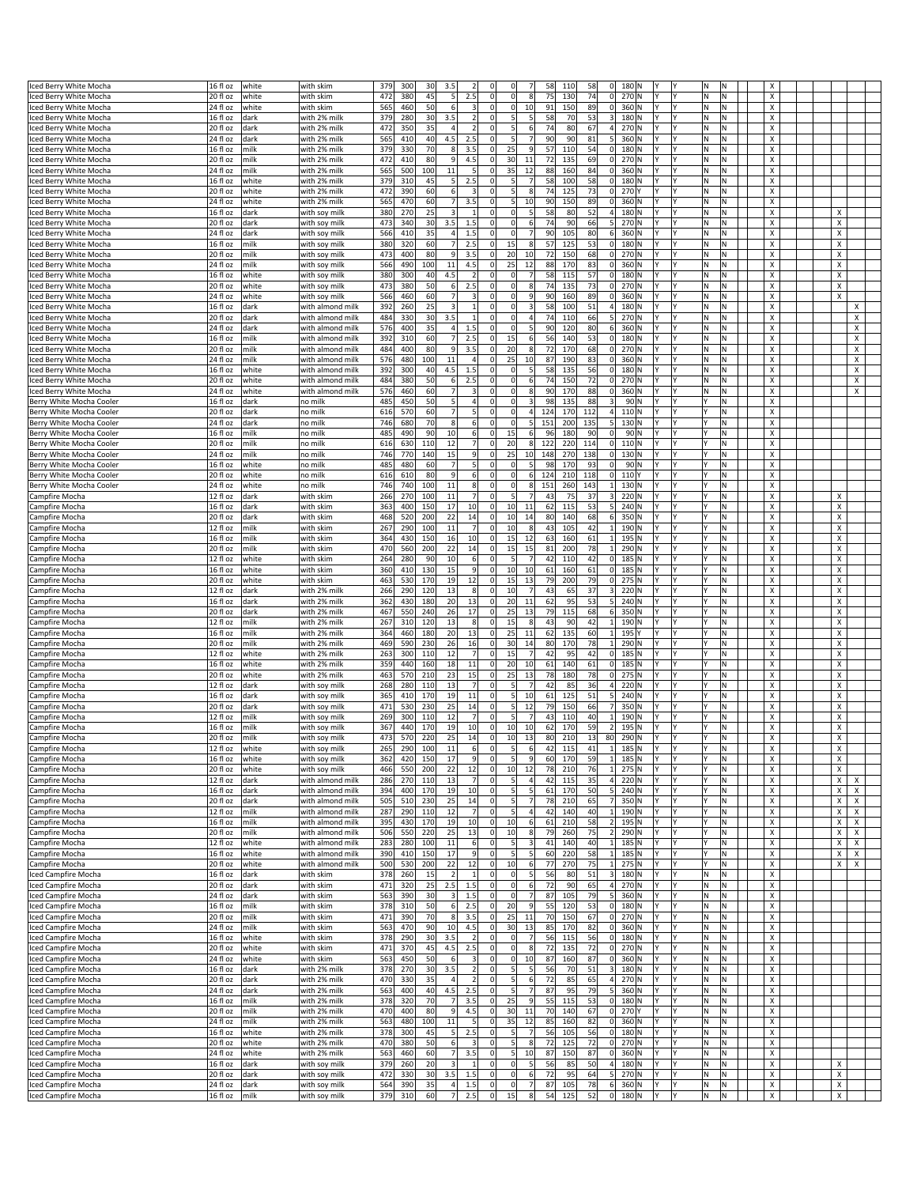|                                            |                             |       |                                |            |            |                      |                   |                                | $\Omega$                                     |            |          |                                |            |           |    |     |                           |                           |
|--------------------------------------------|-----------------------------|-------|--------------------------------|------------|------------|----------------------|-------------------|--------------------------------|----------------------------------------------|------------|----------|--------------------------------|------------|-----------|----|-----|---------------------------|---------------------------|
| Iced Berry White Mocha                     | 16 fl oz                    | white | with skim                      | 379        | 300        | 3.5<br>30            |                   | $\mathbf 0$                    | 58                                           | 110        | 58       | 0 <br>180 N                    |            |           | N  |     |                           |                           |
| Iced Berry White Mocha                     | 20 fl oz                    | white | with skim                      | 472        | 380        | 45<br>5              | 2.5               | $\mathbf 0$                    | <sub>0</sub><br>8<br>75                      | 130        | 74       | 0 <br>270 N                    |            | l٧        | N  | lN. | Х                         |                           |
| ced Berry White Mocha                      | 24 fl oz                    | white | with skim                      | 565        | 460        | 50<br>6              | 3                 | $\mathbf 0$                    | 0<br>10<br>91                                | 150        | 89       | $\circ$<br>360 N               |            | l٢        | N  | M.  | Х                         |                           |
| Iced Berry White Mocha                     | 16 fl oz                    | dark  | with 2% milk                   | 379        | 280        | 30<br>3.5            | $\overline{2}$    | 0                              | 58<br>5<br>5 <sub>l</sub>                    | 70         | 53       | 180 N<br>3                     |            | I٢        | N  | Ν   | х                         |                           |
| ced Berry White Mocha                      | 20 fl oz                    | dark  | with 2% milk                   | 472        | 350        | 35<br>$\Delta$       |                   | $\mathbf 0$                    | 5<br>74<br>6                                 | 80         | 67       | 270 N<br>4                     |            |           | N  | N   | х                         |                           |
| ced Berry White Mocha                      | 24 fl oz                    | dark  | with 2% milk                   | 565        | 410        | 40<br>4.5            | 2.5               | 0                              | 90<br>5                                      | 90         | 81       | 5<br>360 N                     |            | l۷        | N  | N   | Х                         |                           |
| Iced Berry White Mocha                     | 16 fl oz                    | milk  | with 2% milk                   | 379        | 330        | 70<br>8              | 3.5               | 25<br>0                        | 57<br>$\overline{9}$                         | 110        | 54       | 180 N<br> 0                    |            | l٢        | N  | Ν   | Х                         |                           |
|                                            |                             |       |                                |            |            | 9                    |                   |                                |                                              |            |          |                                |            | l۷        |    |     |                           |                           |
| Iced Berry White Mocha                     | 20 fl oz                    | milk  | with 2% milk                   | 472        | 410        | 80                   | 4.5               | $\mathbf 0$<br>30              | 72<br>11                                     | 135        | 69       | 0 <br>270 N                    |            |           | N  | M   | х                         |                           |
| ced Berry White Mocha                      | 24 fl oz                    | milk  | with 2% milk                   | 565        | 500        | 100<br>11            | $\mathsf{S}$      | 35<br>0                        | 12<br>88                                     | 160        | 84       | 0 <br>360 N                    |            | l۷        | N  | N   | Х                         |                           |
| Iced Berry White Mocha                     | 16 fl oz                    | white | with 2% milk                   | 379        | 310        | 45<br>5 <sup>1</sup> | 2.5               | $\mathbf 0$                    | 58<br>5 <sub>l</sub><br>$\overline{7}$       | 100        | 58       | 180 N<br> 0                    |            | I٢        | N  | Ν   | х                         |                           |
| ced Berry White Mocha                      | 20 fl oz                    | white | with 2% milk                   | 472        | 390        | 60<br>6              | 3                 | $\mathbf 0$                    | 5<br>74<br>8                                 | 125        | 73       | $\mathbf 0$<br>270Y            |            | l٧        | N  | N   | Х                         |                           |
| ced Berry White Mocha                      | 24 fl oz                    | white | with 2% milk                   | 565        | 470        | 60<br>7 <sup>1</sup> | 3.5               | $\mathbf 0$                    | 5<br>10<br>90                                | 150        | 89       | $\mathbf 0$<br>360 N           |            | l۷        | N  | N   | X                         |                           |
| Iced Berry White Mocha                     | 16 fl oz                    | dark  | with soy milk                  | 380        | 270        | 25<br>3              | 1                 | 0                              | 58<br>0<br>5 <sub>l</sub>                    | 80         | 52       | 4<br>180 N                     |            | l٢        | N  | N   | х                         | Х                         |
| Iced Berry White Mocha                     | 20 fl oz                    | dark  | with soy milk                  | 473        | 340        | 30<br>3.5            | 1.5               | $\mathbf 0$                    | 74<br>$\Omega$<br>6                          | 90         | 66       | 270 N<br>5                     |            | l۷        | N  | N   | X                         | $\pmb{\times}$            |
|                                            |                             |       |                                |            |            |                      |                   |                                |                                              |            |          |                                |            |           |    |     |                           |                           |
| ced Berry White Mocha                      | $24f$ l oz                  | dark  | with soy milk                  | 566        | 410        | 35<br>4 <sup>1</sup> | 1.5               | $\mathbf 0$                    | <sub>0</sub><br>$\overline{7}$<br>90         | 105        | 80       | 6<br>360 N                     |            | l۷        | N  | N   | X                         | X                         |
| Iced Berry White Mocha                     | 16 fl oz                    | milk  | with soy milk                  | 380        | 320        | 60<br>$\overline{7}$ | 2.5               | 0<br>15                        | 57<br>8                                      | 125        | 53       | 0 <br>180 N                    |            | I٢        | N  | ΙN  | х                         | х                         |
| ced Berry White Mocha                      | $20f$ l oz                  | milk  | with soy milk                  | 473        | 400        | 80<br>q              | 3.5               | 20<br>$\mathbf 0$              | 10<br>72                                     | 150        | 68       | 270 N<br>$\Omega$              |            | l٧        | N  | N   | X                         | Х                         |
| ced Berry White Mocha                      | 24 fl oz                    | milk  | with soy milk                  | 566        | 490        | 100<br>11            | 4.5               | $\mathbf 0$<br>25              | 12<br>88                                     | 170        | 83       | 0 <br>360 N                    |            | l۷        | N  | N   | X                         | X                         |
| ced Berry White Mocha                      | 16 fl oz                    | white | with soy milk                  | 380        | 300        | 40<br>4.5            | $\overline{2}$    | $\mathbf 0$                    | 7<br>58<br>$\Omega$                          | 115        | 57       | 0 <br>180 N                    |            | l٢        | N  | N   | Х                         | Х                         |
|                                            |                             |       |                                |            |            |                      | 2.5               | $\mathbf 0$                    | 74<br>$\Omega$<br>8                          |            |          |                                |            | l۷        |    | N   | X                         | X                         |
| ced Berry White Mocha                      | 20 fl oz                    | white | with soy milk                  | 473        | 380        | 50<br>6              |                   |                                |                                              | 135        | 73       | 0 <br>270 N                    |            |           | N  |     |                           |                           |
| ced Berry White Mocha                      | $24f$ l oz                  | white | with soy milk                  | 566        | 460        | 60<br>7              | 3                 | $\mathbf 0$                    | <sub>0</sub><br>9<br>90                      | 160        | 89       | 0 <br>360 N                    |            | l۷        | N  | N   | Х                         | $\boldsymbol{\mathsf{x}}$ |
| ced Berry White Mocha                      | 16 fl oz                    | dark  | with almond milk               | 392        | 260        | 25<br>3              | $\mathbf{1}$      | $\mathbf 0$                    | $\Omega$<br>$\overline{\mathbf{3}}$<br>58    | 100        | 51       | 4 <sup>1</sup><br>180 N        | I۷         | l٢        | N  | M.  | Х                         | Х                         |
| ced Berry White Mocha                      | 20 fl oz                    | dark  | with almond milk               | 484        | 330        | 3.5<br>30            |                   | $\mathbf 0$                    | 74<br>$\Omega$<br>4                          | 110        | 66       | 5<br>270 N                     |            |           | N  | N   | х                         | х                         |
| ced Berry White Mocha                      | 24 fl oz                    | dark  | with almond milk               | 576        | 400        | 35<br>4 <sup>1</sup> | 1.5               | $\mathbf 0$                    | <sub>0</sub><br>5<br>90                      | 120        | 80       | 6<br>360 N                     |            |           | N  | N   | Х                         | X                         |
| ced Berry White Mocha                      | 16 fl oz                    | milk  | with almond milk               | 392        | 310        | 60<br>-71            | 2.5               | $\mathbf 0$<br>15              | 6<br>56                                      | 140        | 53       | $\circ$<br>180 N               |            | l۷        | N  | N   | Х                         | Х                         |
|                                            |                             |       |                                |            |            |                      |                   |                                |                                              |            |          |                                |            |           |    |     |                           |                           |
| ced Berry White Mocha                      | 20 fl oz                    | milk  | with almond milk               | 484        | 400        | 80<br>9              | 3.5               | $\mathbf 0$<br>20              | $\bf 8$<br>72                                | 170        | 68       | 0 <br>270 N                    |            | l٧        | N  | ΙN  | х                         | X                         |
| Iced Berry White Mocha                     | $\sqrt{24}$ fl oz           | milk  | with almond milk               | 576        | 480        | 100<br>11            | $\overline{4}$    | $\mathbf 0$<br>25              | 10<br>87                                     | 190        | 83       | 0 <br>360 N                    |            | l٢        | N  | N   | х                         | X                         |
| Iced Berry White Mocha                     | 16 fl oz                    | white | with almond milk               | 392        | 300        | 40<br>4.5            | 1.5               | 0                              | 5 <sub>l</sub><br>58<br>$\Omega$             | 135        | 56       | $\circ$<br>180 N               | I۷         | l۷        | N  | M.  | Х                         | X                         |
| ced Berry White Mocha                      | 20 fl oz                    | white | with almond milk               | 484        | 380        | 50<br>6              | 2.5               | $\mathbf 0$                    | 6<br>74<br>0                                 | 150        | 72       | 0 <br>270 N                    |            |           | N  | ΙN  | х                         | Х                         |
| Iced Berry White Mocha                     | 24 fl oz                    | white | with almond milk               | 576        | 460        | $\overline{7}$<br>60 | 3                 | 0                              | $\Omega$<br>8<br>90                          | 170        | 88       | 0 <br>360 N                    |            | l٢        | N  | N   | х                         | Х                         |
|                                            |                             |       | no milk                        | 485        | 450        | 50<br>51             | 4                 | 0                              | $\Omega$<br>$\overline{\mathbf{3}}$<br>98    | 135        | 88       | 3 <sup>1</sup>                 | 90 N<br>I۷ | l۷        | ١Y | M.  | х                         |                           |
| Berry White Mocha Cooler                   | 16 fl oz                    | dark  |                                |            |            |                      |                   |                                |                                              |            |          |                                |            |           |    |     |                           |                           |
| Berry White Mocha Cooler                   | 20 fl oz                    | dark  | no milk                        | 616        | 570        | $\overline{7}$<br>60 | $\mathbf{5}$      | $\mathbf 0$                    | 0<br>$\overline{a}$<br>124                   | 170        | 112      | 4<br>110N                      |            | l٧        |    | ΙN  | х                         |                           |
| Berry White Mocha Cooler                   | 24 fl oz                    | dark  | no milk                        | 746        | 680        | 70<br>8              | 6                 | $\mathbf 0$                    | $\Omega$<br>5<br>151                         | 200        | 135      | $130$ N<br>$\mathbf{5}$        |            | l٢        |    | N   | х                         |                           |
| Berry White Mocha Cooler                   | 16 fl oz                    | milk  | no milk                        | 485        | 490        | 90<br>10             | 6                 | 0 <br>15                       | 6<br>96                                      | 180        | 90       | $\circ$<br>90 N                | I۷         | l۷        |    | M.  | Х                         |                           |
| Berry White Mocha Cooler                   | 20 fl oz                    | milk  | ho milk                        | 616        | 630        | 12<br>110            | $\overline{7}$    | 20<br>$\mathbf 0$              | 8<br>122                                     | 220        | 114      | 0 <br>110N                     |            |           |    | M   | х                         |                           |
|                                            |                             |       |                                |            |            |                      |                   |                                |                                              |            |          |                                |            |           |    |     |                           |                           |
| Berry White Mocha Cooler                   | 24 fl oz                    | milk  | no milk                        | 746        | 770        | 15<br>140            | $\overline{9}$    | 25<br>$\mathbf 0$              | 10<br>148                                    | 270        | 138      | 0 <br>130 N                    |            | l٧        |    | N   | х                         |                           |
| Berry White Mocha Cooler                   | $16f$ loz                   | white | no milk                        | 485        | 480        | 60<br>7              | $\mathbf{5}$      | $\mathbf 0$                    | $\Omega$<br>5 <sub>5</sub><br>98             | 170        | 93       | 0                              | 90 N<br>l۷ | l۷        |    | M.  | х                         |                           |
| Berry White Mocha Cooler                   | 20 fl oz                    | white | no milk                        | 616        | 610        | 80<br>9              | 6                 | $\pmb{0}$                      | 6<br>124<br>0                                | 210        | 118      | 0 <br>110Y                     |            |           |    | ΙN  | х                         |                           |
| Berry White Mocha Cooler                   | 24 fl oz                    | white | no milk                        | 746        | 740        | 100<br>11            | 8 <sup>2</sup>    | $\mathbf 0$                    | $\Omega$<br>8<br>151                         | 260        | 143      | 130 N<br>$1\vert$              |            | l٢        |    | N   | х                         |                           |
|                                            | 12 fl oz                    | dark  |                                | 266        | 270        | 100<br>11            | 7 <sup>1</sup>    | $\mathbf 0$                    | 5 <sup>1</sup><br>7<br>43                    | 75         | 37       | 3 <br>220 N                    | l۷         | l۷        |    | lN. | х                         | X                         |
| Campfire Mocha                             |                             |       | with skim                      |            |            |                      |                   |                                |                                              |            |          |                                |            |           |    |     |                           |                           |
| Campfire Mocha                             | 16 fl oz                    | dark  | with skim                      | 363        | 400        | 17<br>150            | 10                | 0<br>10                        | 11<br>62                                     | 115        | 53       | 5<br>240 N                     |            |           |    | M   | х                         | х                         |
| Campfire Mocha                             | 20 fl oz                    | dark  | with skim                      | 468        | 520        | 200<br>22            | 14                | $\mathbf 0$<br>10              | 14<br>80                                     | 140        | 68       | 350 N<br>6                     |            | I٧        |    | N   | х                         | х                         |
| Campfire Mocha                             | 12 fl oz                    | milk  | with skim                      | 267        | 290        | $11\,$<br>100        | 7                 | $\mathbf 0$<br>10              | 8<br>43                                      | 105        | 42       | 190 N<br>$\mathbf{1}$          |            | l۷        |    | M   | х                         | X                         |
| Campfire Mocha                             | 16 fl oz                    | milk  | with skim                      | 364        | 430        | 150<br>16            | 10 <sup>1</sup>   | $\mathbf 0$<br>15              | 12<br>63                                     | 160        | 61       | 1<br>195 N                     |            | l٧        |    | M.  | х                         | х                         |
|                                            |                             |       |                                |            |            |                      |                   |                                |                                              |            |          |                                |            |           |    |     |                           |                           |
| Campfire Mocha                             | 20 fl oz                    | milk  | with skim                      | 470        | 560        | 22<br>200            | 14                | $\mathbf 0$<br>15              | 15<br>81                                     | 200        | 78       | 290 N<br>$\mathbf{1}$          |            | l٢        |    | N   | х                         | х                         |
| Campfire Mocha                             | 12 fl oz                    | white | with skim                      | 264        | 280        | 90<br>10             | 6                 | $\Omega$                       | 5<br>7<br>42                                 | 110        | 42       | 0 <br>185 N                    |            | l٧        |    | lN. | х                         | Х                         |
| Campfire Mocha                             | 16 fl oz                    | white | with skim                      | 360        | 410        | 130<br>15            | 9                 | $\mathbf 0$<br>10              | 10<br>61                                     | 160        | 61       | $\mathbf 0$<br>185 N           |            | l۷        |    | M.  | х                         | х                         |
| Campfire Mocha                             | 20 fl oz                    | white | with skim                      | 463        | 530        | 170<br>19            | 12                | $\mathbf 0$<br>15              | 13<br>79                                     | 200        | 79       | 275 N<br> 0                    |            | I۷        |    | N   | х                         | х                         |
| Campfire Mocha                             | 12 fl oz                    | dark  | with 2% milk                   | 266        | 290        | 120<br>13            | $\lvert 8 \rvert$ | $\mathbf 0$<br>10              | 7<br>43                                      | 65         | 37       | 3<br>220 N                     |            | l٧        |    | M   | х                         | Х                         |
|                                            |                             |       |                                |            |            |                      |                   |                                |                                              |            |          |                                |            | l۷        |    |     |                           | X                         |
| Campfire Mocha                             | 16 fl oz                    | dark  | with 2% milk                   | 362        | 430        | 180<br>20            | 13                | $\mathbf 0$<br>20              | 11<br>62                                     | 95         | 53       | 5 <sup>1</sup><br>240 N        |            |           |    | N   | x                         |                           |
| Campfire Mocha                             | 20 fl oz                    | dark  | with 2% milk                   | 467        | 550        | 26<br>240            | 17                | 25<br>$\mathbf 0$              | 13<br>79                                     | 115        | 68       | 350 N<br>6 <sup>1</sup>        |            | I٢        |    | N   | х                         | Х                         |
| Campfire Mocha                             | $\overline{12}$ fl oz       | milk  | with 2% milk                   | 267        | 310        | 120<br>13            | 8 <sup>2</sup>    | $\mathbf 0$<br>15              | 8<br>43                                      | 90         | 42       | 190 N<br>$\mathbf{1}$          |            |           |    | M.  | х                         | Х                         |
| Campfire Mocha                             | 16 fl oz                    | milk  | with 2% milk                   | 364        | 460        | 180<br>20            | 13                | 25<br>0                        | 11<br>62                                     | 135        | 60       | 195 Y<br>$\mathbf{1}$          |            | l٧        |    | M.  | х                         | х                         |
| Campfire Mocha                             | 20 fl oz                    | milk  | with 2% milk                   | 469        | 590        | 26<br>230            | 16                | $\mathbf 0$<br>30              | 14<br>80                                     | 170        | 78       | 290 N<br>$\mathbf{1}$          |            | I٧        |    | N   | х                         | X                         |
|                                            |                             |       |                                |            |            | 12                   | 7                 | $\mathbf 0$<br>15              | $\overline{7}$                               | 95         |          |                                |            | l٧        |    | M   |                           |                           |
| Campfire Mocha                             | 12 fl oz                    | white | with 2% milk                   | 263        | 300        | 110                  |                   |                                | 42                                           |            | 42       | 0 <br>185 N                    |            |           |    |     | х                         | X                         |
| Campfire Mocha                             | 16 fl oz                    | white | with 2% milk                   | 359        | 440        | 160<br>18            | 11                | $\mathbf 0$<br>20              | 10<br>61                                     | 140        | 61       | $\circ$<br>185 N               |            | l۷        |    | M.  | х                         | X                         |
| Campfire Mocha                             | 20 fl oz                    | white | with 2% milk                   | 463        | 570        | 210<br>23            | 15                | 25<br>0                        | 13<br>78                                     | 180        | 78       | 275 N<br> 0                    |            | I٢        |    | N   | х                         | х                         |
| Campfire Mocha                             | 12 fl oz                    | dark  | with soy milk                  | 268        | 280        | 13<br>110            | $\overline{7}$    | $\mathbf 0$                    | 5<br>$\overline{7}$<br>42                    | 85         | 36       | $\overline{4}$<br>220 N        |            | l٧        |    | M   | х                         | Х                         |
| Campfire Mocha                             | 16 fl oz                    | dark  | with soy milk                  | 365        | 410        | 170<br>19            | 11                | $\mathbf 0$                    | 10<br>5<br>61                                | 125        | 51       | 240 N                          |            | l۷        |    | M.  | х                         | Х                         |
|                                            | 20 fl oz                    |       |                                | 471        | 530        | 25<br>230            | 14                | $\mathbf 0$                    | 79<br>5<br>12                                | 150        | 66       | 350 N                          |            | I٢        |    | ΙN  | х                         | X                         |
| Campfire Mocha                             |                             | dark  | with soy milk                  |            |            |                      |                   |                                |                                              |            |          |                                |            |           |    |     |                           |                           |
| Campfire Mocha                             | 12 fl oz                    | milk  | with soy milk                  | 269        | 300        | 12<br>110            |                   | $\mathbf 0$                    | 5<br>43                                      | 110        | 40       | 190 N<br>$\mathbf{1}$          |            | l٧        |    | M   | X                         | $\pmb{\times}$            |
| Campfire Mocha                             | 16 fl oz                    | milk  | with soy milk                  | 367        | 440        | 170<br>19            | 10 <sup>1</sup>   | $\mathbf 0$<br>10 <sup>1</sup> | 10<br>62                                     | 170        | 59       | 2<br>195 N                     |            | l٢        |    | N   | Х                         | X                         |
| Campfire Mocha                             | 20 fl oz                    | milk  | with soy milk                  | 473        | 570        | 220<br>25            | 14                | 0 <br>10                       | 13<br>80                                     | 210        | 13<br>80 | 290 N                          | lY.        | l٢        |    | N   | х                         | х                         |
| 'amptire Mocha                             | 12 fl oz                    | white | with soy milk                  | 265        | 290        | 100<br>$11\,$        |                   |                                |                                              |            |          | $185$ N                        |            | l٧        |    |     |                           |                           |
| Campfire Mocha                             | 16 fl oz                    | white | with soy milk                  | 362        | 420        | 150<br>17            | 9                 | $\mathbf 0$                    | 5<br>9<br>60                                 | 170        | 59       | 185 N<br>1                     |            | l٧        |    | N   | Х                         | x                         |
| Campfire Mocha                             | 20 fl oz                    | white | with soy milk                  | 466        | 550        | 200<br>22            | 12                | 10<br>0                        | 12<br>78                                     | 210        | 76       | 275 N                          |            | l٢        |    | M   | х                         | X                         |
|                                            |                             |       |                                |            |            |                      |                   |                                | 5                                            |            |          |                                |            |           |    |     |                           |                           |
| Campfire Mocha                             | 12 fl oz                    | dark  | with almond milk               | 286        | 270        | 110<br>13            | 7                 | $\pmb{0}$                      | 42<br>4                                      | 115        | 35       | 220 N<br>4                     |            | l٢        |    | M.  | X                         | X<br>Х                    |
| Campfire Mocha                             | 16 fl oz                    | dark  | with almond milk               | 394        | 400        | 19<br>170            | 10                | $\mathbf 0$                    | 5<br>5<br>61                                 | 170        | 50       | 5 <sup>1</sup><br>240 N        |            | l٢        |    | M.  | Х                         | X<br>X                    |
| Campfire Mocha                             | 20 fl oz                    | dark  | with almond milk               | 505        | 510        | 230<br>25            | 14                | $\mathbf 0$                    | 5 <sup>1</sup><br>$\overline{7}$<br>78       | 210        | 65       | 350 N<br>7                     | lY.        | I٢        | ١Y | M   | Х                         | Χ<br>х                    |
| Campfire Mocha                             | 12 fl oz                    | milk  | with almond milk               | 287        | 290        | 12<br>110            | $\overline{7}$    | $\mathbf 0$                    | 5<br>42<br>4                                 | 140        | 40       | 190 N                          |            | l۷        |    | M.  | х                         | X<br>Х                    |
| Campfire Mocha                             | 16 fl oz                    | milk  | with almond milk               | 395        | 430        | 170<br>19            | 10                | $\pmb{0}$<br>10                | 61<br>6                                      | 210        | 58       | 195 N<br>$\overline{2}$        |            | l۷        |    | N   | X                         | Х<br>X                    |
| Campfire Mocha                             | 20 fl oz                    | milk  | with almond milk               | 506        | 550        | 220<br>25            | 13                | $\mathbf 0$<br>10              | 8<br>79                                      | 260        | 75       | 290 N<br>2                     |            | l۷        |    | M.  | Х                         | Х<br>X                    |
|                                            |                             |       |                                |            |            |                      |                   |                                | 5                                            |            |          |                                |            |           |    |     |                           |                           |
| Campfire Mocha                             | 12 fl oz                    | white | with almond milk               | 283        | 280        | 100<br>11            | 6                 | $\pmb{0}$                      | 3<br>41                                      | 140        | 40       | $1\vert$<br>185 N              |            | l۷        |    | N.  | х                         | Х<br>Х                    |
| Campfire Mocha                             | 16 fl oz                    | white | with almond milk               | 390        | 410        | 17<br>150            | 9                 | $\mathbf 0$                    | 5 <sub>l</sub><br>60<br>5                    | 220        | 58       | $1\vert$<br>185 N              |            | l۷        |    | N   | Х                         | X<br>X                    |
| Campfire Mocha                             | 20 fl oz                    | white | with almond milk               | 500        | 530        | 200<br>22            | 12                | 10<br> 0                       | $6 \mid$<br>77                               | 270        | 75       | 275 N<br>$1\vert$              | I۷         | I٢        |    | M.  | Х                         | Χ<br>х                    |
| ced Campfire Mocha                         | 16 fl oz                    | dark  | with skim                      | 378        | 260        | 15<br>$\overline{2}$ |                   | $\mathbf 0$                    | $\overline{\mathbf{5}}$<br>56<br>$\mathbf 0$ | 80         | 51       | 3<br>180 N                     |            | l۷        | N  | M.  | Х                         |                           |
| Iced Campfire Mocha                        | 20 fl oz                    | dark  | with skim                      | 471        | 320        | 25<br>2.5            | 1.5               | $\pmb{0}$                      | $\circ$<br>$6 \mid$<br>72                    | 90         | 65       | 4<br>270 N                     |            | l٢        | N  | N   | X                         |                           |
|                                            |                             |       |                                |            |            | $\vert$ 3            |                   |                                | $\circ$<br>7                                 |            |          | 5 <sup>1</sup>                 | I۷         | l۷        | N  |     |                           |                           |
| Iced Campfire Mocha                        | 24 fl oz                    | dark  | with skim                      | 563        | 390        | 30                   | 1.5               | 0                              | 87                                           | 105        | 79       | 360 N                          |            |           |    | M.  | Х                         |                           |
| ced Campfire Mocha                         | 16 fl oz                    | milk  | with skim                      | 378        | 310        | 50<br>6              | 2.5               | $\pmb{0}$<br>20                | $\overline{9}$<br>55                         | 120        | 53       | 0 <br>180 N                    |            | l۷        | N  | N   | х                         |                           |
| Iced Campfire Mocha                        | 20 fl oz                    | milk  | with skim                      | 471        | 390        | 70<br>8              | 3.5               | 25<br> 0                       | 11<br>70                                     | 150        | 67       | 0 <br>270 N                    |            | I٢        | N  | N   | х                         |                           |
| Iced Campfire Mocha                        | 24 fl oz                    | milk  | with skim                      | 563        | 470        | 90<br>10             | 4.5               | 30<br> 0                       | 13<br>85                                     | 170        | 82       | 360 N<br> 0                    | lY.        | l۷        | N  | M.  | $\boldsymbol{\mathsf{x}}$ |                           |
| ced Campfire Mocha                         | 16 fl oz                    | white | with skim                      | 378        | 290        | 30<br>3.5            | $\overline{2}$    | $\pmb{0}$                      | 7<br>$\Omega$<br>56                          | 115        | 56       | 0 <br>180 N                    |            | l۷        | N  | N   | Х                         |                           |
|                                            |                             |       |                                |            |            | 45                   | 2.5               |                                | $\Omega$<br>8                                |            |          |                                |            | l٢        |    |     |                           |                           |
| Iced Campfire Mocha                        | 20 fl oz                    | white | with skim                      | 471        | 370        | 4.5                  |                   | 0                              | 72                                           | 135        | 72       | 0 <br>270 N                    |            |           | N  | N   | х                         |                           |
| Iced Campfire Mocha                        | 24 fl oz                    | white | with skim                      | 563        | 450        | 50<br>6              | 3                 | 0                              | $\Omega$<br>10<br>87                         | 160        | 87       | 0 <br>360 N                    | I۷         | l۷        | M. | M.  | $\boldsymbol{\mathsf{x}}$ |                           |
| Iced Campfire Mocha                        | 16 fl oz                    | dark  | with 2% milk                   | 378        | 270        | 3.5<br>30            | 2                 | $\pmb{0}$                      | 5<br>$\overline{5}$<br>56                    | 70         | 51       | 3<br>180 N                     |            | l٧        | N  | M   | х                         |                           |
| Iced Campfire Mocha                        | 20 fl oz                    | dark  | with 2% milk                   | 470        | 330        | 35<br>$\overline{4}$ | 2                 | $\pmb{0}$                      | 5 <sub>l</sub><br>6<br>72                    | 85         | 65       | 4<br>270 N                     |            | I٢        | Ν  | N   | x                         |                           |
| Iced Campfire Mocha                        | 24 fl oz                    | dark  | with 2% milk                   | 563        | 400        | 40<br>4.5            | 2.5               | 0                              | 5 <sup>1</sup><br>$\overline{7}$<br>87       | 95         | 79       | 5 <sup>1</sup><br>360 N        | Y          | l٢        | N  | M.  | $\boldsymbol{\mathsf{x}}$ |                           |
|                                            |                             |       |                                |            |            | $\overline{7}$       |                   |                                | 9                                            |            |          |                                |            | l٢        |    |     |                           |                           |
| ced Campfire Mocha                         | 16 fl oz                    | milk  | with 2% milk                   | 378        | 320        | 70                   | 3.5               | 25<br>0                        | 55                                           | 115        | 53       | 0 <br>180 N                    |            |           | N  | M   | х                         |                           |
| Iced Campfire Mocha                        | 20 fl oz                    | milk  | with 2% milk                   | 470        | 400        | 80<br>9              | 4.5               | 30<br>0                        | 11<br>70                                     | 140        | 67       | 0 <br>270Y                     |            | l٢        | N  | N   | х                         |                           |
| Iced Campfire Mocha                        | 24 fl oz                    | milk  | with 2% milk                   | 563        | 480        | 100<br>11            | 5 <sup>1</sup>    | $\mathbf 0$<br>35              | 12<br>85                                     | 160        | 82       | 0 <br>360 N                    | l۷         | l۷        | N  | M.  | X                         |                           |
| Iced Campfire Mocha                        | 16 fl oz                    | white | with 2% milk                   | 378        | 300        | 5<br>45              | 2.5               | 0                              | 5 <sub>5</sub><br>7<br>56                    | 105        | 56       | 0 <br>180 N                    |            | l٢        | N  | M   | х                         |                           |
| Iced Campfire Mocha                        |                             | white | with 2% milk                   | 470        | 380        | 50<br>$6 \mid$       | 3                 | $\mathbf 0$                    | 5<br>8<br>72                                 | 125        | 72       | 0 <br>270 N                    |            | I٢        | Ν  | N   | х                         |                           |
|                                            |                             |       |                                |            |            |                      |                   |                                |                                              |            |          |                                |            |           |    |     |                           |                           |
|                                            | 20 fl oz                    |       |                                |            |            |                      |                   |                                |                                              |            |          |                                |            |           |    |     |                           |                           |
| Iced Campfire Mocha                        | 24 fl oz                    | white | with 2% milk                   | 563        | 460        | 60<br>7              | 3.5               | $\mathbf 0$                    | 5 <sub>l</sub><br>10<br>87                   | 150        | 87       | 0 <br>360 N                    | l۷         | l٢        | N  | M.  | X                         |                           |
| Iced Campfire Mocha                        | 16 fl oz                    | dark  | with soy milk                  | 379        | 260        | 20<br>3              | $\mathbf{1}$      | $\mathbf 0$                    | $\Omega$<br>5 <sub>l</sub><br>56             | 85         | 50       | 4<br>180 N                     | I۷         | I٢        | N  | M.  | X                         | х                         |
| Iced Campfire Mocha                        | 20 fl oz                    | dark  | with soy milk                  | 472        | 330        | 30<br>3.5            | 1.5               | 0                              | $\overline{0}$<br>72<br>6                    | 95         | 64       | 270 N<br>5                     |            | I٢        | N  | N   | x                         | Х                         |
|                                            |                             |       |                                |            |            | 4                    |                   |                                | $\circ$                                      |            |          |                                | Y          | l۷        | N  | M.  |                           |                           |
| Iced Campfire Mocha<br>Iced Campfire Mocha | 24 fl oz<br>16 fl oz   milk | dark  | with soy milk<br>with soy milk | 564<br>379 | 390<br>310 | 35<br>60             | 1.5<br>7 2.5      | $\pmb{0}$<br> 0 <br>15         | 7<br>87<br>$\mathbf{8}$<br>54                | 105<br>125 | 78<br>52 | $6 \mid$<br>360 N<br>$0$ 180 N | IY.        | <b>IY</b> | N. | M.  | х<br>X                    | X<br>X                    |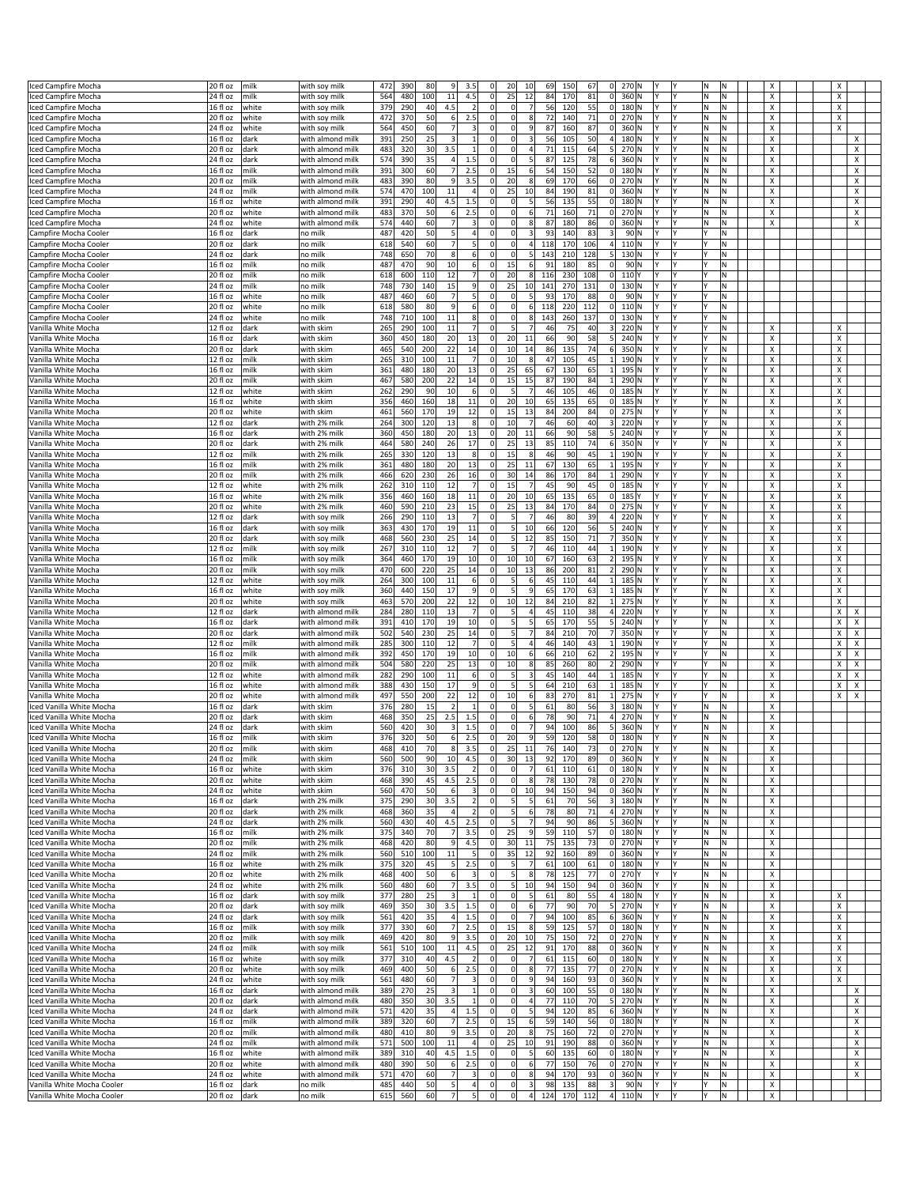| ced Campfire Mocha         | 20 fl oz              | milk  | with soy mill    | 472 | 390 | 80  | 9                       | 3.5                     | $\Omega$       | 20             | 10                      | 69  | 150 | 67  | $\overline{0}$  | 270 N             |     |    |    |   | x |  |        |
|----------------------------|-----------------------|-------|------------------|-----|-----|-----|-------------------------|-------------------------|----------------|----------------|-------------------------|-----|-----|-----|-----------------|-------------------|-----|----|----|---|---|--|--------|
| ced Campfire Mocha         | 24 fl oz              | milk  | with soy milk    | 564 | 480 | 100 | $11\,$                  | 4.5                     | $\mathbf 0$    | 25             | 12                      | 84  | 170 | 81  | 0               | 360 N             |     |    | N  | N | X |  | X      |
| ced Campfire Mocha         | 16 fl oz              | white | with soy milk    | 379 | 290 | 40  | 4.5                     | $\overline{2}$          | $\mathbf 0$    | $\Omega$       | $\overline{7}$          | 56  | 120 | 55  | 0               | 180 N             |     |    | N  | N | X |  | X      |
| ced Campfire Mocha         | 20 fl oz              | white | with soy mill    | 472 | 370 | 50  | $6 \mid$                | 2.5                     | $\Omega$       | $\Omega$       | 8                       | 72  | 140 | 71  | 0               | 270 N             |     |    | Ν  | N | х |  | х      |
| ced Campfire Mocha         | 24 fl oz              | white | with soy milk    | 564 | 450 | 60  | $\overline{7}$          | 3                       | $\Omega$       | $\overline{0}$ | 9                       | 87  | 160 | 87  | 0               | 360 N             |     |    | ΙN | N | X |  | X      |
| ced Campfire Mocha         | 16 fl oz              | dark  | with almond milk | 391 | 250 | 25  | 3                       | $\mathbf{1}$            | $\Omega$       | $\Omega$       | 3                       | 56  | 105 | 50  | 4               | 180 N             |     |    | N  | И | X |  | х      |
| ced Campfire Mocha         | 20 fl oz              | dark  | with almond mill | 483 | 320 | 30  | 3.5                     | $\mathbf{1}$            | $\Omega$       | $\Omega$       | $\overline{4}$          | 71  | 115 | 64  | 5 <sup>1</sup>  | 270 N             |     |    | ΙN | И | х |  | х      |
| ced Campfire Mocha         | 24 fl oz              | dark  | with almond milk | 574 | 390 | 35  | 4                       | 1.5                     | $\Omega$       | $\overline{0}$ | 5                       | 87  | 125 | 78  | 6               | 360 N             |     |    | N  | N | X |  | X      |
|                            | 16 fl oz              | milk  | with almond milk | 391 | 300 | 60  | 7                       | 2.5                     | $^{\circ}$     | 15             | $6 \overline{6}$        | 54  | 150 | 52  | 0               |                   |     |    | ΙN | и | X |  | х      |
| ced Campfire Mocha         |                       |       |                  |     |     |     |                         |                         |                |                |                         |     |     |     |                 | 180 N             |     |    |    |   |   |  |        |
| ced Campfire Mocha         | 20 fl oz              | milk  | with almond mill | 483 | 390 | 80  | 9                       | 3.5                     | $\Omega$       | 20             | 8                       | 69  | 170 | 66  | 0               | 270 N             |     |    | Ν  | N | х |  | Х      |
| ced Campfire Mocha         | 24 fl oz              | milk  | with almond milk | 574 | 470 | 100 | $11\,$                  | $\overline{a}$          |                | 25             | 10                      | 84  | 190 | 81  | 0               | 360 N             |     |    | N  | N | X |  | X      |
| ced Campfire Mocha         | 16 fl oz              | white | with almond milk | 391 | 290 | 40  | 4.5                     | 1.5                     | $\Omega$       | $\Omega$       | 5                       | 56  | 135 | 55  | 0               | 180 N             |     |    | N  | N | X |  | х      |
| ced Campfire Mocha         | 20 fl oz              | white | with almond mill | 483 | 370 | 50  | $6 \mid$                | 2.5                     | $\Omega$       | $\Omega$       | 6                       | 71  | 160 | 71  |                 | $0$ 270 N         |     |    | ΙN | И | х |  | Х      |
| ced Campfire Mocha         | 24 fl oz              | white | with almond milk | 574 | 440 | 60  | $\overline{7}$          | $\overline{\mathbf{3}}$ | $\Omega$       | $\overline{0}$ |                         | 87  | 180 | 86  | 0               | 360 N             |     |    | N  | N | X |  | X      |
| Campfire Mocha Cooler      | 16 fl oz              | dark  | no milk          | 487 | 420 | 50  | 5                       | 4                       | $\Omega$       | $\Omega$       | 3                       | 93  | 140 | 83  | $\vert$ 3       | 90 N              |     |    |    | N |   |  |        |
| Campfire Mocha Cooler      | 20 fl oz              | dark  | no milk          | 618 | 540 | 60  | 7                       | $\vert$                 | $^{\circ}$     | $\Omega$       | $\overline{4}$          | 118 | 170 | 106 | 4               | 110 N             |     |    |    | Ν |   |  |        |
| Campfire Mocha Cooler      | 24 fl oz              | dark  | no milk          | 748 | 650 | 70  | 8                       | 6                       |                | $\overline{0}$ |                         | 143 | 210 | 128 | 5 <sup>1</sup>  | 130 N             |     |    |    | N |   |  |        |
|                            |                       |       |                  |     |     |     |                         |                         | $\Omega$       |                |                         |     |     |     |                 |                   |     |    |    | N |   |  |        |
| Campfire Mocha Cooler      | 16 fl oz              | milk  | no milk          | 487 | 470 | 90  | 10                      | 6                       |                | 15             | 6                       | 91  | 180 | 85  | 0               | 90 N              |     |    |    |   |   |  |        |
| Campfire Mocha Cooler      | 20 fl oz              | milk  | no milk          | 618 | 600 | 110 | 12                      | $\overline{7}$          | $\mathbf 0$    | 20             | 8                       | 116 | 230 | 108 | 0               | 110Y              |     |    |    | N |   |  |        |
| Campfire Mocha Cooler      | 24 fl oz              | milk  | no milk          | 748 | 730 | 140 | 15                      | $\overline{9}$          | $\mathbf 0$    | 25             | 10                      | 141 | 270 | 131 | 0               | 130 N             |     |    |    | N |   |  |        |
| Campfire Mocha Cooler      | 16 fl oz              | white | no milk          | 487 | 460 | 60  | $\overline{7}$          | 5                       | $\Omega$       | $\overline{0}$ | 5                       | 93  | 170 | 88  | 0               | 90 N              |     |    |    | N |   |  |        |
| Campfire Mocha Cooler      | 20 fl oz              | white | no milk          | 618 | 580 | 80  | 9                       | 6                       | $^{\circ}$     | $\Omega$       | 6                       | 118 | 220 | 112 | 0               | 110N              |     |    |    | Ν |   |  |        |
| Campfire Mocha Cooler      | 24 fl oz              | white | no milk          | 748 | 710 | 100 | $11\,$                  | 8                       | $\Omega$       | $\overline{0}$ |                         | 143 | 260 | 137 | 0               | 130 N             |     |    |    | N |   |  |        |
| Vanilla White Mocha        | 12 fl oz              | dark  | with skim        | 265 | 290 | 100 | 11                      | $\overline{7}$          | $\Omega$       | 5 <sup>1</sup> |                         | 46  | 75  | 40  | 3 <sup>1</sup>  | 220 N             |     |    |    | N | Χ |  | х      |
| Vanilla White Mocha        | 16 fl oz              | dark  |                  | 360 | 450 | 180 | 20                      | 13                      | $\overline{0}$ | 20             | 11                      | 66  | 90  | 58  | 5 <sup>1</sup>  | 240 N             |     |    |    | Ν | Χ |  | Х      |
|                            |                       |       | with skim        |     |     |     |                         |                         |                |                |                         |     |     |     |                 |                   |     |    |    |   |   |  |        |
| Vanilla White Mocha        | 20 fl oz              | dark  | with skim        | 465 | 540 | 200 | 22                      | 14                      | $\mathbf 0$    | 10             | 14                      | 86  | 135 | 74  | 6               | 350 N             |     |    |    | N | X |  | X      |
| Vanilla White Mocha        | 12 fl oz              | milk  | with skim        | 265 | 310 | 100 | 11                      | $\overline{7}$          | $\mathbf 0$    | 10             | 8                       | 47  | 105 | 45  | $1\vert$        | 190 N             |     |    |    | N | X |  | X      |
| Vanilla White Mocha        | 16 fl oz              | milk  | with skim        | 361 | 480 | 180 | 20                      | 13                      | $\Omega$       | 25             | 65                      | 67  | 130 | 65  | 1               | 195 N             |     |    |    | Ν | X |  | Х      |
| Vanilla White Mocha        | 20 fl oz              | milk  | with skim        | 467 | 580 | 200 | 22                      | 14                      | $^{\circ}$     | 15             | 15                      | 87  | 190 | 84  | 1               | 290 N             |     |    |    | N | X |  | х      |
| Vanilla White Mocha        | 12 fl oz              | white | with skim        | 262 | 290 | 90  | 10                      | 6                       | $\Omega$       | 5              |                         | 46  | 105 | 46  |                 | $0$ 185 N         |     |    |    | N | X |  | X      |
| Vanilla White Mocha        | 16 fl oz              | white | with skim        | 356 | 460 | 160 | 18                      | 11                      | $\Omega$       | 20             | 10                      | 65  | 135 | 65  |                 | $0$ 185 N         |     |    |    | Ν | X |  | Х      |
| Vanilla White Mocha        | 20 fl oz              | white | with skim        | 461 | 560 | 170 | 19                      | 12                      | $\mathbf 0$    | 15             | 13                      | 84  | 200 | 84  | 0               | 275 N             |     |    |    | N | X |  | X      |
|                            |                       |       |                  |     |     |     |                         |                         | $\mathbf 0$    |                | $\overline{7}$          |     |     |     |                 |                   |     |    |    | N |   |  |        |
| Vanilla White Mocha        | 12 fl oz              | dark  | with 2% milk     | 264 | 300 | 120 | 13                      | 8                       |                | 10             |                         | 46  | 60  | 40  | $\vert$ 3       | 220 N             |     |    |    |   | х |  | X      |
| Vanilla White Mocha        | 16 fl oz              | dark  | with 2% milk     | 360 | 450 | 180 | 20                      | 13                      | $\overline{0}$ | 20             | 11                      | 66  | 90  | 58  | 5 <sup>1</sup>  | 240 N             | Y   |    |    | Ν | х |  | х      |
| Vanilla White Mocha        | 20 fl oz              | dark  | with 2% milk     | 464 | 580 | 240 | 26                      | 17                      | 0              | 25             | 13                      | 85  | 110 | 74  | 6               | 350 N             |     |    |    | N | X |  | х      |
| Vanilla White Mocha        | 12 fl oz              | milk  | with 2% milk     | 265 | 330 | 120 | 13                      | 8                       | $\Omega$       | 15             | 8                       | 46  | 90  | 45  | 1               | 190 N             |     |    |    | N | X |  | X      |
| Vanilla White Mocha        | 16 fl oz              | milk  | with 2% milk     | 361 | 480 | 180 | 20                      | 13                      | $\Omega$       | 25             | 11                      | 67  | 130 | 65  | $1\vert$        | 195 N             |     |    |    | N | X |  | x      |
| Vanilla White Mocha        | 20 fl oz              | milk  | with 2% milk     | 466 | 620 | 230 | 26                      | 16                      | 0              | 30             | 14                      | 86  | 170 | 84  | $1\vert$        | 290 N             |     |    |    | И | X |  | X      |
| Vanilla White Mocha        | 12 fl oz              | white | with 2% milk     | 262 | 310 | 110 | 12                      | $\overline{7}$          | $\Omega$       | 15             |                         | 45  | 90  | 45  |                 | $0$ 185 N         |     |    |    | N | X |  | X      |
|                            | $16f$ l oz            |       |                  |     |     |     | 18                      | 11                      | $\Omega$       |                |                         |     |     | 65  | 0               |                   | Y   |    |    | N | X |  | Х      |
| Vanilla White Mocha        |                       | white | with 2% milk     | 356 | 460 | 160 |                         |                         |                | 20             | 10                      | 65  | 135 |     |                 | 185 Y             |     |    |    |   |   |  |        |
| Vanilla White Mocha        | 20 fl oz              | white | with 2% milk     | 460 | 590 | 210 | 23                      | 15                      | 0              | 25             | 13                      | 84  | 170 | 84  | 0               | 275 N             |     |    |    | Ν | х |  | х      |
| Vanilla White Mocha        | 12 fl oz              | dark  | with soy milk    | 266 | 290 | 110 | 13                      | $\overline{7}$          | $\Omega$       | 5 <sup>1</sup> |                         | 46  | 80  | 39  | 4               | 220 N             |     |    |    | N | X |  | X      |
| Vanilla White Mocha        | 16 fl oz              | dark  | with soy milk    | 363 | 430 | 170 | 19                      | 11                      | $\Omega$       | 5 <sub>l</sub> | 10                      | 66  | 120 | 56  | 5 <sup>1</sup>  | 240 N             |     |    |    | N | X |  | x      |
| Vanilla White Mocha        | 20 fl oz              | dark  | with soy milk    | 468 | 560 | 230 | 25                      | 14                      | $\overline{0}$ | 5 <sup>1</sup> | 12                      | 85  | 150 | 71  | 7               | 350 N             |     |    |    | N | X |  | x      |
| Vanilla White Mocha        | 12 fl oz              | milk  | with soy milk    | 267 | 310 | 110 | 12                      | $\overline{7}$          | $\Omega$       | $\mathsf{S}$   |                         | 46  | 110 | 44  | $1\vert$        | 190 N             |     |    |    | N | х |  | X      |
| Vanilla White Mocha        | 16 fl oz              | milk  | with soy milk    | 364 | 460 | 170 | 19                      | 10                      | $\Omega$       | 10             | 10                      | 67  | 160 | 63  | 2               | 195 N             |     |    |    | N | X |  | Х      |
|                            | 20 fl oz              |       |                  | 470 | 600 | 220 |                         | 14                      | $^{\circ}$     | 10             | 13                      |     | 200 | 81  | 2               | 290 N             |     |    |    | N | X |  | x      |
| Vanilla White Mocha        |                       | milk  | with soy milk    |     |     |     | 25                      |                         |                |                |                         | 86  |     |     |                 |                   |     |    |    |   |   |  |        |
| Vanilla White Mocha        | 12 fl oz              | white | with soy milk    | 264 | 300 | 100 | 11                      | 6                       | $\Omega$       | 5 <sub>l</sub> | 6                       | 45  | 110 | 44  | $1\vert$        | 185 N             |     |    |    | И | х |  | X      |
| Vanilla White Mocha        | 16 fl oz              | white | with soy mill    | 360 | 440 | 150 | 17                      | 9                       | $\Omega$       | 5 <sub>l</sub> | 9                       | 65  | 170 | 63  | 1               | 185 N             |     |    |    | N | X |  | x      |
| Vanilla White Mocha        | 20 fl oz              | white | with soy milk    | 463 | 570 | 200 | 22                      | 12                      | $\Omega$       | 10             | 12                      | 84  | 210 | 82  | 1               | 275 N             |     |    |    | и | X |  | X      |
| Vanilla White Mocha        | 12 fl oz              | dark  | with almond mill | 284 | 280 | 110 | 13                      | $\overline{7}$          | $^{\circ}$     | 5 <sub>l</sub> | $\overline{4}$          | 45  | 110 | 38  | 4               | 220 N             |     |    |    | И | x |  | х<br>х |
| Vanilla White Mocha        | 16 fl oz              | dark  | with almond milk | 391 | 410 | 170 | 19                      | 10                      | $\Omega$       | 5 <sup>1</sup> | 5                       | 65  | 170 | 55  | 5 <sup>1</sup>  | 240 N             |     |    |    | N | X |  | X<br>х |
| Vanilla White Mocha        | 20 fl oz              | dark  | with almond milk | 502 | 540 | 230 | 25                      | 14                      | $^{\circ}$     | $\mathsf{S}$   |                         | 84  | 210 | 70  | 7               | 350 N             |     |    |    | N | X |  | X<br>х |
| Vanilla White Mocha        | 12 fl oz              | milk  | with almond mill | 285 | 300 | 110 | 12                      | $\overline{7}$          | $\Omega$       | 5 <sub>l</sub> | 4                       | 46  | 140 | 43  | $1\vert$        | 190 N             |     |    |    | И | X |  | х<br>X |
|                            |                       |       | with almond mill |     |     |     |                         | 10                      | $\mathbf 0$    | 10             |                         |     |     |     |                 |                   |     |    |    | N |   |  | Χ<br>X |
| Vanilla White Mocha        | 16 fl oz              | milk  |                  | 392 | 450 | 170 | 19                      |                         |                |                | 6                       | 66  | 210 | 62  | 2               | 195 N             |     |    |    |   | X |  |        |
| Vanilla White Mocha        | 20 fl oz              | milk  | with almond milk | 504 | 580 | 220 | 25                      | 13                      | $\Omega$       | 10             | 8                       | 85  | 260 | 80  | 2               | 290 N             |     |    |    | N | X |  | X<br>х |
| Vanilla White Mocha        | 12 fl oz              | white | with almond mill | 282 | 290 | 100 | 11                      | $6 \mid$                | $\Omega$       | 5 <sub>l</sub> | 3                       | 45  | 140 | 44  | $1\vert$        | 185 N             |     |    |    | И | х |  | х<br>X |
| Vanilla White Mocha        | 16 fl oz              | white | with almond milk | 388 | 430 | 150 | 17                      | $\overline{9}$          | $\Omega$       | 5 <sup>1</sup> |                         | 64  | 210 | 63  | $1\overline{ }$ | 185 N             |     |    |    | N | X |  | Χ<br>X |
| /anilla White Mocha        | 20 fl oz              | white | with almond milk | 497 | 550 | 200 | 22                      | 12                      | $^{\circ}$     | 10             | 6                       | 8   | 270 | 81  | 1               | 275 N             |     |    |    | N | X |  | x<br>х |
| ced Vanilla White Mocha    | 16 fl oz              | dark  | with skim        | 376 | 280 | 15  | $\overline{2}$          | $\mathbf{1}$            | $\Omega$       | $\Omega$       |                         | 61  | 80  | 56  | $\vert$ 3       | 180 N             |     |    | Ν  | И | х |  |        |
| ced Vanilla White Mocha    | 20 fl oz              | dark  | with skim        | 468 | 350 | 25  | 2.5                     | 1.5                     | $\Omega$       | $\Omega$       | 6                       | 78  | 90  | 71  | 4               | 270 N             |     |    | N  | N | X |  |        |
| ced Vanilla White Mocha    | 24 fl oz              | dark  | with skim        | 560 | 420 | 30  | $\overline{\mathbf{3}}$ | 1.5                     | $\Omega$       | $\Omega$       | $\overline{7}$          | 94  | 100 | 86  | 5 <sup>1</sup>  | 360 N             | l۷  |    | N  | N | X |  |        |
| Iced Vanilla White Mocha   | 16 fl oz              | milk  | with skim        | 376 | 320 | 50  | $6 \mid$                | 2.5                     | $\Omega$       | 20             | $\overline{9}$          | 59  | 120 | 58  | 0               | 180 N             | I٢  |    | ΙN | Ν | х |  |        |
|                            | 20 fl oz              | nilk  |                  | 468 | 410 |     | <b>xl</b>               | 3.5                     |                |                |                         |     | 140 |     |                 | 270 N             | l٧  |    |    |   |   |  |        |
| ced Vanilla White Mocha    |                       |       | with skim        |     |     |     |                         |                         |                |                |                         |     |     |     |                 |                   |     |    |    |   |   |  |        |
| ced Vanilla White Mocha    | $\overline{24}$ fl oz | milk  | with skim        | 560 | 500 | 90  | 10                      | 4.5                     | 0              | 30             | 13                      | 92  | 170 | 89  | 0               | 360 N             |     |    | N  | N | x |  |        |
| ced Vanilla White Mocha    | 16 fl oz              | white | with skim        | 376 | 310 | 30  | 3.5                     | $\overline{2}$          | 0              | $\Omega$       | $\overline{7}$          | 61  | 110 | 61  |                 | $0$ 180 N         |     |    | N. | Ν | х |  |        |
| ced Vanilla White Mocha    | 20 fl oz              | white | with skim        | 468 | 390 | 45  | 4.5                     | 2.5                     | $^{\circ}$     | $\overline{0}$ | 8                       | 78  | 130 | 78  |                 | $0$ 270 N         |     |    | N. | N | x |  |        |
| ced Vanilla White Mocha    | 24 fl oz              | white | with skim        | 560 | 470 | 50  | 6                       | $\overline{\mathbf{3}}$ | $\Omega$       | $\circ$        | 10                      | 94  | 150 | 94  |                 | 0 360 N           | Υ   |    | N  | N | X |  |        |
| ced Vanilla White Mocha    | 16 fl oz              | dark  | with 2% milk     | 375 | 290 | 30  | 3.5                     | 2                       | $\Omega$       | 5 <sup>1</sup> | 5                       | 61  | 70  | 56  |                 | 3 180 N           | l۷  | l۷ | M. | Ν | X |  |        |
| ced Vanilla White Mocha    | 20 fl oz              | dark  | with 2% milk     | 468 | 360 | 35  | $\overline{a}$          | $\overline{2}$          | $\Omega$       | 5 <sup>1</sup> |                         | 78  | 80  | 71  | 4               | 270 N             |     |    | N  | N | x |  |        |
| ced Vanilla White Mocha    | 24 fl oz              | dark  | with 2% milk     | 560 | 430 | 40  | 4.5                     | 2.5                     | $^{\circ}$     | 5 <sub>5</sub> |                         | 94  | 90  | 86  | 5 <sup>1</sup>  | 360 N             |     |    | N  | N | X |  |        |
| ced Vanilla White Mocha    | 16 fl oz              | milk  | with 2% milk     | 375 | 340 | 70  | <b>7</b>                | 3.5                     | 0              | 25             | 9                       | 59  | 110 | 57  |                 | $0$ 180 $N$       |     |    | M. | Ν | X |  |        |
| ced Vanilla White Mocha    | 20 fl oz              | milk  | with 2% milk     | 468 | 420 | 80  | 9                       | 4.5                     | $^{\circ}$     | 30             | 11                      | 75  | 135 | 73  |                 | $0$ 270 N         |     |    | N  | N | x |  |        |
| ced Vanilla White Mocha    | 24 fl oz              | milk  | with 2% milk     | 560 | 510 | 100 | 11                      | $\vert$                 | 0              | 35             | 12                      | 92  | 160 | 89  |                 | $0$ 360 $N$       |     |    | N  | N | X |  |        |
|                            |                       |       |                  |     |     |     |                         |                         | $\Omega$       |                | $\overline{7}$          |     |     |     |                 |                   | l۷  | l۷ |    |   |   |  |        |
| ced Vanilla White Mocha    | 16 fl oz              | white | with 2% milk     | 375 | 320 | 45  | 5                       | 2.5                     |                | 5 <sup>1</sup> |                         | 61  | 100 | 61  |                 | $0$ 180 N         |     |    | M. | Ν | X |  |        |
| ced Vanilla White Mocha    | 20 fl oz              | white | with 2% milk     | 468 | 400 | 50  | 6                       | 3                       | $^{\circ}$     | 5 <sup>1</sup> | 8                       | 78  | 125 | 77  |                 | $0$ 270 $Y$       |     |    | ΙN | И | x |  |        |
| ced Vanilla White Mocha    | 24 fl oz              | white | with 2% milk     | 560 | 480 | 60  | 7                       | 3.5                     | $^{\circ}$     | 5              | 10                      | 94  | 150 | 94  |                 | $0$ 360 $N$       |     |    | N  | N | X |  |        |
| ced Vanilla White Mocha    | 16 fl oz              | dark  | with soy milk    | 377 | 280 | 25  | $\overline{\mathbf{3}}$ | $\vert$ 1               | $\overline{0}$ | $\Omega$       | 5 <sub>l</sub>          | 61  | 80  | 55  |                 | 4 $180 \text{ N}$ | l۷  | l٧ | M. | Ν | X |  | X      |
| ced Vanilla White Mocha    | 20 fl oz              | dark  | with soy milk    | 469 | 350 | 30  | 3.5                     | 1.5                     | $^{\circ}$     | $\mathbf 0$    | $6 \overline{6}$        | 77  | 90  | 70  |                 | 5 270 N           |     |    | ΙN | Ν | x |  | х      |
| ced Vanilla White Mocha    | 24 fl oz              | dark  | with soy milk    | 561 | 420 | 35  | 4                       | 1.5                     | $^{\circ}$     | $\circ$        | $\overline{7}$          | 94  | 100 | 85  |                 | $6$ 360 N         | I٢  |    | N  | Ν | х |  | x      |
| ced Vanilla White Mocha    | 16 fl oz              | milk  | with soy milk    | 377 | 330 | 60  | <b>7</b>                | 2.5                     | $\Omega$       | 15             | 8                       | 59  | 125 | 57  |                 | $0$ 180 N         | l۷  | l۷ | M. | Ν | x |  | x      |
| ced Vanilla White Mocha    | 20 fl oz              | milk  | with soy milk    | 469 | 420 | 80  | 9                       | 3.5                     | $^{\circ}$     | 20             | 10                      | 75  | 150 | 72  |                 | $0$ 270 N         |     |    | N  | И | x |  | Х      |
|                            |                       | milk  |                  | 561 | 510 | 100 | 11                      | 4.5                     | 0              | 25             | 12                      | 91  | 170 | 88  |                 |                   | Υ   |    | M  | N |   |  | x      |
| ced Vanilla White Mocha    | 24 fl oz              |       | with soy milk    |     |     |     |                         |                         |                |                |                         |     |     |     |                 | $0$ 360 N         |     |    |    |   | х |  |        |
| ced Vanilla White Mocha    | $16f$ l oz            | white | with soy milk    | 377 | 310 | 40  | 4.5                     | $\vert$ 2               | $\overline{0}$ | $\Omega$       | $\overline{7}$          | 61  | 115 | 60  |                 | $0$ 180 N         | l۷  | l۷ | M. | Ν | X |  | Х      |
| ced Vanilla White Mocha    | 20 fl oz              | white | with soy milk    | 469 | 400 | 50  | 6                       | 2.5                     | $^{\circ}$     | $\overline{0}$ | $\boldsymbol{8}$        | 77  | 135 | 77  |                 | $0$ 270 N         |     |    | N  | И | x |  | x      |
| ced Vanilla White Mocha    | 24 fl oz              | white | with soy milk    | 561 | 480 | 60  | 7                       | $\vert$ 3               | $\Omega$       | $\circ$        | $\overline{9}$          | 94  | 160 | 93  |                 | $0$ 360 N         | Υ   |    | N  | Ν | х |  | X      |
| ced Vanilla White Mocha    | 16 fl oz              | dark  | with almond milk | 389 | 270 | 25  | $\overline{3}$          | $\mathbf{1}$            | $\Omega$       | $\Omega$       | $\overline{3}$          | 60  | 100 | 55  |                 | $0$ 180 N         | l٢  | l۷ | M  | N | X |  | X      |
| ced Vanilla White Mocha    | 20 fl oz              | dark  | with almond milk | 480 | 350 | 30  | 3.5                     | $1\overline{ }$         | 0              | $\overline{0}$ | $\overline{4}$          | 77  | 110 | 70  |                 | 5 270 N           |     |    | N  | Ν | х |  | Х      |
| ced Vanilla White Mocha    | 24 fl oz              | dark  | with almond milk | 571 | 420 | 35  | 4                       | 1.5                     | $^{\circ}$     | $\circ$        |                         | 94  | 120 | 85  |                 | $6$ 360 N         |     |    | M  | Ν | x |  | Х      |
|                            | 16 fl oz              | milk  | with almond milk | 389 | 320 | 60  | 7                       | 2.5                     | $\Omega$       | 15             | 6                       | 59  | 140 | 56  |                 | $0$ 180 N         | l۷  |    | M  | N | Х |  | X      |
| ced Vanilla White Mocha    |                       |       |                  |     |     |     |                         |                         |                |                |                         |     |     |     |                 |                   |     |    |    |   |   |  |        |
| ced Vanilla White Mocha    | 20 fl oz              | milk  | with almond milk | 480 | 410 | 80  | 9                       | 3.5                     | $^{\circ}$     | 20             | 8                       | 75  | 160 | 72  |                 | $0$ 270 N         |     |    | N  | Ν | х |  | Х      |
| ced Vanilla White Mocha    | 24 fl oz              | milk  | with almond milk | 571 | 500 | 100 | 11                      | $\overline{4}$          | $\Omega$       | 25             | 10                      | 91  | 190 | 88  |                 | 0 360 N           |     |    | N  | Ν | X |  | х      |
| ced Vanilla White Mocha    | 16 fl oz              | white | with almond milk | 389 | 310 | 40  | 4.5                     | 1.5                     | $\mathbf 0$    | $\Omega$       | 5                       | 60  | 135 | 60  |                 | $0$ 180 N         | v   |    | lΝ | N | X |  | X      |
| ced Vanilla White Mocha    | 20 fl oz              | white | with almond milk | 480 | 390 | 50  | 6                       | 2.5                     | $\Omega$       | $\Omega$       | 6                       | 77  | 150 | 76  |                 | $0$ 270 $N$       | l۷  |    | M. | Ν | X |  | X      |
| Iced Vanilla White Mocha   | 24 fl oz              | white | with almond milk | 571 | 470 | 60  | 7                       | $\vert$ 3               | $^{\circ}$     | $\circ$        | 8                       | 94  | 170 | 93  |                 | $0$ 360 N         | Υ   |    | N. | Ν | X |  | x      |
| Vanilla White Mocha Cooler | 16 fl oz              | dark  | no milk          | 485 | 440 | 50  | 5                       | 4                       | $\Omega$       | $\Omega$       | $\overline{\mathbf{3}}$ | 98  | 135 | 88  | 3               | 90 N              | I٢  |    | ١v | N | Х |  |        |
|                            | 20 fl oz dark         |       | no milk          | 615 | 560 | 60  | 7                       | $\overline{5}$          | 0              | $\circ$        | $\overline{a}$          | 124 | 170 | 112 |                 | $4$ 110 N         | IY. | I٢ |    | N | X |  |        |
| Vanilla White Mocha Cooler |                       |       |                  |     |     |     |                         |                         |                |                |                         |     |     |     |                 |                   |     |    |    |   |   |  |        |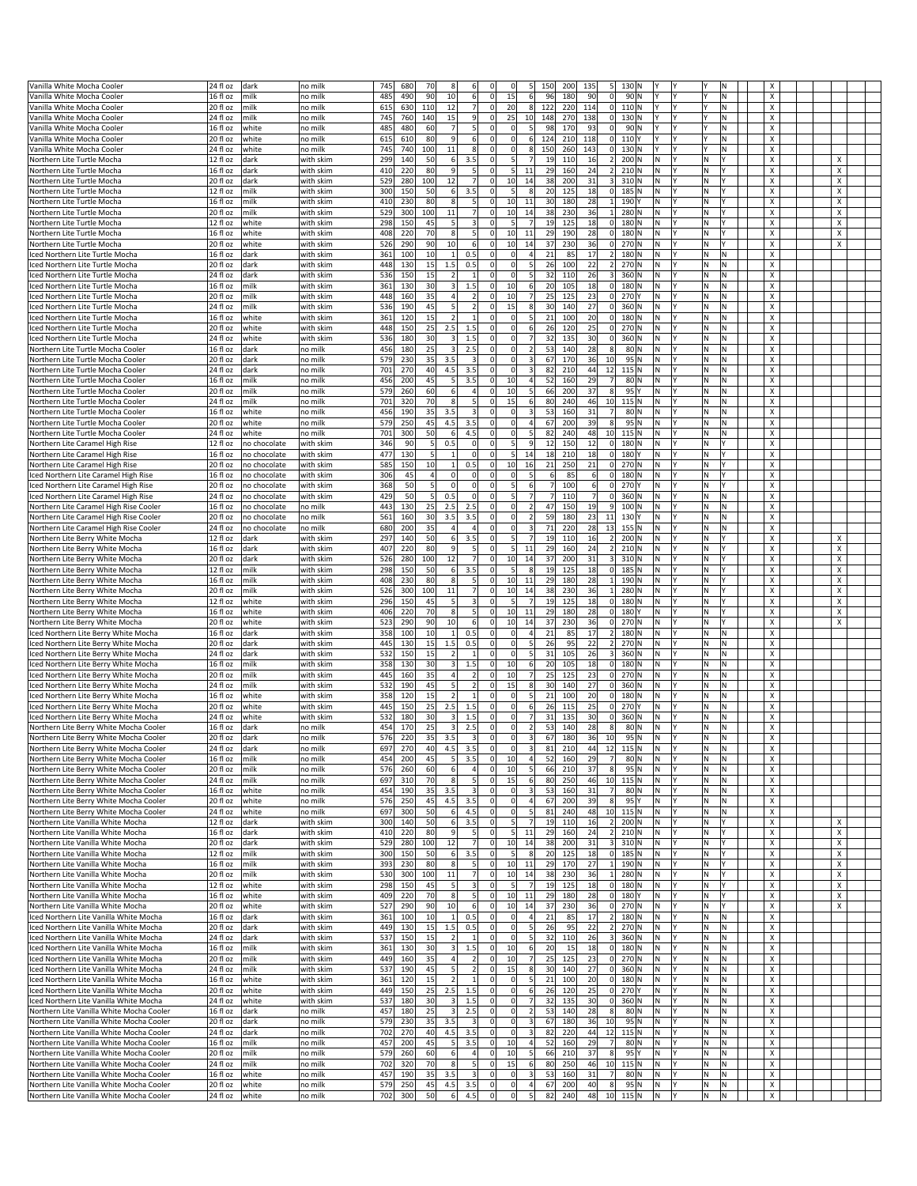| Vanilla White Mocha Cooler<br>Vanilla White Mocha Cooler                             |                                           | dark         | no mill            | 745        | 680        | 70             |                |                                             | $\Omega$                         | $\mathsf{S}$<br>150     |                | 200<br>135<br>5 <sup>1</sup>       | 130 <sub>N</sub>                      |          |          |                           |   |
|--------------------------------------------------------------------------------------|-------------------------------------------|--------------|--------------------|------------|------------|----------------|----------------|---------------------------------------------|----------------------------------|-------------------------|----------------|------------------------------------|---------------------------------------|----------|----------|---------------------------|---|
|                                                                                      | 24 fl oz<br>16 fl oz                      | milk         | no milk            | 485        | 490        | 90             | 10             | 6<br>$\mathbf 0$                            | 15                               | 6                       | 96             | 180<br>90<br> 0                    | 90 N<br>l۷<br>Y                       |          | N        | x                         |   |
| Vanilla White Mocha Cooler                                                           | 20 fl oz                                  | milk         | no milk            | 615        | 630        | 110            | 12             | $\overline{7}$<br>$\Omega$                  | 20                               | 8 <sup>1</sup><br>122   |                | 220<br>114<br> 0                   | $110$ N<br>l٢<br>l۷                   | l٧       | Ν        | X                         |   |
|                                                                                      |                                           |              |                    |            |            |                |                |                                             |                                  |                         |                |                                    |                                       |          |          |                           |   |
| Vanilla White Mocha Cooler                                                           | 24 fl oz                                  | milk         | no milk            | 745        | 760        | 140            | 15             | 9<br>$^{\circ}$                             | 25                               | 10<br>148               |                | 270<br>138<br>$\mathbf{0}$         | 130 N                                 |          | Ν        | х                         |   |
| Vanilla White Mocha Cooler                                                           | 16 fl oz                                  | white        | no milk            | 485        | 480        | 60             | $\overline{7}$ | 5<br>$\Omega$                               | $\Omega$                         | 5 <sub>l</sub>          | 98             | 170<br>93<br> 0                    | 90 N                                  |          | N        | x                         |   |
| Vanilla White Mocha Cooler                                                           | 20 fl oz                                  | white        | no milk            | 615        | 610        | 80             | 9              | 6<br>$^{\circ}$                             | $\overline{0}$                   | 6<br>124                |                | 118<br> 0 <br>210                  | 110Y<br>Υ<br>l۷                       |          | N        | x                         |   |
| Vanilla White Mocha Cooler                                                           | 24 fl oz                                  | white        | no milk            | 745        | 740        | 100            | 11             | 8<br>$^{\circ}$                             | $\Omega$                         | 8<br>150                |                | 260<br>143<br> 0                   | 130 N                                 |          | Ν        | х                         |   |
| Northern Lite Turtle Mocha                                                           | 12 fl oz                                  | dark         | with skim          | 299        | 140        | 50             | 6              | 3.5<br>$^{\circ}$                           | 5 <sup>1</sup>                   | 7                       | 19             | 16<br>110<br>2                     | 200 N<br>N<br>l۷                      | ١N       |          | x                         | x |
| Northern Lite Turtle Mocha                                                           | 16 fl oz                                  | dark         | with skim          | 410        | 220        | 80             | 9              | 5<br>$^{\circ}$                             | 5                                | 11                      | 29             | 24<br>2<br>160                     | 210 N<br>N<br>l۷                      | N        |          | X                         | x |
| Northern Lite Turtle Mocha                                                           | 20 fl oz                                  | dark         | with skim          | 529        | 280        | 100            | 12             | $\overline{7}$<br>$^{\circ}$                | 10 <sup>1</sup>                  | 14                      | 38             | 200<br>31<br>$\vert$ 3             | 310 N<br>N                            | ΙN       |          | х                         | х |
| Northern Lite Turtle Mocha                                                           | 12 fl oz                                  | milk         | with skim          | 300        | 150        | 50             | 6              | 3.5<br>$\Omega$                             | 5 <sub>l</sub>                   | 8                       | 2C             | 18<br>125<br> 0                    | 185 N<br>N                            | ١N       |          | x                         | х |
| Northern Lite Turtle Mocha                                                           | 16 fl oz                                  | milk         | with skim          | 410        | 230        | 80             | 8              | $\vert$<br>$\Omega$                         | 10                               | 11                      | 30             | 180<br>28<br>$\mathbf{1}$          | 190Y<br>N<br>l۷                       | İΝ       |          | x                         | Χ |
| Northern Lite Turtle Mocha                                                           | 20 fl oz                                  | milk         | with skim          | 529        | 300        | 100            | 11             | $\overline{7}$<br>$^{\circ}$                | 10 <sup>1</sup>                  | 14                      | 38             | 230<br>36<br>$1\vert$              | 280 N<br>N<br>I۷                      | M.       |          | х                         | х |
| Northern Lite Turtle Mocha                                                           | 12 fl oz                                  | white        | with skim          | 298        | 150        | 45             | 5              | 3<br>$\Omega$                               | 5                                | $\overline{7}$          | 19             | 125<br>18<br> 0                    | 180 N<br>N<br>l٧                      | M.       |          | x                         | х |
| Northern Lite Turtle Mocha                                                           | 16 fl oz                                  | white        | with skim          | 408        | 220        | 70             | 8              | 5<br>$\Omega$                               | 10                               | 11                      | 29             | 190<br>28<br> 0                    | 180 N<br>N<br>l٢                      | İΝ       |          | X                         | x |
| Northern Lite Turtle Mocha                                                           | 20 fl oz                                  | white        | with skim          | 526        | 290        | 90             | 10             | $6 \mid$<br>$^{\circ}$                      | 10 <sup>1</sup>                  | 14                      | 37             | 230<br>36<br> 0                    | 270 N<br>N                            | ΙN       |          | х                         | X |
| Iced Northern Lite Turtle Mocha                                                      | 16 fl oz                                  | dark         | with skim          | 361        | 100        | $10\,$         | $\overline{1}$ | 0.5<br>$\Omega$                             | $\Omega$                         | $\overline{4}$          | 21             | 17<br>85<br>$\overline{2}$         | 180 N<br>N                            | ١N       | N        | x                         |   |
| ced Northern Lite Turtle Mocha                                                       | 20 fl oz                                  | dark         | with skim          | 448        | 130        | 15             | 1.5            | 0.5<br>$\Omega$                             | $\overline{0}$                   | 5                       | 26             | 100<br>22<br>2                     | 270 N<br>N<br>l۷                      | lN.      | N        | x                         |   |
| iced Northern Lite Turtle Mocha                                                      | 24 fl oz                                  | dark         | with skim          | 536        | 150        | 15             | $\overline{2}$ | $\mathbf{1}$<br>$^{\circ}$                  | $\overline{0}$                   | 5 <sub>l</sub>          | 32             | 110<br>26<br>3 <sup>1</sup>        | 360 N<br>N<br>l۷                      | İΝ.      | M.       | х                         |   |
| ced Northern Lite Turtle Mocha                                                       | 16 fl oz                                  | milk         | with skim          | 361        | 130        | 30             | 3              | 1.5<br>$\mathbf 0$                          | 10                               | $6 \overline{6}$        | 2C             | 105<br>18<br> 0                    | 180 N<br>N<br>l۷                      | M.       | N        | x                         |   |
| iced Northern Lite Turtle Mocha                                                      | 20 fl oz                                  | milk         | with skim          | 448        | 160        | 35             | 4              | $\overline{2}$<br>$\Omega$                  | 10                               | 7                       | 25             | 125<br>23<br> 0                    | 270 Y<br>N                            | lΝ       | N        | x                         |   |
| iced Northern Lite Turtle Mocha                                                      | 24 fl oz                                  | milk         | with skim          | 536        | 190        | 45             | 5              | $\overline{2}$<br>$^{\circ}$                | 15                               | 8                       | 30             | 140<br>27<br> 0                    | 360 N<br>N<br>l۷                      | İΝ.      | M.       | Χ                         |   |
| ced Northern Lite Turtle Mocha                                                       | 16 fl oz                                  | white        | with skim          | 361        | 120        | 15             | 2              | $\Omega$<br>$\mathbf{1}$                    | $\Omega$                         | 5                       | 21             | 20<br>100<br> 0                    | 180 N<br>N                            | ١N       | N        | x                         |   |
| ced Northern Lite Turtle Mocha                                                       | 20 fl oz                                  | white        | with skim          | 448        | 150        | 25             | 2.5            | 1.5<br>$\Omega$                             | $\overline{0}$                   | 6                       | 26             | 120<br>25<br> 0                    | 270 N<br>N                            | lΝ       | N        | x                         |   |
|                                                                                      |                                           |              |                    |            |            |                |                |                                             |                                  |                         |                |                                    |                                       |          |          |                           |   |
| ced Northern Lite Turtle Mocha                                                       | 24 fl oz                                  | white        | with skim          | 536        | 180        | 30             | 3              | 1.5<br>$\Omega$                             | $\overline{0}$                   | 7                       | 32             | 135<br>30<br> 0                    | 360 N<br>N<br>l۷                      | İΝ.      | M.       | x                         |   |
| Northern Lite Turtle Mocha Cooler                                                    | 16 fl oz                                  | dark         | no milk            | 456        | 180        | 25             | 3              | 2.5<br>$^{\circ}$                           | $\overline{0}$                   | 2                       | 53             | 28<br>8<br>140                     | $80$ N<br>N                           | ١N       | N        | x                         |   |
| Northern Lite Turtle Mocha Cooler                                                    | 20 fl oz                                  | dark         | no milk            | 579        | 230        | 35             | 3.5            | 3<br>$\Omega$                               | $\overline{0}$                   | $\overline{\mathbf{3}}$ | 67             | 170<br>36<br>10                    | 95 N<br>N                             | lΝ       | Ν        | x                         |   |
| Northern Lite Turtle Mocha Cooler                                                    | 24 fl oz                                  | dark         | no milk            | 701        | 270        | 40             | 4.5            | 3.5<br>$\Omega$                             | $\Omega$                         | $\overline{\mathbf{3}}$ | 82             | 210<br>44<br>12                    | $115$ N<br>N<br>l۷                    | İΝ.      | M.       | x                         |   |
| Northern Lite Turtle Mocha Cooler                                                    | 16 fl oz                                  | milk         | no milk            | 456        | 200        | 45             | 5              | 3.5<br>$^{\circ}$                           | 10                               | $\overline{4}$          | 52             | 29<br>160<br>$\overline{7}$        | 80 N<br>N                             | ١N       | N        | x                         |   |
| Northern Lite Turtle Mocha Cooler                                                    | 20 fl oz                                  | milk         | no milk            | 579        | 260        | 60             | 6              | 4<br>$\Omega$                               | 10                               | 5 <sub>l</sub>          | 66             | 200<br>37<br>8                     | $95$ <sup>Y</sup><br>N<br>I۷          | ١N       | Ν        | х                         |   |
| Northern Lite Turtle Mocha Cooler                                                    | 24 fl oz                                  | milk         | no milk            | 701        | 320        | 70             | 8              | $\mathsf{5}$<br>$\Omega$                    | 15                               | 6                       | 80             | 240<br>46<br>10                    | $115$ N<br>N<br>I٢                    | ļΝ.      | M.       | х                         |   |
| Northern Lite Turtle Mocha Cooler                                                    | 16 fl oz                                  | white        | no milk            | 456        | 190        | 35             | 3.5            | $\overline{\mathbf{3}}$<br>$^{\circ}$       | $\Omega$                         | $\overline{\mathbf{3}}$ | 53             | $\overline{7}$<br>31<br>160        | 80 N<br>N                             | ١N       | Ν        | x                         |   |
| Northern Lite Turtle Mocha Cooler                                                    | 20 fl oz                                  | white        | no milk            | 579        | 250        | 45             | 4.5            | 3.5<br>$\Omega$                             | $\overline{0}$                   | $\overline{4}$          | 67             | 200<br>39<br>8                     | 95 N<br>N<br>I۷                       | ΙN       | Ν        | х                         |   |
| Northern Lite Turtle Mocha Cooler                                                    | 24 fl oz                                  | white        | no milk            | 701        | 300        | 50             | 6              | 4.5<br>$\Omega$                             | $\Omega$                         | 5                       | 82             | 240<br>48<br>10 <sup>1</sup>       | $115$ N<br>N<br>l۷                    | ļΝ.      | M.       | x                         |   |
| Northern Lite Caramel High Rise                                                      | 12 fl oz                                  | no chocolate | with skim          | 346        | 90         | 5              | 0.5            | $\Omega$<br>$^{\circ}$                      | 5 <sup>1</sup>                   | 9                       | 12             | 12<br> 0 <br>150                   | 180 N<br>N                            | ١N       |          | x                         |   |
| Northern Lite Caramel High Rise                                                      | 16 fl oz                                  | no chocolate | with skim          | 477        | 130        | 5 <sub>l</sub> | $\overline{1}$ | $\mathbf 0$<br>$\Omega$                     | 5 <sup>1</sup>                   | 14                      | 18             | 210<br>18<br> 0                    | 180 Y<br>N<br>I۷                      | ١N       |          | х                         |   |
| Northern Lite Caramel High Rise                                                      | 20 fl oz                                  | no chocolate | with skim          | 585        | 150        | 10             | $\mathbf{1}$   | 0.5<br>$\Omega$                             | 10                               | 16                      | 21             | 250<br>21<br> 0                    | 270 N<br>N<br>l٢                      | lN.      |          | x                         |   |
| Iced Northern Lite Caramel High Rise                                                 | 16 fl oz                                  | no chocolate | with skim          | 306        | 45         | $\overline{4}$ | 0              | $\Omega$<br>$^{\circ}$                      | $\overline{0}$                   | 5 <sub>5</sub>          |                | 6<br> 0 <br>85                     | 180 N<br>N                            | ١N       |          | х                         |   |
| Iced Northern Lite Caramel High Rise                                                 | 20 fl oz                                  | no chocolate | with skim          | 368        | 50         | 5 <sub>l</sub> | $\Omega$       | $\mathbf 0$<br>$\Omega$                     | 5 <sup>1</sup>                   | $6 \overline{6}$        |                | 100<br>6<br> 0                     | 270Y<br>N                             | ١N       |          | х                         |   |
| Iced Northern Lite Caramel High Rise                                                 | 24 fl oz                                  | no chocolate | with skim          | 429        | 50         | 5 <sub>l</sub> | 0.5            | $\Omega$<br>$\Omega$                        | 5 <sup>1</sup>                   | 7                       |                | 7<br>110<br> 0                     | 360 N<br>N<br>l۷                      | lΝ       | M.       | X                         |   |
| Northern Lite Caramel High Rise Cooler                                               | 16 fl oz                                  | no chocolate | no milk            | 443        | 130        | 25             | 2.5            | 2.5<br>$^{\circ}$                           | $\Omega$                         | 2                       | 47             | 19<br>150<br>9                     | 100 N<br>N                            | ١N       | Ν        | х                         |   |
| Northern Lite Caramel High Rise Cooler                                               | 20 fl oz                                  | no chocolate | no milk            | 561        | 160        | 30             | 3.5            | 3.5<br>$\Omega$                             | $\overline{0}$                   | $\overline{2}$          | 59             | 180<br>23<br>11                    | N<br>130 Y                            | ١N       | Ν        | х                         |   |
|                                                                                      |                                           |              |                    |            |            | 35             | $\overline{a}$ | $\overline{a}$<br>$\Omega$                  | $\overline{0}$                   | $\overline{\mathbf{3}}$ |                | 220<br>28                          | 155 N<br>N<br>l٢                      | lN.      | N        | x                         |   |
| Northern Lite Caramel High Rise Cooler                                               | 24 fl oz                                  | no chocolate | no milk            | 680        | 200        |                |                |                                             |                                  |                         | 71             | 13                                 |                                       |          |          |                           |   |
| Northern Lite Berry White Mocha                                                      | 12 fl oz                                  | dark         | with skim          | 297        | 140        | 50             | 6              | 3.5<br>$^{\circ}$                           | 5                                | 7                       | 19             | 16<br>$\left  \right $<br>110      | 200 N<br>İм<br>l۷                     | İΝ.      |          | х                         | x |
| Northern Lite Berry White Mocha                                                      | 16 fl oz                                  | dark         | with skim          | 407        | 220        | 80             | 9              | 5<br>$\Omega$                               | 5 <sub>l</sub>                   | 11                      | 29             | 160<br>24<br>$\overline{2}$        | 210 N<br>N                            | ΙN       |          | х                         | x |
| Northern Lite Berry White Mocha                                                      | 20 fl oz                                  | dark         | with skim          | 526        | 280        | 100            | 12             | $\overline{7}$<br>$\Omega$                  | 10                               | 14                      | 37             | 200<br>31<br>$\vert$ 3             | 310 N<br>N                            | İΝ       |          | X                         | Χ |
| Northern Lite Berry White Mocha                                                      | 12 fl oz                                  | milk         | with skim          | 298        | 150        | 50             | 6              | 3.5<br>$^{\circ}$                           | 5 <sup>1</sup>                   | 8                       | 19             | 18<br> 0 <br>125                   | N<br>185 N<br>l۷                      | N        |          | X                         | x |
| Northern Lite Berry White Mocha                                                      | 16 fl oz                                  | milk         | with skim          | 408        | 230        | 80             | 8              | 5<br>$^{\circ}$                             | 10                               | 11                      | 29             | 180<br>28<br>$1\vert$              | 190 N<br>N                            | ΙN       |          | х                         | х |
| Northern Lite Berry White Mocha                                                      | 20 fl oz                                  | milk         | with skim          | 526        | 300        | 100            | 11             | $\overline{7}$<br>$\Omega$                  | 10                               | 14                      | 38             | 230<br>36<br>$1\vert$              | 280 N<br>N<br>l۷                      | M.       |          | X                         | х |
| Northern Lite Berry White Mocha                                                      | 12 fl oz                                  | white        | with skim          | 296        | 150        | 45             | 5              | 3<br>$^{\circ}$                             | 5 <sup>1</sup>                   | $\overline{7}$          | 19             | 125<br>18<br> 0                    | 180 N<br>N<br>l۷                      | N        |          | X                         | x |
| Northern Lite Berry White Mocha                                                      | 16 fl oz                                  | white        | with skim          | 406        | 220        | 70             | 8              | 5<br>$^{\circ}$                             | 10 <sup>1</sup>                  | 11                      | 29             | 180<br>28<br> 0                    | 180 Y<br>N                            | ΙN       |          | х                         | x |
| Northern Lite Berry White Mocha                                                      | $20 f \circ z$                            | white        | with skim          | 523        | 290        | 90             | 10             | 6<br>$\Omega$                               | 10                               | 14                      | 37             | 230<br>36<br>$\overline{0}$        | 270 N<br>N                            | lΝ       |          | X                         | Χ |
| Iced Northern Lite Berry White Mocha                                                 | 16 fl oz                                  | dark         | with skim          | 358        | 100        | 10             | $\mathbf{1}$   | 0.5<br>$^{\circ}$                           | $\Omega$                         | $\overline{4}$          | 21             | 85<br>17<br>2                      | 180 N<br>N<br>l۷                      | N        | Ν        | X                         |   |
| Iced Northern Lite Berry White Mocha                                                 | 20 fl oz                                  | dark         | with skim          | 445        | 130        | 15             | 1.5            | 0.5<br>$^{\circ}$                           | $\Omega$                         | 5 <sub>l</sub>          | 26             | 22<br>95<br>2                      | 270 N<br>N                            | ١N       | Ν        | х                         |   |
| Iced Northern Lite Berry White Mocha                                                 | 24 fl oz                                  | dark         | with skim          | 532        | 150        | 15             | $\overline{2}$ | $\mathbf{1}$<br>$^{\circ}$                  | $\Omega$                         | 5 <sup>1</sup>          | 31             | 105<br>26<br>3                     | 360 N<br>N<br>l۷                      | N        | N        | x                         |   |
| Iced Northern Lite Berry White Mocha                                                 | 16 fl oz                                  | milk         | with skim          | 358        | 130        | 30             | 3              | 1.5<br>$^{\circ}$                           | 10                               | 6                       | 20             | 105<br>18<br> 0                    | 180 N<br>N<br>l۷                      | İΝ.      | Ν        | х                         |   |
| Iced Northern Lite Berry White Mocha                                                 | 20 fl oz                                  | milk         | with skim          | 445        | 160        | 35             | $\overline{4}$ | $\overline{2}$<br>$^{\circ}$                | 10                               | 7                       | 25             | 125<br>23<br> 0                    |                                       | ΙN       | Ν        | х                         |   |
| ced Northern Lite Berry White Mocha                                                  | 24 fl oz                                  | milk         | with skim          | 532        | 190        | 45             |                |                                             |                                  |                         |                |                                    | 270 N<br>N                            |          | N        |                           |   |
|                                                                                      |                                           |              |                    |            |            |                | 5              | $\overline{2}$<br>$\Omega$                  | 15                               | 8                       | 3 <sub>C</sub> | 27<br>140<br>$\overline{0}$        | 360 N<br>N                            | N        |          | x                         |   |
| ced Northern Lite Berry White Mocha                                                  | 16 fl oz                                  | white        | with skim          | 358        | 120        | 15             | $\overline{2}$ | $\mathbf{1}$<br>$^{\circ}$                  | $\Omega$                         | $\mathsf{S}$            | 21             | 100<br>20<br> 0                    | 180 N<br>N                            | N        | N        | х                         |   |
| Iced Northern Lite Berry White Mocha                                                 | 20 fl oz                                  | white        | with skim          | 445        | 150        | 25             | 2.5            | 1.5<br>$^{\circ}$                           | $\Omega$                         | 6                       | 26             | 25<br>115<br> 0                    | 270 Y<br>N                            | ١N       | Ν        | х                         |   |
| ced Northern Lite Berry White Mocha                                                  |                                           |              |                    |            |            |                | 3              | $\Omega$                                    | $\Omega$                         | $\overline{7}$          |                |                                    | N<br>l۷                               | l٧       | N        | x                         |   |
|                                                                                      | 24 fl oz                                  | white        | with skim          | 532        | 180        | 30             |                | 1.5                                         |                                  |                         | 31             | 135<br>30<br> 0                    | 360 N                                 |          |          |                           |   |
| Northern Lite Berry White Mocha Cooler<br>Northern Lite Berry White Mocha Cooler     | 16 fl oz                                  | dark         | no milk            | 454        | 170        | 25             | 3              | 2.5<br>$\Omega$<br>$\Omega$                 | οl<br>$\overline{0}$             | 2                       | 53             | 140<br>28<br>8 <sup>1</sup><br>180 | 80 N<br>N<br>l٢                       | lΝ       | N        | x                         |   |
|                                                                                      | 20 fl oz                                  | dark         | no milk            | 576        | 220        | 35             | 3.5            | $\vert$ 3                                   |                                  | $\overline{\mathbf{3}}$ | 67             | 10<br>36<br>$\overline{A}$         | 95 N<br>N<br>IN.<br>lv                | N        | Ν        | x<br>Y                    |   |
| Northern Lite Berry White Mocha Cooler                                               | 24 fl oz                                  | dark         | no mill            | 697        | 270        |                | 4.5            |                                             |                                  |                         | 81             | 12<br>210                          | 115 N                                 |          |          |                           |   |
| Northern Lite Berry White Mocha Cooler                                               | $\sqrt{16}$ fl oz                         | milk         | no milk            | 454        | 200        | 45             | 5              | 3.5<br>$\Omega$                             | 10                               | $\overline{4}$          | 52             | 29<br>7<br>160                     | 80 N<br>N<br>l٢                       | M.       | N.       | x                         |   |
| Northern Lite Berry White Mocha Cooler                                               | 20 fl oz                                  | milk         | no milk            | 576        | 260        | 60             | 6              | $\overline{a}$<br>$^{\circ}$                | 10                               | 5 <sub>5</sub>          | 66             | 210<br>37<br>8                     | 95 N<br>N<br>IY                       | M,       | N.       | х                         |   |
| Northern Lite Berry White Mocha Cooler                                               | 24 fl oz                                  | milk         | no milk            | 697        | 310        | 70             | 8              | 5<br>$\mathbf 0$                            | 15                               | 6                       | 80             | 10<br>250<br>46                    | $115$ N<br>M <br>l٢                   | M)       | N.       | X                         |   |
| Northern Lite Berry White Mocha Cooler                                               | 16 fl oz                                  | white        | no milk            | 454        | 190        | 35             | 3.5            | $\overline{\mathbf{3}}$<br>$\Omega$         | $\overline{0}$                   | $\overline{\mathbf{3}}$ | 53             | 31<br>7<br>160                     | 80 N<br>IN.<br>l٢                     | M.       | N.       | x                         |   |
| Northern Lite Berry White Mocha Cooler                                               | 20 fl oz                                  | white        | no milk            | 576        | 250        | 45             | 4.5            | 3.5<br>$\Omega$                             | $\overline{0}$                   | $\overline{4}$          | 67             | 200<br>39<br>8 <sup>1</sup>        | 95 Y<br>IN.<br>I٢                     | İΝ.      | N.       | $\boldsymbol{\mathsf{x}}$ |   |
| Northern Lite Berry White Mocha Cooler                                               | 24 fl oz                                  | white        | no milk            | 697        | 300        | 50             |                | 4.5                                         | $\Omega$                         | 5                       | 81             | 240<br>48<br>10                    | $115$ N<br>N<br>l۷                    | N        | M        | x                         |   |
| Northern Lite Vanilla White Mocha                                                    | 12 fl oz                                  | dark         | with skim          | 300        | 140        | 50             | $6 \mid$       | 3.5<br>$\Omega$                             | 5 <sup>1</sup>                   | $\overline{7}$          | 19             | 110<br>16<br>2                     | 200 N<br>N<br>l۷                      | M.       |          | X                         | X |
| Northern Lite Vanilla White Mocha                                                    | 16 fl oz                                  | dark         | with skim          | 410        | 220        | 80             | 9              | 5<br>$^{\circ}$                             | 5 <sup>1</sup>                   | 11                      | 29             | 160<br>24                          | 2 210 N<br>İΝ.<br>I٢                  | ļΝ.      |          | X                         | X |
| Northern Lite Vanilla White Mocha                                                    | 20 fl oz                                  | dark         | with skim          | 529        | 280        | 100            | 12             | 7<br>$\overline{0}$                         | 10                               | 14                      | 38             | 200<br>31<br>3                     | 310 N<br>M <br>l٢                     | M)       |          | x                         | Х |
| Northern Lite Vanilla White Mocha                                                    | 12 fl oz                                  | milk         | with skim          | 300        | 150        | 50             | $6 \mid$       | 3.5<br>$\Omega$                             | 5 <sup>1</sup>                   | 8                       | 20             | 125<br>18                          | $0$ 185 N<br>M <br>l۷                 | M.       |          | x                         | х |
| Northern Lite Vanilla White Mocha                                                    | 16 fl oz                                  | milk         | with skim          | 393        | 230        | 80             | 8              | $\vert$<br>$\Omega$                         | 10 <sup>1</sup>                  | 11                      | 29             | 170<br>27                          | 1 190 N<br>IN.<br>I٢                  | İΝ.      |          | X                         | X |
| Northern Lite Vanilla White Mocha                                                    | 20 fl oz                                  | milk         | with skim          | 530        | 300        | 100            | $11\,$         | 7<br>$\mathbf 0$                            | 10                               | 14                      | 38             | 230<br>36<br>$1\vert$              | 280 N<br>N                            | İΝ.      |          | x                         | х |
| Northern Lite Vanilla White Mocha                                                    | $\overline{12}$ fl oz                     | white        | with skim          | 298        | 150        | 45             | 5              | 3<br>$^{\circ}$                             | 5 <sub>l</sub>                   | $\overline{7}$          | 19             | 125<br>18                          | $0$ 180 N<br>N<br>I٢                  | İΝ.      |          | x                         | Х |
| Northern Lite Vanilla White Mocha                                                    | 16 fl oz                                  | white        | with skim          | 409        | 220        | 70             | 8              | 5 <sup>1</sup><br>$\Omega$                  | 10 <sup>1</sup>                  | 11                      | 29             | 180<br>28                          | $0$ 180 Y<br>IN.<br>I٢                | İΝ.      |          | X                         | X |
| Northern Lite Vanilla White Mocha                                                    | 20 fl oz                                  | white        | with skim          | 527        | 290        | 90             | 10             | 6<br>$\overline{0}$                         | 10                               | 14                      | 37             | 230<br>36                          | $0$ 270 N<br>M <br>l۷                 | M.       |          | x                         | х |
| Iced Northern Lite Vanilla White Mocha                                               | 16 fl oz                                  | dark         | with skim          | 361        | 100        | 10             | $1\vert$       | 0.5<br>$\Omega$                             | $\overline{0}$                   | 4                       | 21             | 17<br>85                           | 2 180 N<br> N<br>I٢                   | N        | Ν        | х                         |   |
| Iced Northern Lite Vanilla White Mocha                                               | 20 fl oz                                  | dark         | with skim          | 449        | 130        | 15             | 1.5            | 0.5<br>$\Omega$                             | $\Omega$                         | 5 <sub>l</sub>          | 26             | 95<br>22                           | 2 270 N<br> N<br>I٢                   | İΝ.      | N.       | X                         |   |
| ced Northern Lite Vanilla White Mocha                                                | 24 fl oz                                  | dark         | with skim          | 537        | 150        | 15             | $\overline{2}$ | $\mathbf 0$<br>$\vert$ 1                    | $\overline{0}$                   | 5 <sup>1</sup>          | 32             | 26<br>3<br>110                     | $360$ N<br>N<br>l۷                    | M        | M.       | X                         |   |
| Iced Northern Lite Vanilla White Mocha                                               | 16 fl oz                                  | milk         | with skim          | 361        | 130        | 30             | $\vert$ 3      | 1.5<br>$\Omega$                             | 10                               | 6                       | 20             | 15<br>18                           | $0$ 180 N<br>N<br>I٢                  | M        | Ν        | x                         |   |
| Iced Northern Lite Vanilla White Mocha                                               | 20 fl oz                                  | milk         | with skim          | 449        | 160        | 35             | 4              | $\overline{2}$<br>$\Omega$                  | 10                               | 7                       | 25             | 125<br>23                          | $0$ 270 N<br>N.<br>I٢                 | İΝ.      | N.       | Χ                         |   |
| Iced Northern Lite Vanilla White Mocha                                               | 24 fl oz                                  | milk         | with skim          | 537        | 190        | 45             | 5              | $\overline{2}$<br>$\Omega$                  | 15                               | 8 <sup>1</sup>          | 30             | 27<br>140                          | $0$ 360 N<br>M                        | M        | Ν        | x                         |   |
| Iced Northern Lite Vanilla White Mocha                                               | 16 fl oz                                  | white        | with skim          | 361        | 120        | 15             | $\overline{2}$ | $1\overline{ }$<br>$\Omega$                 | $\Omega$                         | 5                       | 21             | 100<br>20                          | $0$ 180 N<br>N<br>I٢                  | İΝ.      | Ν        | х                         |   |
|                                                                                      |                                           |              |                    |            |            |                |                | $\Omega$                                    | $\overline{0}$                   |                         |                |                                    | l٢                                    | ١N       | M.       | X                         |   |
| Iced Northern Lite Vanilla White Mocha                                               | 20 fl oz                                  | white        | with skim          | 449        | 150        | 25             | 2.5<br>3       | 1.5<br>0                                    | $\Omega$                         | 6<br>7                  | 26             | 120<br>25                          | $0$ 270 Y<br>M                        |          |          |                           |   |
| ced Northern Lite Vanilla White Mocha                                                | 24 fl oz                                  | white        | with skim          | 537        | 180        | 30             | 3              | 1.5                                         |                                  |                         | 32             | 30<br> 0 <br>135                   | 360 N<br> N<br>IY                     | M        | N.       | х                         |   |
| Northern Lite Vanilla White Mocha Cooler                                             | 16 fl oz                                  | dark         | no milk            | 457        | 180        | 25             |                | 2.5<br>$\Omega$                             | $\overline{0}$                   | 2                       | 53             | 140<br>28<br>8 <sup>1</sup>        | 80 N<br>N                             | M        | Ν        | x                         |   |
| Northern Lite Vanilla White Mocha Cooler                                             | 20 fl oz                                  | dark         | no milk            | 579        | 230        | 35             | 3.5            | $\vert$ 3<br>$\Omega$                       | $\circ$                          | $\overline{\mathbf{3}}$ | 67             | 180<br>36<br>10                    | 95 N<br>M <br>l٢                      | ١N       | N.       | X                         |   |
| Northern Lite Vanilla White Mocha Cooler                                             | 24 fl oz                                  | dark         | no milk            | 702        | 270        | 40             | 4.5            | 3.5<br>$\Omega$                             | $\Omega$                         | $\overline{\mathbf{3}}$ | 82             | 220<br>44                          | 12 115 N<br> N<br>I٢                  | N        | N.       | х                         |   |
| Northern Lite Vanilla White Mocha Cooler                                             | 16 fl oz                                  | milk         | no milk            | 457        | 200        | 45             | 5              | 3.5<br>$\Omega$                             | 10                               | 4                       | 52             | 160<br>29<br>7                     | 80 N<br>M <br>I٢                      | ΙN       | Ν        | x                         |   |
| Northern Lite Vanilla White Mocha Cooler                                             | 20 fl oz                                  | milk         | no milk            | 579        | 260        | 60             | 6              | $\overline{4}$<br>$\mathbf 0$               | 10                               | 5 <sub>l</sub>          | 66             | 210<br>37<br>8                     | 95<br>İΝ.<br>l٢                       | ١N       | N.       | X                         |   |
| Northern Lite Vanilla White Mocha Cooler                                             | 24 fl oz                                  | milk         | no milk            | 702        | 320        | 70             | 8              | 5<br>$\Omega$                               | 15                               | 6                       | 80             | 46<br>250                          | $10$ 115 N<br>M.<br>I٢                | ļΝ.      | M.       | X                         |   |
| Northern Lite Vanilla White Mocha Cooler                                             | 16 fl oz                                  | white        | no milk            | 457        | 190        | 35             | 3.5            | 3<br>$\Omega$                               | $\overline{0}$                   | $\overline{\mathbf{3}}$ | 53             | 160<br>31<br>7                     | 80 N<br> N<br>I٢                      | N        | N.       | x                         |   |
| Northern Lite Vanilla White Mocha Cooler<br>Northern Lite Vanilla White Mocha Cooler | $\overline{20}$ fl oz<br>24 fl oz   white | white        | no milk<br>no milk | 579<br>702 | 250<br>300 | 45<br>50       | 4.5            | 3.5<br>$\overline{0}$<br>$6 \mid 4.5$<br> 0 | $\overline{0}$<br>$\overline{0}$ | $\overline{a}$<br>5     | 67<br>82       | 200<br>40<br>8<br>240              | 95 N<br>N.<br>l٢<br>48 10 115 N<br> N | M.<br>N. | N.<br> N | X<br>X                    |   |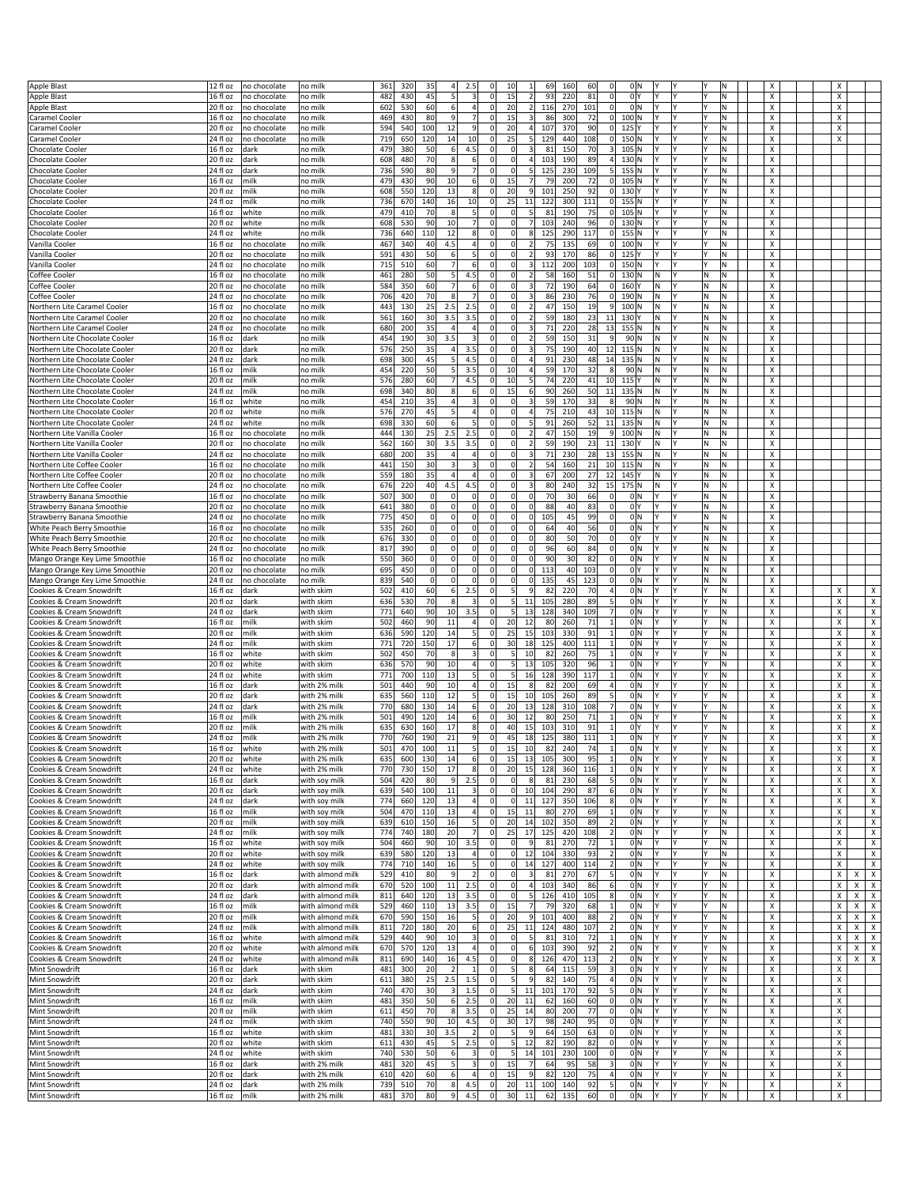| <b>Apple Blast</b>             | $\sqrt{12}$ fl oz | no chocolate   | no milk          | 361 | 320 | 35                   | 4 <sup>1</sup><br>2.5 | $\Omega$                       | 10<br>1                                 | 69<br>160        | 60<br>$\Omega$                           | 0lN            |   | IN  | X                         |                                                  |
|--------------------------------|-------------------|----------------|------------------|-----|-----|----------------------|-----------------------|--------------------------------|-----------------------------------------|------------------|------------------------------------------|----------------|---|-----|---------------------------|--------------------------------------------------|
| Apple Blast                    | 16 fl oz          | no chocolate   | no milk          | 482 | 430 | 45<br>5              |                       | 3<br>0                         | 15<br>2                                 | 93<br>220        | 81<br> 0 <br>0 Y                         | l۷             |   | ١N  | Х                         | Х                                                |
| <b>Apple Blast</b>             | 20 fl oz          | no chocolate   | no milk          | 602 | 530 | 60                   | 6                     | 4<br>$\mathbf 0$               | 20<br>2                                 | 116<br>270       | 101<br> 0 <br>0 N                        | l٢             |   | N   | Х                         | Х                                                |
| Caramel Cooler                 | 16 fl oz          | no chocolate   | no milk          | 469 | 430 | 80                   | 9                     | 7 <sup>1</sup><br>$\Omega$     | 15<br>3                                 | 86<br>300        | 72<br> 0 <br>100 N                       | Y<br>l٧        |   | lN. | Х                         | Х                                                |
| Caramel Cooler                 | 20 fl oz          | no chocolate   | no milk          | 594 | 540 | 12<br>100            |                       | 9<br>0                         | 20<br>$\overline{4}$                    | 107<br>370       | 90<br> 0 <br>$125$ <sup>Y</sup>          | l۷             |   | M   | Х                         | Х                                                |
| Caramel Cooler                 | 24 fl oz          | no chocolate   | no milk          | 719 | 650 | 120<br>14            |                       | 10 <sup>1</sup><br>0           | 25<br>5 <sub>l</sub>                    | 129<br>440       | 108<br>150 N<br> 0                       | I٧             |   | N   | Х                         | Х                                                |
| Chocolate Cooler               | 16 fl oz          | dark           | no milk          | 479 | 380 | 50                   | 6                     | 4.5<br>$\mathbf 0$             | $\Omega$<br>3                           | 8<br>150         | 70<br>3<br>$105$ N                       | l۷             |   | lN. | Х                         |                                                  |
|                                |                   |                |                  |     |     |                      |                       |                                |                                         |                  |                                          | l۷             |   |     |                           |                                                  |
| Chocolate Cooler               | 20 fl oz          | dark           | no milk          | 608 | 480 | 70<br>8              |                       | 6<br>$\mathbf 0$               | $\overline{4}$<br>0                     | 103<br>190       | 89<br>4<br>$130$ N                       |                |   | M   | Х                         |                                                  |
| Chocolate Cooler               | 24 fl oz          | dark           | no milk          | 736 | 590 | 80                   | 9                     | $\mathbf 0$<br>$\overline{7}$  | 5<br>0                                  | 125<br>230       | 109<br>155 N<br>5                        | I٢             |   | ΙN  | х                         |                                                  |
| Chocolate Cooler               | 16 fl oz          | milk           | no milk          | 479 | 430 | 90<br>10             |                       | 6<br>$\mathbf 0$               | 15<br>$\overline{7}$                    | 79<br>200        | 72<br> 0 <br>$105$ N                     |                |   | lN. | Х                         |                                                  |
| Chocolate Cooler               | 20 fl oz          | milk           | no milk          | 608 | 550 | 120<br>13            |                       | 8<br>0                         | 20<br>9                                 | 101<br>250       | 92<br> 0 <br>$130$ <sup>Y</sup>          | l۷             |   | M.  | Х                         |                                                  |
| Chocolate Cooler               | 24 fl oz          | milk           | no mill          | 736 | 670 | 16<br>140            |                       | 10 <sup>1</sup><br>$\mathbf 0$ | 25<br>11                                | 122<br>300       | 111<br> 0 <br>$155$ N                    | l۷             |   | N   | Х                         |                                                  |
| Chocolate Cooler               | $\sqrt{16}$ fl oz | white          | no milk          | 479 | 410 | 70<br>8              |                       | 5 <sup>1</sup><br>$\mathbf 0$  | $\Omega$<br>5 <sub>5</sub>              | 81<br>190        | 75<br> 0 <br>$105$ N                     | l٧             |   | M   | Х                         |                                                  |
| <b>Chocolate Cooler</b>        | 20 fl oz          | white          | ho milk          | 608 | 530 | 90<br>10             |                       | 7<br>$\mathbf 0$               | $\overline{7}$<br>$\Omega$              | 103<br>240       | 96<br>$\circ$<br>$130$ N                 | l۷             |   | N   | Х                         |                                                  |
|                                |                   |                |                  |     |     |                      |                       |                                |                                         |                  |                                          |                |   |     |                           |                                                  |
| <b>Chocolate Cooler</b>        | 24 fl oz          | white          | no mill          | 736 | 640 | 110<br>12            |                       | 8<br>$\mathbf 0$               | 8<br>0                                  | 125<br>290       | 117<br> 0 <br>155 N                      | I٧             |   | ΙN  | х                         |                                                  |
| Vanilla Cooler                 | $16f$ l oz        | no chocolate   | no mill          | 467 | 340 | 40<br>4.5            |                       | $\overline{4}$<br>$\Omega$     | <sub>0</sub><br>$\overline{2}$          | 75<br>135        | 69<br> 0 <br>100 N                       |                |   | lN. | Х                         |                                                  |
| Vanilla Cooler                 | 20 fl oz          | no chocolate   | no milk          | 591 | 430 | 50<br>6              |                       | 5<br>0                         | 0<br>2                                  | 93<br>170        | 86<br> 0 <br>$125$ <sup>Y</sup>          | l٧             |   | M.  | Х                         |                                                  |
| Vanilla Cooler                 | 24 fl oz          | no chocolate   | no mill          | 715 | 510 | 60                   | $\overline{7}$        | 6<br>0                         | $\overline{\mathbf{3}}$<br>0            | 112<br>200       | 103<br>$\circ$<br>150 N                  | I٧             |   | N   | Х                         |                                                  |
| Coffee Cooler                  | 16 fl oz          | no chocolate   | no mill          | 461 | 280 | 50                   | 5                     | 4.5<br>$\mathbf 0$             | $\Omega$<br>$\overline{\mathbf{2}}$     | 58<br>160        | 51<br> 0 <br>130 N                       | N<br>l٧        | N | M   | х                         |                                                  |
| Coffee Cooler                  | 20 fl oz          | no chocolate   | no milk          | 584 | 350 | 60                   | $\overline{7}$        | $6 \mid$<br>0                  | $\overline{\mathbf{3}}$<br>0            | 72<br>190        | $\circ$<br>64<br>160 Y                   | N<br>l۷        | N | M   | Х                         |                                                  |
|                                |                   |                |                  |     |     |                      |                       |                                |                                         |                  |                                          |                |   |     |                           |                                                  |
| Coffee Cooler                  | 24 fl oz          | no chocolate   | no mill          | 706 | 420 | 70                   | 8                     | $\overline{7}$<br>$\mathbf 0$  | $\overline{\mathbf{3}}$<br>0            | 86<br>230        | 190 N<br>76<br> 0                        | N              | N | Ν   | х                         |                                                  |
| Northern Lite Caramel Cooler   | 16 fl oz          | no chocolate   | no mill          | 443 | 130 | 25<br>2.5            | 2.5                   | $\mathbf 0$                    | $\Omega$<br>$\overline{\mathbf{2}}$     | 47<br>150        | 19<br>9<br>100 N                         | N              | N | N   | Х                         |                                                  |
| Northern Lite Caramel Cooler   | 20 fl oz          | no chocolate   | no milk          | 561 | 160 | 30<br>3.5            | 3.5                   | 0                              | 0<br>2                                  | 59<br>180        | 23<br>11<br>130 Y                        | N<br>l۷        | N | N   | Х                         |                                                  |
| Northern Lite Caramel Cooler   | 24 fl oz          | no chocolate   | no mill          | 680 | 200 | 35<br>$\overline{4}$ |                       | $\overline{4}$<br>$\mathbf 0$  | 0<br>$\overline{\mathbf{3}}$            | 71<br>220        | 28<br>13<br>155 N                        | N<br>I٧        | N | Ν   | Х                         |                                                  |
| Northern Lite Chocolate Cooler | 16 fl oz          | dark           | no mill          | 454 | 190 | 3.5<br>30            |                       | $\overline{3}$<br>$\mathbf 0$  | $\Omega$<br>$\overline{2}$              | 59<br>150        | 90 N<br>31<br>9                          | N<br>l٧        | N | N   | X                         |                                                  |
|                                |                   |                | no milk          | 576 |     | 35                   | 4 <sup>1</sup>        | 3.5<br>$\mathbf 0$             | <sub>0</sub><br>3                       | 75<br>190        | 40<br>12<br>115N                         | N<br>l۷        | N | ΙN  | Х                         |                                                  |
| Northern Lite Chocolate Cooler | 20 fl oz          | dark           |                  |     | 250 |                      |                       |                                |                                         |                  |                                          |                |   |     |                           |                                                  |
| Northern Lite Chocolate Cooler | 24 fl oz          | dark           | no mill          | 698 | 300 | 45                   | 5 <sup>1</sup><br>4.5 | 0                              | 0<br>$\overline{4}$                     | 91<br>230        | 48<br>14<br>135 N                        | N<br>IΥ        | N | ΙN  | х                         |                                                  |
| Northern Lite Chocolate Cooler | 16 fl oz          | milk           | no milk          | 454 | 220 | 50<br>5              |                       | 3.5<br>$\mathbf 0$             | 10<br>$\overline{4}$                    | 59<br>170        | 32<br>90 N                               | N              | N | N   | X                         |                                                  |
| Northern Lite Chocolate Cooler | 20 fl oz          | milk           | no milk          | 576 | 280 | 60                   | 4.5<br>$\overline{7}$ | $\Omega$                       | 10<br>5                                 | 74<br>220        | 41<br>10<br>$115$ <sup>Y</sup>           | N<br>l٧        | N | N   | X                         |                                                  |
| Northern Lite Chocolate Cooler | 24 fl oz          | milk           | no mill          | 698 | 340 | 80                   | 8                     | $\mathbf 0$<br>6 <sup>1</sup>  | 15<br>6                                 | 90<br>260        | 50<br>11<br>135 N                        | N<br>l۷        | N | N   | Х                         |                                                  |
| Northern Lite Chocolate Cooler | 16 fl oz          | white          | no milk          | 454 | 210 | 35                   | $\overline{4}$        | 3<br>$\mathbf 0$               | $\Omega$<br>3                           | 59<br>170        | 33<br>8<br>90 N                          | N<br>l٧        | N | N   | х                         |                                                  |
|                                |                   |                |                  |     |     |                      |                       |                                |                                         |                  |                                          |                | N |     |                           |                                                  |
| Northern Lite Chocolate Cooler | 20 fl oz          | white          | no milk          | 576 | 270 | 45                   | 5                     | 4<br>$\mathbf 0$               | <sub>0</sub><br>4                       | 75<br>210        | 43<br>10<br>115N                         | N              |   | N   | Х                         |                                                  |
| Northern Lite Chocolate Cooler | 24 fl oz          | white          | no mill          | 698 | 330 | 60                   | 6                     | 5<br>0                         | $\Omega$<br>5                           | 91<br>260        | 52<br>11<br>$135$ N                      | N<br>l۷        | N | N   | Х                         |                                                  |
| Northern Lite Vanilla Cooler   | 16 fl oz          | no chocolate   | no milk          | 444 | 130 | 25<br>2.5            |                       | 2.5<br>$\mathbf 0$             | $\Omega$<br>$\overline{\mathbf{2}}$     | 47<br>150        | 19<br>100 N<br>9                         | N              | N | N   | х                         |                                                  |
| Northern Lite Vanilla Cooler   | 20 fl oz          | no chocolate   | no milk          | 562 | 160 | 30<br>3.5            |                       | 3.5<br>$\Omega$                | <sub>0</sub><br>$\overline{\mathbf{2}}$ | 59<br>190        | 23<br>11<br>130 <sup>Y</sup>             | N              | N | N   | X                         |                                                  |
| Northern Lite Vanilla Cooler   | 24 fl oz          | no chocolate   | no mill          | 680 | 200 | 35                   | $\overline{4}$        | $\overline{a}$<br>0            | <sub>0</sub><br>$\overline{\mathbf{3}}$ | 71<br>230        | 28<br>13<br>$155$ N                      | N<br>l۷        | N | N   | Х                         |                                                  |
|                                |                   |                |                  |     |     |                      |                       |                                |                                         |                  |                                          |                |   |     |                           |                                                  |
| Northern Lite Coffee Cooler    | 16 fl oz          | no chocolate   | ho milk          | 441 | 150 | 30                   | $\overline{3}$        | $\overline{3}$<br>$\mathbf 0$  | $\overline{2}$<br>0                     | 54<br>160        | 10<br>21<br>$115$ N                      | N<br>l٧        | N | ΙN  | X                         |                                                  |
| Northern Lite Coffee Cooler    | $\sqrt{20}$ fl oz | no chocolate   | no milk          | 559 | 180 | 35                   | 4                     | $\overline{4}$<br>$\mathbf 0$  | 3<br>$\Omega$                           | 67<br>200        | 27<br>12<br>145 Y                        | N<br>l٧        | N | N   | Х                         |                                                  |
| Northern Lite Coffee Cooler    | 24 fl oz          | no chocolate   | no milk          | 676 | 220 | 40<br>4.5            | 4.5                   | 0                              | $\overline{\mathbf{3}}$<br>$\Omega$     | 80<br>240        | 32<br><b>15</b><br>$175$ N               | N<br>l۷        | N | N   | Х                         |                                                  |
| Strawberry Banana Smoothie     | 16 fl oz          | no chocolate   | o mill           | 507 | 300 | $\mathbf 0$<br>0     |                       | 0 <br>$\mathbf 0$              | $\mathbf 0$<br>$\mathbf 0$              | 70<br>30         | 66<br>0<br>0 N                           |                | N | ΙN  | Х                         |                                                  |
| Strawberry Banana Smoothie     | 20 fl oz          | no chocolate   | no milk          | 641 | 380 | $\overline{0}$       | $\Omega$              | 0 <br>$\mathbf 0$              | 0<br>$\Omega$                           | 88<br>40         | 83<br> 0 <br>0 Y                         |                | N | N   | Х                         |                                                  |
|                                |                   |                |                  |     |     |                      |                       |                                |                                         |                  |                                          |                |   |     |                           |                                                  |
| Strawberry Banana Smoothie     | 24 fl oz          | no chocolate   | no milk          | 775 | 450 | $\Omega$             | $\Omega$              | $\Omega$<br>$\mathbf 0$        | $\circ$<br>$\Omega$                     | 105<br>45        | 99<br> 0 <br>0 N                         | I۷<br>l۷       | N | N   | Х                         |                                                  |
| White Peach Berry Smoothie     | 16 fl oz          | no chocolate   | no mill          | 535 | 260 | $\mathbf 0$<br>0     |                       | 0 <br>$\mathbf 0$              | $\mathbf 0$<br>0                        | 40<br>64         | 56<br> 0 <br>0 N                         | l٧             | N | ΙN  | Х                         |                                                  |
| White Peach Berry Smoothie     | 20 fl oz          | no chocolate   | no mill          | 676 | 330 | 0                    | $\Omega$              | 0 <br>0                        | 0<br>$\Omega$                           | 80<br>50         | 70<br> 0 <br>0 Y                         | l٢             | N | Ν   | Х                         |                                                  |
| White Peach Berry Smoothie     | 24 fl oz          | no chocolate   | no milk          | 817 | 390 | $\Omega$             | $\Omega$              | $\Omega$<br>0                  | $\Omega$<br>$\Omega$                    | 96<br>60         | 84<br> 0                                 | 0M<br>I۷<br>l۷ | N | M.  | Х                         |                                                  |
| Mango Orange Key Lime Smoothie | 16 fl oz          | no chocolate   | no milk          | 550 | 360 | $\mathbf 0$          | 0                     | 0 <br>$\mathbf 0$              | $\overline{0}$<br>0                     | 90<br>30         | 82<br>0<br>0 N                           |                | N | ΙN  | Х                         |                                                  |
|                                |                   |                |                  |     |     |                      |                       |                                |                                         |                  |                                          |                |   |     |                           |                                                  |
| Mango Orange Key Lime Smoothie | 20 fl oz          | no chocolate   | no milk          | 695 | 450 | $\overline{0}$       | $\Omega$              | 0 <br>0                        | $\Omega$<br>$\Omega$                    | 113<br>40        | 103<br> 0 <br>0 Y                        | l٢             | N | Ν   | Х                         |                                                  |
| Mango Orange Key Lime Smoothie | 24 fl oz          | no chocolate   | no milk          | 839 | 540 | $\Omega$             | $\Omega$              | $\Omega$<br>$\mathbf 0$        | $\Omega$<br>$\Omega$                    | 135<br>45        | 123<br> 0                                | 0M<br>I۷<br>I٢ | N | M.  | х                         |                                                  |
| Cookies & Cream Snowdrift      | 16 fl oz          | dark           | with skim        | 502 | 410 | 60                   | 6                     | 2.5<br>$\mathbf 0$             | 5<br>9                                  | 82<br>220        | 70<br>0 N<br>4                           | l۷             |   | ΙN  | Х                         | Х<br>х                                           |
| Cookies & Cream Snowdrift      | 20 fl oz          | dark           | with skim        | 636 | 530 | 70                   | 8                     | $\mathbf 0$<br>3               | 5<br>11                                 | 105<br>280       | 89<br>0 N<br>5                           | l٢             |   | N   | Х                         | X<br>Х                                           |
| Cookies & Cream Snowdrift      | 24 fl oz          | dark           | with skim        | 771 | 640 | 90<br>10             | 3.5                   | $\mathbf 0$                    | 5 <sup>1</sup><br>13                    | 128<br>340       | 109<br>$\overline{7}$<br>0 <sup>IN</sup> | l۷<br>l٢       |   | lN. | Х                         | $\pmb{\mathsf{X}}$<br>Х                          |
| Cookies & Cream Snowdrift      | 16 fl oz          | milk           | with skim        | 502 | 460 | 90<br>11             |                       | 4<br>0                         | 20<br>12                                | 80<br>260        | 71<br>$\mathbf{1}$<br>0 N                | I٧             |   | M   | х                         | $\pmb{\chi}$<br>Х                                |
|                                |                   |                |                  |     |     |                      |                       |                                |                                         |                  |                                          |                |   |     |                           |                                                  |
| Cookies & Cream Snowdrift      | 20 fl oz          | milk           | with skim        | 636 | 590 | 120<br>14            |                       | 5 <sup>1</sup><br>$\mathbf 0$  | 15<br>25                                | 103<br>330       | 91<br>0 N<br>1                           | l٢             |   | N   | Х                         | X<br>Х                                           |
| Cookies & Cream Snowdrift      | 24 fl oz          | milk           | with skim        | 771 | 720 | 150<br>17            |                       | 6<br>$\mathbf 0$               | 30<br>18                                | 125<br>400       | 111<br>$\mathbf{1}$<br>0 <sup>IN</sup>   | l۷             |   | lN. | Х                         | $\pmb{\chi}$<br>Х                                |
| Cookies & Cream Snowdrift      | 16 fl oz          | white          | with skim        | 502 | 450 | 8<br>70              |                       | 3<br>$\mathbf 0$               | 5<br>10                                 | 82<br>260        | 0 N<br>75<br>1                           | l٢             |   | M   | Х                         | X<br>Х                                           |
| Cookies & Cream Snowdrift      | 20 fl oz          | white          | with skim        | 636 | 570 | 90<br>10             |                       | 4<br>$\mathbf 0$               | 13<br>5                                 | 105<br>320       | 96<br>0 N<br>1                           | l٢             |   | N   | Х                         | X<br>Х                                           |
| Cookies & Cream Snowdrift      | $\sqrt{24}$ fl oz | white          | with skim        | 771 | 700 | 110<br>13            |                       | 5 <sup>1</sup><br>$\mathbf 0$  | 5 <sup>1</sup><br>16                    | 128<br>390       | 117<br>0 <sup>IN</sup><br>$\mathbf{1}$   | l٧             |   | lN. | Х                         | $\pmb{\mathsf{X}}$<br>Х                          |
|                                |                   |                |                  |     |     |                      |                       |                                |                                         |                  |                                          |                |   |     |                           |                                                  |
| Cookies & Cream Snowdrift      | 16 fl oz          | dark           | with 2% milk     | 501 | 440 | 90<br>10             |                       | 4<br>$\mathbf 0$               | 15<br>8                                 | 200<br>82        | 69<br>4                                  | 0M<br>l۷       |   | M   | Х                         | X<br>Х                                           |
| Cookies & Cream Snowdrift      | 20 fl oz          | dark           | with 2% milk     | 635 | 560 | 110<br>12            |                       | 5 <sup>1</sup><br>0            | 15<br>10                                | 105<br>260       | 0 N<br>89<br>5                           | IΥ             |   | ΙN  | Х                         | X<br>Х                                           |
| Cookies & Cream Snowdrift      | 24 fl oz          | dark           | with 2% milk     | 770 | 680 | 130<br>14            |                       | 6<br>$\mathbf 0$               | 20<br>13                                | 128<br>310       | 108<br>$\overline{7}$<br>0 N             | l٧             |   | N   | Х                         | Х<br>$\boldsymbol{\mathsf{x}}$                   |
| Cookies & Cream Snowdrift      | 16 fl oz          | milk           | with 2% milk     | 501 | 490 | 120<br>14            |                       | 6<br>0                         | 30<br>12                                | 250<br>80        | 71<br>$\mathbf{1}$                       | 0M<br>l۷       |   | N   | x                         | X<br>Х                                           |
| Cookies & Cream Snowdrift      | 20 fl oz          | milk           | with 2% milk     | 635 | 630 | 17<br>160            |                       | $\lvert 8 \rvert$<br>0         | 15<br>40                                | 103<br>310       | 91<br>0 <sup>Y</sup>                     | l٢             |   | N   | Х                         | X<br>Х                                           |
|                                | 24 fl oz          | milk           | with 2% milk     |     |     |                      |                       | $\mathbf 0$                    | 45                                      |                  | 111<br>0 N<br>$\mathbf{1}$               | l۷<br>l۷       |   |     |                           | Х                                                |
| Cookies & Cream Snowdrift      |                   |                |                  | 770 | 760 | 190<br>21            |                       | 9                              | 18                                      | 125<br>380       |                                          |                |   | N.  | х                         | х                                                |
| ookies & Cream Showdrift.      | 16 TI 02          | <b>I</b> wnite | with 2% milk     | 501 | 4/0 | 100<br>-11           |                       |                                | 151<br>10                               | 82<br><b>240</b> | 4                                        | o∣n            |   | N   |                           | х                                                |
| Cookies & Cream Snowdrift      | 20 fl oz          | white          | with 2% milk     | 635 | 600 | 130<br>14            |                       | 6<br> 0                        | 15<br>13                                | 105<br>300       | 95<br>$\mathbf{1}$<br>0 N                | l٢             |   | N   | X                         | $\pmb{\times}$<br>X                              |
| Cookies & Cream Snowdrift      | $24f$ l oz        | white          | with 2% milk     | 770 | 730 | 150<br>17            |                       | 8<br> 0                        | 20<br>15                                | 128<br>360       | 116<br>$\mathbf{1}$<br>0 N               | l۷             |   | M.  | X                         | Х<br>$\boldsymbol{\mathsf{x}}$                   |
| Cookies & Cream Snowdrift      | 16 fl oz          | dark           | with soy milk    | 504 | 420 | 80                   | -9                    | 2.5<br> 0                      | $\circ$<br>8 <sup>1</sup>               | 81<br>230        | 0 N<br>68<br>5 <sup>1</sup>              | l٢             |   | N.  | X                         | $\overline{\mathbf{x}}$<br>X                     |
| Cookies & Cream Snowdrift      | 20 fl oz          | dark           | with soy milk    | 639 | 540 | 100<br>11            |                       | $\mathbf 0$<br>$\vert$ 3       | 10<br>$\Omega$                          | 104<br>290       | 87<br>$6 \mid$<br>0 N                    | I٢             |   | N   | Х                         | $\pmb{\times}$<br>Х                              |
| Cookies & Cream Snowdrift      | 24 fl oz          | dark           | with soy milk    | 774 | 660 | 13<br>120            |                       | $\overline{4}$<br>$\mathbf 0$  | $\Omega$<br>11                          | 127<br>350       | 106<br>0 N                               | l۷             |   | M.  | X                         | $\pmb{\chi}$<br>Х                                |
|                                |                   |                |                  |     |     |                      |                       |                                |                                         |                  |                                          |                |   |     |                           |                                                  |
| Cookies & Cream Snowdrift      | 16 fl oz          | milk           | with soy milk    | 504 | 470 | 110<br>13            |                       | 4<br> 0                        | 15<br>11                                | 270<br>80        | 69<br>0 N<br>$\mathbf{1}$                | l٢             |   | N.  | X                         | $\pmb{\chi}$<br>Χ                                |
| Cookies & Cream Snowdrift      | 20 fl oz          | milk           | with soy milk    | 639 | 610 | 16<br>150            |                       | $\mathbf{5}$<br>$\mathbf 0$    | 20<br>14                                | 102<br>350       | 89<br>$\overline{2}$<br>0 N              | l٢             |   | N   | х                         | $\pmb{\chi}$<br>Х                                |
| Cookies & Cream Snowdrift      | 24 fl oz          | milk           | with soy milk    | 774 | 740 | 180<br>20            |                       | 7<br>$\pmb{0}$                 | 25<br>17                                | 420<br>125       | 0 N<br>108<br>$\overline{2}$             | l٢             |   | N.  | X                         | X<br>$\pmb{\chi}$                                |
| Cookies & Cream Snowdrift      | 16 fl oz          | white          | with soy milk    | 504 | 460 | 90<br>10             | 3.5                   | $\pmb{0}$                      | $\overline{9}$<br>$\Omega$              | 81<br>270        | 72<br>0 N<br>$1\vert$                    | l٢             |   | M.  | X                         | $\mathsf{x}$<br>Χ                                |
| Cookies & Cream Snowdrift      | 20 fl oz          | white          | with soy milk    | 639 | 580 | 120<br>13            |                       | $\vert$<br>$\pmb{0}$           | 12<br>$\Omega$                          | 104<br>330       | 93<br>$\overline{2}$<br>0 N              | I٢             |   | N   | Х                         | Х<br>$\boldsymbol{\mathsf{x}}$                   |
|                                |                   |                |                  |     |     |                      |                       |                                |                                         |                  |                                          |                |   |     |                           |                                                  |
| Cookies & Cream Snowdrift      | 24 fl oz          | white          | with soy milk    | 774 | 710 | 140<br>16            |                       | 5<br>$\pmb{0}$                 | $\Omega$<br>14                          | 400<br>127       | 0 N<br>114                               | l٢             |   | M.  | Х                         | $\pmb{\chi}$<br>Χ                                |
| Cookies & Cream Snowdrift      | 16 fl oz          | dark           | with almond milk | 529 | 410 | 80<br>9              |                       | 2<br>$\mathbf 0$               | $\Omega$<br>3                           | 81<br>270        | 0 N<br>67<br>5                           | l٢             |   | M.  | X                         | $\pmb{\times}$<br>X<br>X                         |
| Cookies & Cream Snowdrift      | 20 fl oz          | dark           | with almond milk | 670 | 520 | 11<br>100            | 2.5                   | $\pmb{0}$                      | $\overline{a}$<br>$\overline{0}$        | 103<br>340       | 86<br>$6 \mid$<br>0 N                    | I٢             |   | M   | х                         | Х<br>$\mathsf{x}$<br>X                           |
| Cookies & Cream Snowdrift      | 24 fl oz          | dark           | with almond milk | 811 | 640 | 120<br>13            | 3.5                   | $\pmb{0}$                      | $\overline{\phantom{a}}$<br>$\Omega$    | 126<br>410       | 0 N<br>105<br>8                          | l٢             |   | M.  | X                         | X<br>X<br>$\mathsf{X}$                           |
| Cookies & Cream Snowdrift      | 16 fl oz          | milk           | with almond milk | 529 | 460 | 13<br>110            | 3.5                   | $\pmb{0}$                      | 7<br>15                                 | 79<br>320        | 68<br>0 N<br>$\mathbf{1}$                | l۷             |   | M.  | Х                         | $\boldsymbol{\mathsf{x}}$<br>X<br>X              |
| Cookies & Cream Snowdrift      |                   |                |                  |     |     |                      |                       |                                |                                         |                  | $\overline{2}$                           | lY.            |   |     |                           |                                                  |
|                                | 20 fl oz          | milk           | with almond milk | 670 | 590 | 150<br>16            |                       | 5 <sup>1</sup><br>$\mathbf 0$  | 20<br>9                                 | 101<br>400       | 88<br>0 N                                | l۷             |   | M   | Х                         | Χ<br>X<br>$\mathsf{X}$                           |
| Cookies & Cream Snowdrift      | 24 fl oz          | milk           | with almond milk | 811 | 720 | 180<br>20            |                       | 6<br>$\pmb{0}$                 | 25<br>11                                | 124<br>480       | 0 N<br>107<br>$\overline{2}$             | l۷             |   | M.  | x                         | $\pmb{\times}$<br>Х<br>$\boldsymbol{\mathsf{X}}$ |
| Cookies & Cream Snowdrift      | 16 fl oz          | white          | with almond milk | 529 | 440 | 10<br>90             |                       | 3<br>$\mathbf 0$               | 5 <sub>5</sub><br>$\Omega$              | 81<br>310        | 72<br>0 N<br>$\mathbf{1}$                | l۷             |   | N   | X                         | Х<br>x<br>$\boldsymbol{\mathsf{x}}$              |
| Cookies & Cream Snowdrift      | 20 fl oz          | white          | with almond milk | 670 | 570 | 13<br>120            |                       | 4<br>$\mathbf 0$               | $\Omega$<br>6                           | 103<br>390       | 92<br>2<br>0 N                           | l۷             |   | M.  | Х                         | $\mathsf{X}$<br>Χ<br>X                           |
| Cookies & Cream Snowdrift      | 24 fl oz          | white          | with almond milk | 811 | 690 | 140<br>16            | 4.5                   | $\pmb{0}$                      | $\boldsymbol{8}$<br>0                   | 126<br>470       | 0 N<br>113<br>$\overline{2}$             | l۷             |   | M.  | х                         | X<br>$X \mid X$                                  |
|                                |                   |                |                  |     |     |                      |                       |                                |                                         |                  |                                          |                |   |     |                           |                                                  |
| Mint Snowdrift                 | 16 fl oz          | dark           | with skim        | 481 | 300 | 20                   | $\overline{2}$        | $\mathbf 0$<br>$\mathbf{1}$    | 5<br>8                                  | 64<br>115        | 59<br>3<br>0 N                           | l۷             |   | N   | X                         | Х                                                |
| Mint Snowdrift                 | 20 fl oz          | dark           | with skim        | 611 | 380 | 25<br>2.5            | 1.5                   | 0                              | 5<br>9                                  | 82<br>140        | 75<br>4<br>0 N                           | l۷<br>lY.      |   | M.  | $\boldsymbol{\mathsf{x}}$ | Χ                                                |
| Mint Snowdrift                 | 24 fl oz          | dark           | with skim        | 740 | 470 | 30                   | 1.5<br>$\overline{3}$ | $\mathbf 0$                    | 5 <sup>1</sup><br>11                    | 170<br>101       | 92<br>5<br>0 N                           | l۷             |   | M.  | $\pmb{\times}$            | X                                                |
| Mint Snowdrift                 | 16 fl oz          | milk           | with skim        | 481 | 350 | 50                   | 2.5<br>61             | $\mathbf 0$                    | 20<br>11                                | 62<br>160        | 60<br> 0 <br>0 N                         | l۷             |   | N   | X                         | Х                                                |
| Mint Snowdrift                 | 20 fl oz          | milk           |                  | 611 |     | 70                   | 8 <sup>1</sup><br>3.5 | 0                              | 25<br>14                                | 200              | 77<br> 0 <br>0 N                         | l۷<br>I۷       |   | N.  | Х                         | Χ                                                |
|                                |                   |                | with skim        |     | 450 |                      |                       |                                |                                         | 80               |                                          |                |   |     |                           |                                                  |
| Mint Snowdrift                 | 24 fl oz          | milk           | with skim        | 740 | 550 | 90<br>10             | 4.5                   | $\pmb{0}$                      | 17<br>30                                | 98<br>240        | 95<br>0 N<br> 0                          | l۷             |   | M   | X                         | X                                                |
| Mint Snowdrift                 | 16 fl oz          | white          | with skim        | 481 | 330 | 30<br>3.5            |                       | $\overline{2}$<br>$\mathbf 0$  | 5 <sup>1</sup><br>9                     | 64<br>150        | 63<br> 0 <br>0 N                         | l٢             |   | M.  | х                         | х                                                |
| Mint Snowdrift                 | $\sqrt{20}$ fl oz | white          | with skim        | 611 | 430 | 45                   | -5<br>2.5             | 0                              | 5 <sup>1</sup><br>12                    | 82<br>190        | 82<br> 0 <br>0 N                         | I۷<br>I٢       |   | N.  | $\boldsymbol{\mathsf{x}}$ | Χ                                                |
| Mint Snowdrift                 | 24 fl oz          | white          | with skim        | 740 | 530 | 50                   | 6                     | $\mathbf 0$<br>3               | 5 <sup>1</sup><br>14                    | 101<br>230       | 0 N<br>100<br> 0                         | l۷             |   | M.  | Х                         | X                                                |
| Mint Snowdrift                 |                   | dark           | with 2% milk     | 481 | 320 | 45                   | 5                     | 3<br>0                         | $\overline{7}$                          | 95               | 58<br>3                                  | I٢             |   | M.  | х                         | х                                                |
|                                | 16 fl oz          |                |                  |     |     |                      |                       |                                | 15                                      | 64               | 0 N                                      |                |   |     |                           |                                                  |
| Mint Snowdrift                 | 20 fl oz          | dark           | with 2% milk     | 610 | 420 | 60                   | 6                     | 4<br> 0                        | 15<br>9                                 | 82<br>120        | 75<br>4<br>0 N                           | I٢<br>Y        |   | N.  | $\boldsymbol{\mathsf{x}}$ | Х                                                |
| Mint Snowdrift                 | 24 fl oz          | dark           | with 2% milk     | 739 | 510 | 70                   | 4.5<br>8              | 0                              | 11<br>20                                | 100<br>140       | 5<br>0 N<br>92                           | I٢             |   | M   | X                         | Х                                                |
| Mint Snowdrift                 | 16 fl oz   milk   |                | with 2% milk     | 481 | 370 | 80                   | 91<br>4.5             | 0                              | 30<br>11                                | 135<br>62        | 60<br> 0 <br>0 N                         | l۷             |   | M   | X                         | X                                                |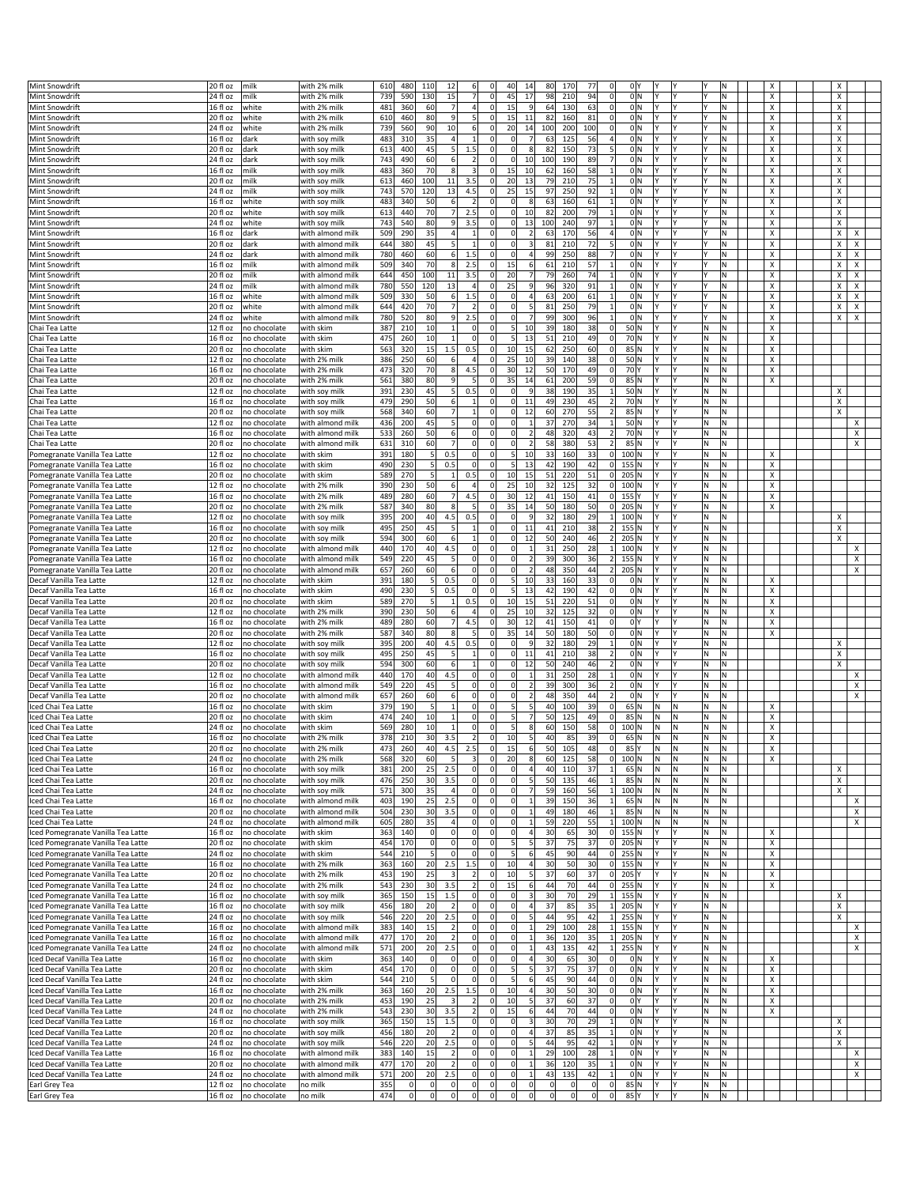| Mint Snowdrift                                               | 20 fl oz                      | milk                         |                                | 610        | 480               | 110<br>12              |                         | 6 <sup>1</sup><br>$\Omega$     | 40                       | 14                        | 80                      | 170               | 77                                            | 0 Y          |          |          |          |           | х |        |
|--------------------------------------------------------------|-------------------------------|------------------------------|--------------------------------|------------|-------------------|------------------------|-------------------------|--------------------------------|--------------------------|---------------------------|-------------------------|-------------------|-----------------------------------------------|--------------|----------|----------|----------|-----------|---|--------|
|                                                              | 24 fl oz                      | milk                         | with 2% milk                   | 739        |                   |                        |                         | 7 <sup>1</sup><br>$\mathbf 0$  | 45                       | 17                        |                         |                   | 94<br>$\mathbf 0$                             | 0 N          |          | l۷       |          | M         |   |        |
| Mint Snowdrift                                               |                               |                              | with 2% milk                   |            | 590               | 130<br>15              |                         |                                |                          |                           | 98                      | 210               |                                               |              |          |          |          |           | х | X      |
| Mint Snowdrift                                               | 16 fl oz                      | white                        | with 2% milk                   | 481        | 360               | 60                     | $\overline{7}$          | 4<br>$\mathbf 0$               | 15                       | $\overline{9}$            | 64                      | 130               | $\Omega$<br>63                                | 0 N          | l۷       | l٢       |          | İN.       | X | X      |
| Mint Snowdrift                                               | 20 fl oz                      | white                        | with 2% milk                   | 610        | 460               | 80                     | 9                       | 5 <sup>1</sup><br>$\mathbf 0$  | 15                       | 11                        | 82                      | 160               | 81<br>$\mathbf 0$                             | 0 N          |          |          |          | ΙN        | х | х      |
| Mint Snowdrift                                               | 24 fl oz                      | white                        | with 2% milk                   | 739        | 560               | 90<br>10               |                         | 6<br>$\mathbf 0$               | 20                       | 14                        | 100                     | 200               | 100<br>$\mathbf 0$                            | 0 N          |          |          |          | M         | х | х      |
| <b>Mint Snowdrift</b>                                        | 16 fl oz                      | dark                         | with soy milk                  | 483        | 310               | 35                     | $\overline{4}$          | $\mathbf{1}$<br>0              | 0                        | 7                         | 63                      | 125               | 56<br>$\overline{4}$                          | 0 N          |          | l۷       |          | M.        | X | х      |
| Mint Snowdrift                                               | 20 fl oz                      | dark                         | with soy milk                  | 613        | 400               | 45                     | 5                       | 1.5<br>0                       | 0                        | 8                         | 82                      | 150               | 73<br>5                                       | 0 N          |          | l۷       |          | N         | X | х      |
| Mint Snowdrift                                               | 24 fl oz                      | dark                         | with soy milk                  | 743        | 490               | 60                     | 6                       | $\overline{2}$<br>$\mathbf 0$  | <sub>0</sub>             | 10                        | 100                     | 190               | 89<br>$\overline{7}$                          | 0 N          |          | l۷       |          | M         | х | Χ      |
| Mint Snowdrift                                               | 16 fl oz                      | milk                         | with soy milk                  | 483        | 360               | 70                     | 8                       | $\vert$ 3<br>0                 | 15                       | 10                        | 62                      | 160               | 58<br>$\mathbf{1}$                            | 0 N          |          | l۷       |          | M         | х | х      |
| Mint Snowdrift                                               | 20 fl oz                      | milk                         | with soy milk                  | 613        | 460               | 100                    | 11                      | 3.5<br>0                       | 20                       | 13                        | 79                      | 210               | 75<br>1                                       | 0 N          |          | l۷       |          | N         | х | х      |
| Mint Snowdrift                                               | 24 fl oz                      | milk                         | with soy milk                  | 743        | 570               | 120                    | 13                      | 4.5<br>$\mathbf 0$             | 25                       | 15                        | 97                      | 250               | 92                                            | 0 N          |          | l٧       |          | M         | х | X      |
| <b>Mint Snowdrift</b>                                        | 16 fl oz                      | white                        | with soy milk                  | 483        | 340               | 50                     | 6                       | $\overline{2}$<br>$\mathbf 0$  | <sub>0</sub>             | 8                         | 63                      | 160               | 61<br>$\mathbf{1}$                            | 0 N          |          |          |          | N         | Х | X      |
| Mint Snowdrift                                               | 20 fl oz                      | white                        | with soy milk                  | 613        | 440               | 70                     | 7                       | 2.5<br>0                       | $\Omega$                 | 10                        | 82                      | 200               | 79<br>1                                       | 0 N          |          | l٢       |          | M         | х | х      |
| Mint Snowdrift                                               | 24 fl oz                      | white                        |                                | 743        | 540               | 80                     | 9                       | 3.5<br>$\mathbf 0$             | $\overline{0}$           | 13                        | 100                     | 240               | 97                                            | 0 N          |          | l۷       |          | M         | х | Χ      |
|                                                              |                               |                              | with soy milk                  |            |                   |                        | $\overline{4}$          | $\mathbf 0$<br>$\mathbf{1}$    | <sub>0</sub>             |                           |                         | 170               | $\overline{4}$                                | 0 N          |          | l۷       |          | N         | Х | X      |
| <b>Mint Snowdrift</b>                                        | 16 fl oz                      | dark                         | with almond milk               | 509        | 290               | 35                     |                         |                                |                          | $\overline{2}$            | 63                      |                   | 56                                            |              |          |          |          |           |   | x      |
| Mint Snowdrift                                               | 20 fl oz                      | dark                         | with almond milk               | 644        | 380               | 45                     | 5 <sup>1</sup>          | $\mathbf{1}$<br>0              | $\Omega$                 | $\overline{\mathbf{3}}$   | 81                      | 210               | 72<br>5                                       | 0 N          |          | l٢       |          | N         | х | х<br>х |
| Mint Snowdrift                                               | 24 fl oz                      | dark                         | with almond milk               | 780        | 460               | 60                     | 6                       | 1.5<br>$\mathbf 0$             | $\Omega$                 | 4                         | 99                      | 250               | 88                                            | 0 N          |          | l٧       |          | M         | х | X<br>X |
| <b>Mint Snowdrift</b>                                        | 16 fl oz                      | milk                         | with almond milk               | 509        | 340               | 70                     | 8                       | 2.5<br>$\mathbf 0$             | 15                       | 6                         | 61                      | 210               | 57<br>$\mathbf{1}$                            | 0 N          |          |          |          | N         | Х | X<br>X |
| <b>Mint Snowdrift</b>                                        | 20 fl oz                      | milk                         | with almond milk               | 644        | 450               | 100                    | 11                      | 3.5<br>$\mathbf 0$             | 20                       | $\overline{7}$            | 79                      | 260               | 74<br>$\mathbf{1}$                            | 0 N          | l۷       | l۷       |          | M.        | X | Х<br>х |
| Mint Snowdrift                                               | 24 fl oz                      | milk                         | with almond milk               | 780        | 550               | 120                    | 13                      | $\mathbf 0$<br>$\overline{4}$  | 25                       | 9                         | 96                      | 320               | 91<br>$\mathbf{1}$                            | 0 N          |          | l۷       |          | M         | х | Χ<br>X |
| Mint Snowdrift                                               | 16 fl oz                      | white                        | with almond milk               | 509        | 330               | 50                     | $6 \mid$                | 1.5<br>$\Omega$                | $\Omega$                 | 4                         | 63                      | 200               | 61<br>$\mathbf{1}$                            | 0 N          |          |          |          | N         | х | X<br>x |
| <b>Mint Snowdrift</b>                                        | 20 fl oz                      | white                        | with almond milk               | 644        | 420               | 70                     | 7                       | $\overline{2}$<br>0            | $\Omega$                 | $\overline{5}$            | 81                      | 250               | 79<br>$\mathbf{1}$                            | 0 N          | l۷       | l۷       |          | M.        | Χ | Х<br>х |
| Mint Snowdrift                                               | 24 fl oz                      | white                        | with almond milk               | 780        | 520               | 80                     | 9                       | 2.5<br>$\mathbf 0$             | 0                        | $\overline{7}$            | 99                      | 300               | 96                                            | 0 N          |          | l٧       |          | N.        | х | х<br>X |
| Chai Tea Latte                                               | 12 fl oz                      | no chocolate                 | with skim                      | 387        | 210               | 10                     | $\mathbf{1}$            | 0 <br>$\Omega$                 | 5                        | 10                        | 39                      | 180               | 38<br>$\Omega$                                | 50 N         |          |          | N        | N         | х |        |
| Chai Tea Latte                                               | 16 fl oz                      | no chocolate                 | with skim                      | 475        | 260               | 10                     | $\mathbf{1}$            | $\Omega$<br>$\mathbf 0$        | 5 <sup>1</sup>           | 13                        | 51                      | 210               | 49<br>$\Omega$                                | 70 N         | l۷       | l۷       | M.       | M.        | Χ |        |
| Chai Tea Latte                                               | 20 fl oz                      | no chocolate                 | with skim                      | 563        | 320               | 15                     | 1.5                     | 0.5<br>$\mathbf 0$             | 10                       | 15                        | 62                      | 250               | 60<br>$\Omega$                                | 85 N         |          | l۷       | N        | ΙN        | Х |        |
| Chai Tea Latte                                               | $12f$ l oz                    | no chocolate                 | with 2% milk                   | 386        | 250               | 60                     | 6                       | $\overline{4}$<br>$\mathbf 0$  | 25                       | 10                        | 39                      | 140               | 38<br>$\Omega$                                | 50 N         |          |          | Ν        | Ν         | х |        |
| Chai Tea Latte                                               | 16 fl oz                      | no chocolate                 | with 2% milk                   | 473        | 320               | 70                     | 8 <sup>1</sup>          | 4.5<br>$\Omega$                | 30                       | 12                        | 50                      | 170               | 49<br>$\Omega$                                | 70 Y         | I۷       | l۷       | M.       | M.        | Χ |        |
| Chai Tea Latte                                               | 20 fl oz                      | no chocolate                 | with 2% milk                   | 561        | 380               | 80                     | 9                       | 5<br>$\mathbf 0$               | 35                       | 14                        | 61                      | 200               | 59<br>$\mathbf 0$                             | 85 N         |          | l۷       | N        | N         | Х |        |
|                                                              |                               |                              |                                |            |                   |                        |                         |                                | $\Omega$                 | 9                         |                         |                   |                                               |              |          |          |          |           |   |        |
| Chai Tea Latte                                               | 12 fl oz                      | no chocolate                 | with soy milk                  | 391        | 230               | 45                     | 5                       | 0.5<br>0                       |                          |                           | 38                      | 190               | 35<br>$\mathbf{1}$                            | 50 N         |          | l٢       | M        | N         |   | X      |
| Chai Tea Latte                                               | 16 fl oz                      | no chocolate                 | with soy milk                  | 479        | 290               | 50                     | $6 \mid$                | $\mathbf 0$<br>$\mathbf{1}$    | $\Omega$                 | 11                        | 49                      | 230               | 45                                            | 70 N         | I۷       | l٢       | M.       | M.        |   | х      |
| Chai Tea Latte                                               | 20 fl oz                      | no chocolate                 | with soy milk                  | 568        | 340               | 60                     | $\overline{7}$          | $\mathbf{1}$<br>$\mathbf 0$    | 0                        | 12                        | 60                      | 270               | 55<br>$\overline{2}$                          | 85 N         |          | l۷       | Ν        | N         |   | X      |
| Chai Tea Latte                                               | 12 fl oz                      | no chocolate                 | with almond milk               | 436        | 200               | 45                     | 5                       | 0 <br>0                        | $\Omega$                 | $\mathbf{1}$              | 37                      | 270               | 34<br>$\mathbf{1}$                            | 50 N         |          | I٢       | Ν        | N         |   | х      |
| Chai Tea Latte                                               | 16 fl oz                      | no chocolate                 | with almond milk               | 533        | 260               | 50                     | 6                       | $\Omega$<br>0                  | <sub>0</sub>             | $\overline{2}$            | 48                      | 320               | 43<br>$\overline{2}$                          | 70 N         | I۷       | l۷       | M.       | M.        |   | X      |
| Chai Tea Latte                                               | 20 fl oz                      | no chocolate                 | with almond milk               | 631        | 310               | 60                     | $\overline{7}$          | 0 <br>$\mathbf 0$              | 0                        | $\overline{2}$            | 58                      | 380               | 53<br>$\overline{2}$                          | 85 N         |          |          | Ν        | M         |   | х      |
| Pomegranate Vanilla Tea Latte                                | 12 fl oz                      | no chocolate                 | with skim                      | 391        | 180               | 0.5<br>-5              |                         | 0 <br>0                        | 5                        | 10                        | 33                      | 160               | 33<br>$\Omega$                                | 100 N        |          | l۷       | Ν        | N         | х |        |
| Pomegranate Vanilla Tea Latte                                | 16 fl oz                      | no chocolate                 | with skim                      | 490        | 230               | 5<br>0.5               |                         | $\Omega$<br>$\mathbf 0$        | 5 <sup>1</sup>           | 13                        | 42                      | 190               | 42<br>$\Omega$                                | $155$ N      | l۷       | l۷       | M.       | M         | х |        |
| Pomegranate Vanilla Tea Latte                                | 20 fl oz                      | no chocolate                 | with skim                      | 589        | 270               | 5                      | $\mathbf{1}$            | 0.5<br>0                       | 10                       | 15                        | 51                      | 220               | $\overline{0}$<br>51                          | 205 N        |          |          | Ν        | N         | х |        |
| Pomegranate Vanilla Tea Latte                                | 12 fl oz                      | no chocolate                 | with 2% milk                   | 390        | 230               | 50                     | 6                       | $\mathbf 0$<br>$\overline{a}$  | 25                       | 10                        | 32                      | 125               | 32<br>$\Omega$                                | 100 N        |          | l٢       | Ν        | N         | х |        |
| Pomegranate Vanilla Tea Latte                                | 16 fl oz                      | no chocolate                 | with 2% milk                   | 489        | 280               | 60                     | 7 <sup>1</sup>          | 4.5<br>$\Omega$                | 30                       | 12                        | 41                      | 150               | 41<br>$\Omega$                                | 155 Y        |          | l٧       | M.       | M         | X |        |
| omegranate Vanilla Tea Latte                                 | 20 fl oz                      | no chocolate                 | with 2% milk                   | 587        | 340               | 80                     | 8                       | 5<br>0                         | 35                       | 14                        | 50                      | 180               | 50<br>$\Omega$                                | 205 N        |          |          | Ν        | M         | х |        |
| Pomegranate Vanilla Tea Latte                                | 12 fl oz                      | no chocolate                 | with soy milk                  | 395        | 200               | 40<br>4.5              |                         | 0.5<br>0                       | $\Omega$                 | q                         | 32                      | 180               | 29<br>$\mathbf{1}$                            | 100 N        |          | l۷       | Ν        | N         |   | х      |
|                                                              | 16 fl oz                      |                              |                                | 495        | 250               | 45                     | 5                       | $\mathbf 0$<br>$\mathbf{1}$    | <sub>0</sub>             | 11                        | 41                      | 210               | 38<br>$\overline{2}$                          | $155$ N      |          | l٧       | N        | M         |   | X      |
| Pomegranate Vanilla Tea Latte                                |                               | no chocolate                 | with soy milk                  |            |                   |                        |                         |                                |                          |                           |                         |                   |                                               |              |          | l۷       |          |           |   |        |
| Pomegranate Vanilla Tea Latte                                | 20 fl oz                      | no chocolate                 | with soy milk                  | 594        | 300               | 60                     | 6                       | $1\vert$<br>$\mathbf 0$        | $\Omega$                 | 12                        | 50                      | 240               | $\overline{2}$<br>46                          | $205$ N      |          |          | M.       | ١N        |   | X      |
| Pomegranate Vanilla Tea Latte                                | 12 fl oz                      | no chocolate                 | with almond milk               | 440        | 170               | 40<br>4.5              |                         | $\mathbf 0$<br> 0              | $\Omega$                 | $\mathbf{1}$              | 31                      | 250               | 28<br>1                                       | 100 N        |          | l٢       | Ν        | N         |   | х      |
| Pomegranate Vanilla Tea Latte                                | 16 fl oz                      | no chocolate                 | with almond milk               | 549        | 220               | 45                     | 5                       | 0 <br>$\mathbf 0$              | <sub>0</sub>             | $\overline{2}$            | 39                      | 300               | 36<br>$\overline{2}$                          | $155$ N      |          |          | M.       | M         |   | X      |
| Pomegranate Vanilla Tea Latte                                | 20 fl oz                      | no chocolate                 | with almond milk               | 657        | 260               | 60                     | 6                       | $\Omega$<br>0                  | 0                        | $\overline{2}$            | 48                      | 350               | 44<br>$\overline{2}$                          | $205$ N      |          | l۷       | M.       | M.        |   | X      |
| Decaf Vanilla Tea Latte                                      | 12 fl oz                      | no chocolate                 | with skim                      | 391        | 180               | 0.5<br>$\mathbf{5}$    |                         | 0 <br>$\mathbf 0$              | 5                        | 10                        | 33                      | 160               | 33<br>0                                       | 0   N        |          | l٢       | Ν        | N         | х |        |
| Decaf Vanilla Tea Latte                                      | 16 fl oz                      | no chocolate                 | with skim                      | 490        | 230               | 5<br>0.5               |                         | $\Omega$<br>$\mathbf 0$        | 5 <sup>1</sup>           | 13                        | 42                      | 190               | 42<br>$\mathbf 0$                             | 0 N          |          | l۷       | N        | M         | х |        |
| Decaf Vanilla Tea Latte                                      | 20 fl oz                      | no chocolate                 | with skim                      | 589        | 270               |                        | $\mathbf{1}$            | 0.5<br>0                       | 10                       | 15                        | 51                      | 220               | 51<br>$\Omega$                                | 0 N          |          | l۷       | N        | M         | х |        |
| Decaf Vanilla Tea Latte                                      | 12 fl oz                      | no chocolate                 | with 2% milk                   | 390        | 230               | 50                     | 6                       | $\overline{4}$<br>0            | 25                       | 10                        | 32                      | 125               | 32<br>$\mathbf 0$                             | 0 N          |          | l٢       | N        | Ν         | х |        |
| Decaf Vanilla Tea Latte                                      | $16f$ l oz                    | no chocolate                 | with 2% milk                   | 489        | 280               | 60                     | $\overline{7}$          | 4.5<br>$\mathbf 0$             | 30                       | 12                        | 41                      | 150               | 41<br>$\mathbf 0$                             | 0lY          |          | l٧       | M.       | M         | х |        |
| Decaf Vanilla Tea Latte                                      | 20 fl oz                      | no chocolate                 | with 2% milk                   | 587        | 340               | 80                     | Я                       | 5<br>0                         | 35                       | 14                        | 50                      | 180               | 50<br>$\Omega$                                | 0 N          |          | l۷       | N        | M         | х |        |
| Decaf Vanilla Tea Latte                                      | 12 fl oz                      | no chocolate                 | with soy milk                  | 395        | 200               | 40<br>4.5              |                         | 0.5<br>$\mathbf 0$             | 0                        | $\overline{9}$            | 32                      | 180               | 29<br>1                                       | 0 N          |          |          | Ν        | Ν         |   | X      |
| Decaf Vanilla Tea Latte                                      | 16 fl oz                      | no chocolate                 | with soy milk                  | 495        | 250               | 45                     | 5                       | $\mathbf 0$<br>1               | $\Omega$                 | 11                        | 41                      | 210               | 38<br>$\overline{2}$                          | 0 N          |          | l۷       | N        | M         |   | Χ      |
| Decaf Vanilla Tea Latte                                      | 20 fl oz                      | no chocolate                 | with soy milk                  | 594        | 300               | 60                     | 6                       | $\mathbf{1}$<br>0              | $\Omega$                 | 12                        | 50                      | 240               | 46<br>$\overline{2}$                          | 0 N          |          | l۷       | N        | M         |   | X      |
| Decaf Vanilla Tea Latte                                      | 12 fl oz                      | no chocolate                 | with almond milk               | 440        | 170               | 40<br>4.5              |                         | $\Omega$<br>0                  | 0                        | $\mathbf{1}$              | 31                      | 250               | 28<br>$\mathbf{1}$                            | 0 N          |          | l۷       | Ν        | Ν         |   | х      |
| Decaf Vanilla Tea Latte                                      | 16 fl oz                      | no chocolate                 | with almond milk               | 549        | 220               | 45                     | 5                       | 0 <br>$\mathbf 0$              | <sub>0</sub>             | $\overline{2}$            | 39                      | 300               | 36                                            | 0 N          |          | l٧       | l٧       | M         |   | X      |
| Decaf Vanilla Tea Latte                                      | 20 fl oz                      | no chocolate                 | with almond milk               | 657        | 260               | 60                     | 6                       | 0 <br>0                        | 0                        | $\overline{\mathbf{2}}$   | 48                      | 350               | 44<br>2                                       | 0 N          |          |          | N        | M.        |   | х      |
| Iced Chai Tea Latte                                          | 16 fl oz                      | no chocolate                 | with skim                      | 379        | 190               | -5                     | $\mathbf{1}$            | $\Omega$<br>$\mathbf 0$        | 5                        | 5                         | 40                      | 100               | 39<br>$\Omega$                                | 65 N         | N        | ١N       | Ν        | Ν         | х |        |
|                                                              | 20 fl oz                      |                              |                                | 474        | 240               | 10                     | $\mathbf{1}$            | $\Omega$<br>$\mathbf 0$        | 5                        |                           | 50                      | 125               | 49<br>$\mathbf 0$                             | 85 N         | N        | M        | N        | M         | х |        |
| Iced Chai Tea Latte                                          |                               | no chocolate                 | with skim                      |            |                   |                        | $\mathbf{1}$            | $\mathbf 0$                    | 5                        |                           |                         |                   |                                               |              |          |          |          | N         |   |        |
| Iced Chai Tea Latte                                          | 24 fl oz                      | no chocolate                 | with skim                      | 569        | 280               | 10                     |                         | 0                              |                          | 8                         | 60                      | 150               | 58<br>$\Omega$                                | 100 N        | N        | M        | Ν        |           | х |        |
| Iced Chai Tea Latte                                          | 16 fl oz                      | no chocolate                 | with 2% milk                   | 378        | 210               | 30<br>3.5              |                         | 2<br> 0                        | 10                       | $\vert$                   | 40                      | 85                | 39<br>$\Omega$                                | 65 N         | N        | N        | Ν        | N         | х |        |
| ed Chai Tea Latte:                                           | 20 fl oz                      | io chocolate                 | with 2% milk                   | 473        | 260               | 4.5                    |                         |                                |                          |                           | 50                      | 105               |                                               | 85 Y         | N        |          |          |           |   |        |
| Iced Chai Tea Latte                                          | $24$ fl oz                    | no chocolate                 | with 2% milk                   | 568        | 320               | 60                     | 5                       | 3<br>$\mathbf 0$               | 20                       | 8                         | 60                      | 125               | 58<br> 0                                      | 100 N        | N        | M        | N.       | N.        | X |        |
| Iced Chai Tea Latte                                          | 16 fl oz                      | no chocolate                 | with soy milk                  | 381        | 200               | 25<br>2.5              |                         | 0 <br>0                        | $\overline{0}$           | $\overline{a}$            | 40                      | 110               | 37<br>$\mathbf{1}$                            | 65 N         | N        | N        | N.       | M)        |   | х      |
| Iced Chai Tea Latte                                          | 20 fl oz                      | no chocolate                 | with soy milk                  | 476        | 250               | 3.5<br>30              |                         | $\circ$<br>$\pmb{0}$           | $\Omega$                 | 5                         | 50                      | 135               | 46                                            | 85 N         | N.       | N.       | N.       | N.        |   | X      |
| Iced Chai Tea Latte                                          | 24 fl oz                      | no chocolate                 | with soy milk                  | 571        | 300               | 35                     | $\overline{4}$          | 0 <br>$\mathbf 0$              | <sub>0</sub>             | $\overline{7}$            | 59                      | 160               | 56<br>$1\overline{ }$                         | 100 N        | N.       | M        | N.       | İN.       |   | x      |
| Iced Chai Tea Latte                                          | 16 fl oz                      | no chocolate                 | with almond milk               | 403        | 190               | 25<br>2.5              |                         | 0 <br> 0                       | $\Omega$                 | $\mathbf{1}$              | 39                      | 150               | 36<br>$\mathbf{1}$                            | 65 N         | N        | N        | M.       | M.        |   | X      |
| Iced Chai Tea Latte                                          | 20 fl oz                      | no chocolate                 | with almond milk               | 504        | 230               | 30<br>3.5              |                         | $\circ$<br>$\pmb{0}$           | $\Omega$                 |                           | 49                      | 180               | 46                                            | 85 N         | N        | N,       | N.       | N.        |   | х      |
| Iced Chai Tea Latte                                          | $\sqrt{24}$ fl oz             | no chocolate                 | with almond milk               | 605        | 280               | 35                     | 4                       | 0 <br>$\mathbf 0$              | $\Omega$                 | $\mathbf{1}$              | 59                      | 220               | 55<br>$\mathbf{1}$                            | 100 N        | N        | M        | N.       | N.        |   | X      |
| Iced Pomegranate Vanilla Tea Latte                           | 16 fl oz                      | no chocolate                 | with skim                      | 363        | 140               | $\overline{0}$         | 0                       | 0 <br>$\mathbf 0$              | $\Omega$                 | $\overline{4}$            | 30                      | 65                | 30<br> 0                                      | $155$ N      | Y        | İ٢       | M.       | İN.       | х |        |
| Iced Pomegranate Vanilla Tea Latte                           | 20 fl oz                      | no chocolate                 | with skim                      | 454        | 170               | $\overline{0}$         | $\mathbf 0$             | $\overline{0}$<br>$\pmb{0}$    | 5                        | 5 <sub>l</sub>            | 37                      | 75                | 37<br> 0                                      | $205$ N      | l۷       | İ٢       | N.       | N.        | х |        |
| Iced Pomegranate Vanilla Tea Latte                           | 24 fl oz                      | no chocolate                 | with skim                      | 544        | 210               | $5 \mid$               | $\Omega$                | 0 <br>$\mathbf 0$              | 5                        | $6 \mid$                  | 45                      | 90                | 44<br> 0                                      | 255 N        | l۷       | l٢       | N.       | N.        | X |        |
| Iced Pomegranate Vanilla Tea Latte                           | 16 fl oz                      | no chocolate                 | with 2% milk                   | 363        | 160               | 20<br>2.5              |                         | 1.5<br> 0                      | 10                       | $\overline{4}$            | 30                      | 50                | 30<br> 0                                      | 155 N        | Y        | I٢       | M.       | M.        | X |        |
| ced Pomegranate Vanilla Tea Latte                            | 20 fl oz                      | no chocolate                 | with 2% milk                   | 453        | 190               | 25                     | $\overline{3}$          | $\mathbf 0$<br>2               | 10                       | $\overline{\phantom{a}}$  | 37                      | 60                | 37<br> 0                                      | 205 Y        |          | l۷       | M.       | M         | X |        |
| Iced Pomegranate Vanilla Tea Latte                           |                               | no chocolate                 | with 2% milk                   | 543        | 230               | 30<br>3.5              |                         | 2<br>$\mathbf 0$               | 15                       | $6 \mid$                  | 44                      | 70                | 44<br> 0                                      | 255 N        |          |          | N.       | N         | x |        |
| Iced Pomegranate Vanilla Tea Latte                           |                               |                              |                                |            |                   |                        |                         |                                |                          |                           |                         |                   |                                               |              |          |          |          |           |   |        |
|                                                              | $\sqrt{24}$ fl oz             |                              |                                |            |                   |                        |                         |                                |                          |                           |                         |                   |                                               |              |          |          |          |           |   |        |
|                                                              | 16 fl oz                      | no chocolate                 | with soy milk                  | 365        | 150               | 15<br>1.5              |                         | 0 <br> 0                       | $\Omega$                 | $\overline{\mathbf{3}}$   | 30                      | 70                | 29<br>$1\vert$                                | $155$ N      | I۷<br>l۷ | İ٢       | M.       | İN.       |   | Х      |
| Iced Pomegranate Vanilla Tea Latte                           | 16 fl oz                      | no chocolate                 | with soy milk                  | 456        | 180               | 20                     | $\overline{2}$          | $\circ$<br>$\pmb{0}$           | 0                        | $\sqrt{4}$                | 37                      | 85                | 35<br>1                                       | $205$ N      |          | l٢       | M.       | İN.       |   | X      |
| Iced Pomegranate Vanilla Tea Latte                           | 24 fl oz                      | no chocolate                 | with soy milk                  | 546        | 220               | 20<br>2.5              |                         | 0 <br>$\mathbf 0$              | $\Omega$                 | 5                         | 44                      | 95                | 42<br>$1\vert$                                | $255$ N      | ΙY       | İ٢       | M        | N.        |   | X      |
| Iced Pomegranate Vanilla Tea Latte                           | 16 fl oz                      | no chocolate                 | with almond milk               | 383        | 140               | 15                     | $\overline{2}$          | 0 <br> 0                       | $\Omega$                 | $\mathbf{1}$              | 29                      | 100               | 28<br>$1\vert$                                | $155$ N      | Y        | I٢       | M.       | M.        |   | X      |
| Iced Pomegranate Vanilla Tea Latte                           | 16 fl oz                      | no chocolate                 | with almond milk               | 477        | 170               | 20                     | $\overline{2}$          | $\circ$<br>$\pmb{0}$           | 0                        | $\mathbf{1}$              | 36                      | 120               | 35<br>$1\overline{ }$                         | $205$ N      | v        | İ٢       | N.       | İN.       |   | х      |
| Iced Pomegranate Vanilla Tea Latte                           | 24 fl oz                      | no chocolate                 | with almond milk               | 571        | 200               | 20<br>2.5              |                         | 0 <br>0                        | $\Omega$                 | $\mathbf{1}$              | 43                      | 135               | 42<br>1                                       | $255$ N      |          | l٢       | M        | N.        |   | х      |
| Iced Decaf Vanilla Tea Latte                                 | 16 fl oz                      | no chocolate                 | with skim                      | 363        | 140               | $\overline{0}$         | 0                       | 0 <br> 0                       | $\Omega$                 | $\vert$                   | 30                      | 65                | 30<br>$\Omega$                                | 0 N          | lY.      | I٢       | M.       | İN.       | х |        |
| Iced Decaf Vanilla Tea Latte                                 | 20 fl oz                      | no chocolate                 | with skim                      | 454        | 170               | $\overline{0}$         | $\mathbf 0$             | 0 <br>$\pmb{0}$                | 5                        | $\overline{\mathbf{5}}$   | 37                      | 75                | 37<br>$\overline{0}$                          | 0 N          |          | İ٢       | N.       | M)        | X |        |
| Iced Decaf Vanilla Tea Latte                                 | 24 fl oz                      | no chocolate                 | with skim                      | 544        | 210               | $5 \mid$               | $\Omega$                | 0 <br>0                        | 5                        | 6                         | 45                      | 90                | 44<br>$\Omega$                                | 0 N          | ΙY       | İ٢       | M        | N.        | X |        |
| Iced Decaf Vanilla Tea Latte                                 | 16 fl oz                      | no chocolate                 | with 2% milk                   | 363        | 160               | 20<br>2.5              |                         | 1.5<br> 0                      | 10                       | $\overline{4}$            | 30                      | 50                | 30<br>$\overline{0}$                          | 0 N          | Y        | l٢       | N.       | İN.       | X |        |
| Iced Decaf Vanilla Tea Latte                                 | 20 fl oz                      | no chocolate                 | with 2% milk                   | 453        | 190               | 25                     | $\overline{\mathbf{3}}$ | $\overline{2}$<br>0            | 10                       | $\overline{5}$            | 37                      | 60                | 37<br>$\overline{0}$                          | 0 Y          | Υ        | I٢       | N.       | M)        | х |        |
| Iced Decaf Vanilla Tea Latte                                 | 24 fl oz                      | no chocolate                 | with 2% milk                   | 543        | 230               | 30<br>3.5              |                         | 2<br>0                         | 15                       | 6                         | 44                      | 70                | 44<br>$\overline{0}$                          | 0 N          | Υ        | I٢       | N.       | N.        | x |        |
|                                                              |                               | no chocolate                 |                                |            |                   | 15<br>1.5              |                         | $\mathbf 0$                    | <sub>0</sub>             | 3                         | 30                      | 70                | 29<br>$\mathbf{1}$                            | 0 N          | l۷       | l٢       | N.       | N.        |   | х      |
| Iced Decaf Vanilla Tea Latte<br>Iced Decaf Vanilla Tea Latte | 16 fl oz<br>20 fl oz          | no chocolate                 | with soy milk<br>with soy milk | 365<br>456 | 150<br>180        | 20                     | $\overline{2}$          | 0 <br> 0 <br> 0                | $\Omega$                 | $\overline{a}$            | 37                      | 85                | 35<br>$\mathbf{1}$                            | 0 N          | I٧       | I٢       | N.       | M)        |   | X      |
|                                                              |                               |                              |                                |            |                   |                        |                         |                                |                          |                           |                         |                   |                                               |              | ΙY       |          |          |           |   |        |
| Iced Decaf Vanilla Tea Latte                                 | 24 fl oz                      | no chocolate                 | with soy milk                  | 546        | 220               | 20<br>2.5              |                         | 0 <br> 0                       | $\Omega$                 | 5<br>$\mathbf{1}$         | 44                      | 95                | 42<br>$\vert$<br>$\mathbf{1}$                 | 0 N          |          | I٢       | N.       | M)        |   | X      |
| Iced Decaf Vanilla Tea Latte                                 | 16 fl oz                      | no chocolate                 | with almond milk               | 383        | 140               | 15                     | $\overline{2}$          | 0 <br>$\mathbf 0$              | <sub>0</sub>             |                           | 29                      | 100               | 28                                            | 0 N          | Y        | l٢       | N.       | İN.       |   | х      |
| Iced Decaf Vanilla Tea Latte                                 | 20 fl oz                      | no chocolate                 | with almond milk               | 477        | 170               | 20                     | $\overline{2}$          | 0 <br> 0                       | $\Omega$                 | $\mathbf{1}$              | 36                      | 120               | 35<br>$1\overline{ }$                         | 0 N          | Y        | İ٢       | M.       | İN.       |   | X      |
| Iced Decaf Vanilla Tea Latte                                 | 24 fl oz                      | no chocolate                 | with almond milk               | 571        | 200               | 20<br>2.5              |                         | 0 <br> 0                       | $\Omega$                 | $\mathbf{1}$              | 43                      | 135               | 42<br>$\vert$                                 | 0 N          | ΙY       | İ٢       | N.       | N.        |   | х      |
| Earl Grey Tea<br>Earl Grey Tea                               | $\sqrt{12}$ fl oz<br>16 fl oz | no chocolate<br>no chocolate | no milk<br>no milk             | 355<br>474 | $\mathbf 0$<br> 0 | $\mathbf 0$<br>$\circ$ | $\mathbf 0$<br> 0       | 0 <br>$\mathbf 0$<br> 0 <br> 0 | <sub>0</sub><br>$\Omega$ | $\overline{0}$<br>$\circ$ | $\mathbf 0$<br>$\Omega$ | $\mathbf 0$<br> 0 | $\overline{0}$<br>$\overline{0}$<br> 0 <br> 0 | 85 N<br>85 Y | Y<br>IY. | İ٢<br> Y | N.<br>N. | ١N<br>İΝ. |   |        |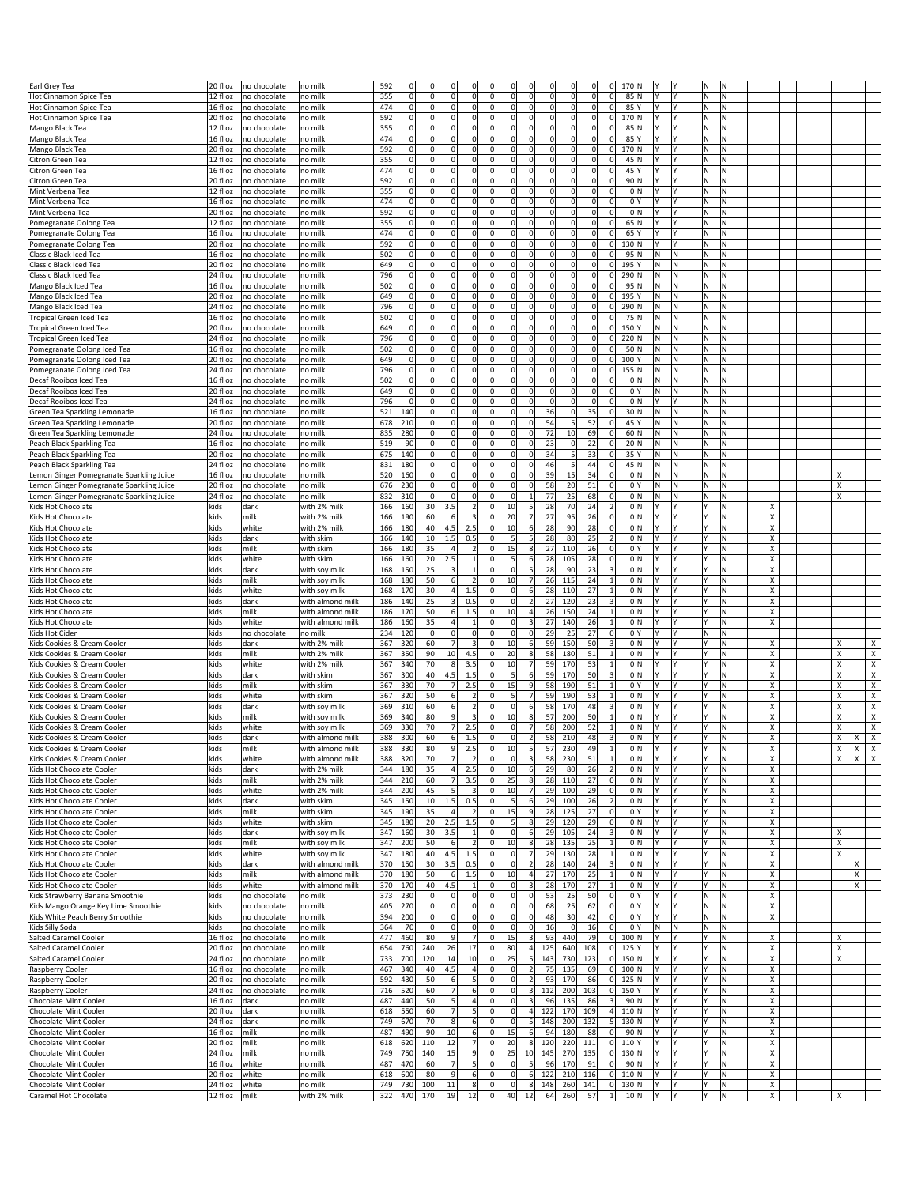|                                                |                             |              |                         |            |                | $\Omega$            |                 |                                     |                      | $\Omega$                |             |             |             |                                |                     |          |          |          |        |  |        |                         |
|------------------------------------------------|-----------------------------|--------------|-------------------------|------------|----------------|---------------------|-----------------|-------------------------------------|----------------------|-------------------------|-------------|-------------|-------------|--------------------------------|---------------------|----------|----------|----------|--------|--|--------|-------------------------|
| Earl Grey Tea                                  | 20 fl oz                    | no chocolate | no mill                 | 592        | 0              |                     |                 | $^{\circ}$                          | $\Omega$             |                         |             |             | 0           | 0 <br>170N                     |                     |          | ΙN       |          |        |  |        |                         |
| Hot Cinnamon Spice Tea                         | 12 fl oz                    | no chocolate | no milk                 | 355        | $\mathbf 0$    | $\Omega$            | $\Omega$        | $\mathbf 0$<br>$\Omega$             | οl                   | $\Omega$                | $\mathbf 0$ | $\Omega$    | $\Omega$    | 0 <br>$85$ N                   | Υ                   | l۷       | M.       | N        |        |  |        |                         |
| Hot Cinnamon Spice Tea                         | 16 fl oz                    | no chocolate | no milk                 | 474        | $\mathbf 0$    | $\Omega$            | 0               | 0 <br>$\mathbf 0$                   | $\Omega$             | $\Omega$                | $\Omega$    | 0           | 0           | 0 <br>85 Y                     | l۷                  | l٢       | M.       | Ν        |        |  |        |                         |
| Hot Cinnamon Spice Tea                         | 20 fl oz                    | no chocolate | no mill                 | 592        | 0              | $\overline{0}$      | $\Omega$        | 0<br>$^{\circ}$                     | $\overline{0}$       | $\Omega$                | $\Omega$    | 0           | 0           | 0 <br>170 N                    |                     |          | ΙN       | Ν        |        |  |        |                         |
| Mango Black Tea                                | 12 fl oz                    | no chocolate | no mill                 | 355        | $\mathbf 0$    | $\mathbf 0$         | $\Omega$        | $\mathbf 0$<br>$\Omega$             | $\Omega$             | $\Omega$                |             | 0           | $\mathbf 0$ | 0<br>85 N                      |                     |          | N        | N        |        |  |        |                         |
|                                                |                             |              |                         |            |                |                     |                 |                                     |                      |                         |             |             |             |                                |                     |          |          |          |        |  |        |                         |
| Mango Black Tea                                | 16 fl oz                    | no chocolate | no milk                 | 474        | 0              | $\overline{0}$      | $\Omega$        | $\mathbf 0$<br>$^{\circ}$           | 0                    | 0                       |             | 0           | 0           | 0 <br>85 Y                     | Υ                   | l۷       | İΝ.      | N        |        |  |        |                         |
| Mango Black Tea                                | 20 fl oz                    | no chocolate | no mill                 | 592        | $\Omega$       | $\overline{0}$      | 0               | 0<br>$^{\circ}$                     | $\overline{0}$       | $\Omega$                | $\Omega$    | 0           | 0           | 0 <br>170 N                    |                     |          | M.       | Ν        |        |  |        |                         |
| Citron Green Tea                               | 12 fl oz                    | no chocolate | no mill                 | 355        | $\mathbf 0$    | $\mathbf{0}$        | $\mathbf 0$     | 0<br>$^{\circ}$                     | $\Omega$             | $\overline{0}$          |             | 0           | $\mathbf 0$ | 45 N<br>0                      | Υ                   | l۷       | N        | N        |        |  |        |                         |
| Citron Green Tea                               | 16 fl oz                    | no chocolate | no milk                 | 474        | 0              | $\Omega$            | $\Omega$        | 0 <br>$^{\circ}$                    | $\Omega$             | $\Omega$                | $\Omega$    | 0           | $\mathbf 0$ | 0 <br>45 Y                     | Υ                   | l۷       | İΝ.      | Ν        |        |  |        |                         |
| Citron Green Tea                               | 20 fl oz                    | no chocolate | no mill                 | 592        | $\mathbf 0$    | $\overline{0}$      | 0               | 0<br>$^{\circ}$                     | $\overline{0}$       | $\Omega$                | $\Omega$    | 0           | 0           | 90 N<br>$\Omega$               |                     |          | ΙN       | Ν        |        |  |        |                         |
|                                                | 12 fl oz                    |              |                         | 355        | $\Omega$       | $\mathbf 0$         | $\Omega$        | $\mathbf 0$<br>$\Omega$             | $\Omega$             | $\overline{0}$          |             | 0           | $\Omega$    | $\mathbf 0$                    | 0 N                 | l۷       | ١N       | N        |        |  |        |                         |
| Mint Verbena Tea                               |                             | no chocolate | no mill                 |            |                |                     |                 |                                     |                      |                         |             |             |             |                                |                     |          |          |          |        |  |        |                         |
| Mint Verbena Tea                               | 16 fl oz                    | no chocolate | no milk                 | 474        | 0              | $\Omega$            | $\Omega$        | $\mathbf 0$<br>$\Omega$             | 0                    | $\Omega$                |             | $\mathbf 0$ | 0           | 0                              | 0 <sup>1</sup>      | l۷       | İΝ       | N        |        |  |        |                         |
| Mint Verbena Tea                               | 20 fl oz                    | no chocolate | no mill                 | 592        | $\Omega$       | $\overline{0}$      | $\mathbf 0$     | $\mathbf 0$<br>$^{\circ}$           | $\overline{0}$       | $\Omega$                | $\Omega$    | 0           | 0           | $\Omega$                       | 0 N                 | I۷       | M.       | N        |        |  |        |                         |
| Pomegranate Oolong Tea                         | 12 fl oz                    | no chocolate | no mill                 | 355        | $\mathbf 0$    | $\mathbf{0}$        | $\Omega$        | $\mathbf 0$<br>$\mathbf 0$          | $\Omega$             | $\overline{0}$          |             | 0           | 0           | 65 N<br> 0                     |                     | l۷       | M.       | N        |        |  |        |                         |
| Pomegranate Oolong Tea                         | 16 fl oz                    | no chocolate | no milk                 | 474        | 0              | $\Omega$            | $\Omega$        | 0 <br>$\Omega$                      | 0                    | $\Omega$                | $\Omega$    | $\mathbf 0$ | $\Omega$    | 0 <br>$65$ <sup>Y</sup>        | Y                   | l٢       | lN.      | N        |        |  |        |                         |
| Pomegranate Oolong Tea                         | 20 fl oz                    | no chocolate | no mill                 | 592        | $\mathbf 0$    | $\overline{0}$      | 0               | 0<br>$^{\circ}$                     | $\overline{0}$       | $\Omega$                | 0           | 0           | 0           | 0 <br>130 N                    | Υ                   | IY       | ΙN       | Ν        |        |  |        |                         |
|                                                |                             |              |                         |            | $\Omega$       |                     | $\Omega$        | $\Omega$                            |                      | $\Omega$                |             |             | $\Omega$    |                                |                     |          |          |          |        |  |        |                         |
| Classic Black Iced Tea                         | 16 fl oz                    | no chocolate | no milk                 | 502        |                | $\mathbf 0$         |                 | $\mathbf 0$                         | $\Omega$             |                         |             | 0           |             | 95 N<br>$\mathbf 0$            | N                   | N        | ١N       | N        |        |  |        |                         |
| Classic Black Iced Tea                         | 20 fl oz                    | no chocolate | no milk                 | 649        | 0              | $\circ$             | $\Omega$        | 0<br>$\Omega$                       | 0                    | $\Omega$                |             | $\mathbf 0$ | 0           | 0 <br>195 Y                    | N                   | İΝ       | lN.      | N        |        |  |        |                         |
| Classic Black Iced Tea                         | 24 fl oz                    | no chocolate | no mill                 | 796        | $\Omega$       | $\overline{0}$      | $\mathbf 0$     | $\mathbf 0$<br>$^{\circ}$           | $\overline{0}$       | $\Omega$                | $\Omega$    | 0           | 0           | 0 <br>290 N                    | N                   | İΝ       | İΝ.      | M.       |        |  |        |                         |
| Mango Black Iced Tea                           | 16 fl oz                    | no chocolate | no milk                 | 502        | $\mathbf 0$    | $\mathbf 0$         | $\mathbf 0$     | 0<br>$\mathbf 0$                    | $\Omega$             | $\overline{0}$          |             | 0           | 0           | 0 <br>95 N                     | N                   | N        | N.       | N        |        |  |        |                         |
| Mango Black Iced Tea                           | 20 fl oz                    | no chocolate | no milk                 | 649        | 0              | $\Omega$            | $\Omega$        | 0 <br>$\Omega$                      | $\Omega$             | $\Omega$                | $\Omega$    | $\Omega$    | $\Omega$    | 0 <br>195 Y                    | N                   | İΝ       | lΝ       | N        |        |  |        |                         |
| Mango Black Iced Tea                           | 24 fl oz                    | no chocolate | no mill                 | 796        | $\mathbf 0$    | $\overline{0}$      | $\mathbf 0$     | $\mathbf 0$<br>$^{\circ}$           | $\overline{0}$       | $\Omega$                | $\Omega$    | 0           | 0           | 0 <br>290 N                    | N                   | N        | İΝ.      | M.       |        |  |        |                         |
|                                                |                             |              |                         |            |                |                     | $\Omega$        | $\Omega$                            |                      |                         |             |             |             |                                |                     |          |          |          |        |  |        |                         |
| <b>Tropical Green Iced Tea</b>                 | 16 fl oz                    | no chocolate | no mill                 | 502        | $\mathbf 0$    | $\mathbf 0$         |                 | 0                                   | $\Omega$             | $\overline{0}$          |             | 0           | $\mathbf 0$ | 75 N<br>0                      | N                   | N        | ١N       | N        |        |  |        |                         |
| <b>Tropical Green Iced Tea</b>                 | 20 fl oz                    | no chocolate | no milk                 | 649        | 0              | $\overline{0}$      | $\Omega$        | 0 <br>$\Omega$                      | 0                    | $\overline{0}$          |             | $\mathbf 0$ | 0           | 0 <br>150 Y                    | N                   | İΝ       | M.       | N        |        |  |        |                         |
| <b>Tropical Green Iced Tea</b>                 | 24 fl oz                    | no chocolate | no mill                 | 796        | $\Omega$       | $\overline{0}$      | $\Omega$        | $\mathbf 0$<br>$^{\circ}$           | $\overline{0}$       | $\Omega$                | $\Omega$    | 0           | $\Omega$    | 0 <br>220 N                    | N                   | N        | İΝ.      | Ν        |        |  |        |                         |
| omegranate Oolong Iced Tea                     | 16 fl oz                    | no chocolate | no milk                 | 502        | $\mathbf 0$    | $\mathsf{O}\xspace$ | $\mathbf 0$     | 0 <br>$\mathbf 0$                   | $\overline{0}$       | $\overline{0}$          |             | $\mathbf 0$ | $\mathbf 0$ | 0 <br>50N                      | N                   | İΝ       | ١N       | N        |        |  |        |                         |
| Pomegranate Oolong Iced Tea                    | 20 fl oz                    | no chocolate | no milk                 | 649        | 0              | $\overline{0}$      | $\Omega$        | 0 <br>$\Omega$                      | 0                    | $\Omega$                | $\Omega$    | $\mathbf 0$ | 0           | $\circ$<br>100Y                | N                   | N        | M.       | N        |        |  |        |                         |
| Pomegranate Oolong Iced Tea                    | 24 fl oz                    | no chocolate | no mill                 | 796        | $\mathbf 0$    | $\overline{0}$      | $\Omega$        | $\mathbf 0$<br>$^{\circ}$           | $\overline{0}$       | $\Omega$                | $\Omega$    | $\Omega$    | 0           | 0 <br>155 N                    | N                   | N        | İΝ.      | M.       |        |  |        |                         |
|                                                |                             |              |                         |            |                |                     |                 |                                     |                      |                         |             |             |             |                                |                     |          |          |          |        |  |        |                         |
| Decaf Rooibos Iced Tea                         | 16 fl oz                    | no chocolate | no mill                 | 502        | $\mathbf 0$    | $\mathbf 0$         | $\mathbf 0$     | $\mathbf 0$<br>$\mathbf 0$          | $\Omega$             | $\overline{0}$          |             | 0           | $\mathbf 0$ | $\overline{0}$                 | 0 N<br>N            | IN       | ١N       | N        |        |  |        |                         |
| Decaf Rooibos Iced Tea                         | 20 fl oz                    | no chocolate | no milk                 | 649        | $\overline{0}$ | $\overline{0}$      | $\mathbf 0$     | 0<br>$^{\circ}$                     | $\overline{0}$       | $\Omega$                |             | 0           | 0           | 0                              | 0 Y<br>N            | N        | M.       | Ν        |        |  |        |                         |
| Decaf Rooibos Iced Tea                         | 24 fl oz                    | no chocolate | no milk                 | 796        | $\Omega$       | $\circ$             | $\Omega$        | $\Omega$<br>$\Omega$                | $\overline{0}$       | $\Omega$                | $\Omega$    | 0           | $\Omega$    | 0                              | 0 N<br>Y            | l۷       | İΝ.      | M.       |        |  |        |                         |
| Green Tea Sparkling Lemonade                   | 16 fl oz                    | no chocolate | no mill                 | 521        | 140            | $\mathbf 0$         | 0               | $\mathbf 0$<br>$\mathbf 0$          | $\overline{0}$       | $\Omega$                | 36          | 0           | 35          | 0 <br>30 N                     | N                   | İΝ       | ١N       | N        |        |  |        |                         |
| Green Tea Sparkling Lemonade                   | 20 fl oz                    | no chocolate | no milk                 | 678        | 210            | $\overline{0}$      | $\Omega$        | $\mathbf 0$<br>$^{\circ}$           | 0                    | $\Omega$                | 54          | 5           | 52          | 0 <br>45 Y                     | N                   | N        | M.       | Ν        |        |  |        |                         |
| Green Tea Sparkling Lemonade                   | 24 fl oz                    | no chocolate | no milk                 | 835        | 280            | $\circ$             | $\Omega$        | $\Omega$<br>$\Omega$                | $\overline{0}$       | $\Omega$                | 72          | 10          | 69          | 0 <br>60 N                     | N                   | N        | ļΝ.      | M.       |        |  |        |                         |
|                                                |                             |              |                         |            |                |                     |                 |                                     |                      |                         |             |             |             |                                |                     |          |          |          |        |  |        |                         |
| Peach Black Sparkling Tea                      | 16 fl oz                    | no chocolate | no milk                 | 519        | 90             | $\overline{0}$      | $\mathbf 0$     | 0<br>$^{\circ}$                     | $\Omega$             | $\mathbf 0$             | 23          | 0           | 22          | $\overline{0}$<br>20 N         | N                   | IN       | ١N       | Ν        |        |  |        |                         |
| Peach Black Sparkling Tea                      | 20 fl oz                    | no chocolate | no milk                 | 675        | 140            | $\overline{0}$      | $\mathbf 0$     | $\mathbf 0$<br>$^{\circ}$           | $\overline{0}$       | $\Omega$                | 34          | 5           | 33          | 0 <br>35 Y                     | N                   | N        | M.       | Ν        |        |  |        |                         |
| Peach Black Sparkling Tea                      | 24 fl oz                    | no chocolate | no milk                 | 831        | 180            | $\circ$             | $\mathbf 0$     | $\mathbf 0$<br>$\mathbf 0$          | $\overline{0}$       | $\Omega$                | 46          | 5           | 44          | 0 <br>45 N                     | N                   | N        | M.       | M.       |        |  |        |                         |
| Lemon Ginger Pomegranate Sparkling Juice       | 16 fl oz                    | no chocolate | no milk                 | 520        | 160            | $\overline{0}$      | 0               | 0<br>$^{\circ}$                     | $\Omega$             | $\Omega$                | 39          | 15          | 34          | 0                              | 0 N<br>N            | IN       | ١N       | Ν        |        |  | Х      |                         |
| Lemon Ginger Pomegranate Sparkling Juice       | 20 fl oz                    | no chocolate | no milk                 | 676        | 230            | $\overline{0}$      | $\Omega$        | $\mathbf 0$<br>$\Omega$             | 0                    | $\overline{0}$          | 58          | 20          | 51          | 0                              | 0 <sup>1</sup><br>N | N        | M.       | N        |        |  | X      |                         |
|                                                |                             |              |                         |            |                |                     | $\Omega$        | $\Omega$                            |                      |                         |             |             |             |                                |                     |          |          |          |        |  |        |                         |
| Lemon Ginger Pomegranate Sparkling Juice       | 24 fl oz                    | no chocolate | no milk                 | 832        | 310            | $\circ$             |                 | $\mathbf 0$                         | $\Omega$             | 1                       | 77          | 25          | 68          | 0                              | 0 N<br>N            | İΝ       | M.       | M.       |        |  | Χ      |                         |
| Gids Hot Chocolate                             | kids                        | dark         | with 2% milk            | 166        | 160            | 30                  | 3.5             | $\overline{2}$<br>$^{\circ}$        | 10                   | 5 <sub>l</sub>          | 28          | 70          | 24          | $\overline{2}$                 | 0 N<br>Υ            |          |          | Ν        | х      |  |        |                         |
| Kids Hot Chocolate                             | kids                        | milk         | with 2% milk            | 166        | 190            | 60                  | 6               | $\mathbf{a}$<br>$^{\circ}$          | 20                   | $\overline{7}$          | 27          | 95          | 26          | 0                              | 0 N                 | I۷       |          | Ν        | X      |  |        |                         |
| Kids Hot Chocolate                             | kids                        | white        | with 2% milk            | 166        | 180            | 40                  | 4.5             | 2.5<br>$\mathbf 0$                  | 10                   | $6 \overline{6}$        | 28          | 90          | 28          | 0                              | 0 N                 | l٢       |          | N        | X      |  |        |                         |
| Kids Hot Chocolate                             | kids                        | dark         | with skim               | 166        | 140            | 10                  | 1.5             | 0.5<br>$^{\circ}$                   | 5 <sub>l</sub>       | 5 <sup>1</sup>          | 28          | 80          | 25          | $\overline{2}$                 | 0 N<br>Υ            | l۷       | l٧       | M.       | х      |  |        |                         |
| Kids Hot Chocolate                             | kids                        | milk         | with skim               | 166        | 180            | 35                  | $\overline{4}$  | $\overline{2}$<br>$^{\circ}$        | 15                   | $\bf 8$                 | 27          | 110         | 26          | 0                              | 0 <sup>1</sup>      | I۷       |          | Ν        | х      |  |        |                         |
| Kids Hot Chocolate                             | kids                        | white        | with skim               | 166        | 160            | 20                  | 2.5             | $\mathbf{1}$<br>$\Omega$            | 5 <sub>l</sub>       | 6                       | 28          | 105         | 28          | $\mathbf 0$                    | 0 <sup>IN</sup>     | l۷       |          | M.       | X      |  |        |                         |
|                                                |                             |              |                         |            |                |                     |                 |                                     |                      |                         |             |             |             |                                |                     |          |          |          |        |  |        |                         |
| Kids Hot Chocolate                             | kids                        | dark         | with soy milk           | 168        | 150            | 25                  | $\overline{3}$  | $\mathbf{1}$<br>$^{\circ}$          | $\Omega$             | 5                       | 28          | 90          | 23          | 3                              | 0 N<br>Υ            | l۷       | l٧       | Ν        | х      |  |        |                         |
| Kids Hot Chocolate                             | kids                        | milk         | with soy milk           | 168        | 180            | 50                  | 6               | $\overline{2}$<br>$^{\circ}$        | 10                   | $\overline{7}$          | 26          | 115         | 24          | $\mathbf{1}$                   | 0 N                 |          |          | Ν        | х      |  |        |                         |
| Kids Hot Chocolate                             | kids                        | white        | with soy milk           | 168        | 170            | 30                  | 4 <sup>1</sup>  | 1.5<br>$\Omega$                     | $\Omega$             | 6                       | 28          | 110         | 27          | $\mathbf{1}$                   | 0 N                 | l۷       |          | N        | x      |  |        |                         |
|                                                |                             |              |                         |            |                |                     |                 |                                     |                      |                         |             |             |             |                                |                     |          |          |          |        |  |        |                         |
| Kids Hot Chocolate                             | kids                        | dark         | with almond milk        | 186        | 140            | 25                  | 3               | 0.5<br>$^{\circ}$                   | 0                    | 2                       | 27          | 120         | 23          | 3                              | 0 N<br>Υ            | l۷       | l٧       | Ν        | X      |  |        |                         |
|                                                |                             |              |                         |            |                |                     |                 | $^{\circ}$                          |                      |                         |             |             |             |                                |                     | I۷       |          | Ν        |        |  |        |                         |
| Kids Hot Chocolate                             | kids                        | milk         | with almond milk        | 186        | 170            | 50                  | $6 \mid$        | 1.5                                 | 10                   | $\overline{4}$          | 26          | 150         | 24          | $\mathbf{1}$                   | 0 N                 |          |          |          | х      |  |        |                         |
| Kids Hot Chocolate                             | kids                        | white        | with almond milk        | 186        | 160            | 35                  | 4               | $\Omega$<br>$\mathbf{1}$            | $\Omega$             | $\overline{\mathbf{3}}$ | 27          | 140         | 26          | $\mathbf{1}$                   | 0 N                 | l۷       | l۷       | N        | x      |  |        |                         |
| Kids Hot Cider                                 | kids                        | no chocolate | no milk                 | 234        | 120            | $\overline{0}$      | $\mathbf 0$     | $\mathbf 0$<br>$^{\circ}$           | $\Omega$             | $\Omega$                | 2s          | 25          | 27          | 0                              | 0 Y<br>Υ            | l۷       | N        | Ν        |        |  |        |                         |
| Kids Cookies & Cream Cooler                    | kids                        | dark         | with 2% milk            | 367        | 320            | 60                  | 7               | 3<br>$^{\circ}$                     | 10                   | 6                       | 59          | 150         | 50          | 3                              | 0 N                 |          |          | Ν        | x      |  | x      | х                       |
| Kids Cookies & Cream Cooler                    | kids                        | milk         | with 2% milk            | 367        | 350            | 90                  | 10              | 4.5<br>$^{\circ}$                   | 20                   | $\bf 8$                 | 58          | 180         | 51          | $\mathbf{1}$                   | 0 N                 | l۷       |          | N        | x      |  | Χ      | x                       |
| Kids Cookies & Cream Cooler                    | kids                        | white        | with 2% milk            | 367        | 340            | 70                  | 8               | 3.5<br>$^{\circ}$                   | 10                   | 7                       | 59          | 170         | 53          | $\mathbf{1}$                   | 0 N<br>Υ            | l٢       | l٧       | Ν        | x      |  | x      | $\mathsf X$             |
| Kids Cookies & Cream Cooler                    | kids                        | dark         | with skim               | 367        | 300            | 40                  | 4.5             | 1.5<br>$^{\circ}$                   | 5 <sub>l</sub>       | $6 \overline{6}$        | 59          | 170         | 50          | 3                              | 0 N                 | I۷       |          | Ν        | х      |  | х      | $\overline{x}$          |
|                                                |                             |              |                         |            |                |                     |                 |                                     |                      |                         |             |             |             |                                |                     | l۷       |          |          |        |  |        |                         |
| Kids Cookies & Cream Cooler                    | kids                        | milk         | with skim               | 367        | 330            | 70                  | $\overline{7}$  | 2.5<br>$^{\circ}$                   | 15                   | 9                       | 58          | 190         | 51          | $\mathbf{1}$                   | 0 <sup>1</sup>      |          |          | N        | x      |  | Χ      | $\pmb{\times}$          |
| Kids Cookies & Cream Cooler                    | kids                        | white        | with skim               | 367        | 320            | 50                  | 6               | $\overline{2}$<br>$^{\circ}$        | 5                    | $\overline{7}$          | 59          | 190         | 53          | $\mathbf{1}$                   | 0 N<br>Y            | l۷       |          | Ν        | x      |  | х      | $\pmb{\times}$          |
| Kids Cookies & Cream Cooler                    | kids                        | dark         | with soy milk           | 369        | 310            | 60                  | 6               | $\overline{2}$<br>$^{\circ}$        | $\Omega$             | 6                       | 58          | 170         | 48          | 3                              | 0 N                 |          |          | Ν        | х      |  | х      | $\overline{\mathbf{x}}$ |
| Kids Cookies & Cream Cooler                    | kids                        | milk         | with soy milk           | 369        | 340            | 80                  | $\mathbf{q}$    | $\overline{3}$<br>$\Omega$          | 10                   | $\bf 8$                 | 57          | 200         | 50          | $\mathbf{1}$                   | 0 N                 | l۷       |          | N        | x      |  | Х      | $\pmb{\times}$          |
| Kids Cookies & Cream Cooler                    | kids                        | white        | with soy milk           | 369        | 330            | 70                  | $\overline{7}$  | 2.5<br>$\Omega$                     | 0                    | 7                       | 58          | 200         | 52          | $\mathbf{1}$                   | 0 N                 | l٢       |          | N        | X      |  | x      | X                       |
| Kids Cookies & Cream Cooler                    | kids                        | dark         | with almond milk        | 388        | 300            | 60                  | $6 \mid$        | 1.5<br>$^{\circ}$                   | $\overline{0}$       | 2                       | 58          | 210         | 48          | $\vert$ 3                      | 0 N<br>Υ            | ΙY       | Υ        | Ν        | х      |  | x<br>х | $\pmb{\mathsf{X}}$      |
|                                                |                             |              |                         |            |                |                     | $\alpha$        |                                     |                      | 5.                      | 57          |             |             |                                |                     | l٧       |          |          |        |  | X      | Y                       |
| Kids Cookies & Cream Coole                     | kids                        | milk         | with almond milk        | 388        | 330            | 80                  | 7               |                                     |                      |                         |             |             |             |                                |                     | l۷       |          |          |        |  | Χ      |                         |
| Kids Cookies & Cream Cooler                    | kids                        | white        | with almond milk        | 388        | 320            | 70                  |                 | $\overline{2}$<br>$\Omega$          | $\overline{0}$       | 3                       | 58          | 230         | 51          | $\mathbf{1}$                   | 0 N                 |          |          | N.       | x      |  | X<br>X | X                       |
| Kids Hot Chocolate Cooler                      | kids                        | dark         | with 2% milk            | 344        | 180            | 35                  | 4               | 2.5<br>$^{\circ}$                   | 10                   | $6 \overline{6}$        | 29          | 80          | 26          | $\overline{2}$                 | 0 N<br>Υ            | l٢       | IY       | N.       | х      |  |        |                         |
| Kids Hot Chocolate Cooler                      | kids                        | milk         | with 2% milk            | 344        | 210            | 60                  | $\overline{7}$  | 3.5<br>$\mathbf 0$                  | 25                   | $\bf 8$                 | 28          | 110         | 27          | 0                              | 0 N<br>Y            | l۷       |          | N.       | X      |  |        |                         |
| Kids Hot Chocolate Cooler                      | kids                        | white        | with 2% milk            | 344        | 200            | 45                  | 5               | $\overline{\mathbf{3}}$<br>$\Omega$ | 10                   | 7                       | 29          | 100         | 29          | 0                              | 0 N<br>Y            | l٢       |          | N.       | x      |  |        |                         |
| Kids Hot Chocolate Cooler                      | kids                        | dark         | with skim               | 345        | 150            | 10                  | 1.5             | 0.5<br>$^{\circ}$                   | 5                    | 6                       | 29          | 100         | 26          | 2                              | 0 N<br>Y            | I٢       | I٢       | N.       | X      |  |        |                         |
| Kids Hot Chocolate Cooler                      | kids                        | milk         | with skim               | 345        | 190            | 35                  | $\overline{4}$  | $\mathbf 0$<br>$\overline{2}$       | 15                   | 9                       | 28          | 125         | 27          | 0                              | 0 Y                 | l۷       |          | Ν        | x      |  |        |                         |
| Kids Hot Chocolate Cooler                      | kids                        | white        | with skim               | 345        | 180            | 20                  | 2.5             | 1.5<br>$\mathbf 0$                  | 5 <sub>l</sub>       | 8                       | 29          | 120         | 29          | 0                              | 0 N                 | l٢       |          | N.       | x      |  |        |                         |
|                                                |                             | dark         |                         |            |                |                     | 3.5             | $\mathbf 0$<br>$\mathbf{1}$         | $\circ$              | 6                       |             |             |             |                                | Y                   | l۷       | l۷       | M.       | X      |  | X      |                         |
| Kids Hot Chocolate Cooler                      | kids                        |              | with soy milk           | 347        | 160            | 30                  |                 |                                     |                      |                         | 29          | 105         | 24          | $\vert$ 3                      | 0 N                 |          |          |          |        |  |        |                         |
| Kids Hot Chocolate Cooler                      | kids                        | milk         | with soy milk           | 347        | 200            | 50                  | 6               | $\overline{2}$<br>$\overline{0}$    | 10                   | $\bf 8$                 | 28          | 135         | 25          | 1                              | 0 N                 | l۷       |          | M        | x      |  | X      |                         |
| Kids Hot Chocolate Cooler                      | kids                        | white        | with soy milk           | 347        | 180            | 40                  | 4.5             | 1.5<br>$\Omega$                     | $\overline{0}$       | 7                       | 29          | 130         | 28          | $1\vert$                       | 0 N                 | l۷       |          | N.       | x      |  | X      |                         |
| Kids Hot Chocolate Cooler                      | kids                        | dark         | with almond milk        | 370        | 150            | 30 <sup>1</sup>     | 3.5             | 0.5<br>$\Omega$                     | $\overline{0}$       | 2                       | 28          | 140         | 24          | $\vert$ 3                      | 0 N<br>Y            | l۷       | l۷       | N.       | X      |  | х      |                         |
| Kids Hot Chocolate Cooler                      | kids                        | milk         | with almond milk        | 370        | 180            | 50                  | 6               | 1.5<br>$\mathbf 0$                  | 10                   | $\overline{4}$          | 27          | 170         | 25          | $1\vert$                       | 0 N                 | l۷       |          | N        | x      |  | X      |                         |
| Kids Hot Chocolate Cooler                      | kids                        | white        | with almond milk        | 370        | 170            | 40                  | 4.5             | $\Omega$<br>$\mathbf{1}$            | $\overline{0}$       | $\overline{\mathbf{3}}$ | 28          | 170         | 27          | $1\vert$                       | 0 N<br>Y            | l۷       |          | N.       | X      |  | X      |                         |
|                                                |                             |              |                         |            |                | $\circ$             | $\mathbf 0$     | $\Omega$                            | $\circ$              | $\circ$                 |             |             |             |                                | I۷                  | l۷       | ļΝ.      |          | x      |  |        |                         |
| Kids Strawberry Banana Smoothie                | kids                        | no chocolate | no milk                 | 373        | 230            |                     |                 | 0                                   |                      |                         | 53          | 25          | 50          | 0                              | 0 Y                 | l۷       |          | N.       |        |  |        |                         |
| Gids Mango Orange Key Lime Smoothie            | kids                        | no chocolate | no milk                 | 405        | 270            | $\circ$             | $\mathbf 0$     | 0 <br>$\mathbf 0$                   | $\overline{0}$       | $\mathbf 0$             | 68          | 25          | 62          | 0                              | 0 Y                 |          | M.       | Ν        | x      |  |        |                         |
| Kids White Peach Berry Smoothie                | kids                        | no chocolate | no milk                 | 394        | 200            | $\overline{0}$      | $\mathbf 0$     | 0 <br>$\Omega$                      | $\overline{0}$       | $\circ$                 | 48          | 30          | 42          | 0                              | 0 Y<br>Y            | I٢       | M        | Ν        | x      |  |        |                         |
| Kids Silly Soda                                | kids                        | no chocolate | no milk                 | 364        | 70             | $\circ$             | 0               | 0 <br>$\Omega$                      | $\overline{0}$       | $\circ$                 | 16          | 0           | 16          | 0                              | 0 Y<br>M            | N,       | N        | N.       |        |  |        |                         |
| <b>Salted Caramel Cooler</b>                   | 16 fl oz                    | no chocolate | no milk                 | 477        | 460            | 80                  | $\overline{9}$  | 7<br>$\mathbf 0$                    | 15                   | $\overline{\mathbf{3}}$ | 93          | 440         | 79          | 0 <br>100 N                    | Y                   | l۷       | l٢       | N        | х      |  | х      |                         |
| Salted Caramel Cooler                          | 20 fl oz                    | no chocolate | no milk                 | 654        | 760            | 240                 | 26              | 17<br>$\Omega$                      | 80                   | 4                       | 125         | 640         | 108         | $0$ 125 Y                      |                     | I٢       | I٧       | N.       | x      |  | х      |                         |
| Salted Caramel Cooler                          | 24 fl oz                    | no chocolate | no milk                 | 733        | 700            | 120                 | 14              | 10<br>$\overline{0}$                | 25                   | 5                       | 143         | 730         | 123         | $0$ 150 N                      | Y                   | l٢       | I٢       | N.       | Χ      |  | х      |                         |
|                                                |                             |              |                         |            |                |                     |                 |                                     |                      |                         |             |             |             |                                |                     | l۷       |          |          |        |  |        |                         |
| Raspberry Cooler                               | 16 fl oz                    | no chocolate | no milk                 | 467        | 340            | 40                  | $4.5\,$         | $\overline{4}$<br>$\mathbf 0$       | $\overline{0}$       | $\overline{2}$          | 75          | 135         | 69          | $0$ 100 N                      |                     |          |          | N        | x      |  |        |                         |
| Raspberry Cooler                               | 20 fl oz                    | no chocolate | no milk                 | 592        | 430            | 50                  | 6               | $\mathbf{5}$<br>$\Omega$            | $\circ$              | 2                       | 93          | 170         | 86          | $0$ 125 N                      | Y                   | I٢       |          | Ν        | x      |  |        |                         |
| Raspberry Cooler                               | 24 fl oz                    | no chocolate | no milk                 | 716        | 520            | 60                  | 7               | 6<br>$\Omega$                       | $\overline{0}$       | $\overline{\mathbf{3}}$ | 112         | 200         | 103         | $0$ 150 $Y$                    | Y                   | l٢       | l٢       | N.       | X      |  |        |                         |
| Chocolate Mint Cooler                          | 16 fl oz                    | dark         | no milk                 | 487        | 440            | 50                  | $5\phantom{.0}$ | 4<br>0                              | $\overline{0}$       | $\overline{\mathbf{3}}$ | 96          | 135         | 86          | $\vert$ 3<br>90 N              | Υ                   | l۷       |          | N.       | х      |  |        |                         |
| Chocolate Mint Cooler                          | 20 fl oz                    | dark         | no milk                 | 618        | 550            | 60                  | $\overline{7}$  | 5<br>$\Omega$                       | $\overline{0}$       |                         | 4 122       | 170         | 109         | 4 $110 N$                      |                     | l۷       |          | N.       | x      |  |        |                         |
| Chocolate Mint Cooler                          | 24 fl oz                    | dark         | no milk                 | 749        | 670            | 70                  | 8               | 6<br>$\overline{0}$                 | $\overline{0}$       | 5                       | 148         | 200         | 132         | 5<br>130 N                     | Υ                   | l٢       | l۷       | N.       | x      |  |        |                         |
| Chocolate Mint Cooler                          | 16 fl oz                    | milk         | no milk                 | 487        | 490            | 90                  | 10              | 6<br>$\Omega$                       | 15                   | $6\phantom{.}$          | 94          | 180         | 88          | 90 N                           | IY                  | l٢       |          | N.       | х      |  |        |                         |
| Chocolate Mint Cooler                          | 20 fl oz                    | milk         | no milk                 | 618        | 620            | 110                 | 12              | 7<br>$\Omega$                       | 20                   | $\boldsymbol{8}$        | 120         | 220         | 111         | 0 <br> 0 <br>110Y              | Υ                   | I٢       |          | N.       | x      |  |        |                         |
|                                                |                             |              |                         |            |                |                     |                 |                                     |                      |                         |             |             |             |                                | Υ                   | l٢       | l۷       |          |        |  |        |                         |
| Chocolate Mint Cooler                          | 24 fl oz                    | milk         | no milk                 | 749        | 750            | 140                 | 15              | 9<br>$\Omega$                       | 25                   | 10                      | 145         | 270         | 135         | 0 <br>130 N                    |                     |          |          | N.       | X      |  |        |                         |
| <b>Chocolate Mint Cooler</b>                   | 16 fl oz                    | white        | no milk                 | 487        | 470            | 60                  | $\overline{7}$  | $\mathbf{5}$<br>$\Omega$            | $\Omega$             | 5 <sub>l</sub>          | 96          | 170         | 91          | 0 <br>90 N                     | Y                   | l۷       | I٢       | M.       | x      |  |        |                         |
| Chocolate Mint Cooler                          | 20 fl oz                    | white        | no milk                 | 618        | 600            | 80                  | 9               | 6<br>$\Omega$                       | $\overline{0}$       | 6                       | 122         | 210         | 116         | $0$ 110 N                      | Y                   | I٢       | I٧       | N.       | x      |  |        |                         |
| Chocolate Mint Cooler<br>Caramel Hot Chocolate | 24 fl oz<br>12 fl oz   milk | white        | no milk<br>with 2% milk | 749<br>322 | 730<br>470     | 100<br>170          | 11<br>19        | $\overline{0}$<br>8<br>12<br> 0     | $\overline{0}$<br>40 | 8<br>12                 | 148<br>64   | 260<br>260  | 141<br>57   | $0$ 130 N<br>$\vert$ 1<br>10 N | Y<br>I٢             | l٢<br>I٢ | l۷<br>l۷ | N.<br>M) | x<br>X |  | X      |                         |